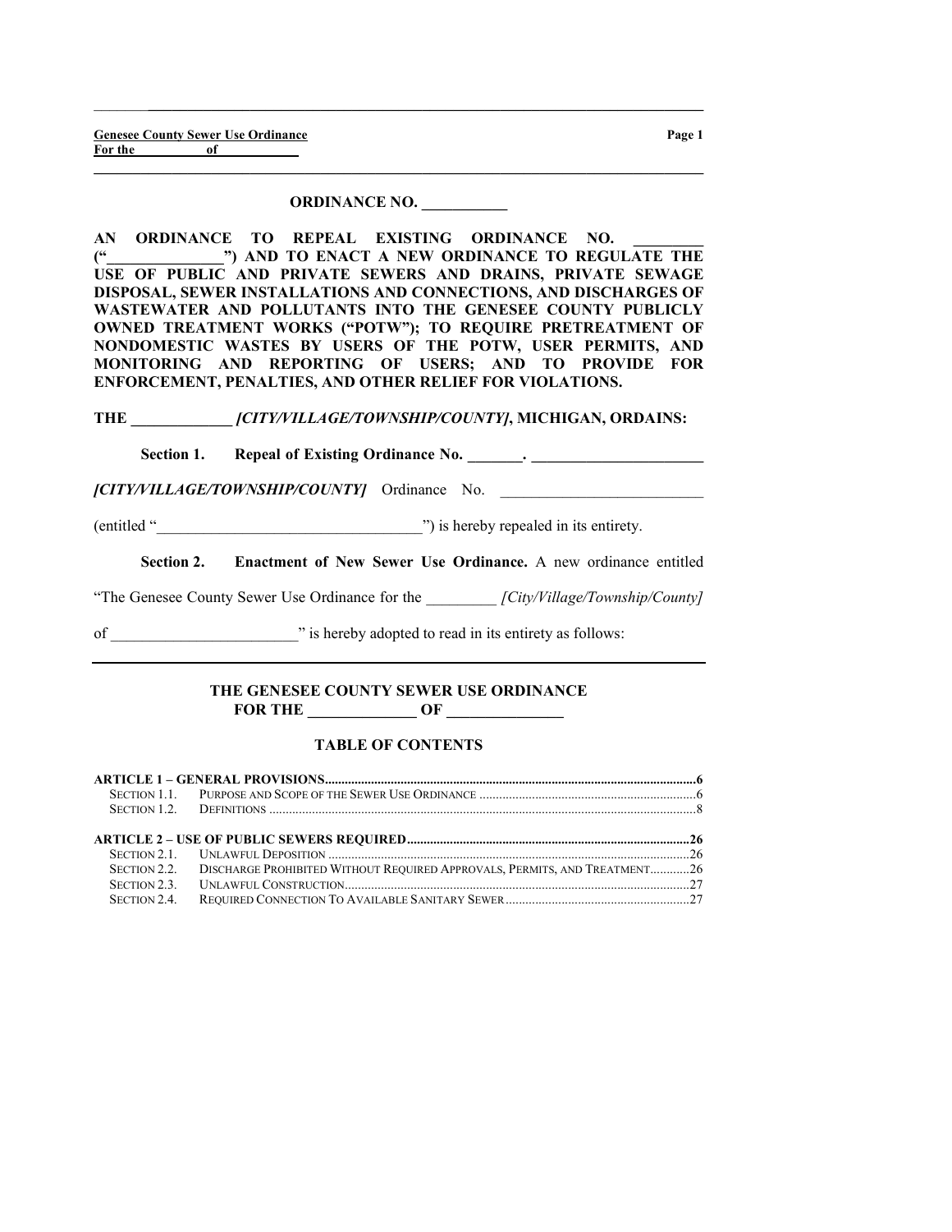#### ORDINANCE NO. \_\_\_\_\_\_\_\_\_\_\_

 $\_$  ,  $\_$  ,  $\_$  ,  $\_$  ,  $\_$  ,  $\_$  ,  $\_$  ,  $\_$  ,  $\_$  ,  $\_$  ,  $\_$  ,  $\_$  ,  $\_$  ,  $\_$  ,  $\_$  ,  $\_$  ,  $\_$  ,  $\_$  ,  $\_$ 

 $\_$  , and the set of the set of the set of the set of the set of the set of the set of the set of the set of the set of the set of the set of the set of the set of the set of the set of the set of the set of the set of th

AN ORDINANCE TO REPEAL EXISTING ORDINANCE NO. ("\_\_\_\_\_\_\_\_\_\_\_\_\_\_\_") AND TO ENACT A NEW ORDINANCE TO REGULATE THE USE OF PUBLIC AND PRIVATE SEWERS AND DRAINS, PRIVATE SEWAGE DISPOSAL, SEWER INSTALLATIONS AND CONNECTIONS, AND DISCHARGES OF WASTEWATER AND POLLUTANTS INTO THE GENESEE COUNTY PUBLICLY OWNED TREATMENT WORKS ("POTW"); TO REQUIRE PRETREATMENT OF NONDOMESTIC WASTES BY USERS OF THE POTW, USER PERMITS, AND MONITORING AND REPORTING OF USERS; AND TO PROVIDE FOR ENFORCEMENT, PENALTIES, AND OTHER RELIEF FOR VIOLATIONS.

#### THE  $\int CITY/VILLAGE/TOWNSHIP/COUNTYI, MICHIGAN, ORDAINS:$

Section 1. Repeal of Existing Ordinance No.  $\qquad \qquad$ .

[CITY/VILLAGE/TOWNSHIP/COUNTY] Ordinance No.

(entitled "\_\_\_\_\_\_\_\_\_\_\_\_\_\_\_\_\_\_\_\_\_\_\_\_\_\_\_\_\_\_\_\_\_\_") is hereby repealed in its entirety.

Section 2. Enactment of New Sewer Use Ordinance. A new ordinance entitled

"The Genesee County Sewer Use Ordinance for the *[City/Village/Township/County]* 

of \_\_\_\_\_\_\_\_\_\_\_\_\_\_\_\_\_\_\_\_\_\_\_\_" is hereby adopted to read in its entirety as follows:

#### THE GENESEE COUNTY SEWER USE ORDINANCE FOR THE  $\qquad \qquad \text{OF} \qquad$

# TABLE OF CONTENTS

| SECTION 2.2. DISCHARGE PROHIBITED WITHOUT REQUIRED APPROVALS, PERMITS, AND TREATMENT26 |  |
|----------------------------------------------------------------------------------------|--|
|                                                                                        |  |
|                                                                                        |  |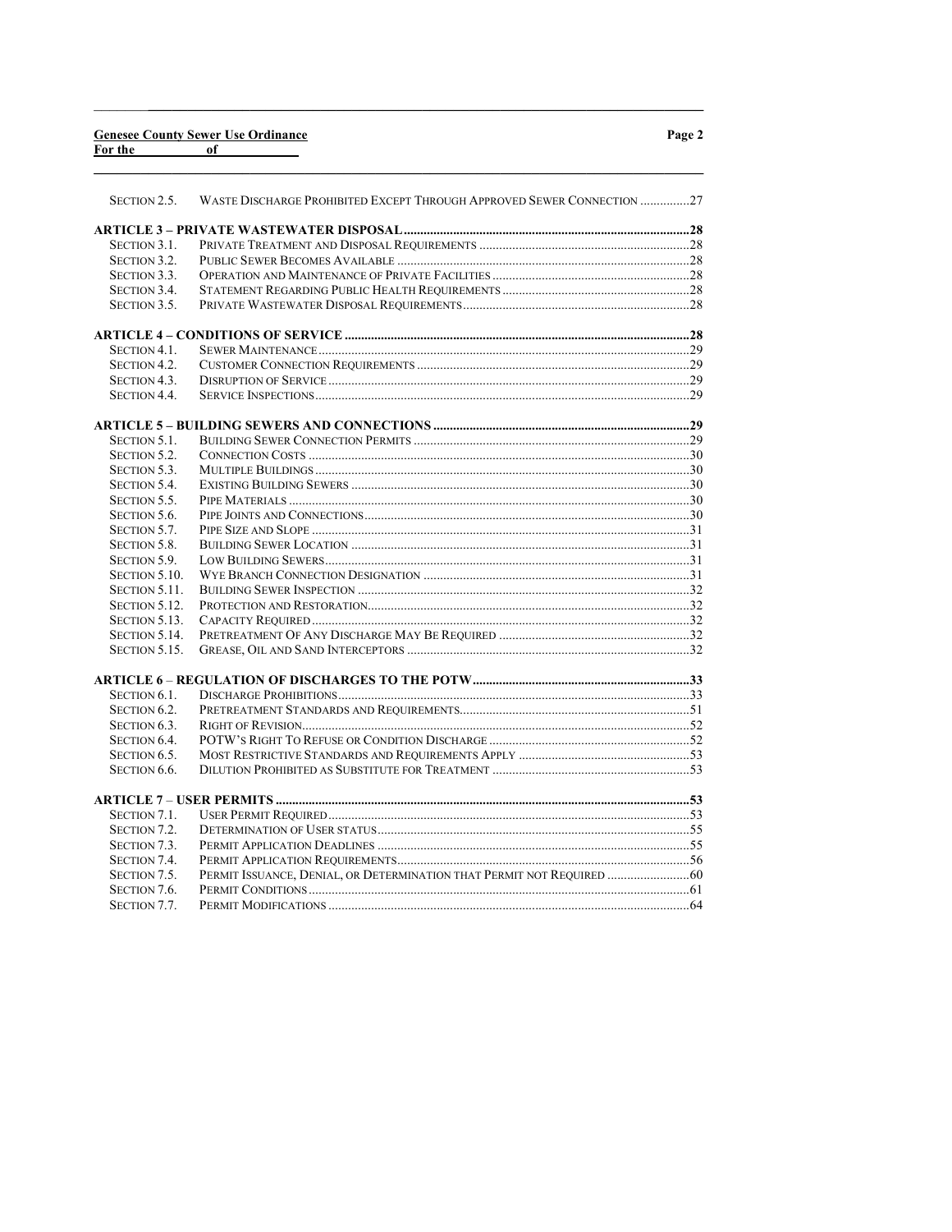|         |    | <b>Genesee County Sewer Use Ordinance</b> |
|---------|----|-------------------------------------------|
| For the | of |                                           |

|--|--|

| SECTION 2.5.        | WASTE DISCHARGE PROHIBITED EXCEPT THROUGH APPROVED SEWER CONNECTION 27 |  |
|---------------------|------------------------------------------------------------------------|--|
|                     |                                                                        |  |
| SECTION 3.1.        |                                                                        |  |
| SECTION 3.2.        |                                                                        |  |
| SECTION 3.3.        |                                                                        |  |
| SECTION 3.4.        |                                                                        |  |
| SECTION 3.5.        |                                                                        |  |
|                     |                                                                        |  |
|                     |                                                                        |  |
| SECTION 4.1.        |                                                                        |  |
| SECTION 4.2.        |                                                                        |  |
| SECTION 4.3.        |                                                                        |  |
| <b>SECTION 4.4.</b> |                                                                        |  |
|                     |                                                                        |  |
| SECTION 5.1.        |                                                                        |  |
| SECTION 5.2.        |                                                                        |  |
| <b>SECTION 5.3.</b> |                                                                        |  |
| SECTION 5.4.        |                                                                        |  |
| SECTION 5.5.        |                                                                        |  |
| SECTION 5.6.        |                                                                        |  |
| SECTION 5.7.        |                                                                        |  |
| SECTION 5.8.        |                                                                        |  |
| SECTION 5.9.        |                                                                        |  |
| SECTION 5.10.       |                                                                        |  |
| SECTION 5.11.       |                                                                        |  |
| SECTION 5.12.       |                                                                        |  |
| SECTION 5.13.       |                                                                        |  |
| SECTION 5.14.       |                                                                        |  |
| SECTION 5.15.       |                                                                        |  |
|                     |                                                                        |  |
|                     |                                                                        |  |
| SECTION 6.1.        |                                                                        |  |
| SECTION 6.2.        |                                                                        |  |
| SECTION 6.3.        |                                                                        |  |
| SECTION 6.4.        |                                                                        |  |
| SECTION 6.5.        |                                                                        |  |
| SECTION 6.6.        |                                                                        |  |
|                     |                                                                        |  |
| SECTION 7.1.        |                                                                        |  |
| SECTION 7.2.        |                                                                        |  |
| SECTION 7.3.        |                                                                        |  |
| SECTION 7.4.        |                                                                        |  |
| SECTION 7.5.        | PERMIT ISSUANCE, DENIAL, OR DETERMINATION THAT PERMIT NOT REQUIRED  60 |  |
| SECTION 7.6.        |                                                                        |  |
| SECTION 7.7.        |                                                                        |  |
|                     |                                                                        |  |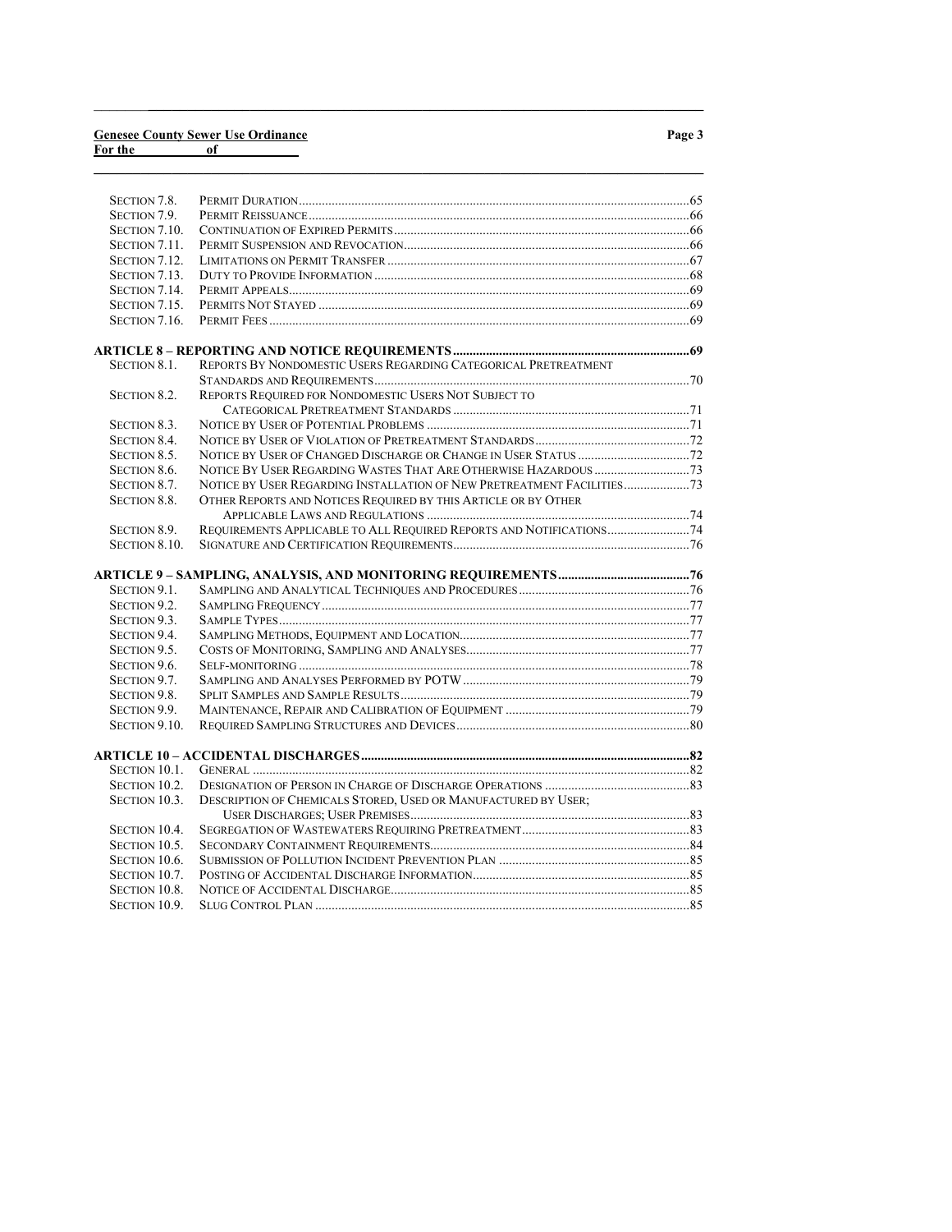#### Genesee County Sewer Use Ordinance For the contract of the contract of the contract of the contract of the contract of the contract of the contract of the contract of the contract of the contract of the contract of the contract of the contract of the contra

| I |  |  |
|---|--|--|
|---|--|--|

| SECTION 7.8.        |                                                                      |  |
|---------------------|----------------------------------------------------------------------|--|
| SECTION 7.9.        |                                                                      |  |
| SECTION 7.10.       |                                                                      |  |
| SECTION 7.11.       |                                                                      |  |
| SECTION 7.12.       |                                                                      |  |
| SECTION 7.13.       |                                                                      |  |
| SECTION 7.14.       |                                                                      |  |
| SECTION 7.15.       |                                                                      |  |
| SECTION 7.16.       |                                                                      |  |
|                     |                                                                      |  |
|                     |                                                                      |  |
| SECTION 8.1.        | REPORTS BY NONDOMESTIC USERS REGARDING CATEGORICAL PRETREATMENT      |  |
|                     |                                                                      |  |
| SECTION 8.2.        | REPORTS REQUIRED FOR NONDOMESTIC USERS NOT SUBJECT TO                |  |
|                     |                                                                      |  |
| SECTION 8.3.        |                                                                      |  |
| SECTION 8.4.        |                                                                      |  |
| SECTION 8.5.        |                                                                      |  |
| SECTION 8.6.        |                                                                      |  |
| SECTION 8.7.        |                                                                      |  |
| <b>SECTION 8.8.</b> | OTHER REPORTS AND NOTICES REQUIRED BY THIS ARTICLE OR BY OTHER       |  |
|                     |                                                                      |  |
| SECTION 8.9.        | REQUIREMENTS APPLICABLE TO ALL REQUIRED REPORTS AND NOTIFICATIONS 74 |  |
| SECTION 8.10.       |                                                                      |  |
|                     |                                                                      |  |
| SECTION 9.1.        |                                                                      |  |
| SECTION 9.2.        |                                                                      |  |
| SECTION 9.3.        |                                                                      |  |
| SECTION 9.4.        |                                                                      |  |
| SECTION 9.5.        |                                                                      |  |
|                     |                                                                      |  |
| SECTION 9.6.        |                                                                      |  |
| SECTION 9.7.        |                                                                      |  |
| SECTION 9.8.        |                                                                      |  |
| SECTION 9.9.        |                                                                      |  |
| SECTION 9.10.       |                                                                      |  |
|                     |                                                                      |  |
| SECTION 10.1.       |                                                                      |  |
| SECTION 10.2.       |                                                                      |  |
| SECTION 10.3.       | DESCRIPTION OF CHEMICALS STORED, USED OR MANUFACTURED BY USER;       |  |
|                     |                                                                      |  |
| SECTION 10.4.       |                                                                      |  |
| SECTION 10.5.       |                                                                      |  |
| SECTION 10.6.       |                                                                      |  |
| SECTION 10.7.       |                                                                      |  |
| SECTION 10.8.       |                                                                      |  |
| SECTION 10.9.       |                                                                      |  |
|                     |                                                                      |  |

 $\_$  ,  $\_$  ,  $\_$  ,  $\_$  ,  $\_$  ,  $\_$  ,  $\_$  ,  $\_$  ,  $\_$  ,  $\_$  ,  $\_$  ,  $\_$  ,  $\_$  ,  $\_$  ,  $\_$  ,  $\_$  ,  $\_$  ,  $\_$  ,  $\_$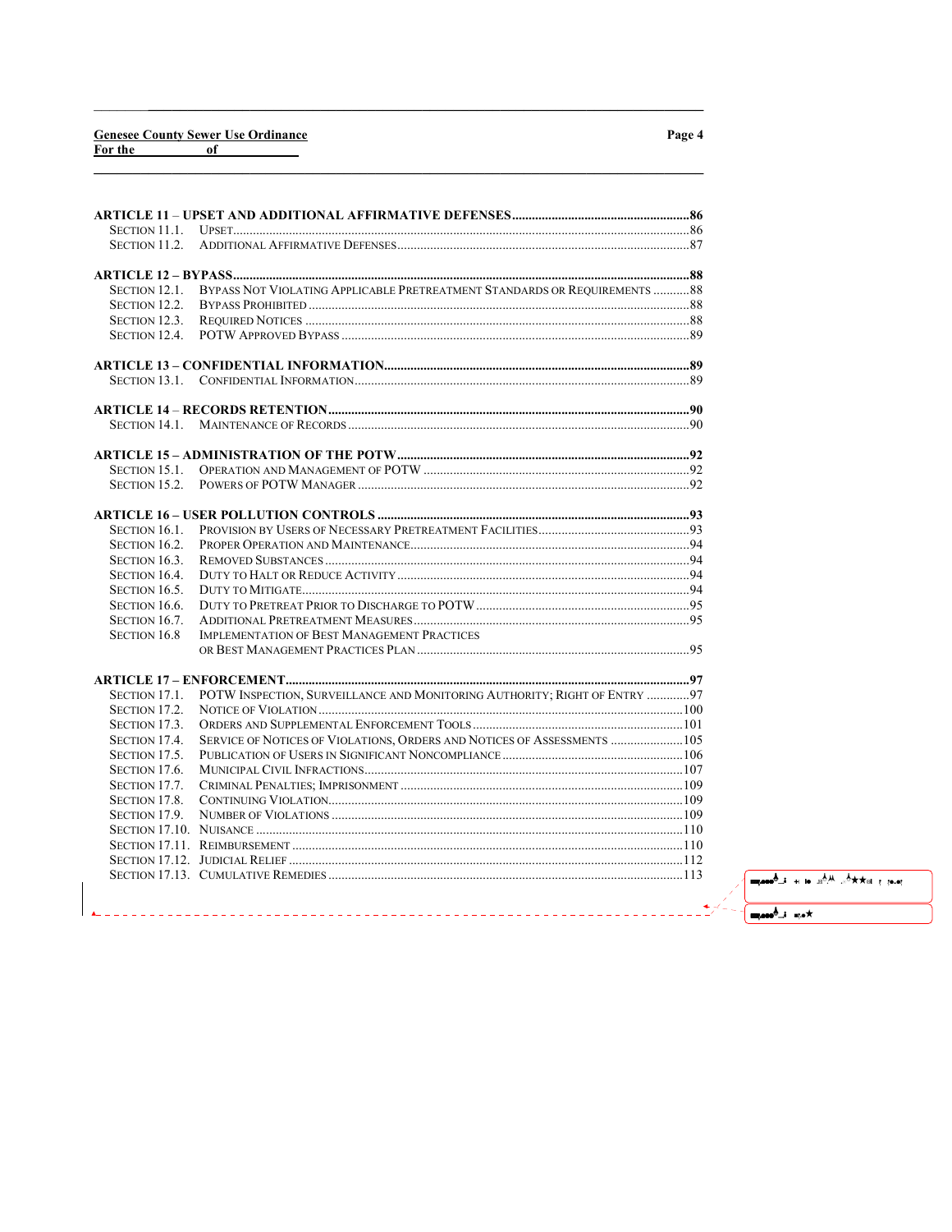# **Genesee County Sewer Use Ordinance**<br>For the of

| SECTION 11.1.        |                                                                           |  |
|----------------------|---------------------------------------------------------------------------|--|
| SECTION 11.2.        |                                                                           |  |
|                      |                                                                           |  |
| SECTION 12.1.        | BYPASS NOT VIOLATING APPLICABLE PRETREATMENT STANDARDS OR REQUIREMENTS 88 |  |
| SECTION 12.2.        |                                                                           |  |
| SECTION 12.3.        |                                                                           |  |
| SECTION 12.4.        |                                                                           |  |
|                      |                                                                           |  |
| Section 13.1.        |                                                                           |  |
|                      |                                                                           |  |
| Section 14.1.        |                                                                           |  |
|                      |                                                                           |  |
| SECTION 15.1.        |                                                                           |  |
| <b>SECTION 15.2.</b> |                                                                           |  |
|                      |                                                                           |  |
| SECTION 16.1.        |                                                                           |  |
| SECTION 16.2.        |                                                                           |  |
| SECTION 16.3.        |                                                                           |  |
| SECTION 16.4.        |                                                                           |  |
| SECTION 16.5.        |                                                                           |  |
| SECTION 16.6.        |                                                                           |  |
| SECTION 16.7.        |                                                                           |  |
| <b>SECTION 16.8</b>  | <b>IMPLEMENTATION OF BEST MANAGEMENT PRACTICES</b>                        |  |
|                      |                                                                           |  |
|                      |                                                                           |  |
| SECTION 17.1.        | POTW INSPECTION, SURVEILLANCE AND MONITORING AUTHORITY; RIGHT OF ENTRY 97 |  |
| SECTION 17.2.        |                                                                           |  |
| SECTION 17.3.        |                                                                           |  |
| SECTION 17.4.        | SERVICE OF NOTICES OF VIOLATIONS, ORDERS AND NOTICES OF ASSESSMENTS  105  |  |
| SECTION 17.5.        |                                                                           |  |
| SECTION 17.6.        |                                                                           |  |
| SECTION 17.7.        |                                                                           |  |
| SECTION 17.8.        |                                                                           |  |
| SECTION 17.9.        |                                                                           |  |
|                      |                                                                           |  |
|                      |                                                                           |  |
|                      |                                                                           |  |
|                      |                                                                           |  |

<u>. . . . . . . . . . . . . . . . . .</u>

 $\overline{\phantom{a}}$  $\frac{1}{2}$ 

# Page 4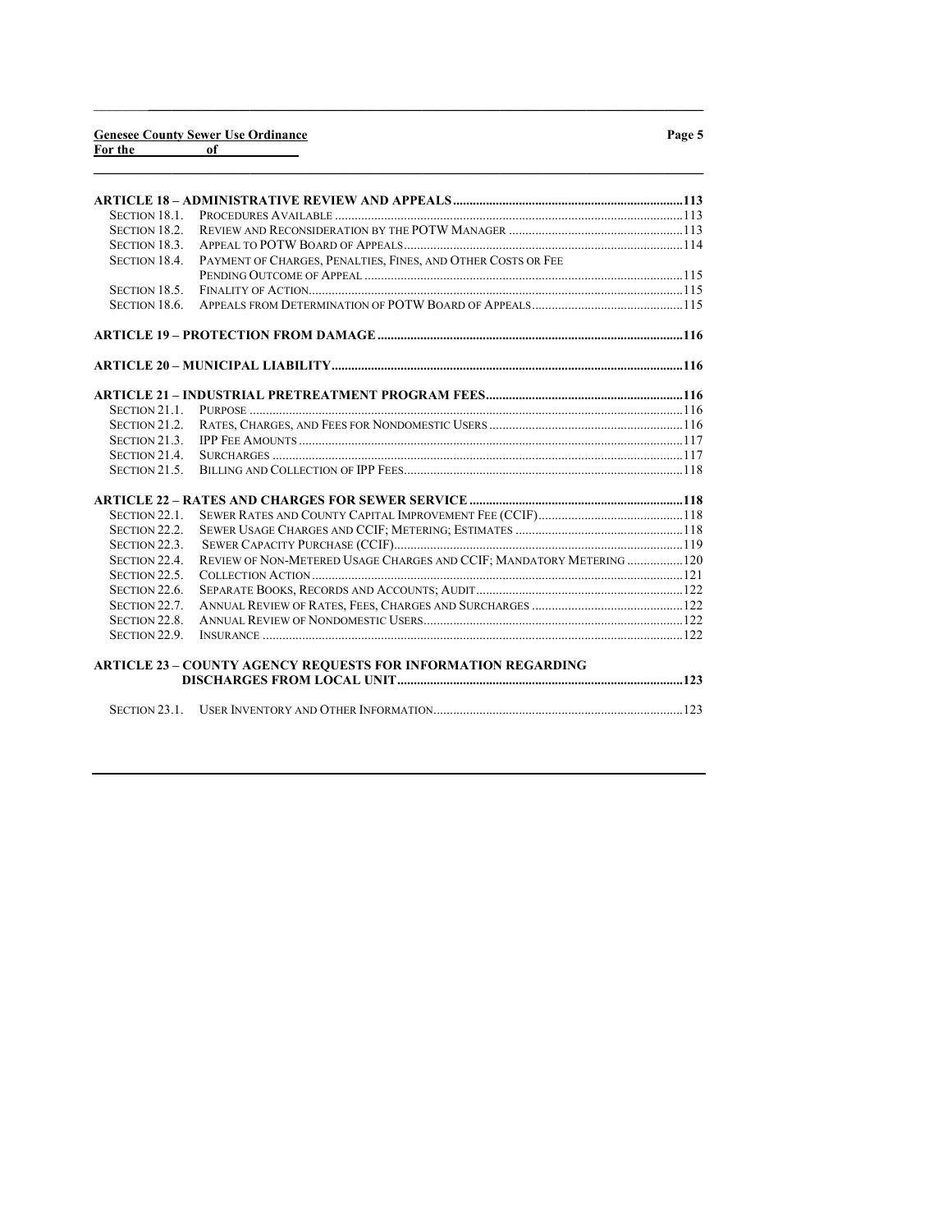#### Genesee County Sewer Use Ordinance For the contract of the contract of the contract of the contract of the contract of the contract of the contract of the contract of the contract of the contract of the contract of the contract of the contract of the contra

| <b>SECTION 18.1.</b> |                                                                      |  |
|----------------------|----------------------------------------------------------------------|--|
| SECTION 18.2.        |                                                                      |  |
| SECTION 18.3.        |                                                                      |  |
| <b>SECTION 18.4.</b> | PAYMENT OF CHARGES, PENALTIES, FINES, AND OTHER COSTS OR FEE         |  |
|                      |                                                                      |  |
| SECTION 18.5.        |                                                                      |  |
| SECTION 18.6.        |                                                                      |  |
|                      |                                                                      |  |
|                      |                                                                      |  |
|                      |                                                                      |  |
| SECTION 21.1.        |                                                                      |  |
| SECTION 21.2.        |                                                                      |  |
| SECTION 21.3.        |                                                                      |  |
| SECTION 21.4.        |                                                                      |  |
| SECTION 21.5.        |                                                                      |  |
|                      |                                                                      |  |
| SECTION 22.1.        |                                                                      |  |
| SECTION 22.2.        |                                                                      |  |
| SECTION 22.3.        |                                                                      |  |
| SECTION 22.4         | REVIEW OF NON-METERED USAGE CHARGES AND CCIF; MANDATORY METERING 120 |  |
| SECTION 22.5         |                                                                      |  |
| SECTION 22.6.        |                                                                      |  |
| SECTION 22.7.        |                                                                      |  |
| SECTION 22.8.        |                                                                      |  |
| SECTION 22.9         | $INSURANCE$ [22]                                                     |  |
|                      | <b>ARTICLE 23 - COUNTY AGENCY REQUESTS FOR INFORMATION REGARDING</b> |  |
|                      |                                                                      |  |
|                      |                                                                      |  |

 $\_$  ,  $\_$  ,  $\_$  ,  $\_$  ,  $\_$  ,  $\_$  ,  $\_$  ,  $\_$  ,  $\_$  ,  $\_$  ,  $\_$  ,  $\_$  ,  $\_$  ,  $\_$  ,  $\_$  ,  $\_$  ,  $\_$  ,  $\_$  ,  $\_$ 

 $\_$  , and the set of the set of the set of the set of the set of the set of the set of the set of the set of the set of the set of the set of the set of the set of the set of the set of the set of the set of the set of th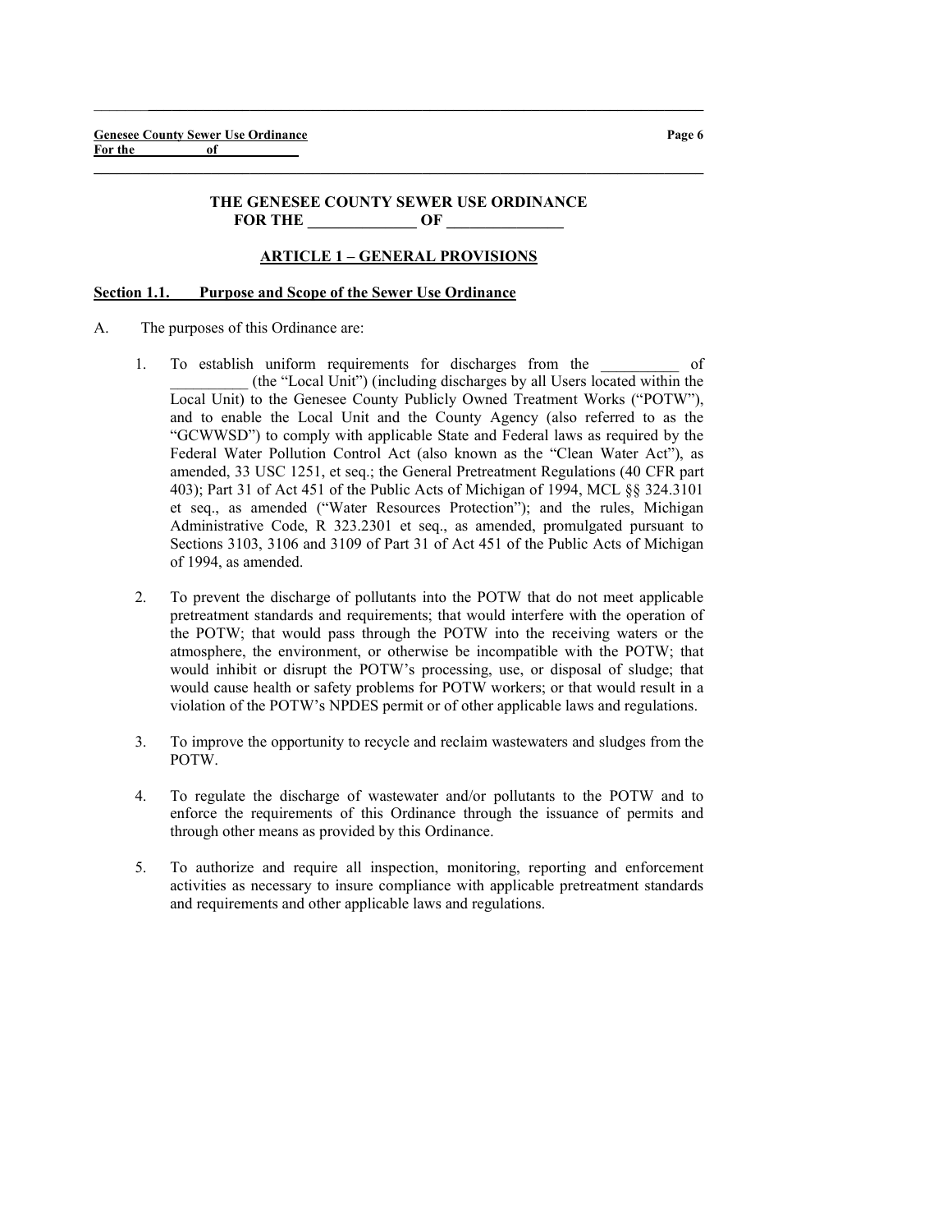#### THE GENESEE COUNTY SEWER USE ORDINANCE FOR THE **OF**

 $\_$  , and the set of the set of the set of the set of the set of the set of the set of the set of the set of the set of the set of the set of the set of the set of the set of the set of the set of the set of the set of th

 $\_$  ,  $\_$  ,  $\_$  ,  $\_$  ,  $\_$  ,  $\_$  ,  $\_$  ,  $\_$  ,  $\_$  ,  $\_$  ,  $\_$  ,  $\_$  ,  $\_$  ,  $\_$  ,  $\_$  ,  $\_$  ,  $\_$  ,  $\_$  ,  $\_$ 

## ARTICLE 1 – GENERAL PROVISIONS

#### Section 1.1. Purpose and Scope of the Sewer Use Ordinance

- A. The purposes of this Ordinance are:
	- 1. To establish uniform requirements for discharges from the of \_\_\_\_\_\_\_\_\_\_ (the "Local Unit") (including discharges by all Users located within the Local Unit) to the Genesee County Publicly Owned Treatment Works ("POTW"), and to enable the Local Unit and the County Agency (also referred to as the "GCWWSD") to comply with applicable State and Federal laws as required by the Federal Water Pollution Control Act (also known as the "Clean Water Act"), as amended, 33 USC 1251, et seq.; the General Pretreatment Regulations (40 CFR part 403); Part 31 of Act 451 of the Public Acts of Michigan of 1994, MCL §§ 324.3101 et seq., as amended ("Water Resources Protection"); and the rules, Michigan Administrative Code, R 323.2301 et seq., as amended, promulgated pursuant to Sections 3103, 3106 and 3109 of Part 31 of Act 451 of the Public Acts of Michigan of 1994, as amended.
	- 2. To prevent the discharge of pollutants into the POTW that do not meet applicable pretreatment standards and requirements; that would interfere with the operation of the POTW; that would pass through the POTW into the receiving waters or the atmosphere, the environment, or otherwise be incompatible with the POTW; that would inhibit or disrupt the POTW's processing, use, or disposal of sludge; that would cause health or safety problems for POTW workers; or that would result in a violation of the POTW's NPDES permit or of other applicable laws and regulations.
	- 3. To improve the opportunity to recycle and reclaim wastewaters and sludges from the POTW.
	- 4. To regulate the discharge of wastewater and/or pollutants to the POTW and to enforce the requirements of this Ordinance through the issuance of permits and through other means as provided by this Ordinance.
	- 5. To authorize and require all inspection, monitoring, reporting and enforcement activities as necessary to insure compliance with applicable pretreatment standards and requirements and other applicable laws and regulations.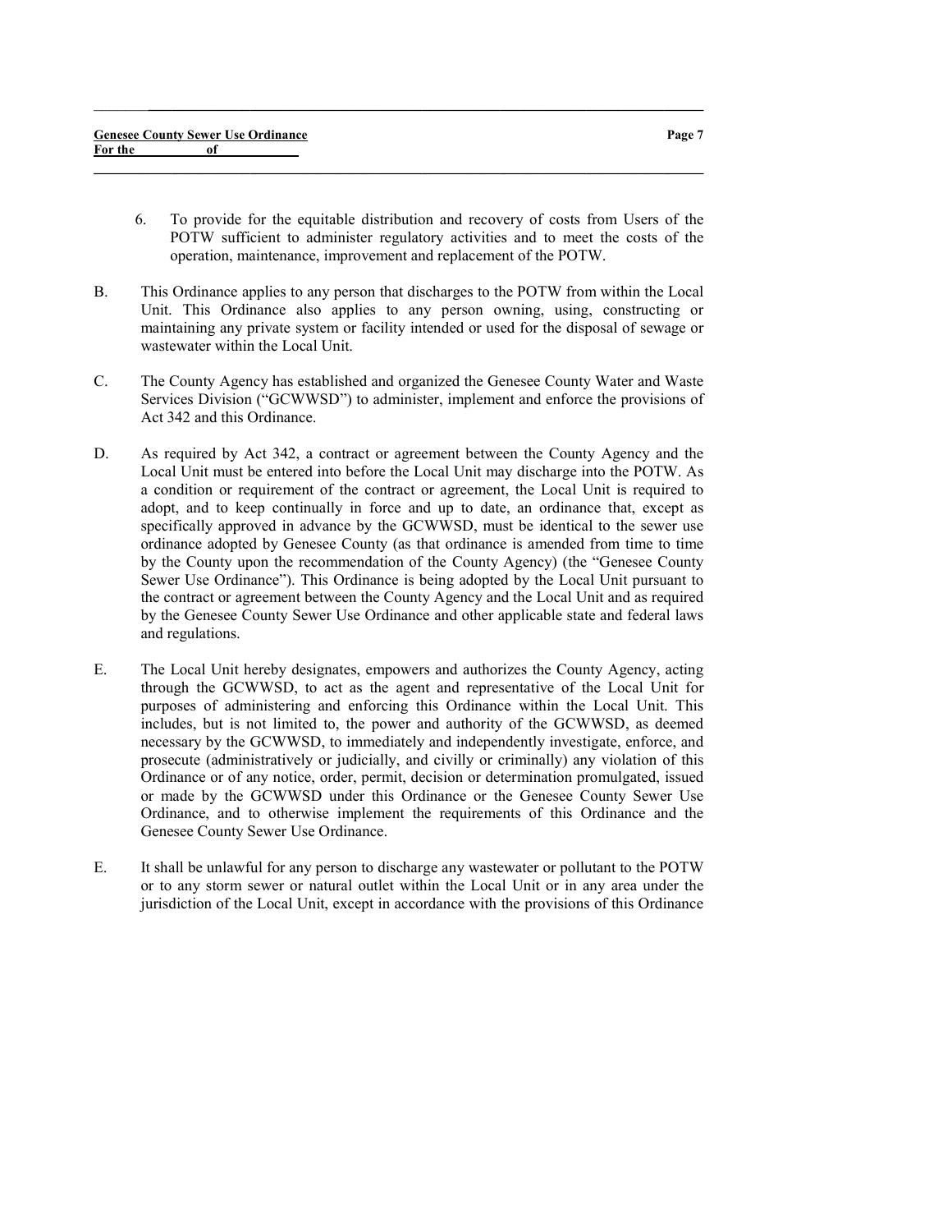- 6. To provide for the equitable distribution and recovery of costs from Users of the POTW sufficient to administer regulatory activities and to meet the costs of the operation, maintenance, improvement and replacement of the POTW.
- B. This Ordinance applies to any person that discharges to the POTW from within the Local Unit. This Ordinance also applies to any person owning, using, constructing or maintaining any private system or facility intended or used for the disposal of sewage or wastewater within the Local Unit.

 $\_$  ,  $\_$  ,  $\_$  ,  $\_$  ,  $\_$  ,  $\_$  ,  $\_$  ,  $\_$  ,  $\_$  ,  $\_$  ,  $\_$  ,  $\_$  ,  $\_$  ,  $\_$  ,  $\_$  ,  $\_$  ,  $\_$  ,  $\_$  ,  $\_$ 

 $\_$  , and the set of the set of the set of the set of the set of the set of the set of the set of the set of the set of the set of the set of the set of the set of the set of the set of the set of the set of the set of th

- C. The County Agency has established and organized the Genesee County Water and Waste Services Division ("GCWWSD") to administer, implement and enforce the provisions of Act 342 and this Ordinance.
- D. As required by Act 342, a contract or agreement between the County Agency and the Local Unit must be entered into before the Local Unit may discharge into the POTW. As a condition or requirement of the contract or agreement, the Local Unit is required to adopt, and to keep continually in force and up to date, an ordinance that, except as specifically approved in advance by the GCWWSD, must be identical to the sewer use ordinance adopted by Genesee County (as that ordinance is amended from time to time by the County upon the recommendation of the County Agency) (the "Genesee County Sewer Use Ordinance"). This Ordinance is being adopted by the Local Unit pursuant to the contract or agreement between the County Agency and the Local Unit and as required by the Genesee County Sewer Use Ordinance and other applicable state and federal laws and regulations.
- E. The Local Unit hereby designates, empowers and authorizes the County Agency, acting through the GCWWSD, to act as the agent and representative of the Local Unit for purposes of administering and enforcing this Ordinance within the Local Unit. This includes, but is not limited to, the power and authority of the GCWWSD, as deemed necessary by the GCWWSD, to immediately and independently investigate, enforce, and prosecute (administratively or judicially, and civilly or criminally) any violation of this Ordinance or of any notice, order, permit, decision or determination promulgated, issued or made by the GCWWSD under this Ordinance or the Genesee County Sewer Use Ordinance, and to otherwise implement the requirements of this Ordinance and the Genesee County Sewer Use Ordinance.
- E. It shall be unlawful for any person to discharge any wastewater or pollutant to the POTW or to any storm sewer or natural outlet within the Local Unit or in any area under the jurisdiction of the Local Unit, except in accordance with the provisions of this Ordinance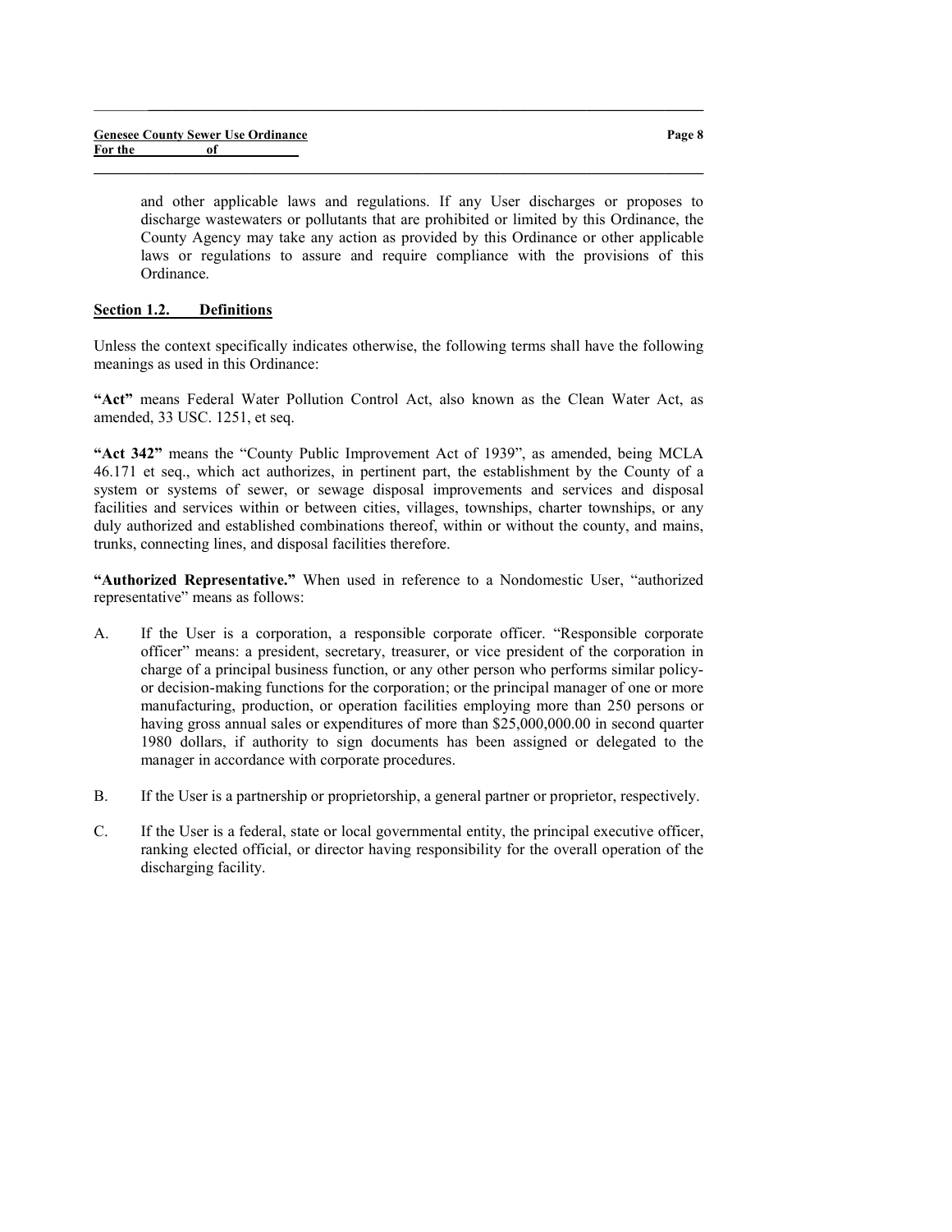and other applicable laws and regulations. If any User discharges or proposes to discharge wastewaters or pollutants that are prohibited or limited by this Ordinance, the County Agency may take any action as provided by this Ordinance or other applicable laws or regulations to assure and require compliance with the provisions of this Ordinance.

## Section 1.2. Definitions

Unless the context specifically indicates otherwise, the following terms shall have the following meanings as used in this Ordinance:

 $\_$  ,  $\_$  ,  $\_$  ,  $\_$  ,  $\_$  ,  $\_$  ,  $\_$  ,  $\_$  ,  $\_$  ,  $\_$  ,  $\_$  ,  $\_$  ,  $\_$  ,  $\_$  ,  $\_$  ,  $\_$  ,  $\_$  ,  $\_$  ,  $\_$ 

 $\_$  , and the set of the set of the set of the set of the set of the set of the set of the set of the set of the set of the set of the set of the set of the set of the set of the set of the set of the set of the set of th

"Act" means Federal Water Pollution Control Act, also known as the Clean Water Act, as amended, 33 USC. 1251, et seq.

"Act 342" means the "County Public Improvement Act of 1939", as amended, being MCLA 46.171 et seq., which act authorizes, in pertinent part, the establishment by the County of a system or systems of sewer, or sewage disposal improvements and services and disposal facilities and services within or between cities, villages, townships, charter townships, or any duly authorized and established combinations thereof, within or without the county, and mains, trunks, connecting lines, and disposal facilities therefore.

"Authorized Representative." When used in reference to a Nondomestic User, "authorized representative" means as follows:

- A. If the User is a corporation, a responsible corporate officer. "Responsible corporate officer" means: a president, secretary, treasurer, or vice president of the corporation in charge of a principal business function, or any other person who performs similar policyor decision-making functions for the corporation; or the principal manager of one or more manufacturing, production, or operation facilities employing more than 250 persons or having gross annual sales or expenditures of more than \$25,000,000.00 in second quarter 1980 dollars, if authority to sign documents has been assigned or delegated to the manager in accordance with corporate procedures.
- B. If the User is a partnership or proprietorship, a general partner or proprietor, respectively.
- C. If the User is a federal, state or local governmental entity, the principal executive officer, ranking elected official, or director having responsibility for the overall operation of the discharging facility.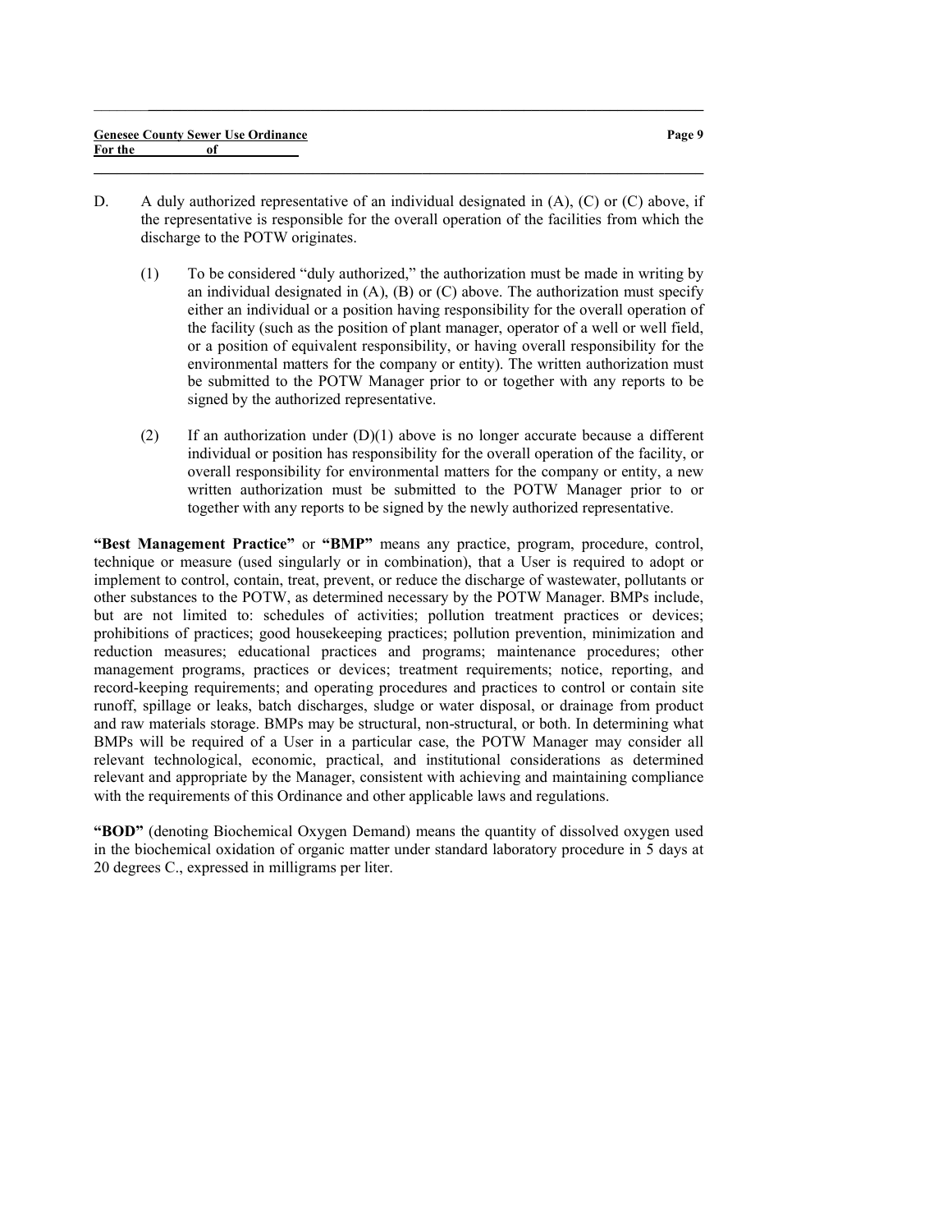D. A duly authorized representative of an individual designated in (A), (C) or (C) above, if the representative is responsible for the overall operation of the facilities from which the discharge to the POTW originates.

 $\_$  , and the set of the set of the set of the set of the set of the set of the set of the set of the set of the set of the set of the set of the set of the set of the set of the set of the set of the set of the set of th

 $\_$  ,  $\_$  ,  $\_$  ,  $\_$  ,  $\_$  ,  $\_$  ,  $\_$  ,  $\_$  ,  $\_$  ,  $\_$  ,  $\_$  ,  $\_$  ,  $\_$  ,  $\_$  ,  $\_$  ,  $\_$  ,  $\_$  ,  $\_$  ,  $\_$ 

- (1) To be considered "duly authorized," the authorization must be made in writing by an individual designated in  $(A)$ ,  $(B)$  or  $(C)$  above. The authorization must specify either an individual or a position having responsibility for the overall operation of the facility (such as the position of plant manager, operator of a well or well field, or a position of equivalent responsibility, or having overall responsibility for the environmental matters for the company or entity). The written authorization must be submitted to the POTW Manager prior to or together with any reports to be signed by the authorized representative.
- (2) If an authorization under  $(D)(1)$  above is no longer accurate because a different individual or position has responsibility for the overall operation of the facility, or overall responsibility for environmental matters for the company or entity, a new written authorization must be submitted to the POTW Manager prior to or together with any reports to be signed by the newly authorized representative.

"Best Management Practice" or "BMP" means any practice, program, procedure, control, technique or measure (used singularly or in combination), that a User is required to adopt or implement to control, contain, treat, prevent, or reduce the discharge of wastewater, pollutants or other substances to the POTW, as determined necessary by the POTW Manager. BMPs include, but are not limited to: schedules of activities; pollution treatment practices or devices; prohibitions of practices; good housekeeping practices; pollution prevention, minimization and reduction measures; educational practices and programs; maintenance procedures; other management programs, practices or devices; treatment requirements; notice, reporting, and record-keeping requirements; and operating procedures and practices to control or contain site runoff, spillage or leaks, batch discharges, sludge or water disposal, or drainage from product and raw materials storage. BMPs may be structural, non-structural, or both. In determining what BMPs will be required of a User in a particular case, the POTW Manager may consider all relevant technological, economic, practical, and institutional considerations as determined relevant and appropriate by the Manager, consistent with achieving and maintaining compliance with the requirements of this Ordinance and other applicable laws and regulations.

"BOD" (denoting Biochemical Oxygen Demand) means the quantity of dissolved oxygen used in the biochemical oxidation of organic matter under standard laboratory procedure in 5 days at 20 degrees C., expressed in milligrams per liter.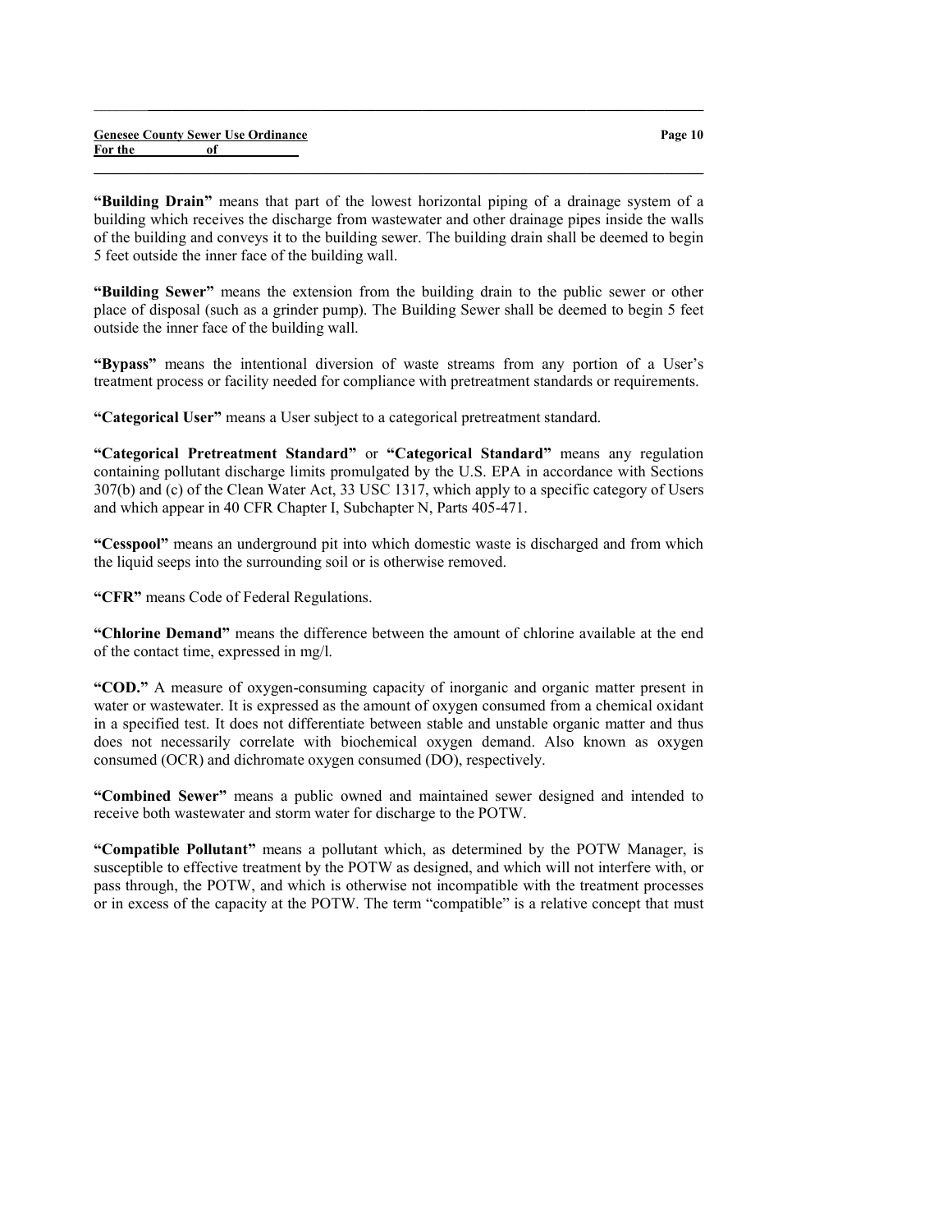|         |    | <b>Genesee County Sewer Use Ordinance</b> |
|---------|----|-------------------------------------------|
| For the | of |                                           |

"Building Drain" means that part of the lowest horizontal piping of a drainage system of a building which receives the discharge from wastewater and other drainage pipes inside the walls of the building and conveys it to the building sewer. The building drain shall be deemed to begin 5 feet outside the inner face of the building wall.

 $\_$  ,  $\_$  ,  $\_$  ,  $\_$  ,  $\_$  ,  $\_$  ,  $\_$  ,  $\_$  ,  $\_$  ,  $\_$  ,  $\_$  ,  $\_$  ,  $\_$  ,  $\_$  ,  $\_$  ,  $\_$  ,  $\_$  ,  $\_$  ,  $\_$ 

 $\_$  , and the set of the set of the set of the set of the set of the set of the set of the set of the set of the set of the set of the set of the set of the set of the set of the set of the set of the set of the set of th

"Building Sewer" means the extension from the building drain to the public sewer or other place of disposal (such as a grinder pump). The Building Sewer shall be deemed to begin 5 feet outside the inner face of the building wall.

"Bypass" means the intentional diversion of waste streams from any portion of a User's treatment process or facility needed for compliance with pretreatment standards or requirements.

"Categorical User" means a User subject to a categorical pretreatment standard.

"Categorical Pretreatment Standard" or "Categorical Standard" means any regulation containing pollutant discharge limits promulgated by the U.S. EPA in accordance with Sections 307(b) and (c) of the Clean Water Act, 33 USC 1317, which apply to a specific category of Users and which appear in 40 CFR Chapter I, Subchapter N, Parts 405-471.

"Cesspool" means an underground pit into which domestic waste is discharged and from which the liquid seeps into the surrounding soil or is otherwise removed.

"CFR" means Code of Federal Regulations.

"Chlorine Demand" means the difference between the amount of chlorine available at the end of the contact time, expressed in mg/l.

"COD." A measure of oxygen-consuming capacity of inorganic and organic matter present in water or wastewater. It is expressed as the amount of oxygen consumed from a chemical oxidant in a specified test. It does not differentiate between stable and unstable organic matter and thus does not necessarily correlate with biochemical oxygen demand. Also known as oxygen consumed (OCR) and dichromate oxygen consumed (DO), respectively.

"Combined Sewer" means a public owned and maintained sewer designed and intended to receive both wastewater and storm water for discharge to the POTW.

"Compatible Pollutant" means a pollutant which, as determined by the POTW Manager, is susceptible to effective treatment by the POTW as designed, and which will not interfere with, or pass through, the POTW, and which is otherwise not incompatible with the treatment processes or in excess of the capacity at the POTW. The term "compatible" is a relative concept that must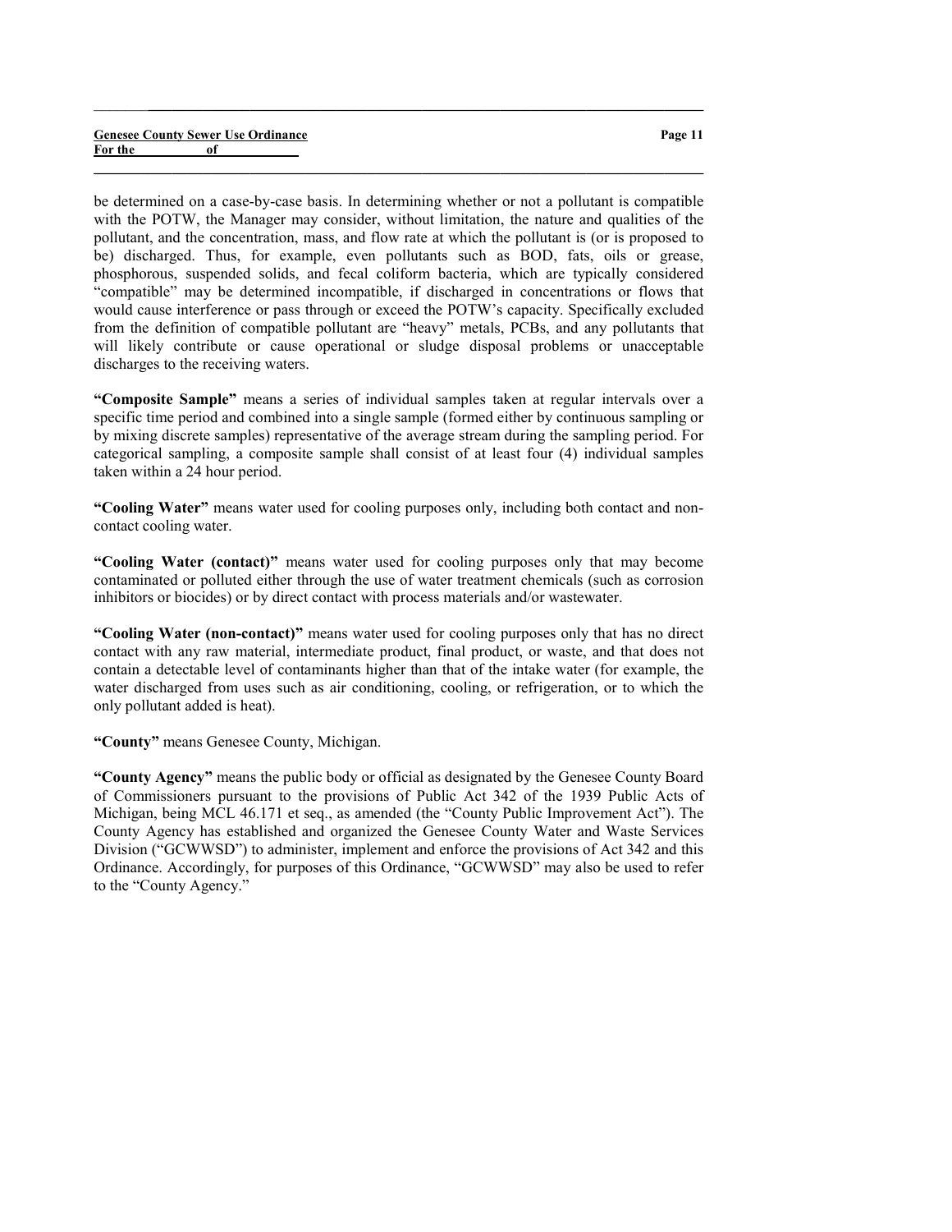#### Genesee County Sewer Use Ordinance For the of

be determined on a case-by-case basis. In determining whether or not a pollutant is compatible with the POTW, the Manager may consider, without limitation, the nature and qualities of the pollutant, and the concentration, mass, and flow rate at which the pollutant is (or is proposed to be) discharged. Thus, for example, even pollutants such as BOD, fats, oils or grease, phosphorous, suspended solids, and fecal coliform bacteria, which are typically considered "compatible" may be determined incompatible, if discharged in concentrations or flows that would cause interference or pass through or exceed the POTW's capacity. Specifically excluded from the definition of compatible pollutant are "heavy" metals, PCBs, and any pollutants that will likely contribute or cause operational or sludge disposal problems or unacceptable discharges to the receiving waters.

 $\_$  ,  $\_$  ,  $\_$  ,  $\_$  ,  $\_$  ,  $\_$  ,  $\_$  ,  $\_$  ,  $\_$  ,  $\_$  ,  $\_$  ,  $\_$  ,  $\_$  ,  $\_$  ,  $\_$  ,  $\_$  ,  $\_$  ,  $\_$  ,  $\_$ 

 $\_$  , and the set of the set of the set of the set of the set of the set of the set of the set of the set of the set of the set of the set of the set of the set of the set of the set of the set of the set of the set of th

"Composite Sample" means a series of individual samples taken at regular intervals over a specific time period and combined into a single sample (formed either by continuous sampling or by mixing discrete samples) representative of the average stream during the sampling period. For categorical sampling, a composite sample shall consist of at least four (4) individual samples taken within a 24 hour period.

"Cooling Water" means water used for cooling purposes only, including both contact and noncontact cooling water.

"Cooling Water (contact)" means water used for cooling purposes only that may become contaminated or polluted either through the use of water treatment chemicals (such as corrosion inhibitors or biocides) or by direct contact with process materials and/or wastewater.

"Cooling Water (non-contact)" means water used for cooling purposes only that has no direct contact with any raw material, intermediate product, final product, or waste, and that does not contain a detectable level of contaminants higher than that of the intake water (for example, the water discharged from uses such as air conditioning, cooling, or refrigeration, or to which the only pollutant added is heat).

"County" means Genesee County, Michigan.

"County Agency" means the public body or official as designated by the Genesee County Board of Commissioners pursuant to the provisions of Public Act 342 of the 1939 Public Acts of Michigan, being MCL 46.171 et seq., as amended (the "County Public Improvement Act"). The County Agency has established and organized the Genesee County Water and Waste Services Division ("GCWWSD") to administer, implement and enforce the provisions of Act 342 and this Ordinance. Accordingly, for purposes of this Ordinance, "GCWWSD" may also be used to refer to the "County Agency."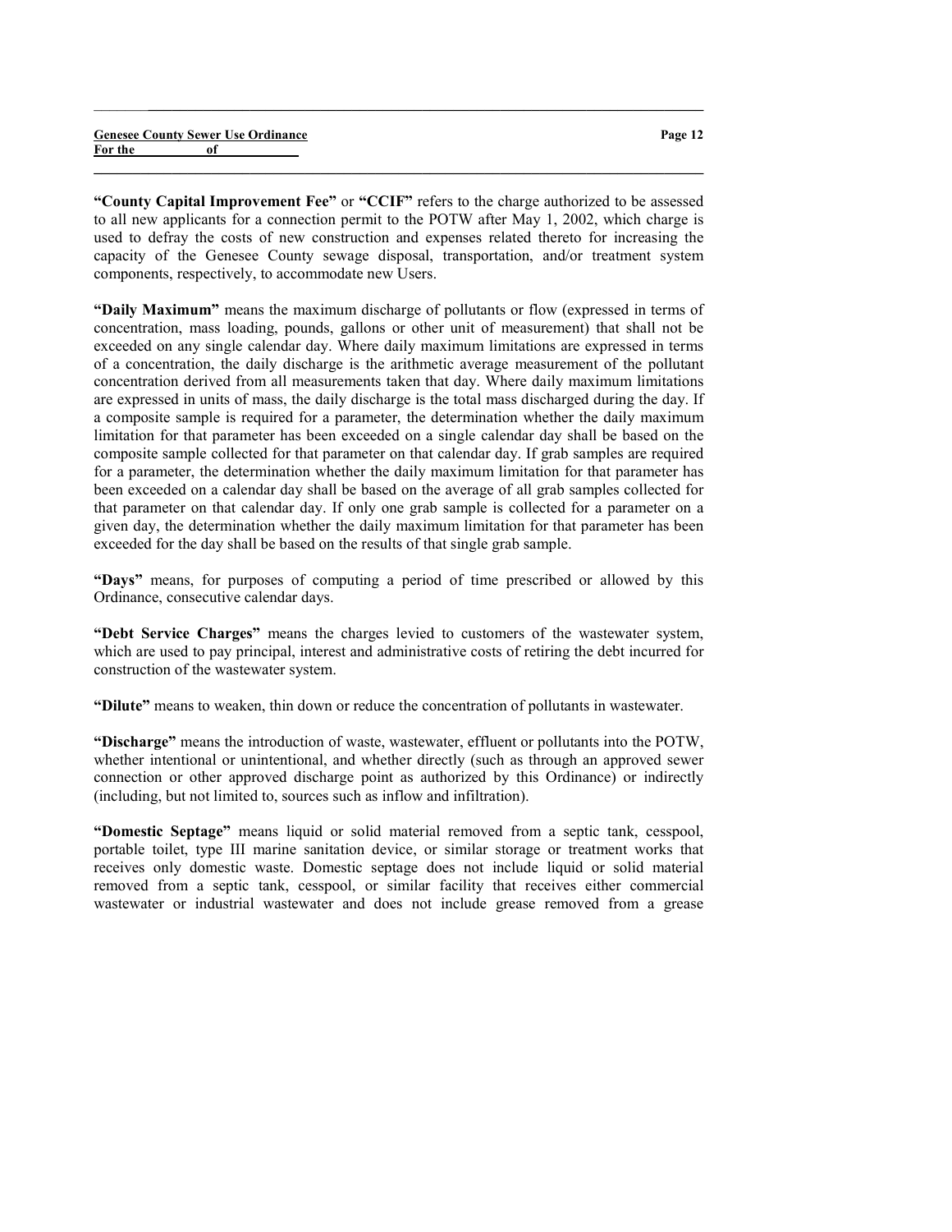|         | <b>Genesee County Sewer Use Ordinance</b> | Page 12 |
|---------|-------------------------------------------|---------|
| For the |                                           |         |
|         |                                           |         |

 $\_$  ,  $\_$  ,  $\_$  ,  $\_$  ,  $\_$  ,  $\_$  ,  $\_$  ,  $\_$  ,  $\_$  ,  $\_$  ,  $\_$  ,  $\_$  ,  $\_$  ,  $\_$  ,  $\_$  ,  $\_$  ,  $\_$  ,  $\_$  ,  $\_$ 

"County Capital Improvement Fee" or "CCIF" refers to the charge authorized to be assessed to all new applicants for a connection permit to the POTW after May 1, 2002, which charge is used to defray the costs of new construction and expenses related thereto for increasing the capacity of the Genesee County sewage disposal, transportation, and/or treatment system components, respectively, to accommodate new Users.

"Daily Maximum" means the maximum discharge of pollutants or flow (expressed in terms of concentration, mass loading, pounds, gallons or other unit of measurement) that shall not be exceeded on any single calendar day. Where daily maximum limitations are expressed in terms of a concentration, the daily discharge is the arithmetic average measurement of the pollutant concentration derived from all measurements taken that day. Where daily maximum limitations are expressed in units of mass, the daily discharge is the total mass discharged during the day. If a composite sample is required for a parameter, the determination whether the daily maximum limitation for that parameter has been exceeded on a single calendar day shall be based on the composite sample collected for that parameter on that calendar day. If grab samples are required for a parameter, the determination whether the daily maximum limitation for that parameter has been exceeded on a calendar day shall be based on the average of all grab samples collected for that parameter on that calendar day. If only one grab sample is collected for a parameter on a given day, the determination whether the daily maximum limitation for that parameter has been exceeded for the day shall be based on the results of that single grab sample.

"Days" means, for purposes of computing a period of time prescribed or allowed by this Ordinance, consecutive calendar days.

"Debt Service Charges" means the charges levied to customers of the wastewater system, which are used to pay principal, interest and administrative costs of retiring the debt incurred for construction of the wastewater system.

"Dilute" means to weaken, thin down or reduce the concentration of pollutants in wastewater.

"Discharge" means the introduction of waste, wastewater, effluent or pollutants into the POTW, whether intentional or unintentional, and whether directly (such as through an approved sewer connection or other approved discharge point as authorized by this Ordinance) or indirectly (including, but not limited to, sources such as inflow and infiltration).

"Domestic Septage" means liquid or solid material removed from a septic tank, cesspool, portable toilet, type III marine sanitation device, or similar storage or treatment works that receives only domestic waste. Domestic septage does not include liquid or solid material removed from a septic tank, cesspool, or similar facility that receives either commercial wastewater or industrial wastewater and does not include grease removed from a grease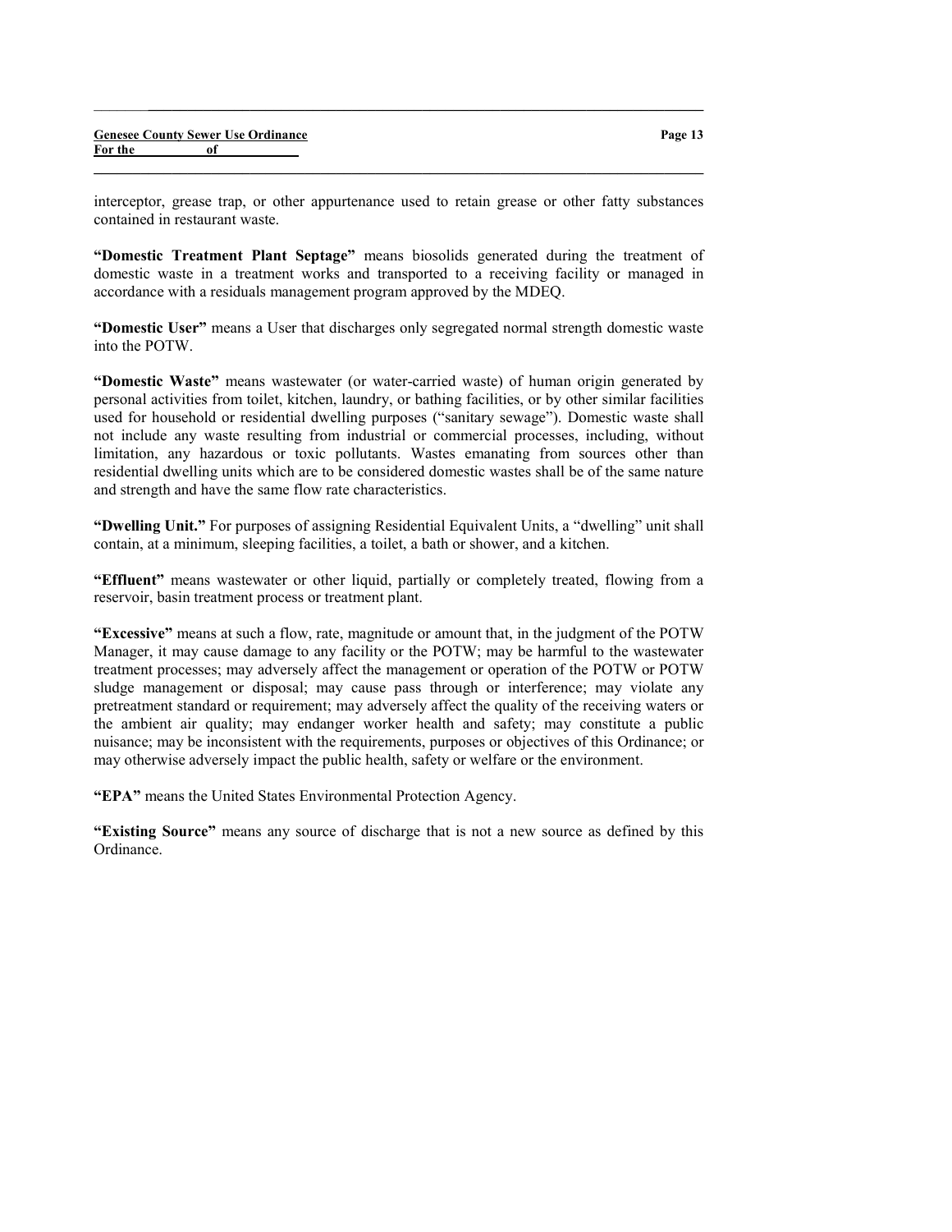interceptor, grease trap, or other appurtenance used to retain grease or other fatty substances contained in restaurant waste.

 $\_$  , and the set of the set of the set of the set of the set of the set of the set of the set of the set of the set of the set of the set of the set of the set of the set of the set of the set of the set of the set of th

 $\_$  ,  $\_$  ,  $\_$  ,  $\_$  ,  $\_$  ,  $\_$  ,  $\_$  ,  $\_$  ,  $\_$  ,  $\_$  ,  $\_$  ,  $\_$  ,  $\_$  ,  $\_$  ,  $\_$  ,  $\_$  ,  $\_$  ,  $\_$  ,  $\_$ 

"Domestic Treatment Plant Septage" means biosolids generated during the treatment of domestic waste in a treatment works and transported to a receiving facility or managed in accordance with a residuals management program approved by the MDEQ.

"Domestic User" means a User that discharges only segregated normal strength domestic waste into the POTW.

"Domestic Waste" means wastewater (or water-carried waste) of human origin generated by personal activities from toilet, kitchen, laundry, or bathing facilities, or by other similar facilities used for household or residential dwelling purposes ("sanitary sewage"). Domestic waste shall not include any waste resulting from industrial or commercial processes, including, without limitation, any hazardous or toxic pollutants. Wastes emanating from sources other than residential dwelling units which are to be considered domestic wastes shall be of the same nature and strength and have the same flow rate characteristics.

"Dwelling Unit." For purposes of assigning Residential Equivalent Units, a "dwelling" unit shall contain, at a minimum, sleeping facilities, a toilet, a bath or shower, and a kitchen.

"Effluent" means wastewater or other liquid, partially or completely treated, flowing from a reservoir, basin treatment process or treatment plant.

"Excessive" means at such a flow, rate, magnitude or amount that, in the judgment of the POTW Manager, it may cause damage to any facility or the POTW; may be harmful to the wastewater treatment processes; may adversely affect the management or operation of the POTW or POTW sludge management or disposal; may cause pass through or interference; may violate any pretreatment standard or requirement; may adversely affect the quality of the receiving waters or the ambient air quality; may endanger worker health and safety; may constitute a public nuisance; may be inconsistent with the requirements, purposes or objectives of this Ordinance; or may otherwise adversely impact the public health, safety or welfare or the environment.

"EPA" means the United States Environmental Protection Agency.

"Existing Source" means any source of discharge that is not a new source as defined by this Ordinance.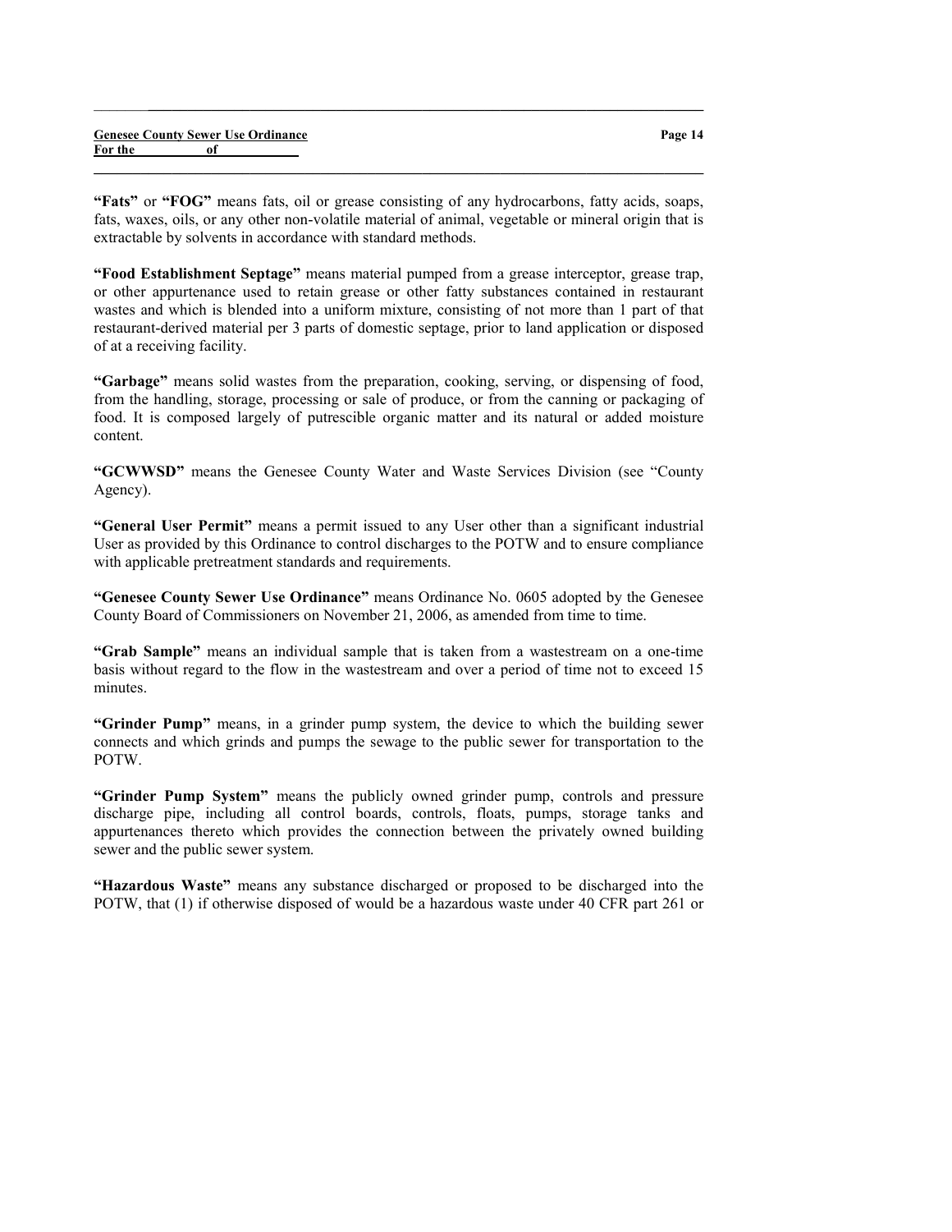|         |    | <b>Genesee County Sewer Use Ordinance</b> |
|---------|----|-------------------------------------------|
| For the | оf |                                           |

Page 14

"Fats" or "FOG" means fats, oil or grease consisting of any hydrocarbons, fatty acids, soaps, fats, waxes, oils, or any other non-volatile material of animal, vegetable or mineral origin that is extractable by solvents in accordance with standard methods.

 $\_$  , and the set of the set of the set of the set of the set of the set of the set of the set of the set of the set of the set of the set of the set of the set of the set of the set of the set of the set of the set of th

 $\_$  ,  $\_$  ,  $\_$  ,  $\_$  ,  $\_$  ,  $\_$  ,  $\_$  ,  $\_$  ,  $\_$  ,  $\_$  ,  $\_$  ,  $\_$  ,  $\_$  ,  $\_$  ,  $\_$  ,  $\_$  ,  $\_$  ,  $\_$  ,  $\_$ 

"Food Establishment Septage" means material pumped from a grease interceptor, grease trap, or other appurtenance used to retain grease or other fatty substances contained in restaurant wastes and which is blended into a uniform mixture, consisting of not more than 1 part of that restaurant-derived material per 3 parts of domestic septage, prior to land application or disposed of at a receiving facility.

"Garbage" means solid wastes from the preparation, cooking, serving, or dispensing of food, from the handling, storage, processing or sale of produce, or from the canning or packaging of food. It is composed largely of putrescible organic matter and its natural or added moisture content.

"GCWWSD" means the Genesee County Water and Waste Services Division (see "County Agency).

"General User Permit" means a permit issued to any User other than a significant industrial User as provided by this Ordinance to control discharges to the POTW and to ensure compliance with applicable pretreatment standards and requirements.

"Genesee County Sewer Use Ordinance" means Ordinance No. 0605 adopted by the Genesee County Board of Commissioners on November 21, 2006, as amended from time to time.

"Grab Sample" means an individual sample that is taken from a wastestream on a one-time basis without regard to the flow in the wastestream and over a period of time not to exceed 15 minutes.

"Grinder Pump" means, in a grinder pump system, the device to which the building sewer connects and which grinds and pumps the sewage to the public sewer for transportation to the POTW.

"Grinder Pump System" means the publicly owned grinder pump, controls and pressure discharge pipe, including all control boards, controls, floats, pumps, storage tanks and appurtenances thereto which provides the connection between the privately owned building sewer and the public sewer system.

"Hazardous Waste" means any substance discharged or proposed to be discharged into the POTW, that (1) if otherwise disposed of would be a hazardous waste under 40 CFR part 261 or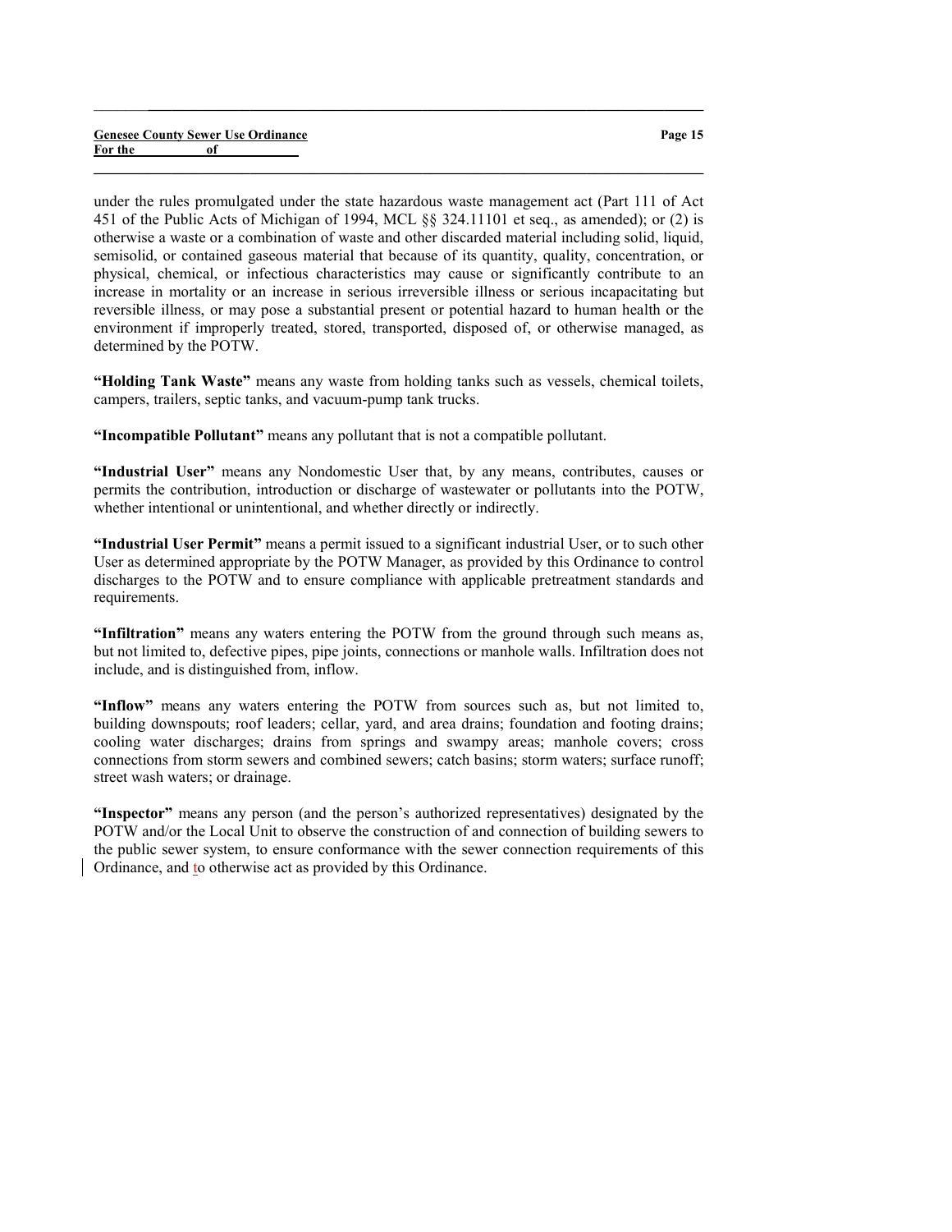#### Genesee County Sewer Use Ordinance For the of

under the rules promulgated under the state hazardous waste management act (Part 111 of Act 451 of the Public Acts of Michigan of 1994, MCL §§ 324.11101 et seq., as amended); or (2) is otherwise a waste or a combination of waste and other discarded material including solid, liquid, semisolid, or contained gaseous material that because of its quantity, quality, concentration, or physical, chemical, or infectious characteristics may cause or significantly contribute to an increase in mortality or an increase in serious irreversible illness or serious incapacitating but reversible illness, or may pose a substantial present or potential hazard to human health or the environment if improperly treated, stored, transported, disposed of, or otherwise managed, as determined by the POTW.

 $\_$  ,  $\_$  ,  $\_$  ,  $\_$  ,  $\_$  ,  $\_$  ,  $\_$  ,  $\_$  ,  $\_$  ,  $\_$  ,  $\_$  ,  $\_$  ,  $\_$  ,  $\_$  ,  $\_$  ,  $\_$  ,  $\_$  ,  $\_$  ,  $\_$ 

 $\_$  , and the set of the set of the set of the set of the set of the set of the set of the set of the set of the set of the set of the set of the set of the set of the set of the set of the set of the set of the set of th

"Holding Tank Waste" means any waste from holding tanks such as vessels, chemical toilets, campers, trailers, septic tanks, and vacuum-pump tank trucks.

"Incompatible Pollutant" means any pollutant that is not a compatible pollutant.

"Industrial User" means any Nondomestic User that, by any means, contributes, causes or permits the contribution, introduction or discharge of wastewater or pollutants into the POTW, whether intentional or unintentional, and whether directly or indirectly.

"Industrial User Permit" means a permit issued to a significant industrial User, or to such other User as determined appropriate by the POTW Manager, as provided by this Ordinance to control discharges to the POTW and to ensure compliance with applicable pretreatment standards and requirements.

"Infiltration" means any waters entering the POTW from the ground through such means as, but not limited to, defective pipes, pipe joints, connections or manhole walls. Infiltration does not include, and is distinguished from, inflow.

"Inflow" means any waters entering the POTW from sources such as, but not limited to, building downspouts; roof leaders; cellar, yard, and area drains; foundation and footing drains; cooling water discharges; drains from springs and swampy areas; manhole covers; cross connections from storm sewers and combined sewers; catch basins; storm waters; surface runoff; street wash waters; or drainage.

"Inspector" means any person (and the person's authorized representatives) designated by the POTW and/or the Local Unit to observe the construction of and connection of building sewers to the public sewer system, to ensure conformance with the sewer connection requirements of this Ordinance, and to otherwise act as provided by this Ordinance.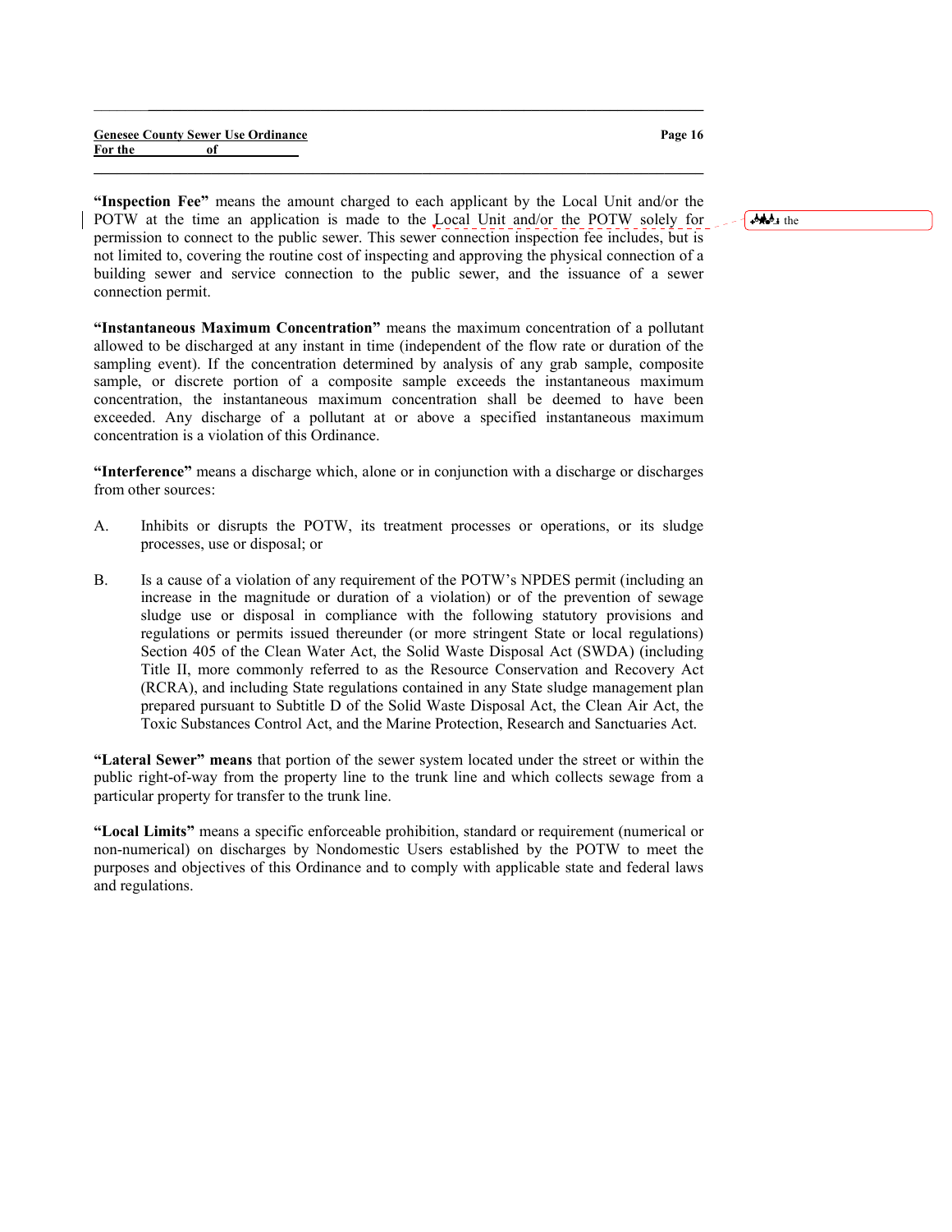|         |    | <b>Genesee County Sewer Use Ordinance</b> |  |
|---------|----|-------------------------------------------|--|
| For the | оf |                                           |  |

Page 16

"Inspection Fee" means the amount charged to each applicant by the Local Unit and/or the POTW at the time an application is made to the Local Unit and/or the POTW solely for permission to connect to the public sewer. This sewer connection inspection fee includes, but is not limited to, covering the routine cost of inspecting and approving the physical connection of a building sewer and service connection to the public sewer, and the issuance of a sewer connection permit.

 $\_$  ,  $\_$  ,  $\_$  ,  $\_$  ,  $\_$  ,  $\_$  ,  $\_$  ,  $\_$  ,  $\_$  ,  $\_$  ,  $\_$  ,  $\_$  ,  $\_$  ,  $\_$  ,  $\_$  ,  $\_$  ,  $\_$  ,  $\_$  ,  $\_$ 

 $\_$  , and the set of the set of the set of the set of the set of the set of the set of the set of the set of the set of the set of the set of the set of the set of the set of the set of the set of the set of the set of th

"Instantaneous Maximum Concentration" means the maximum concentration of a pollutant allowed to be discharged at any instant in time (independent of the flow rate or duration of the sampling event). If the concentration determined by analysis of any grab sample, composite sample, or discrete portion of a composite sample exceeds the instantaneous maximum concentration, the instantaneous maximum concentration shall be deemed to have been exceeded. Any discharge of a pollutant at or above a specified instantaneous maximum concentration is a violation of this Ordinance.

"Interference" means a discharge which, alone or in conjunction with a discharge or discharges from other sources:

- A. Inhibits or disrupts the POTW, its treatment processes or operations, or its sludge processes, use or disposal; or
- B. Is a cause of a violation of any requirement of the POTW's NPDES permit (including an increase in the magnitude or duration of a violation) or of the prevention of sewage sludge use or disposal in compliance with the following statutory provisions and regulations or permits issued thereunder (or more stringent State or local regulations) Section 405 of the Clean Water Act, the Solid Waste Disposal Act (SWDA) (including Title II, more commonly referred to as the Resource Conservation and Recovery Act (RCRA), and including State regulations contained in any State sludge management plan prepared pursuant to Subtitle D of the Solid Waste Disposal Act, the Clean Air Act, the Toxic Substances Control Act, and the Marine Protection, Research and Sanctuaries Act.

"Lateral Sewer" means that portion of the sewer system located under the street or within the public right-of-way from the property line to the trunk line and which collects sewage from a particular property for transfer to the trunk line.

"Local Limits" means a specific enforceable prohibition, standard or requirement (numerical or non-numerical) on discharges by Nondomestic Users established by the POTW to meet the purposes and objectives of this Ordinance and to comply with applicable state and federal laws and regulations.

 $A + b$  the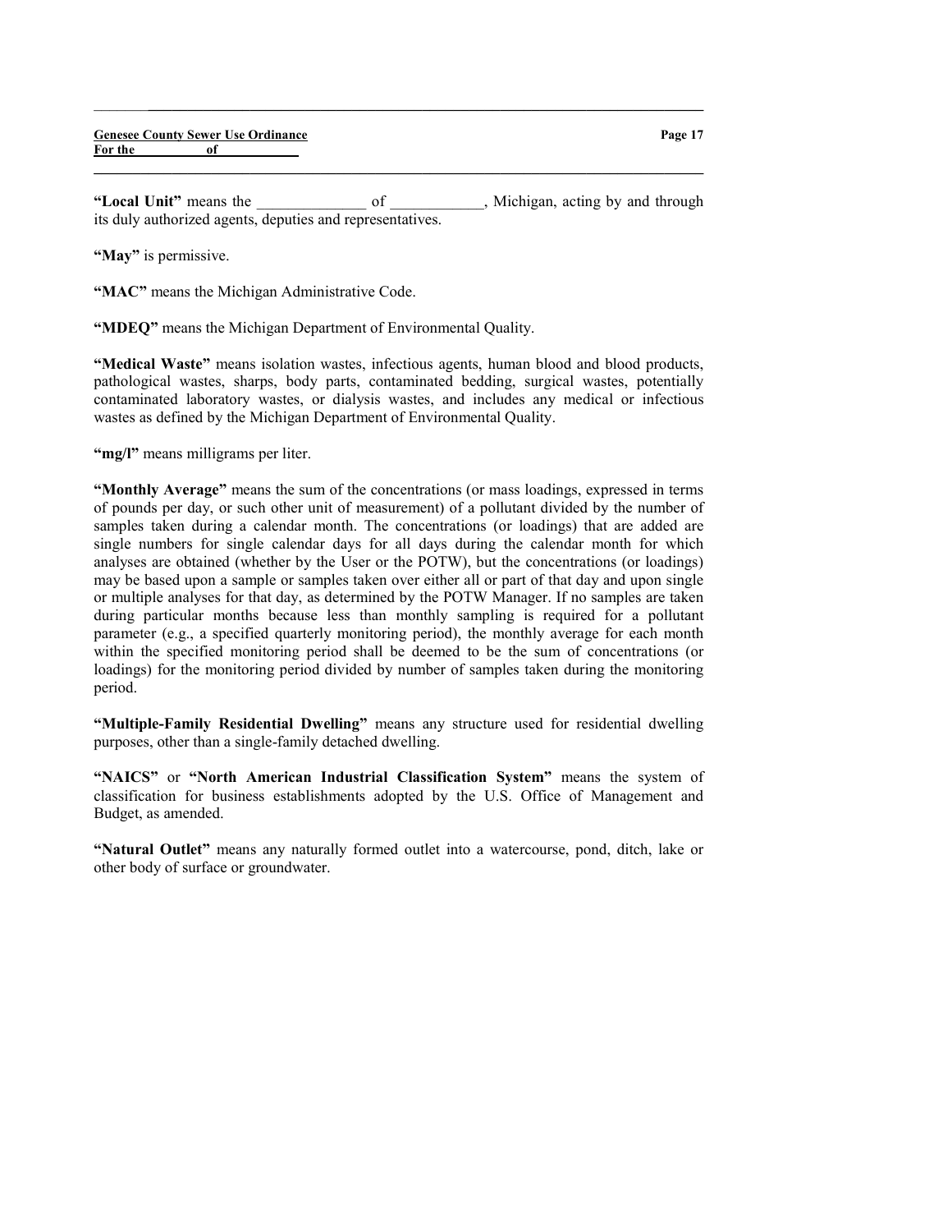"Local Unit" means the  $\qquad \qquad$  of  $\qquad \qquad$  Michigan, acting by and through its duly authorized agents, deputies and representatives.

 $\_$  , and the set of the set of the set of the set of the set of the set of the set of the set of the set of the set of the set of the set of the set of the set of the set of the set of the set of the set of the set of th

 $\_$  ,  $\_$  ,  $\_$  ,  $\_$  ,  $\_$  ,  $\_$  ,  $\_$  ,  $\_$  ,  $\_$  ,  $\_$  ,  $\_$  ,  $\_$  ,  $\_$  ,  $\_$  ,  $\_$  ,  $\_$  ,  $\_$  ,  $\_$  ,  $\_$ 

"May" is permissive.

"MAC" means the Michigan Administrative Code.

"MDEQ" means the Michigan Department of Environmental Quality.

"Medical Waste" means isolation wastes, infectious agents, human blood and blood products, pathological wastes, sharps, body parts, contaminated bedding, surgical wastes, potentially contaminated laboratory wastes, or dialysis wastes, and includes any medical or infectious wastes as defined by the Michigan Department of Environmental Quality.

"mg/l" means milligrams per liter.

"Monthly Average" means the sum of the concentrations (or mass loadings, expressed in terms of pounds per day, or such other unit of measurement) of a pollutant divided by the number of samples taken during a calendar month. The concentrations (or loadings) that are added are single numbers for single calendar days for all days during the calendar month for which analyses are obtained (whether by the User or the POTW), but the concentrations (or loadings) may be based upon a sample or samples taken over either all or part of that day and upon single or multiple analyses for that day, as determined by the POTW Manager. If no samples are taken during particular months because less than monthly sampling is required for a pollutant parameter (e.g., a specified quarterly monitoring period), the monthly average for each month within the specified monitoring period shall be deemed to be the sum of concentrations (or loadings) for the monitoring period divided by number of samples taken during the monitoring period.

"Multiple-Family Residential Dwelling" means any structure used for residential dwelling purposes, other than a single-family detached dwelling.

"NAICS" or "North American Industrial Classification System" means the system of classification for business establishments adopted by the U.S. Office of Management and Budget, as amended.

"Natural Outlet" means any naturally formed outlet into a watercourse, pond, ditch, lake or other body of surface or groundwater.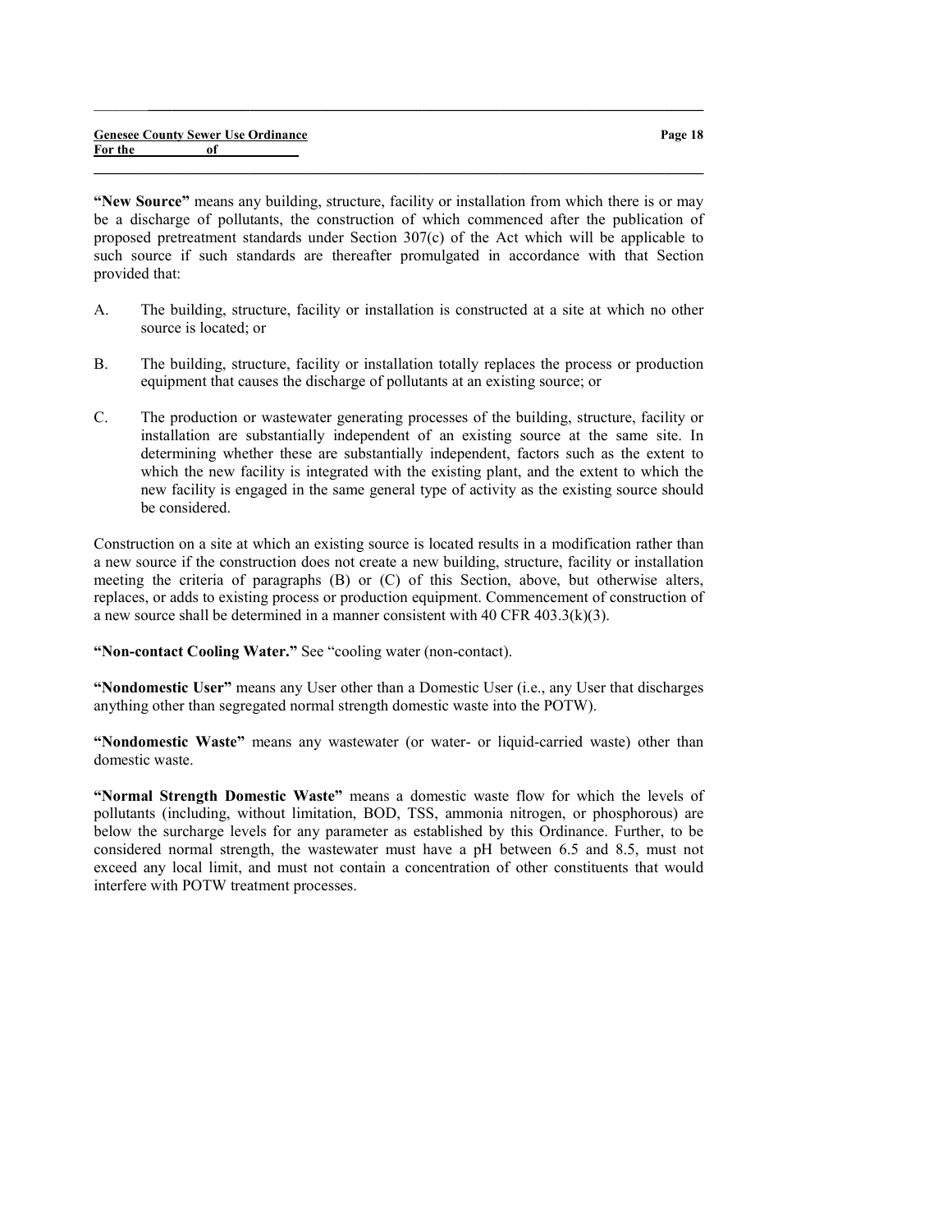|         |    | <b>Genesee County Sewer Use Ordinance</b> |
|---------|----|-------------------------------------------|
| For the | of |                                           |

"New Source" means any building, structure, facility or installation from which there is or may be a discharge of pollutants, the construction of which commenced after the publication of proposed pretreatment standards under Section 307(c) of the Act which will be applicable to such source if such standards are thereafter promulgated in accordance with that Section provided that:

 $\_$  , and the set of the set of the set of the set of the set of the set of the set of the set of the set of the set of the set of the set of the set of the set of the set of the set of the set of the set of the set of th

 $\_$  , and the set of the set of the set of the set of the set of the set of the set of the set of the set of the set of the set of the set of the set of the set of the set of the set of the set of the set of the set of th

- A. The building, structure, facility or installation is constructed at a site at which no other source is located; or
- B. The building, structure, facility or installation totally replaces the process or production equipment that causes the discharge of pollutants at an existing source; or
- C. The production or wastewater generating processes of the building, structure, facility or installation are substantially independent of an existing source at the same site. In determining whether these are substantially independent, factors such as the extent to which the new facility is integrated with the existing plant, and the extent to which the new facility is engaged in the same general type of activity as the existing source should be considered.

Construction on a site at which an existing source is located results in a modification rather than a new source if the construction does not create a new building, structure, facility or installation meeting the criteria of paragraphs (B) or (C) of this Section, above, but otherwise alters, replaces, or adds to existing process or production equipment. Commencement of construction of a new source shall be determined in a manner consistent with 40 CFR 403.3(k)(3).

"Non-contact Cooling Water." See "cooling water (non-contact).

"Nondomestic User" means any User other than a Domestic User (i.e., any User that discharges anything other than segregated normal strength domestic waste into the POTW).

"Nondomestic Waste" means any wastewater (or water- or liquid-carried waste) other than domestic waste.

"Normal Strength Domestic Waste" means a domestic waste flow for which the levels of pollutants (including, without limitation, BOD, TSS, ammonia nitrogen, or phosphorous) are below the surcharge levels for any parameter as established by this Ordinance. Further, to be considered normal strength, the wastewater must have a pH between 6.5 and 8.5, must not exceed any local limit, and must not contain a concentration of other constituents that would interfere with POTW treatment processes.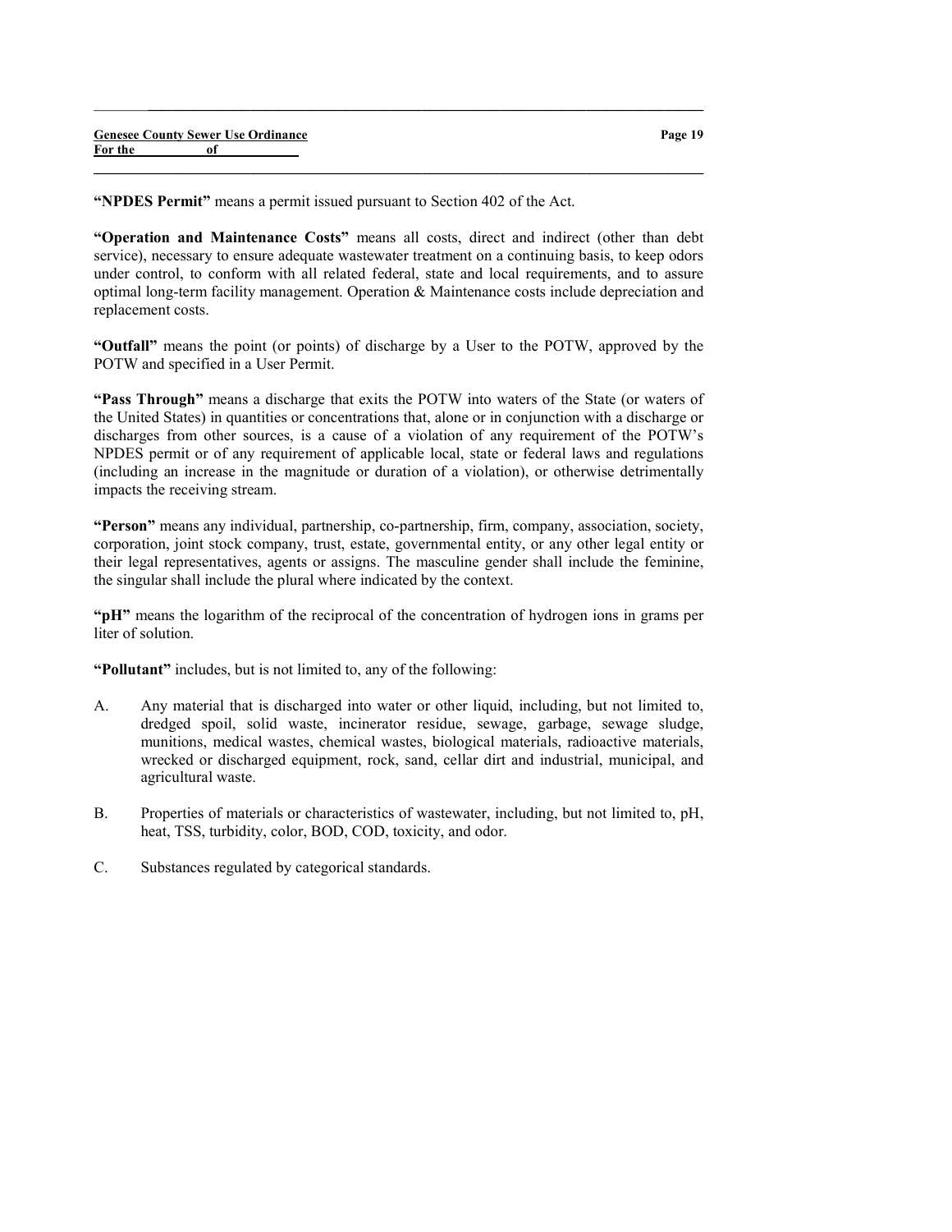"NPDES Permit" means a permit issued pursuant to Section 402 of the Act.

"Operation and Maintenance Costs" means all costs, direct and indirect (other than debt service), necessary to ensure adequate wastewater treatment on a continuing basis, to keep odors under control, to conform with all related federal, state and local requirements, and to assure optimal long-term facility management. Operation & Maintenance costs include depreciation and replacement costs.

 $\_$  , and the set of the set of the set of the set of the set of the set of the set of the set of the set of the set of the set of the set of the set of the set of the set of the set of the set of the set of the set of th

 $\_$  , and the set of the set of the set of the set of the set of the set of the set of the set of the set of the set of the set of the set of the set of the set of the set of the set of the set of the set of the set of th

"Outfall" means the point (or points) of discharge by a User to the POTW, approved by the POTW and specified in a User Permit.

"Pass Through" means a discharge that exits the POTW into waters of the State (or waters of the United States) in quantities or concentrations that, alone or in conjunction with a discharge or discharges from other sources, is a cause of a violation of any requirement of the POTW's NPDES permit or of any requirement of applicable local, state or federal laws and regulations (including an increase in the magnitude or duration of a violation), or otherwise detrimentally impacts the receiving stream.

"Person" means any individual, partnership, co-partnership, firm, company, association, society, corporation, joint stock company, trust, estate, governmental entity, or any other legal entity or their legal representatives, agents or assigns. The masculine gender shall include the feminine, the singular shall include the plural where indicated by the context.

"pH" means the logarithm of the reciprocal of the concentration of hydrogen ions in grams per liter of solution.

"Pollutant" includes, but is not limited to, any of the following:

- A. Any material that is discharged into water or other liquid, including, but not limited to, dredged spoil, solid waste, incinerator residue, sewage, garbage, sewage sludge, munitions, medical wastes, chemical wastes, biological materials, radioactive materials, wrecked or discharged equipment, rock, sand, cellar dirt and industrial, municipal, and agricultural waste.
- B. Properties of materials or characteristics of wastewater, including, but not limited to, pH, heat, TSS, turbidity, color, BOD, COD, toxicity, and odor.
- C. Substances regulated by categorical standards.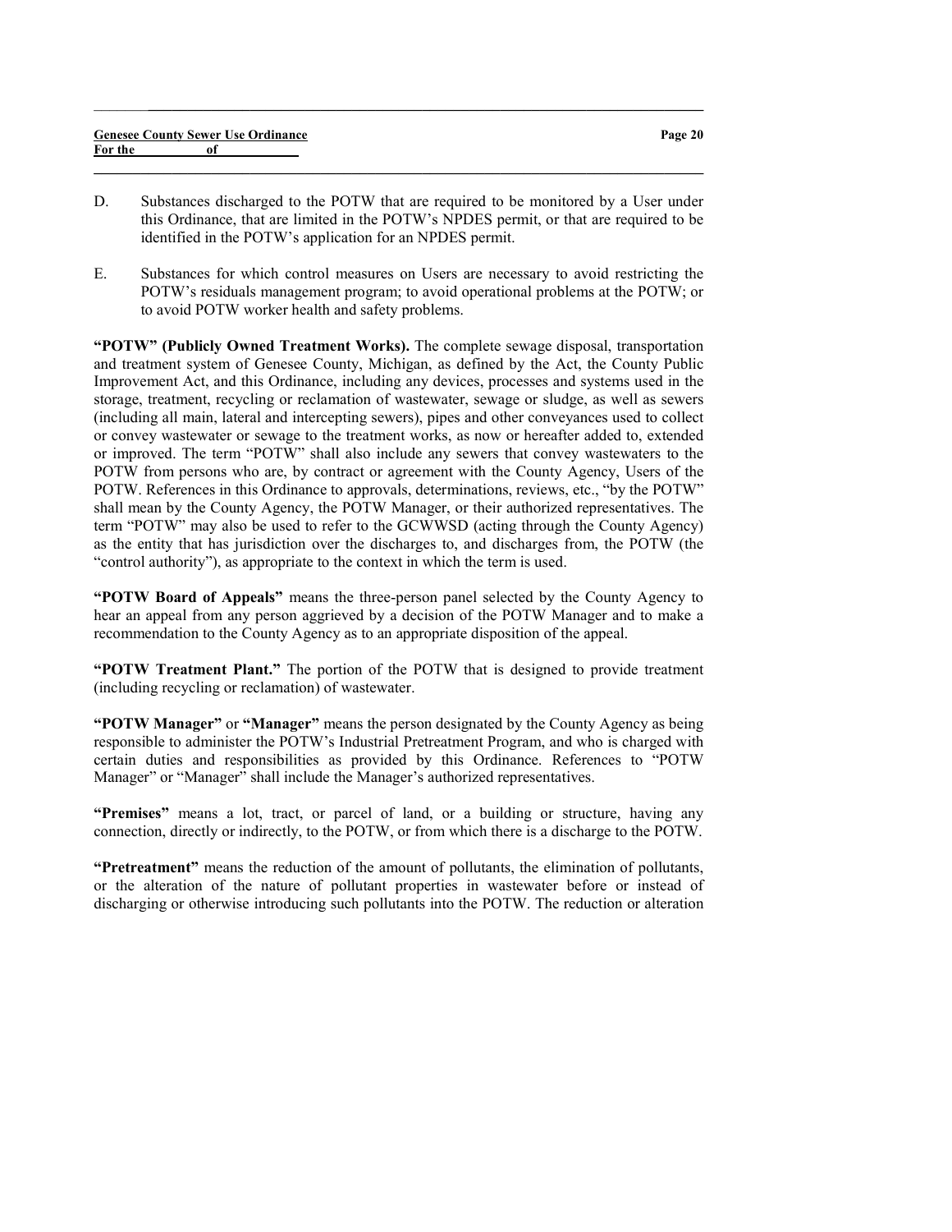|         | <b>Genesee County Sewer Use Ordinance</b> | Page 20 |
|---------|-------------------------------------------|---------|
| For the |                                           |         |
|         |                                           |         |

 $\_$  , and the set of the set of the set of the set of the set of the set of the set of the set of the set of the set of the set of the set of the set of the set of the set of the set of the set of the set of the set of th

- D. Substances discharged to the POTW that are required to be monitored by a User under this Ordinance, that are limited in the POTW's NPDES permit, or that are required to be identified in the POTW's application for an NPDES permit.
- E. Substances for which control measures on Users are necessary to avoid restricting the POTW's residuals management program; to avoid operational problems at the POTW; or to avoid POTW worker health and safety problems.

"POTW" (Publicly Owned Treatment Works). The complete sewage disposal, transportation and treatment system of Genesee County, Michigan, as defined by the Act, the County Public Improvement Act, and this Ordinance, including any devices, processes and systems used in the storage, treatment, recycling or reclamation of wastewater, sewage or sludge, as well as sewers (including all main, lateral and intercepting sewers), pipes and other conveyances used to collect or convey wastewater or sewage to the treatment works, as now or hereafter added to, extended or improved. The term "POTW" shall also include any sewers that convey wastewaters to the POTW from persons who are, by contract or agreement with the County Agency, Users of the POTW. References in this Ordinance to approvals, determinations, reviews, etc., "by the POTW" shall mean by the County Agency, the POTW Manager, or their authorized representatives. The term "POTW" may also be used to refer to the GCWWSD (acting through the County Agency) as the entity that has jurisdiction over the discharges to, and discharges from, the POTW (the "control authority"), as appropriate to the context in which the term is used.

"POTW Board of Appeals" means the three-person panel selected by the County Agency to hear an appeal from any person aggrieved by a decision of the POTW Manager and to make a recommendation to the County Agency as to an appropriate disposition of the appeal.

"POTW Treatment Plant." The portion of the POTW that is designed to provide treatment (including recycling or reclamation) of wastewater.

"POTW Manager" or "Manager" means the person designated by the County Agency as being responsible to administer the POTW's Industrial Pretreatment Program, and who is charged with certain duties and responsibilities as provided by this Ordinance. References to "POTW Manager" or "Manager" shall include the Manager's authorized representatives.

"Premises" means a lot, tract, or parcel of land, or a building or structure, having any connection, directly or indirectly, to the POTW, or from which there is a discharge to the POTW.

"Pretreatment" means the reduction of the amount of pollutants, the elimination of pollutants, or the alteration of the nature of pollutant properties in wastewater before or instead of discharging or otherwise introducing such pollutants into the POTW. The reduction or alteration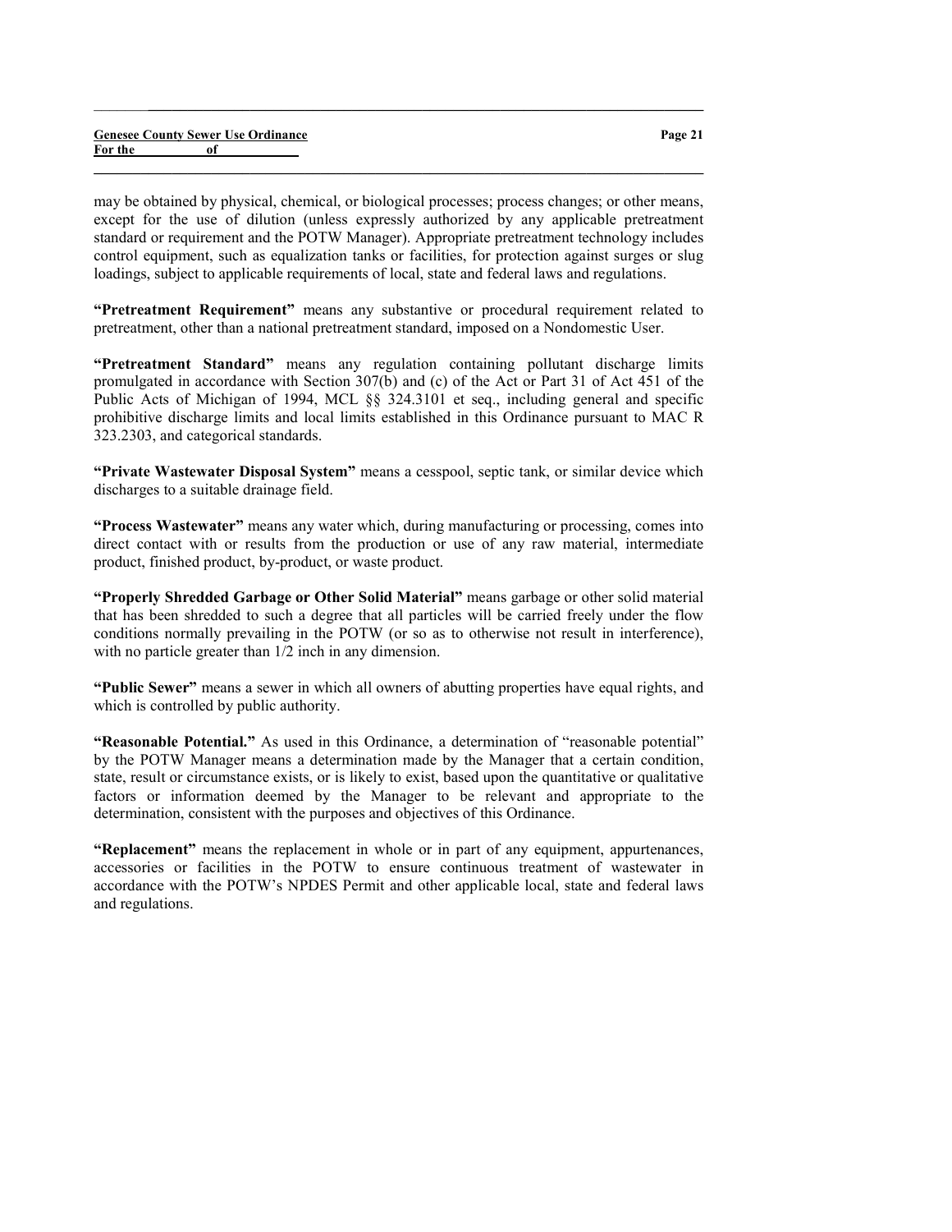|         |    | <b>Genesee County Sewer Use Ordinance</b> |
|---------|----|-------------------------------------------|
| For the | of |                                           |

Page 21

may be obtained by physical, chemical, or biological processes; process changes; or other means, except for the use of dilution (unless expressly authorized by any applicable pretreatment standard or requirement and the POTW Manager). Appropriate pretreatment technology includes control equipment, such as equalization tanks or facilities, for protection against surges or slug loadings, subject to applicable requirements of local, state and federal laws and regulations.

 $\_$  , and the set of the set of the set of the set of the set of the set of the set of the set of the set of the set of the set of the set of the set of the set of the set of the set of the set of the set of the set of th

 $\_$  , and the set of the set of the set of the set of the set of the set of the set of the set of the set of the set of the set of the set of the set of the set of the set of the set of the set of the set of the set of th

"Pretreatment Requirement" means any substantive or procedural requirement related to pretreatment, other than a national pretreatment standard, imposed on a Nondomestic User.

"Pretreatment Standard" means any regulation containing pollutant discharge limits promulgated in accordance with Section 307(b) and (c) of the Act or Part 31 of Act 451 of the Public Acts of Michigan of 1994, MCL §§ 324.3101 et seq., including general and specific prohibitive discharge limits and local limits established in this Ordinance pursuant to MAC R 323.2303, and categorical standards.

"Private Wastewater Disposal System" means a cesspool, septic tank, or similar device which discharges to a suitable drainage field.

"Process Wastewater" means any water which, during manufacturing or processing, comes into direct contact with or results from the production or use of any raw material, intermediate product, finished product, by-product, or waste product.

"Properly Shredded Garbage or Other Solid Material" means garbage or other solid material that has been shredded to such a degree that all particles will be carried freely under the flow conditions normally prevailing in the POTW (or so as to otherwise not result in interference), with no particle greater than  $1/2$  inch in any dimension.

"Public Sewer" means a sewer in which all owners of abutting properties have equal rights, and which is controlled by public authority.

"Reasonable Potential." As used in this Ordinance, a determination of "reasonable potential" by the POTW Manager means a determination made by the Manager that a certain condition, state, result or circumstance exists, or is likely to exist, based upon the quantitative or qualitative factors or information deemed by the Manager to be relevant and appropriate to the determination, consistent with the purposes and objectives of this Ordinance.

"Replacement" means the replacement in whole or in part of any equipment, appurtenances, accessories or facilities in the POTW to ensure continuous treatment of wastewater in accordance with the POTW's NPDES Permit and other applicable local, state and federal laws and regulations.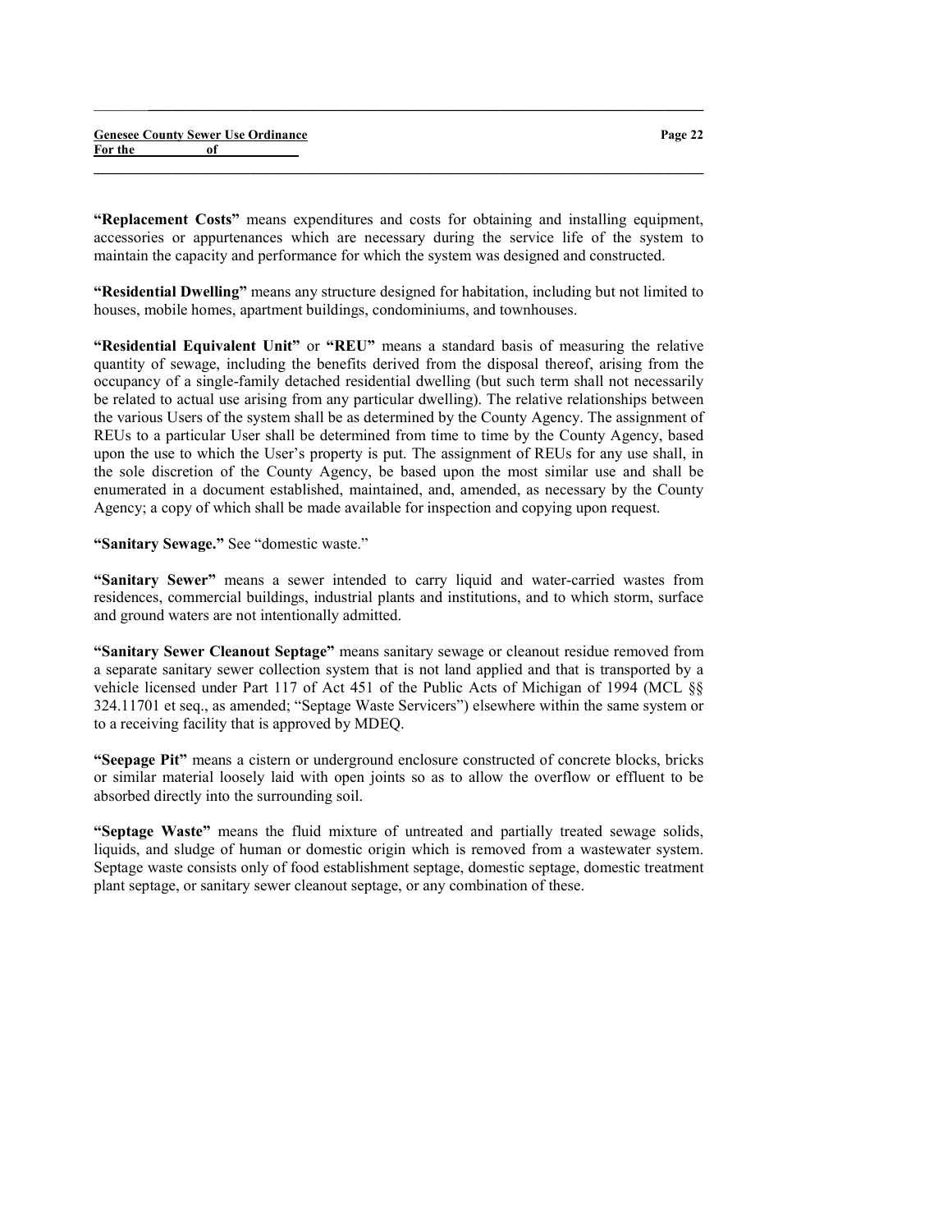"Replacement Costs" means expenditures and costs for obtaining and installing equipment, accessories or appurtenances which are necessary during the service life of the system to maintain the capacity and performance for which the system was designed and constructed.

 $\_$  , and the set of the set of the set of the set of the set of the set of the set of the set of the set of the set of the set of the set of the set of the set of the set of the set of the set of the set of the set of th

 $\_$  , and the set of the set of the set of the set of the set of the set of the set of the set of the set of the set of the set of the set of the set of the set of the set of the set of the set of the set of the set of th

"Residential Dwelling" means any structure designed for habitation, including but not limited to houses, mobile homes, apartment buildings, condominiums, and townhouses.

"Residential Equivalent Unit" or "REU" means a standard basis of measuring the relative quantity of sewage, including the benefits derived from the disposal thereof, arising from the occupancy of a single-family detached residential dwelling (but such term shall not necessarily be related to actual use arising from any particular dwelling). The relative relationships between the various Users of the system shall be as determined by the County Agency. The assignment of REUs to a particular User shall be determined from time to time by the County Agency, based upon the use to which the User's property is put. The assignment of REUs for any use shall, in the sole discretion of the County Agency, be based upon the most similar use and shall be enumerated in a document established, maintained, and, amended, as necessary by the County Agency; a copy of which shall be made available for inspection and copying upon request.

"Sanitary Sewage." See "domestic waste."

"Sanitary Sewer" means a sewer intended to carry liquid and water-carried wastes from residences, commercial buildings, industrial plants and institutions, and to which storm, surface and ground waters are not intentionally admitted.

"Sanitary Sewer Cleanout Septage" means sanitary sewage or cleanout residue removed from a separate sanitary sewer collection system that is not land applied and that is transported by a vehicle licensed under Part 117 of Act 451 of the Public Acts of Michigan of 1994 (MCL §§ 324.11701 et seq., as amended; "Septage Waste Servicers") elsewhere within the same system or to a receiving facility that is approved by MDEQ.

"Seepage Pit" means a cistern or underground enclosure constructed of concrete blocks, bricks or similar material loosely laid with open joints so as to allow the overflow or effluent to be absorbed directly into the surrounding soil.

"Septage Waste" means the fluid mixture of untreated and partially treated sewage solids, liquids, and sludge of human or domestic origin which is removed from a wastewater system. Septage waste consists only of food establishment septage, domestic septage, domestic treatment plant septage, or sanitary sewer cleanout septage, or any combination of these.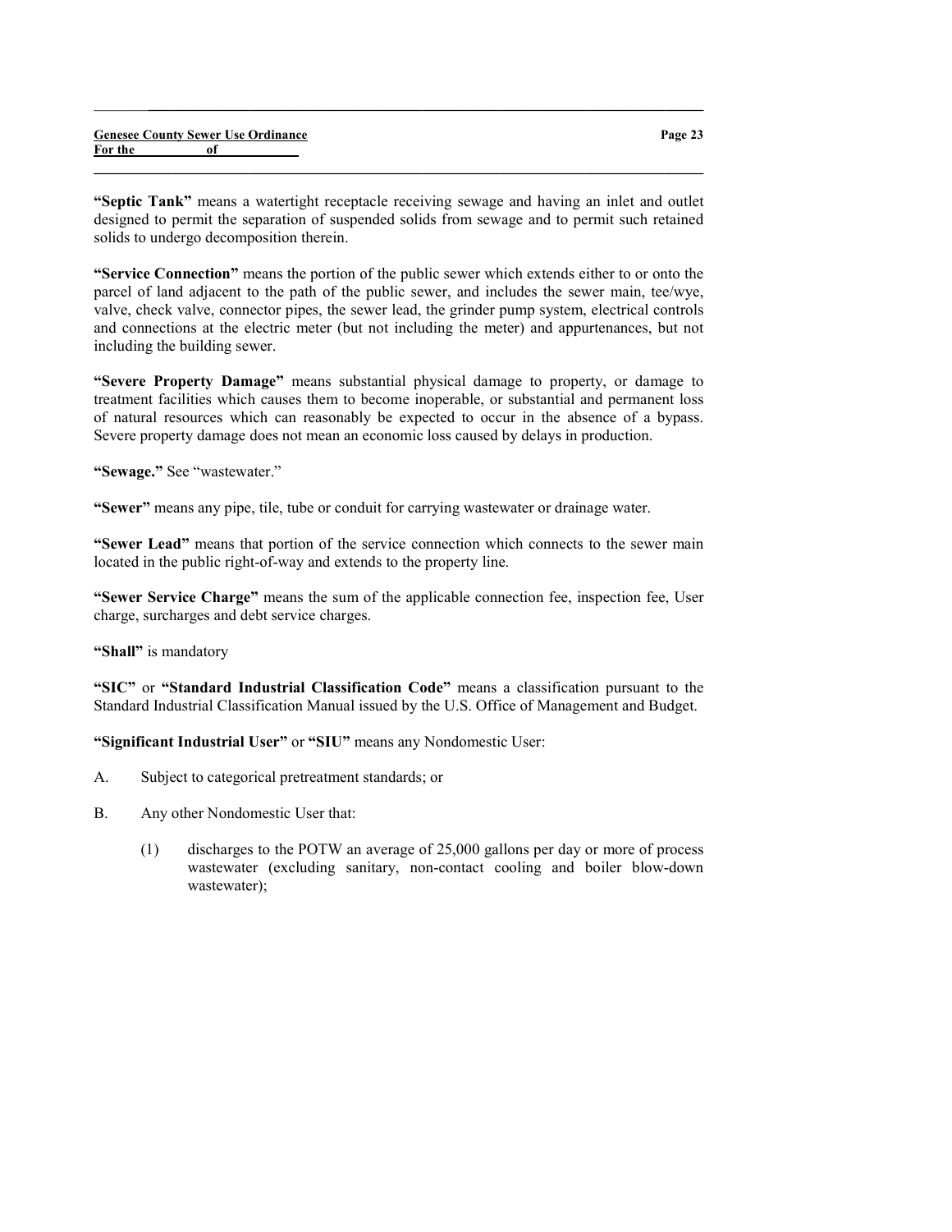|         |    | <b>Genesee County Sewer Use Ordinance</b> |
|---------|----|-------------------------------------------|
| For the | of |                                           |

"Septic Tank" means a watertight receptacle receiving sewage and having an inlet and outlet designed to permit the separation of suspended solids from sewage and to permit such retained solids to undergo decomposition therein.

 $\_$  , and the set of the set of the set of the set of the set of the set of the set of the set of the set of the set of the set of the set of the set of the set of the set of the set of the set of the set of the set of th

 $\_$  , and the set of the set of the set of the set of the set of the set of the set of the set of the set of the set of the set of the set of the set of the set of the set of the set of the set of the set of the set of th

"Service Connection" means the portion of the public sewer which extends either to or onto the parcel of land adjacent to the path of the public sewer, and includes the sewer main, tee/wye, valve, check valve, connector pipes, the sewer lead, the grinder pump system, electrical controls and connections at the electric meter (but not including the meter) and appurtenances, but not including the building sewer.

"Severe Property Damage" means substantial physical damage to property, or damage to treatment facilities which causes them to become inoperable, or substantial and permanent loss of natural resources which can reasonably be expected to occur in the absence of a bypass. Severe property damage does not mean an economic loss caused by delays in production.

"Sewage." See "wastewater."

"Sewer" means any pipe, tile, tube or conduit for carrying wastewater or drainage water.

"Sewer Lead" means that portion of the service connection which connects to the sewer main located in the public right-of-way and extends to the property line.

"Sewer Service Charge" means the sum of the applicable connection fee, inspection fee, User charge, surcharges and debt service charges.

"Shall" is mandatory

"SIC" or "Standard Industrial Classification Code" means a classification pursuant to the Standard Industrial Classification Manual issued by the U.S. Office of Management and Budget.

"Significant Industrial User" or "SIU" means any Nondomestic User:

- A. Subject to categorical pretreatment standards; or
- B. Any other Nondomestic User that:
	- (1) discharges to the POTW an average of 25,000 gallons per day or more of process wastewater (excluding sanitary, non-contact cooling and boiler blow-down wastewater);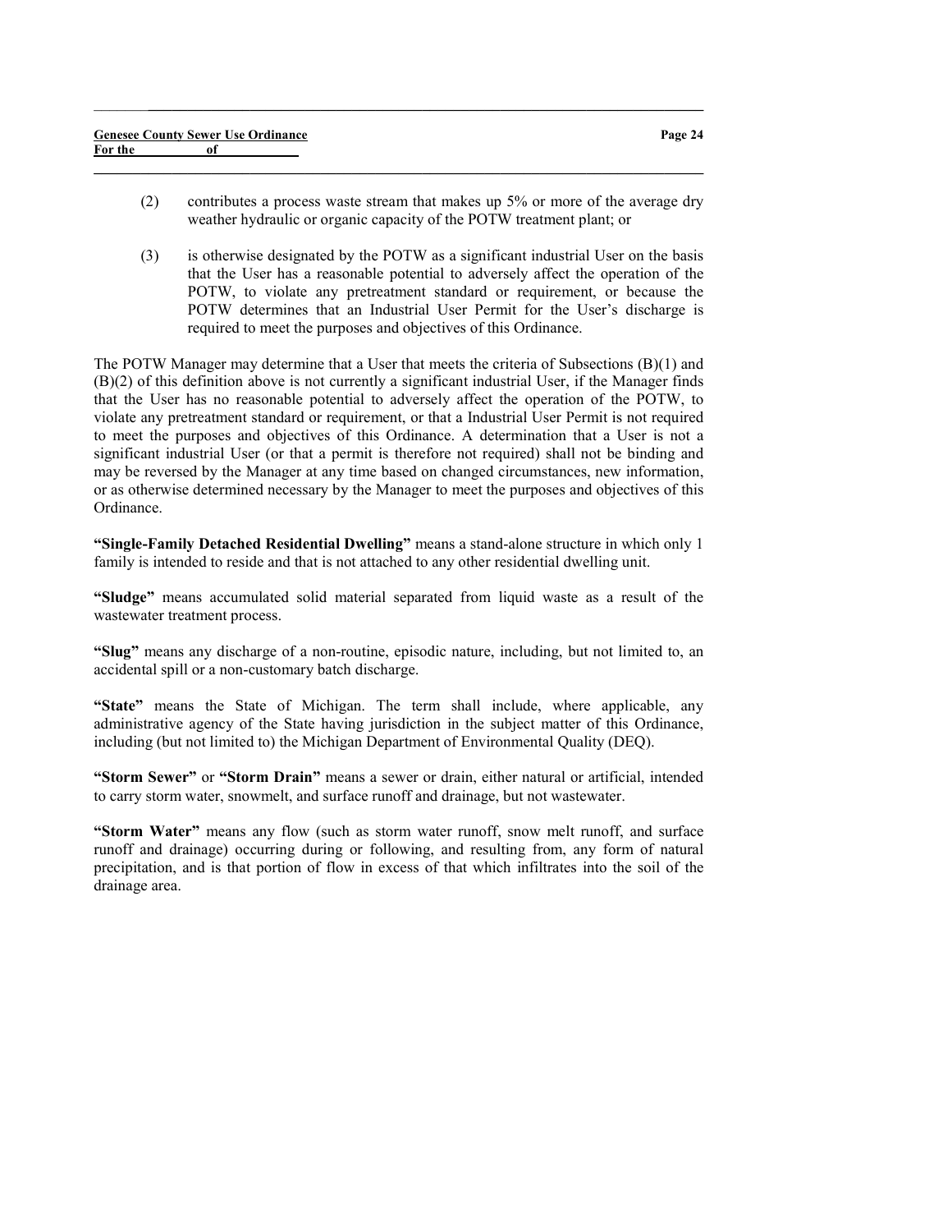|         | <b>Genesee County Sewer Use Ordinance</b> |  |
|---------|-------------------------------------------|--|
| For the | of                                        |  |

(2) contributes a process waste stream that makes up 5% or more of the average dry weather hydraulic or organic capacity of the POTW treatment plant; or

 $\_$  , and the set of the set of the set of the set of the set of the set of the set of the set of the set of the set of the set of the set of the set of the set of the set of the set of the set of the set of the set of th

 $\_$  , and the set of the set of the set of the set of the set of the set of the set of the set of the set of the set of the set of the set of the set of the set of the set of the set of the set of the set of the set of th

(3) is otherwise designated by the POTW as a significant industrial User on the basis that the User has a reasonable potential to adversely affect the operation of the POTW, to violate any pretreatment standard or requirement, or because the POTW determines that an Industrial User Permit for the User's discharge is required to meet the purposes and objectives of this Ordinance.

The POTW Manager may determine that a User that meets the criteria of Subsections (B)(1) and (B)(2) of this definition above is not currently a significant industrial User, if the Manager finds that the User has no reasonable potential to adversely affect the operation of the POTW, to violate any pretreatment standard or requirement, or that a Industrial User Permit is not required to meet the purposes and objectives of this Ordinance. A determination that a User is not a significant industrial User (or that a permit is therefore not required) shall not be binding and may be reversed by the Manager at any time based on changed circumstances, new information, or as otherwise determined necessary by the Manager to meet the purposes and objectives of this Ordinance.

"Single-Family Detached Residential Dwelling" means a stand-alone structure in which only 1 family is intended to reside and that is not attached to any other residential dwelling unit.

"Sludge" means accumulated solid material separated from liquid waste as a result of the wastewater treatment process.

"Slug" means any discharge of a non-routine, episodic nature, including, but not limited to, an accidental spill or a non-customary batch discharge.

"State" means the State of Michigan. The term shall include, where applicable, any administrative agency of the State having jurisdiction in the subject matter of this Ordinance, including (but not limited to) the Michigan Department of Environmental Quality (DEQ).

"Storm Sewer" or "Storm Drain" means a sewer or drain, either natural or artificial, intended to carry storm water, snowmelt, and surface runoff and drainage, but not wastewater.

"Storm Water" means any flow (such as storm water runoff, snow melt runoff, and surface runoff and drainage) occurring during or following, and resulting from, any form of natural precipitation, and is that portion of flow in excess of that which infiltrates into the soil of the drainage area.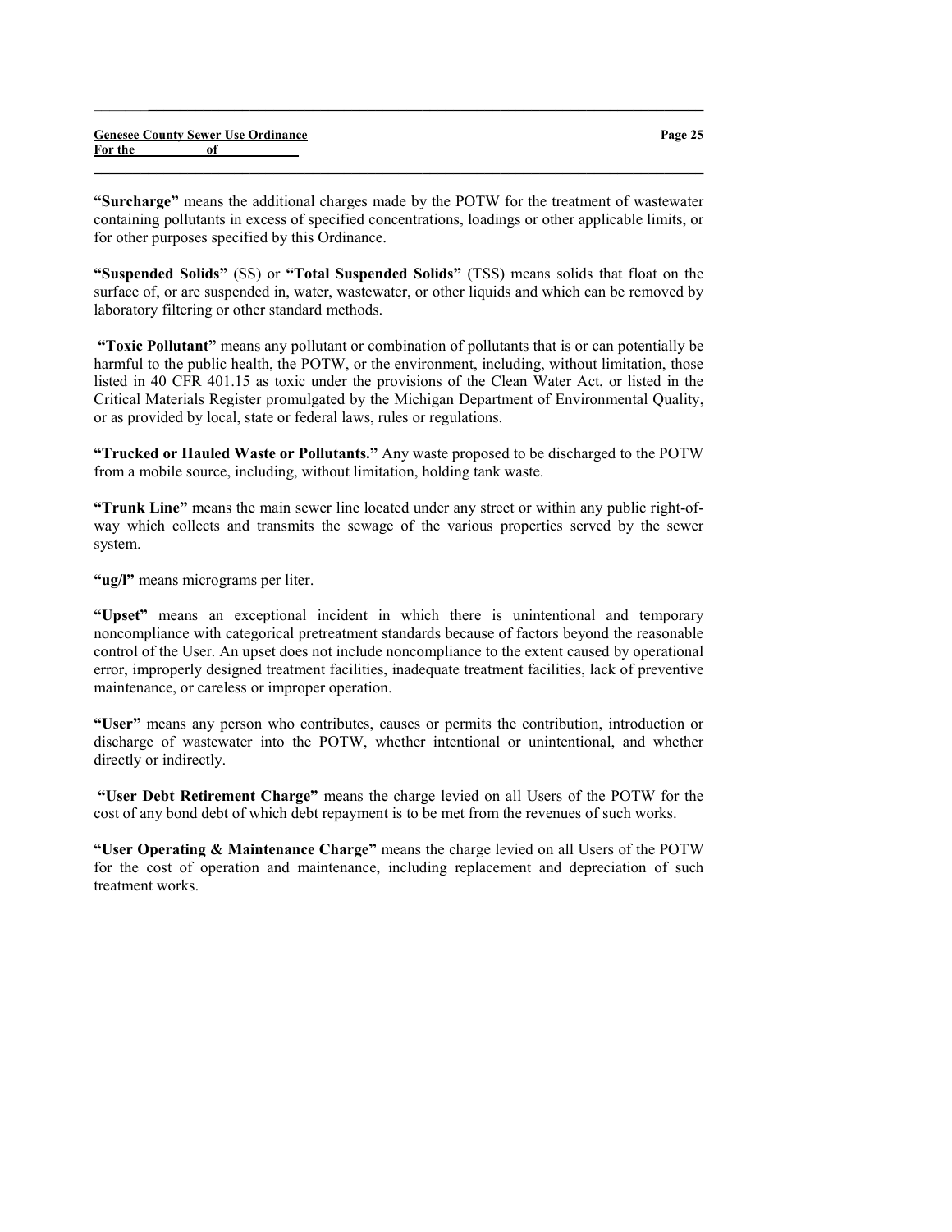for other purposes specified by this Ordinance.

"Suspended Solids" (SS) or "Total Suspended Solids" (TSS) means solids that float on the surface of, or are suspended in, water, wastewater, or other liquids and which can be removed by laboratory filtering or other standard methods.

 $\_$  , and the set of the set of the set of the set of the set of the set of the set of the set of the set of the set of the set of the set of the set of the set of the set of the set of the set of the set of the set of th

 $\_$  , and the set of the set of the set of the set of the set of the set of the set of the set of the set of the set of the set of the set of the set of the set of the set of the set of the set of the set of the set of th

 "Toxic Pollutant" means any pollutant or combination of pollutants that is or can potentially be harmful to the public health, the POTW, or the environment, including, without limitation, those listed in 40 CFR 401.15 as toxic under the provisions of the Clean Water Act, or listed in the Critical Materials Register promulgated by the Michigan Department of Environmental Quality, or as provided by local, state or federal laws, rules or regulations.

"Trucked or Hauled Waste or Pollutants." Any waste proposed to be discharged to the POTW from a mobile source, including, without limitation, holding tank waste.

"Trunk Line" means the main sewer line located under any street or within any public right-ofway which collects and transmits the sewage of the various properties served by the sewer system.

"ug/l" means micrograms per liter.

"Upset" means an exceptional incident in which there is unintentional and temporary noncompliance with categorical pretreatment standards because of factors beyond the reasonable control of the User. An upset does not include noncompliance to the extent caused by operational error, improperly designed treatment facilities, inadequate treatment facilities, lack of preventive maintenance, or careless or improper operation.

"User" means any person who contributes, causes or permits the contribution, introduction or discharge of wastewater into the POTW, whether intentional or unintentional, and whether directly or indirectly.

 "User Debt Retirement Charge" means the charge levied on all Users of the POTW for the cost of any bond debt of which debt repayment is to be met from the revenues of such works.

"User Operating & Maintenance Charge" means the charge levied on all Users of the POTW for the cost of operation and maintenance, including replacement and depreciation of such treatment works.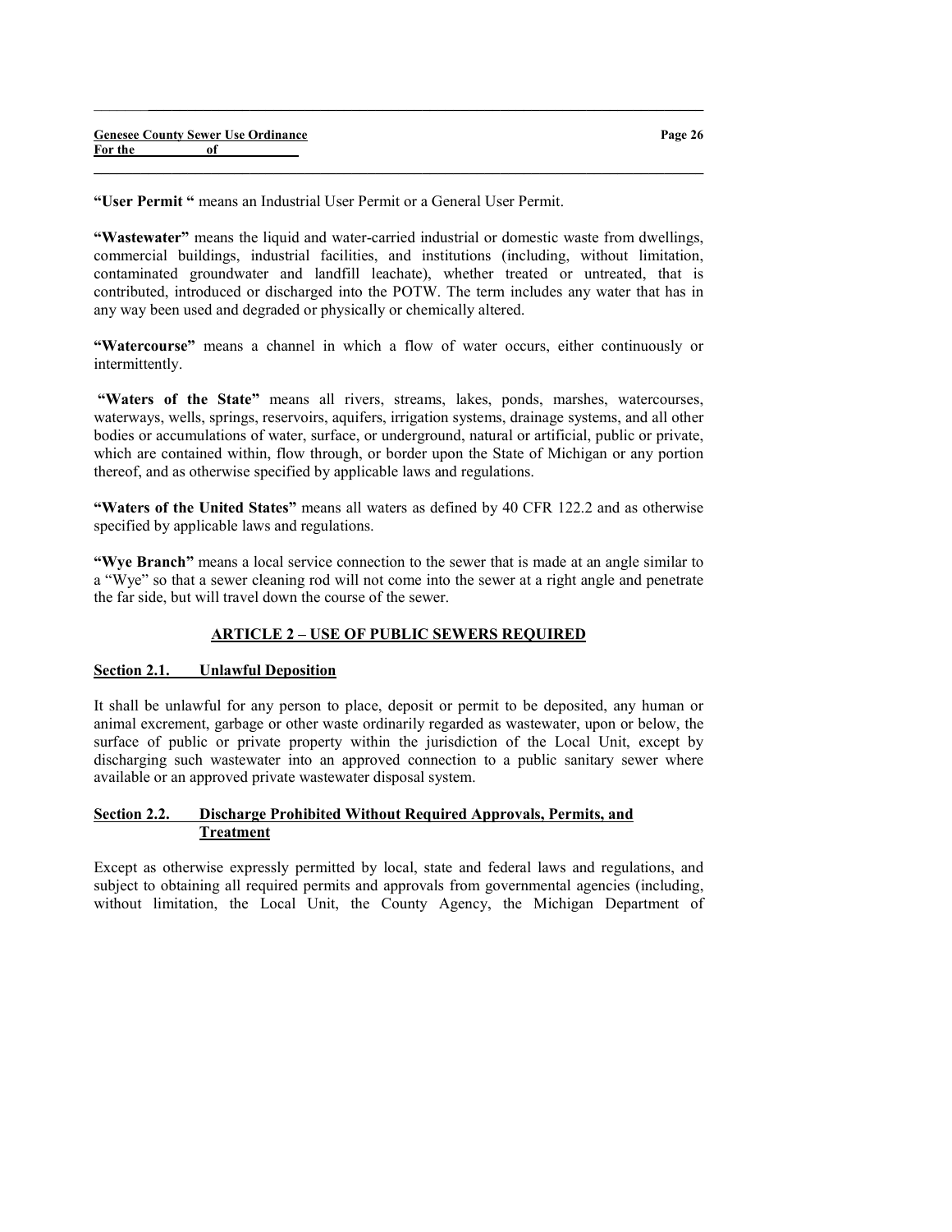"User Permit " means an Industrial User Permit or a General User Permit.

"Wastewater" means the liquid and water-carried industrial or domestic waste from dwellings, commercial buildings, industrial facilities, and institutions (including, without limitation, contaminated groundwater and landfill leachate), whether treated or untreated, that is contributed, introduced or discharged into the POTW. The term includes any water that has in any way been used and degraded or physically or chemically altered.

 $\_$  , and the set of the set of the set of the set of the set of the set of the set of the set of the set of the set of the set of the set of the set of the set of the set of the set of the set of the set of the set of th

 $\_$  , and the set of the set of the set of the set of the set of the set of the set of the set of the set of the set of the set of the set of the set of the set of the set of the set of the set of the set of the set of th

"Watercourse" means a channel in which a flow of water occurs, either continuously or intermittently.

"Waters of the State" means all rivers, streams, lakes, ponds, marshes, watercourses, waterways, wells, springs, reservoirs, aquifers, irrigation systems, drainage systems, and all other bodies or accumulations of water, surface, or underground, natural or artificial, public or private, which are contained within, flow through, or border upon the State of Michigan or any portion thereof, and as otherwise specified by applicable laws and regulations.

"Waters of the United States" means all waters as defined by 40 CFR 122.2 and as otherwise specified by applicable laws and regulations.

"Wye Branch" means a local service connection to the sewer that is made at an angle similar to a "Wye" so that a sewer cleaning rod will not come into the sewer at a right angle and penetrate the far side, but will travel down the course of the sewer.

## ARTICLE 2 – USE OF PUBLIC SEWERS REQUIRED

## Section 2.1. Unlawful Deposition

It shall be unlawful for any person to place, deposit or permit to be deposited, any human or animal excrement, garbage or other waste ordinarily regarded as wastewater, upon or below, the surface of public or private property within the jurisdiction of the Local Unit, except by discharging such wastewater into an approved connection to a public sanitary sewer where available or an approved private wastewater disposal system.

# Section 2.2. Discharge Prohibited Without Required Approvals, Permits, and Treatment

Except as otherwise expressly permitted by local, state and federal laws and regulations, and subject to obtaining all required permits and approvals from governmental agencies (including, without limitation, the Local Unit, the County Agency, the Michigan Department of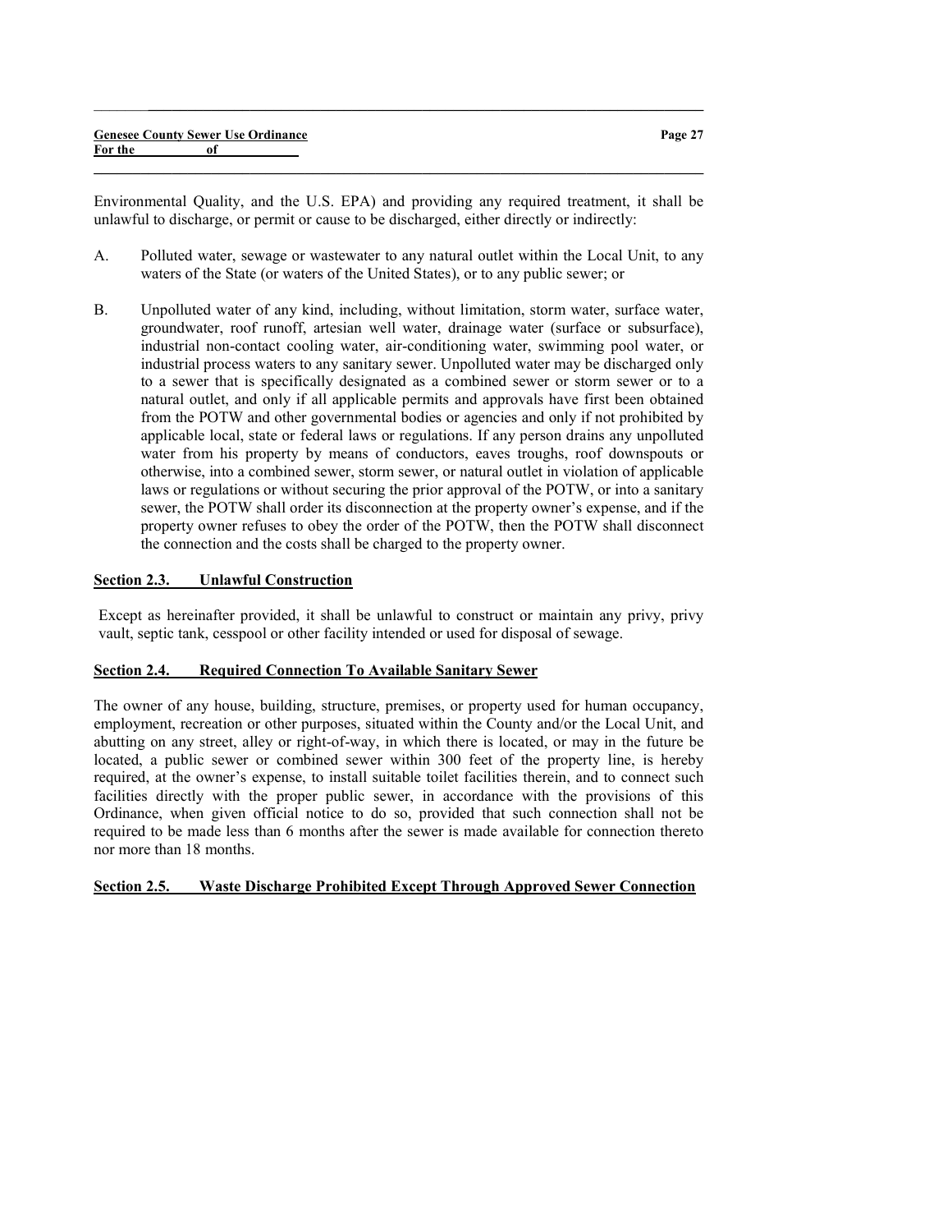| <b>Genesee County Sewer Use Ordinance</b> |  | Page 27 |
|-------------------------------------------|--|---------|
| For the                                   |  |         |
|                                           |  |         |

 $\_$  , and the set of the set of the set of the set of the set of the set of the set of the set of the set of the set of the set of the set of the set of the set of the set of the set of the set of the set of the set of th

Environmental Quality, and the U.S. EPA) and providing any required treatment, it shall be unlawful to discharge, or permit or cause to be discharged, either directly or indirectly:

- A. Polluted water, sewage or wastewater to any natural outlet within the Local Unit, to any waters of the State (or waters of the United States), or to any public sewer; or
- B. Unpolluted water of any kind, including, without limitation, storm water, surface water, groundwater, roof runoff, artesian well water, drainage water (surface or subsurface), industrial non-contact cooling water, air-conditioning water, swimming pool water, or industrial process waters to any sanitary sewer. Unpolluted water may be discharged only to a sewer that is specifically designated as a combined sewer or storm sewer or to a natural outlet, and only if all applicable permits and approvals have first been obtained from the POTW and other governmental bodies or agencies and only if not prohibited by applicable local, state or federal laws or regulations. If any person drains any unpolluted water from his property by means of conductors, eaves troughs, roof downspouts or otherwise, into a combined sewer, storm sewer, or natural outlet in violation of applicable laws or regulations or without securing the prior approval of the POTW, or into a sanitary sewer, the POTW shall order its disconnection at the property owner's expense, and if the property owner refuses to obey the order of the POTW, then the POTW shall disconnect the connection and the costs shall be charged to the property owner.

#### Section 2.3. Unlawful Construction

Except as hereinafter provided, it shall be unlawful to construct or maintain any privy, privy vault, septic tank, cesspool or other facility intended or used for disposal of sewage.

#### Section 2.4. Required Connection To Available Sanitary Sewer

The owner of any house, building, structure, premises, or property used for human occupancy, employment, recreation or other purposes, situated within the County and/or the Local Unit, and abutting on any street, alley or right-of-way, in which there is located, or may in the future be located, a public sewer or combined sewer within 300 feet of the property line, is hereby required, at the owner's expense, to install suitable toilet facilities therein, and to connect such facilities directly with the proper public sewer, in accordance with the provisions of this Ordinance, when given official notice to do so, provided that such connection shall not be required to be made less than 6 months after the sewer is made available for connection thereto nor more than 18 months.

## Section 2.5. Waste Discharge Prohibited Except Through Approved Sewer Connection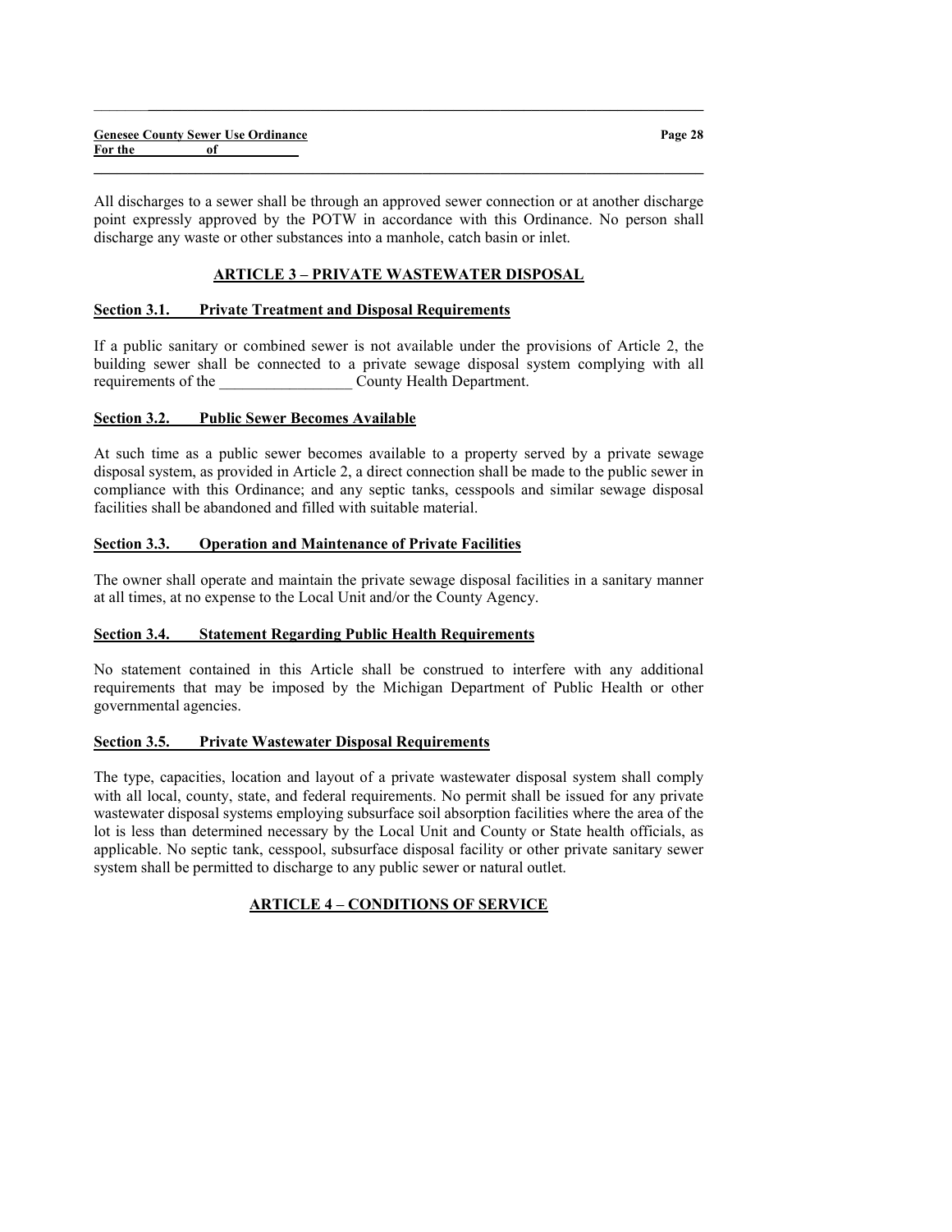All discharges to a sewer shall be through an approved sewer connection or at another discharge point expressly approved by the POTW in accordance with this Ordinance. No person shall discharge any waste or other substances into a manhole, catch basin or inlet.

 $\_$  , and the set of the set of the set of the set of the set of the set of the set of the set of the set of the set of the set of the set of the set of the set of the set of the set of the set of the set of the set of th

 $\_$  , and the set of the set of the set of the set of the set of the set of the set of the set of the set of the set of the set of the set of the set of the set of the set of the set of the set of the set of the set of th

# ARTICLE 3 – PRIVATE WASTEWATER DISPOSAL

#### Section 3.1. Private Treatment and Disposal Requirements

If a public sanitary or combined sewer is not available under the provisions of Article 2, the building sewer shall be connected to a private sewage disposal system complying with all requirements of the County Health Department.

#### Section 3.2. Public Sewer Becomes Available

At such time as a public sewer becomes available to a property served by a private sewage disposal system, as provided in Article 2, a direct connection shall be made to the public sewer in compliance with this Ordinance; and any septic tanks, cesspools and similar sewage disposal facilities shall be abandoned and filled with suitable material.

#### Section 3.3. Operation and Maintenance of Private Facilities

The owner shall operate and maintain the private sewage disposal facilities in a sanitary manner at all times, at no expense to the Local Unit and/or the County Agency.

## Section 3.4. Statement Regarding Public Health Requirements

No statement contained in this Article shall be construed to interfere with any additional requirements that may be imposed by the Michigan Department of Public Health or other governmental agencies.

## Section 3.5. Private Wastewater Disposal Requirements

The type, capacities, location and layout of a private wastewater disposal system shall comply with all local, county, state, and federal requirements. No permit shall be issued for any private wastewater disposal systems employing subsurface soil absorption facilities where the area of the lot is less than determined necessary by the Local Unit and County or State health officials, as applicable. No septic tank, cesspool, subsurface disposal facility or other private sanitary sewer system shall be permitted to discharge to any public sewer or natural outlet.

## ARTICLE 4 – CONDITIONS OF SERVICE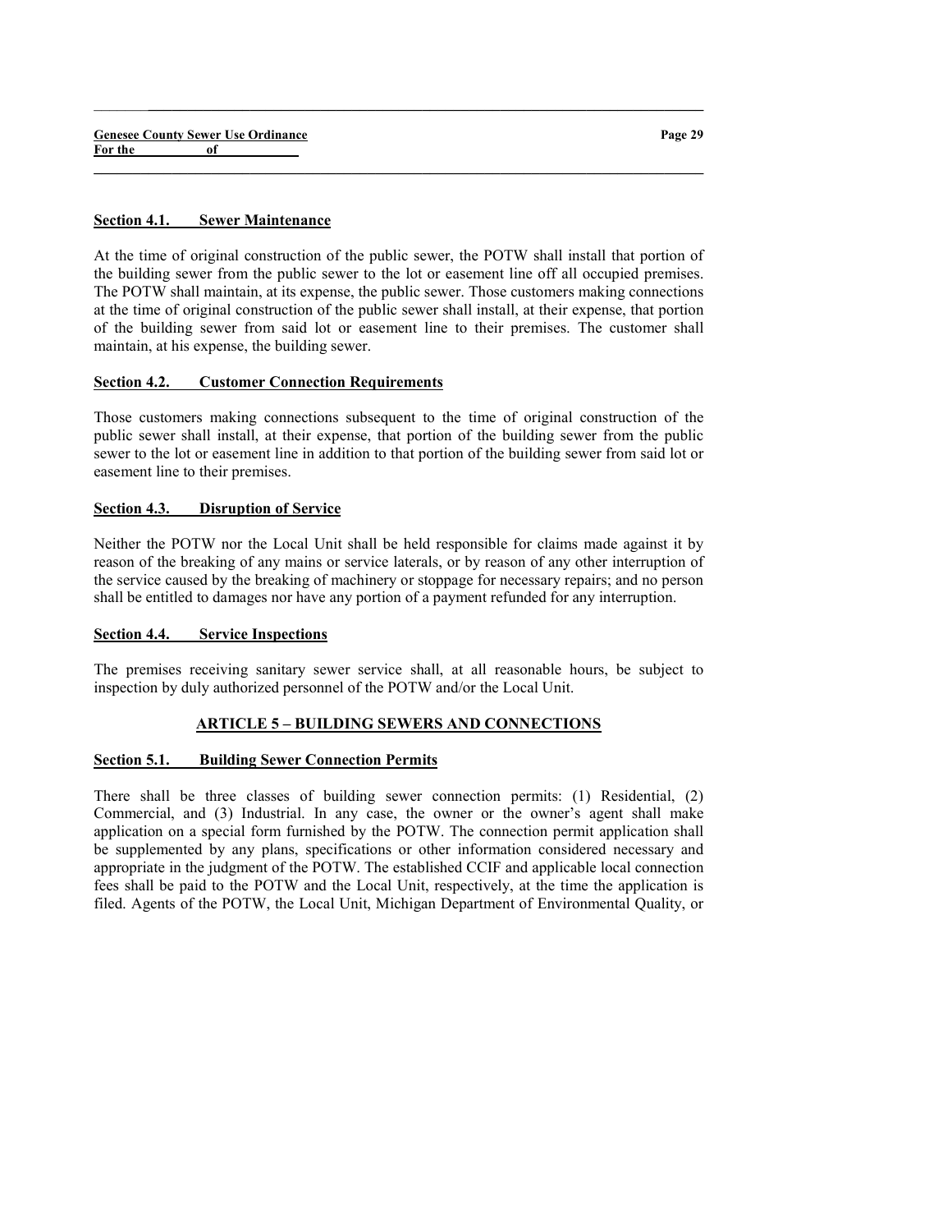#### Section 4.1. Sewer Maintenance

At the time of original construction of the public sewer, the POTW shall install that portion of the building sewer from the public sewer to the lot or easement line off all occupied premises. The POTW shall maintain, at its expense, the public sewer. Those customers making connections at the time of original construction of the public sewer shall install, at their expense, that portion of the building sewer from said lot or easement line to their premises. The customer shall maintain, at his expense, the building sewer.

 $\_$  , and the set of the set of the set of the set of the set of the set of the set of the set of the set of the set of the set of the set of the set of the set of the set of the set of the set of the set of the set of th

 $\_$  , and the set of the set of the set of the set of the set of the set of the set of the set of the set of the set of the set of the set of the set of the set of the set of the set of the set of the set of the set of th

#### Section 4.2. Customer Connection Requirements

Those customers making connections subsequent to the time of original construction of the public sewer shall install, at their expense, that portion of the building sewer from the public sewer to the lot or easement line in addition to that portion of the building sewer from said lot or easement line to their premises.

#### Section 4.3. Disruption of Service

Neither the POTW nor the Local Unit shall be held responsible for claims made against it by reason of the breaking of any mains or service laterals, or by reason of any other interruption of the service caused by the breaking of machinery or stoppage for necessary repairs; and no person shall be entitled to damages nor have any portion of a payment refunded for any interruption.

#### Section 4.4. Service Inspections

The premises receiving sanitary sewer service shall, at all reasonable hours, be subject to inspection by duly authorized personnel of the POTW and/or the Local Unit.

## ARTICLE 5 – BUILDING SEWERS AND CONNECTIONS

#### Section 5.1. Building Sewer Connection Permits

There shall be three classes of building sewer connection permits: (1) Residential, (2) Commercial, and (3) Industrial. In any case, the owner or the owner's agent shall make application on a special form furnished by the POTW. The connection permit application shall be supplemented by any plans, specifications or other information considered necessary and appropriate in the judgment of the POTW. The established CCIF and applicable local connection fees shall be paid to the POTW and the Local Unit, respectively, at the time the application is filed. Agents of the POTW, the Local Unit, Michigan Department of Environmental Quality, or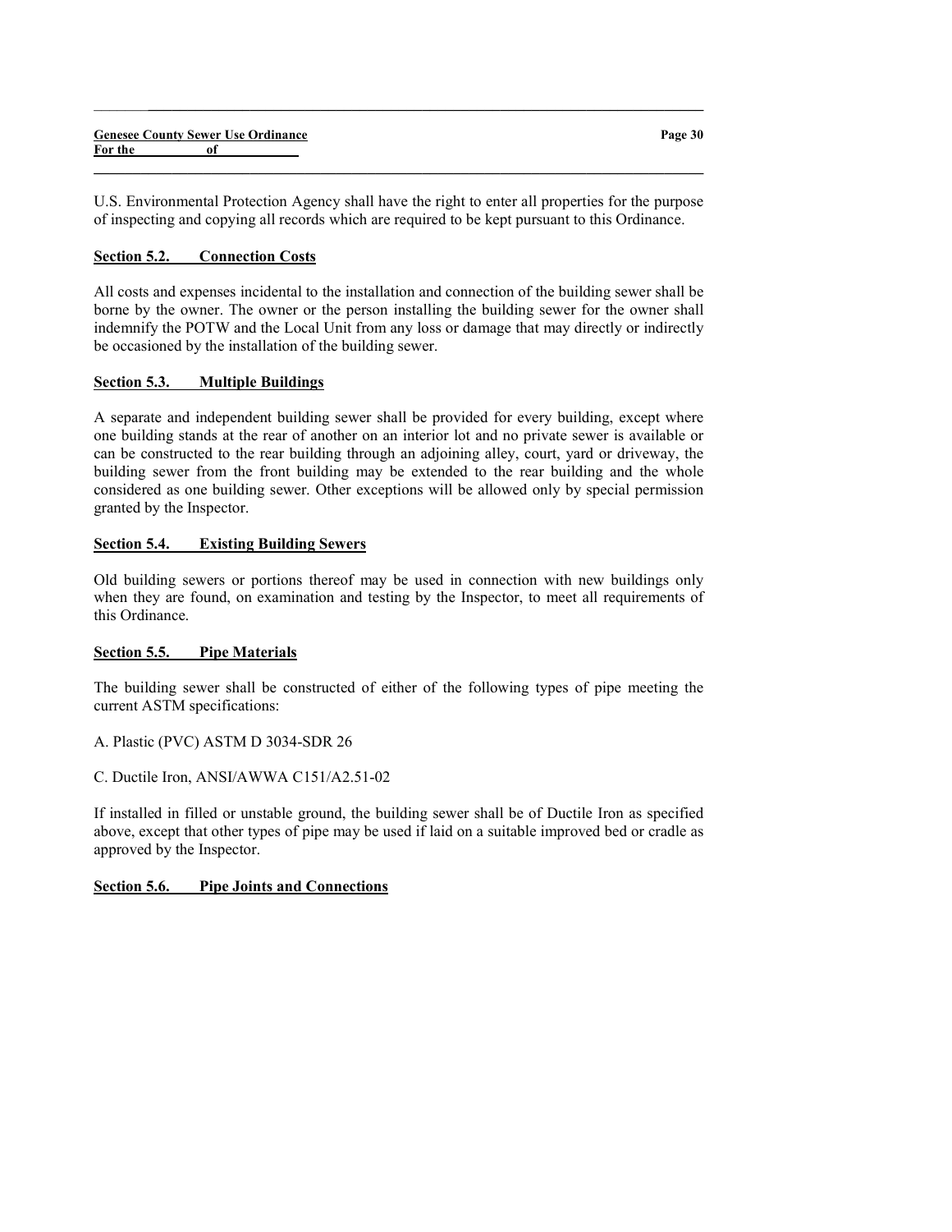|         | <b>Genesee County Sewer Use Ordinance</b> | Page 30 |
|---------|-------------------------------------------|---------|
| For the |                                           |         |
|         |                                           |         |

 $\_$  , and the set of the set of the set of the set of the set of the set of the set of the set of the set of the set of the set of the set of the set of the set of the set of the set of the set of the set of the set of th

U.S. Environmental Protection Agency shall have the right to enter all properties for the purpose of inspecting and copying all records which are required to be kept pursuant to this Ordinance.

## Section 5.2. Connection Costs

All costs and expenses incidental to the installation and connection of the building sewer shall be borne by the owner. The owner or the person installing the building sewer for the owner shall indemnify the POTW and the Local Unit from any loss or damage that may directly or indirectly be occasioned by the installation of the building sewer.

#### Section 5.3. Multiple Buildings

A separate and independent building sewer shall be provided for every building, except where one building stands at the rear of another on an interior lot and no private sewer is available or can be constructed to the rear building through an adjoining alley, court, yard or driveway, the building sewer from the front building may be extended to the rear building and the whole considered as one building sewer. Other exceptions will be allowed only by special permission granted by the Inspector.

#### Section 5.4. Existing Building Sewers

Old building sewers or portions thereof may be used in connection with new buildings only when they are found, on examination and testing by the Inspector, to meet all requirements of this Ordinance.

#### Section 5.5. Pipe Materials

The building sewer shall be constructed of either of the following types of pipe meeting the current ASTM specifications:

A. Plastic (PVC) ASTM D 3034-SDR 26

C. Ductile Iron, ANSI/AWWA C151/A2.51-02

If installed in filled or unstable ground, the building sewer shall be of Ductile Iron as specified above, except that other types of pipe may be used if laid on a suitable improved bed or cradle as approved by the Inspector.

## Section 5.6. Pipe Joints and Connections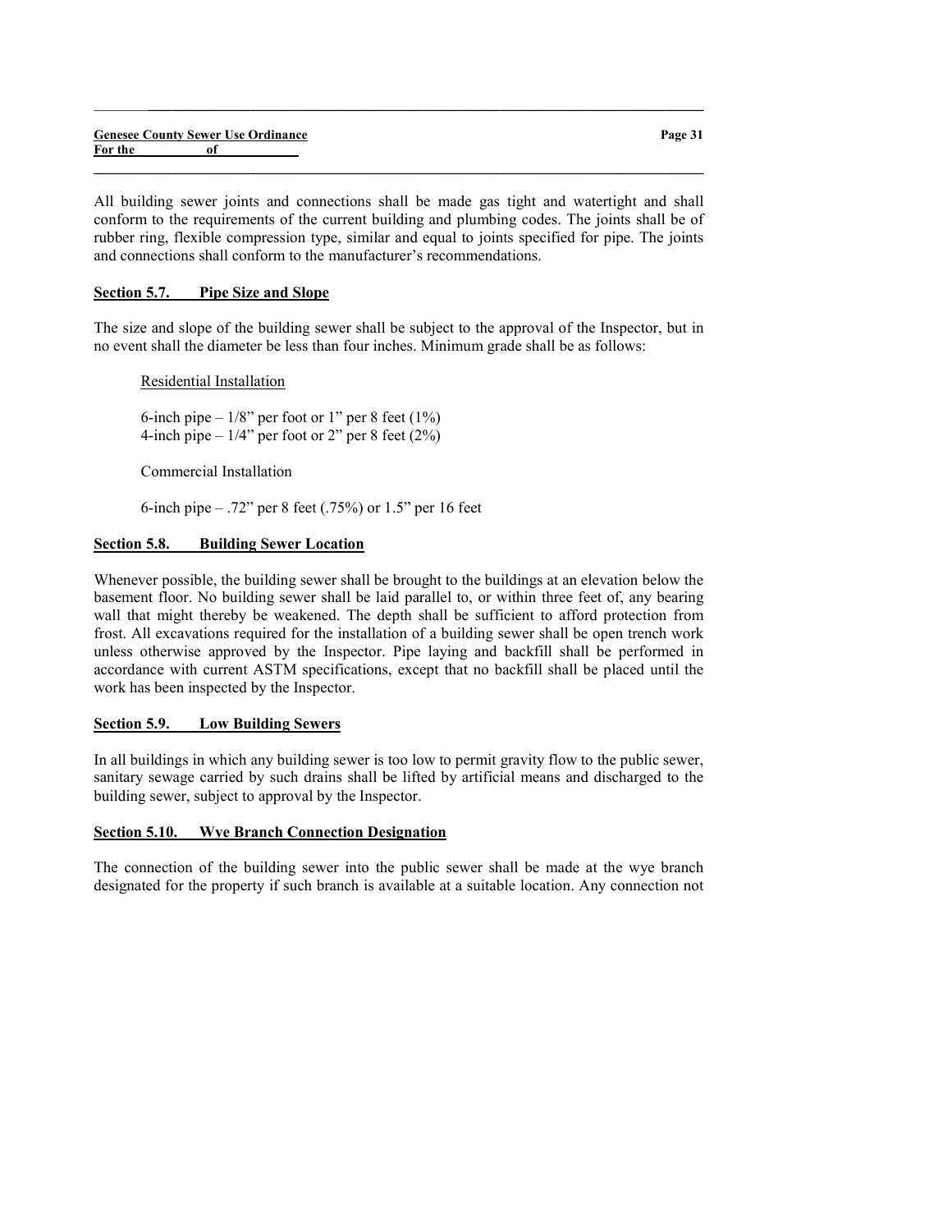|         | <b>Genesee County Sewer Use Ordinance</b> |  |
|---------|-------------------------------------------|--|
| For the | оf                                        |  |

All building sewer joints and connections shall be made gas tight and watertight and shall conform to the requirements of the current building and plumbing codes. The joints shall be of rubber ring, flexible compression type, similar and equal to joints specified for pipe. The joints and connections shall conform to the manufacturer's recommendations.

 $\_$  , and the set of the set of the set of the set of the set of the set of the set of the set of the set of the set of the set of the set of the set of the set of the set of the set of the set of the set of the set of th

 $\_$  , and the set of the set of the set of the set of the set of the set of the set of the set of the set of the set of the set of the set of the set of the set of the set of the set of the set of the set of the set of th

## Section 5.7. Pipe Size and Slope

The size and slope of the building sewer shall be subject to the approval of the Inspector, but in no event shall the diameter be less than four inches. Minimum grade shall be as follows:

Residential Installation

6-inch pipe  $-1/8$ " per foot or 1" per 8 feet  $(1\%)$ 4-inch pipe  $-1/4$ " per foot or 2" per 8 feet (2%)

Commercial Installation

6-inch pipe – .72" per 8 feet (.75%) or 1.5" per 16 feet

#### Section 5.8. Building Sewer Location

Whenever possible, the building sewer shall be brought to the buildings at an elevation below the basement floor. No building sewer shall be laid parallel to, or within three feet of, any bearing wall that might thereby be weakened. The depth shall be sufficient to afford protection from frost. All excavations required for the installation of a building sewer shall be open trench work unless otherwise approved by the Inspector. Pipe laying and backfill shall be performed in accordance with current ASTM specifications, except that no backfill shall be placed until the work has been inspected by the Inspector.

#### Section 5.9. Low Building Sewers

In all buildings in which any building sewer is too low to permit gravity flow to the public sewer, sanitary sewage carried by such drains shall be lifted by artificial means and discharged to the building sewer, subject to approval by the Inspector.

#### Section 5.10. Wye Branch Connection Designation

The connection of the building sewer into the public sewer shall be made at the wye branch designated for the property if such branch is available at a suitable location. Any connection not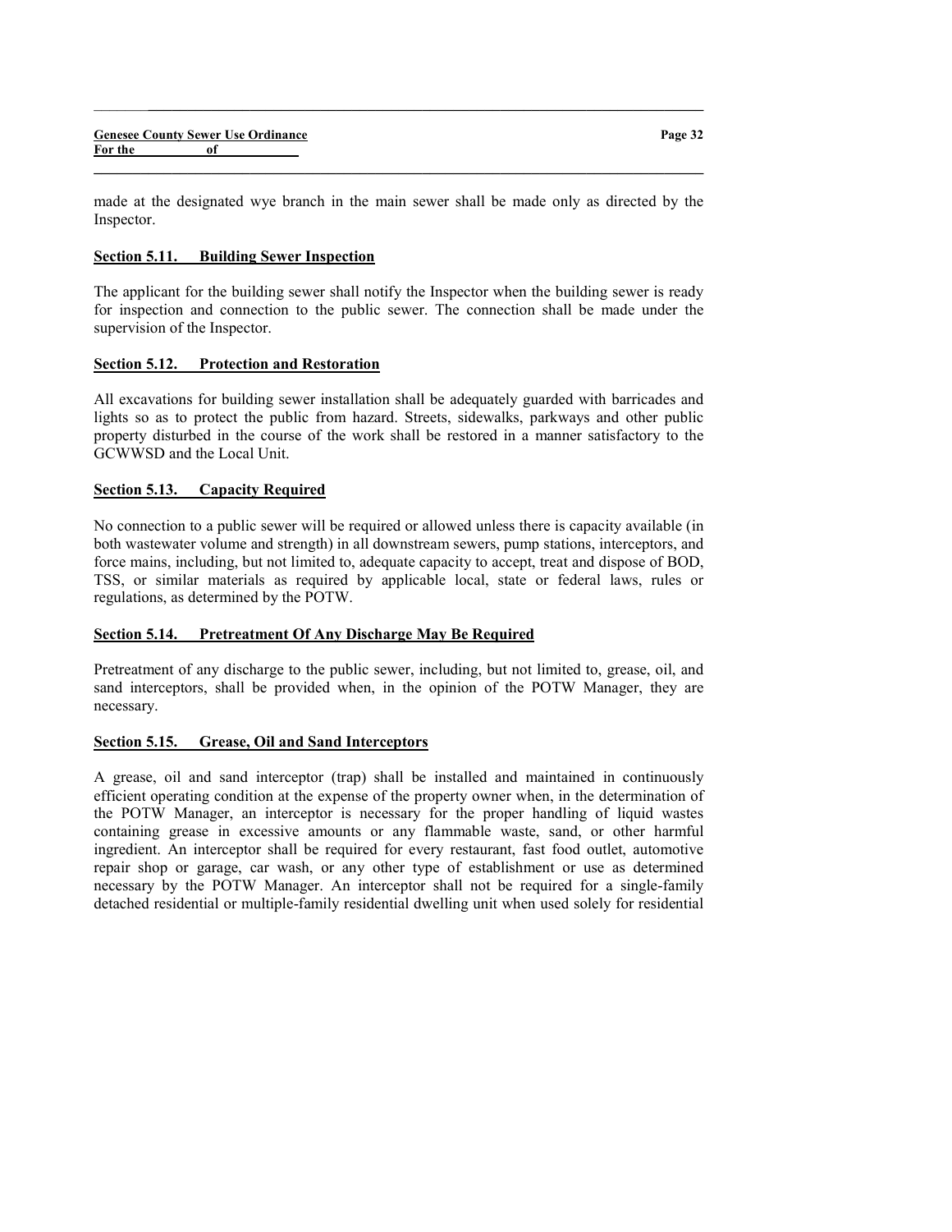made at the designated wye branch in the main sewer shall be made only as directed by the Inspector.

 $\_$  , and the set of the set of the set of the set of the set of the set of the set of the set of the set of the set of the set of the set of the set of the set of the set of the set of the set of the set of the set of th

 $\_$  , and the set of the set of the set of the set of the set of the set of the set of the set of the set of the set of the set of the set of the set of the set of the set of the set of the set of the set of the set of th

## Section 5.11. Building Sewer Inspection

The applicant for the building sewer shall notify the Inspector when the building sewer is ready for inspection and connection to the public sewer. The connection shall be made under the supervision of the Inspector.

## Section 5.12. Protection and Restoration

All excavations for building sewer installation shall be adequately guarded with barricades and lights so as to protect the public from hazard. Streets, sidewalks, parkways and other public property disturbed in the course of the work shall be restored in a manner satisfactory to the GCWWSD and the Local Unit.

## Section 5.13. Capacity Required

No connection to a public sewer will be required or allowed unless there is capacity available (in both wastewater volume and strength) in all downstream sewers, pump stations, interceptors, and force mains, including, but not limited to, adequate capacity to accept, treat and dispose of BOD, TSS, or similar materials as required by applicable local, state or federal laws, rules or regulations, as determined by the POTW.

# Section 5.14. Pretreatment Of Any Discharge May Be Required

Pretreatment of any discharge to the public sewer, including, but not limited to, grease, oil, and sand interceptors, shall be provided when, in the opinion of the POTW Manager, they are necessary.

## Section 5.15. Grease, Oil and Sand Interceptors

A grease, oil and sand interceptor (trap) shall be installed and maintained in continuously efficient operating condition at the expense of the property owner when, in the determination of the POTW Manager, an interceptor is necessary for the proper handling of liquid wastes containing grease in excessive amounts or any flammable waste, sand, or other harmful ingredient. An interceptor shall be required for every restaurant, fast food outlet, automotive repair shop or garage, car wash, or any other type of establishment or use as determined necessary by the POTW Manager. An interceptor shall not be required for a single-family detached residential or multiple-family residential dwelling unit when used solely for residential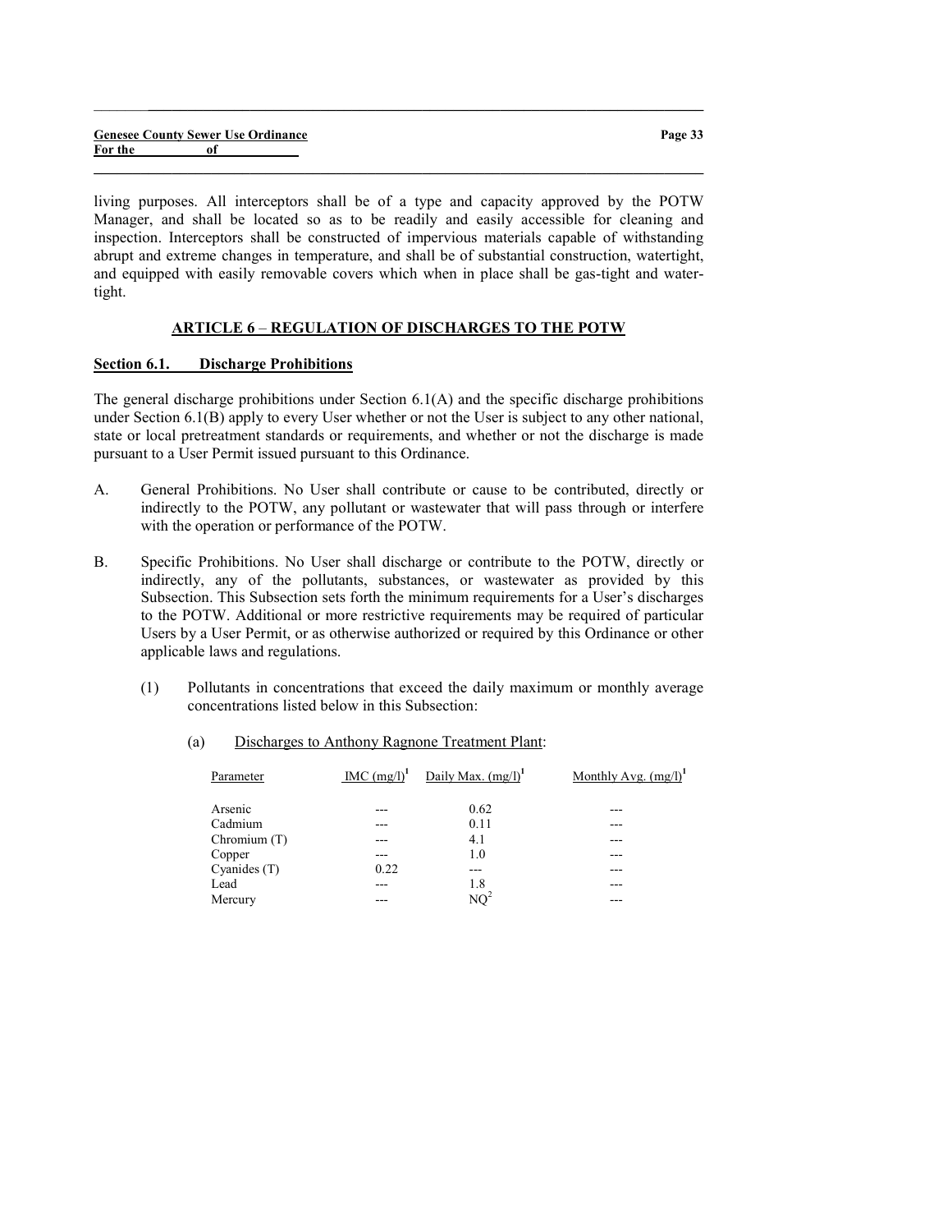|         |    | <b>Genesee County Sewer Use Ordinance</b> |  |
|---------|----|-------------------------------------------|--|
| For the | of |                                           |  |

Page 33

living purposes. All interceptors shall be of a type and capacity approved by the POTW Manager, and shall be located so as to be readily and easily accessible for cleaning and inspection. Interceptors shall be constructed of impervious materials capable of withstanding abrupt and extreme changes in temperature, and shall be of substantial construction, watertight, and equipped with easily removable covers which when in place shall be gas-tight and watertight.

 $\_$  , and the set of the set of the set of the set of the set of the set of the set of the set of the set of the set of the set of the set of the set of the set of the set of the set of the set of the set of the set of th

 $\_$  , and the set of the set of the set of the set of the set of the set of the set of the set of the set of the set of the set of the set of the set of the set of the set of the set of the set of the set of the set of th

#### ARTICLE 6 – REGULATION OF DISCHARGES TO THE POTW

#### Section 6.1. Discharge Prohibitions

The general discharge prohibitions under Section 6.1(A) and the specific discharge prohibitions under Section 6.1(B) apply to every User whether or not the User is subject to any other national, state or local pretreatment standards or requirements, and whether or not the discharge is made pursuant to a User Permit issued pursuant to this Ordinance.

- A. General Prohibitions. No User shall contribute or cause to be contributed, directly or indirectly to the POTW, any pollutant or wastewater that will pass through or interfere with the operation or performance of the POTW.
- B. Specific Prohibitions. No User shall discharge or contribute to the POTW, directly or indirectly, any of the pollutants, substances, or wastewater as provided by this Subsection. This Subsection sets forth the minimum requirements for a User's discharges to the POTW. Additional or more restrictive requirements may be required of particular Users by a User Permit, or as otherwise authorized or required by this Ordinance or other applicable laws and regulations.
	- (1) Pollutants in concentrations that exceed the daily maximum or monthly average concentrations listed below in this Subsection:

| Parameter      | MC (mg/l) <sup>1</sup> | Daily Max. $(mg/l)^1$ | Monthly Avg. $(mg/l)^1$ |
|----------------|------------------------|-----------------------|-------------------------|
| Arsenic        |                        | 0.62                  |                         |
| Cadmium        |                        | 0.11                  |                         |
| Chromium (T)   |                        | 4.1                   |                         |
| Copper         |                        | 1.0                   |                         |
| Cyanides $(T)$ | 0.22                   | ---                   |                         |
| Lead           |                        | 1.8                   |                         |
| Mercury        |                        | $NO^2$                |                         |

(a) Discharges to Anthony Ragnone Treatment Plant: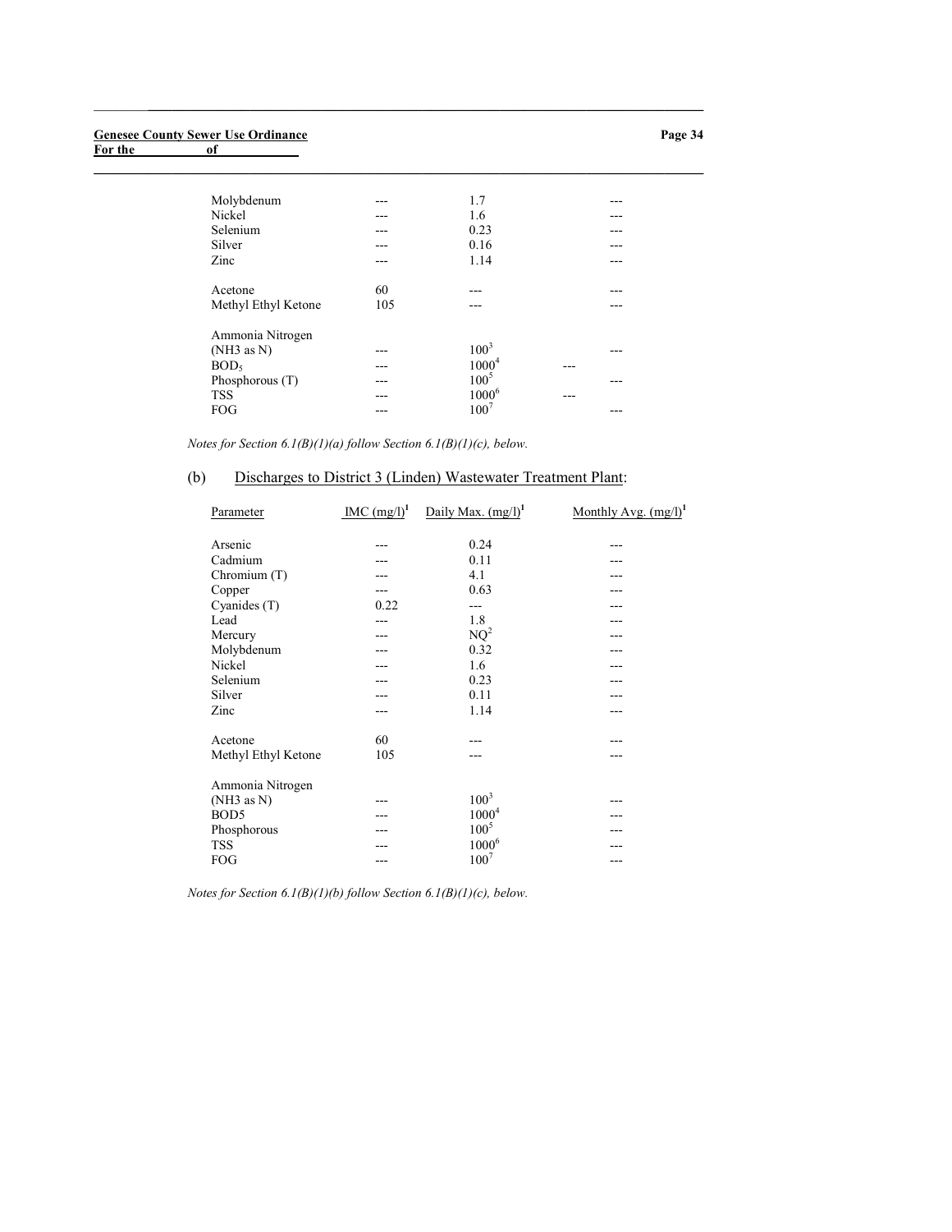#### Genesee County Sewer Use Ordinance

For the contract of the contract of the contract of the contract of the contract of the contract of the contract of the contract of the contract of the contract of the contract of the contract of the contract of the contra

| --- | 1.7      | ---       |  |
|-----|----------|-----------|--|
| --- | 1.6      |           |  |
| --- | 0.23     |           |  |
|     | 0.16     |           |  |
|     | 1.14     | ---       |  |
|     | ---      |           |  |
| 105 | ---      |           |  |
|     |          |           |  |
|     |          |           |  |
|     | $1000^4$ |           |  |
|     | $100^5$  |           |  |
| --- | $1000^6$ | ---       |  |
|     | $100^7$  |           |  |
|     | 60       | $100^{3}$ |  |

Notes for Section  $6.1(B)(1)(a)$  follow Section  $6.1(B)(1)(c)$ , below.

# (b) Discharges to District 3 (Linden) Wastewater Treatment Plant:

 $\_$  , and the set of the set of the set of the set of the set of the set of the set of the set of the set of the set of the set of the set of the set of the set of the set of the set of the set of the set of the set of th

| Parameter           | IMC $(mg/l)^1$ | Daily Max. $(mg/l)^1$ | Monthly Avg. $(mg/l)^1$ |
|---------------------|----------------|-----------------------|-------------------------|
| Arsenic             |                | 0.24                  |                         |
| Cadmium             |                | 0.11                  |                         |
| Chromium (T)        |                | 4.1                   |                         |
| Copper              |                | 0.63                  |                         |
| Cyanides $(T)$      | 0.22           | ---                   |                         |
| Lead                |                | 1.8                   |                         |
| Mercury             |                | $NQ^2$                |                         |
| Molybdenum          |                | 0.32                  |                         |
| Nickel              |                | 1.6                   |                         |
| Selenium            |                | 0.23                  |                         |
| Silver              |                | 0.11                  |                         |
| Zinc                |                | 1.14                  |                         |
| Acetone             | 60             |                       |                         |
| Methyl Ethyl Ketone | 105            |                       |                         |
| Ammonia Nitrogen    |                |                       |                         |
| (NH3 as N)          |                | $100^3$               |                         |
| BOD <sub>5</sub>    |                | $1000^4$              |                         |
| Phosphorous         |                | $100^{5}$             |                         |
| <b>TSS</b>          |                | $1000^6$              |                         |
| FOG                 |                | $100^{7}$             |                         |

Notes for Section  $6.1(B)(1)(b)$  follow Section  $6.1(B)(1)(c)$ , below.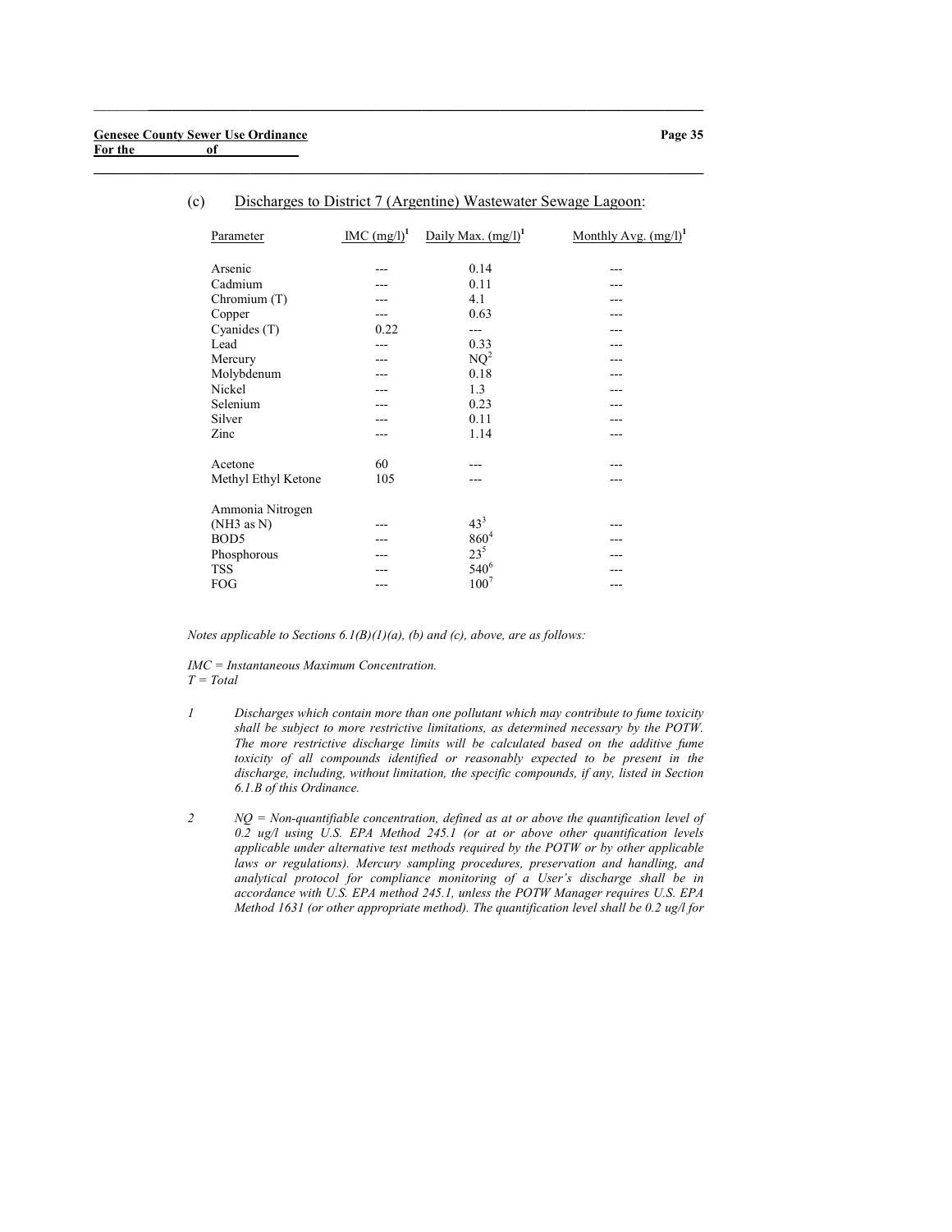| Parameter           | MC (mg/l) <sup>1</sup> | Daily Max. $(mg/l)^1$ | Monthly Avg. $(mg/l)^{1}$ |
|---------------------|------------------------|-----------------------|---------------------------|
| Arsenic             |                        | 0.14                  |                           |
| Cadmium             |                        | 0.11                  |                           |
| Chromium (T)        |                        | 4.1                   |                           |
| Copper              |                        | 0.63                  |                           |
| Cyanides (T)        | 0.22                   | ---                   |                           |
| Lead                |                        | 0.33                  |                           |
| Mercury             |                        | $NQ^2$                |                           |
| Molybdenum          |                        | 0.18                  |                           |
| Nickel              |                        | 1.3                   |                           |
| Selenium            |                        | 0.23                  |                           |
| Silver              |                        | 0.11                  |                           |
| Zinc                |                        | 1.14                  |                           |
| Acetone             | 60                     |                       |                           |
| Methyl Ethyl Ketone | 105                    |                       |                           |
| Ammonia Nitrogen    |                        |                       |                           |
| (NH3 as N)          |                        | $43^{3}$              |                           |
| BOD <sub>5</sub>    |                        | $860^{4}$             |                           |
| Phosphorous         |                        | $23^{5}$              |                           |
| <b>TSS</b>          |                        | $540^{6}$             |                           |
| FOG                 |                        | $100^{7}$             |                           |

#### (c) Discharges to District 7 (Argentine) Wastewater Sewage Lagoon:

 $\_$  , and the set of the set of the set of the set of the set of the set of the set of the set of the set of the set of the set of the set of the set of the set of the set of the set of the set of the set of the set of th

 $\_$  , and the set of the set of the set of the set of the set of the set of the set of the set of the set of the set of the set of the set of the set of the set of the set of the set of the set of the set of the set of th

Notes applicable to Sections  $6.1(B)(1)(a)$ , (b) and (c), above, are as follows:

IMC = Instantaneous Maximum Concentration.  $T = Total$ 

- 1 Discharges which contain more than one pollutant which may contribute to fume toxicity shall be subject to more restrictive limitations, as determined necessary by the POTW. The more restrictive discharge limits will be calculated based on the additive fume toxicity of all compounds identified or reasonably expected to be present in the discharge, including, without limitation, the specific compounds, if any, listed in Section 6.1.B of this Ordinance.
- $2$  NQ = Non-quantifiable concentration, defined as at or above the quantification level of 0.2 ug/l using U.S. EPA Method 245.1 (or at or above other quantification levels applicable under alternative test methods required by the POTW or by other applicable laws or regulations). Mercury sampling procedures, preservation and handling, and analytical protocol for compliance monitoring of a User's discharge shall be in accordance with U.S. EPA method 245.1, unless the POTW Manager requires U.S. EPA Method 1631 (or other appropriate method). The quantification level shall be 0.2 ug/l for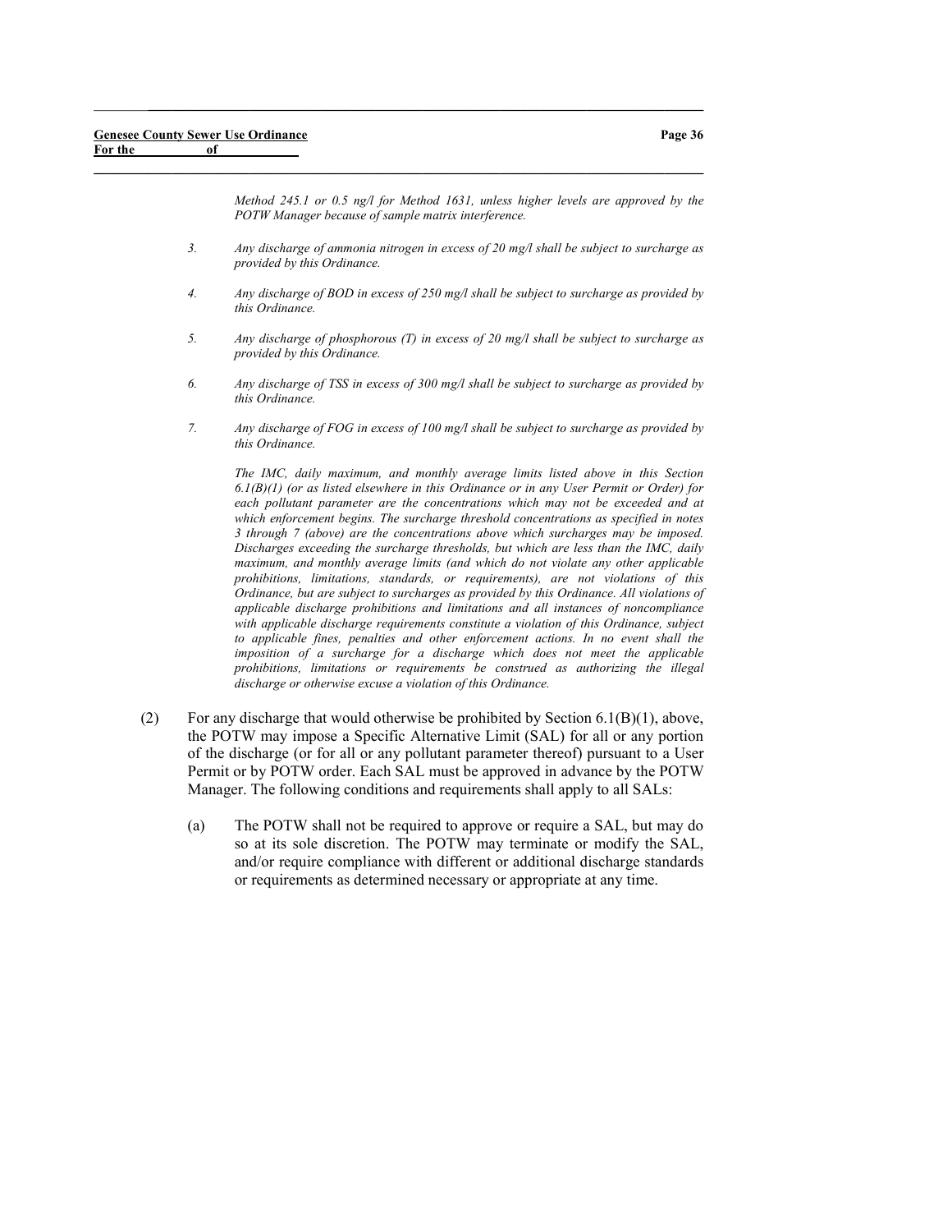Page 36

Method 245.1 or 0.5 ng/l for Method 1631, unless higher levels are approved by the POTW Manager because of sample matrix interference.

3. Any discharge of ammonia nitrogen in excess of 20 mg/l shall be subject to surcharge as provided by this Ordinance.

 $\_$  , and the set of the set of the set of the set of the set of the set of the set of the set of the set of the set of the set of the set of the set of the set of the set of the set of the set of the set of the set of th

 $\_$  , and the set of the set of the set of the set of the set of the set of the set of the set of the set of the set of the set of the set of the set of the set of the set of the set of the set of the set of the set of th

- 4. Any discharge of BOD in excess of 250 mg/l shall be subject to surcharge as provided by this Ordinance.
- 5. Any discharge of phosphorous (T) in excess of 20 mg/l shall be subject to surcharge as provided by this Ordinance.
- 6. Any discharge of TSS in excess of 300 mg/l shall be subject to surcharge as provided by this Ordinance.
- 7. Any discharge of FOG in excess of 100 mg/l shall be subject to surcharge as provided by this Ordinance.

The IMC, daily maximum, and monthly average limits listed above in this Section  $6.1(B)(1)$  (or as listed elsewhere in this Ordinance or in any User Permit or Order) for each pollutant parameter are the concentrations which may not be exceeded and at which enforcement begins. The surcharge threshold concentrations as specified in notes 3 through 7 (above) are the concentrations above which surcharges may be imposed. Discharges exceeding the surcharge thresholds, but which are less than the IMC, daily maximum, and monthly average limits (and which do not violate any other applicable prohibitions, limitations, standards, or requirements), are not violations of this Ordinance, but are subject to surcharges as provided by this Ordinance. All violations of applicable discharge prohibitions and limitations and all instances of noncompliance with applicable discharge requirements constitute a violation of this Ordinance, subject to applicable fines, penalties and other enforcement actions. In no event shall the imposition of a surcharge for a discharge which does not meet the applicable prohibitions, limitations or requirements be construed as authorizing the illegal discharge or otherwise excuse a violation of this Ordinance.

- (2) For any discharge that would otherwise be prohibited by Section  $6.1(B)(1)$ , above, the POTW may impose a Specific Alternative Limit (SAL) for all or any portion of the discharge (or for all or any pollutant parameter thereof) pursuant to a User Permit or by POTW order. Each SAL must be approved in advance by the POTW Manager. The following conditions and requirements shall apply to all SALs:
	- (a) The POTW shall not be required to approve or require a SAL, but may do so at its sole discretion. The POTW may terminate or modify the SAL, and/or require compliance with different or additional discharge standards or requirements as determined necessary or appropriate at any time.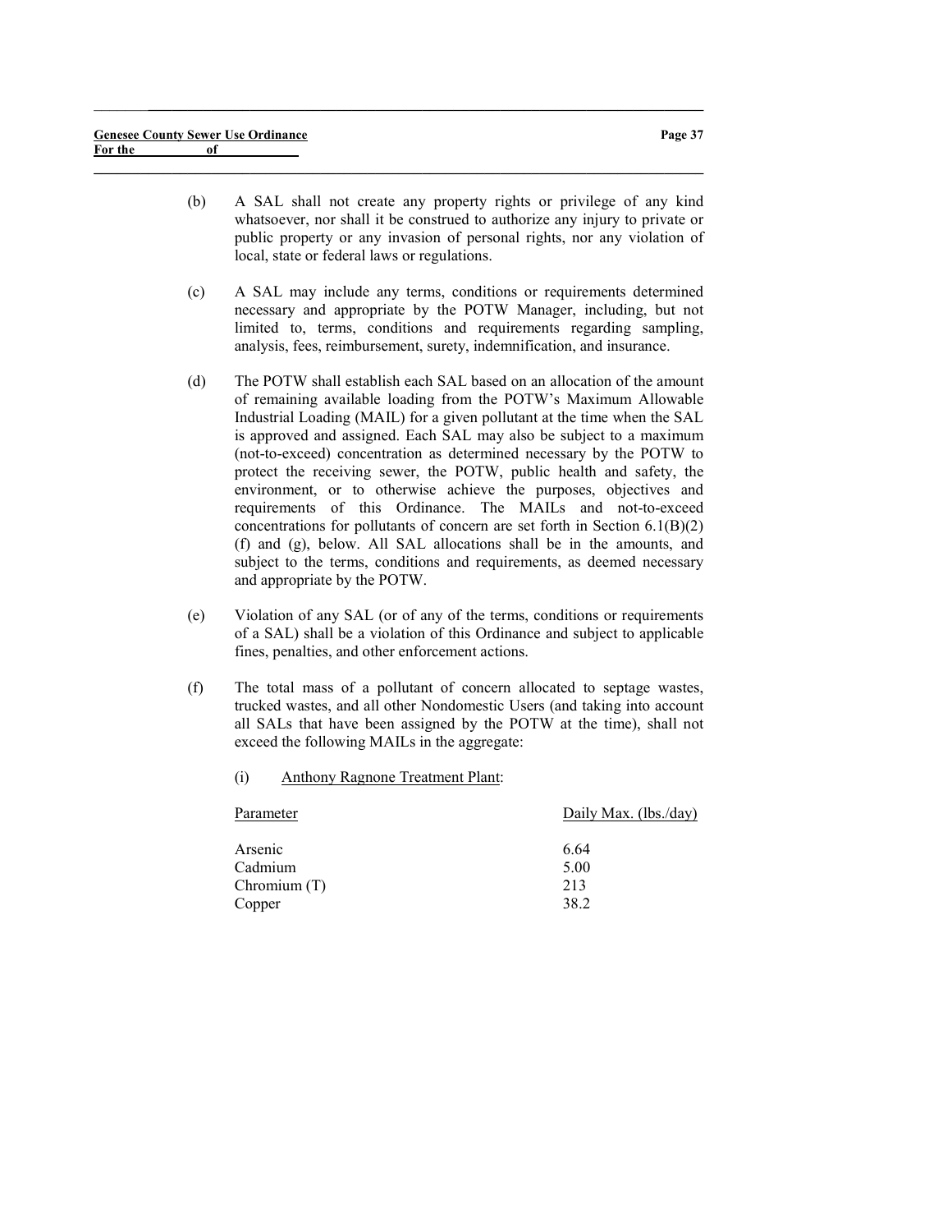(b) A SAL shall not create any property rights or privilege of any kind whatsoever, nor shall it be construed to authorize any injury to private or public property or any invasion of personal rights, nor any violation of local, state or federal laws or regulations.

 $\_$  ,  $\_$  ,  $\_$  ,  $\_$  ,  $\_$  ,  $\_$  ,  $\_$  ,  $\_$  ,  $\_$  ,  $\_$  ,  $\_$  ,  $\_$  ,  $\_$  ,  $\_$  ,  $\_$  ,  $\_$  ,  $\_$  ,  $\_$  ,  $\_$ 

- (c) A SAL may include any terms, conditions or requirements determined necessary and appropriate by the POTW Manager, including, but not limited to, terms, conditions and requirements regarding sampling, analysis, fees, reimbursement, surety, indemnification, and insurance.
- (d) The POTW shall establish each SAL based on an allocation of the amount of remaining available loading from the POTW's Maximum Allowable Industrial Loading (MAIL) for a given pollutant at the time when the SAL is approved and assigned. Each SAL may also be subject to a maximum (not-to-exceed) concentration as determined necessary by the POTW to protect the receiving sewer, the POTW, public health and safety, the environment, or to otherwise achieve the purposes, objectives and requirements of this Ordinance. The MAILs and not-to-exceed concentrations for pollutants of concern are set forth in Section 6.1(B)(2) (f) and (g), below. All SAL allocations shall be in the amounts, and subject to the terms, conditions and requirements, as deemed necessary and appropriate by the POTW.
- (e) Violation of any SAL (or of any of the terms, conditions or requirements of a SAL) shall be a violation of this Ordinance and subject to applicable fines, penalties, and other enforcement actions.
- (f) The total mass of a pollutant of concern allocated to septage wastes, trucked wastes, and all other Nondomestic Users (and taking into account all SALs that have been assigned by the POTW at the time), shall not exceed the following MAILs in the aggregate:
	- (i) Anthony Ragnone Treatment Plant:

| Daily Max. (lbs./day) |
|-----------------------|
| 6.64                  |
| 5.00                  |
| 213                   |
| 38.2                  |
|                       |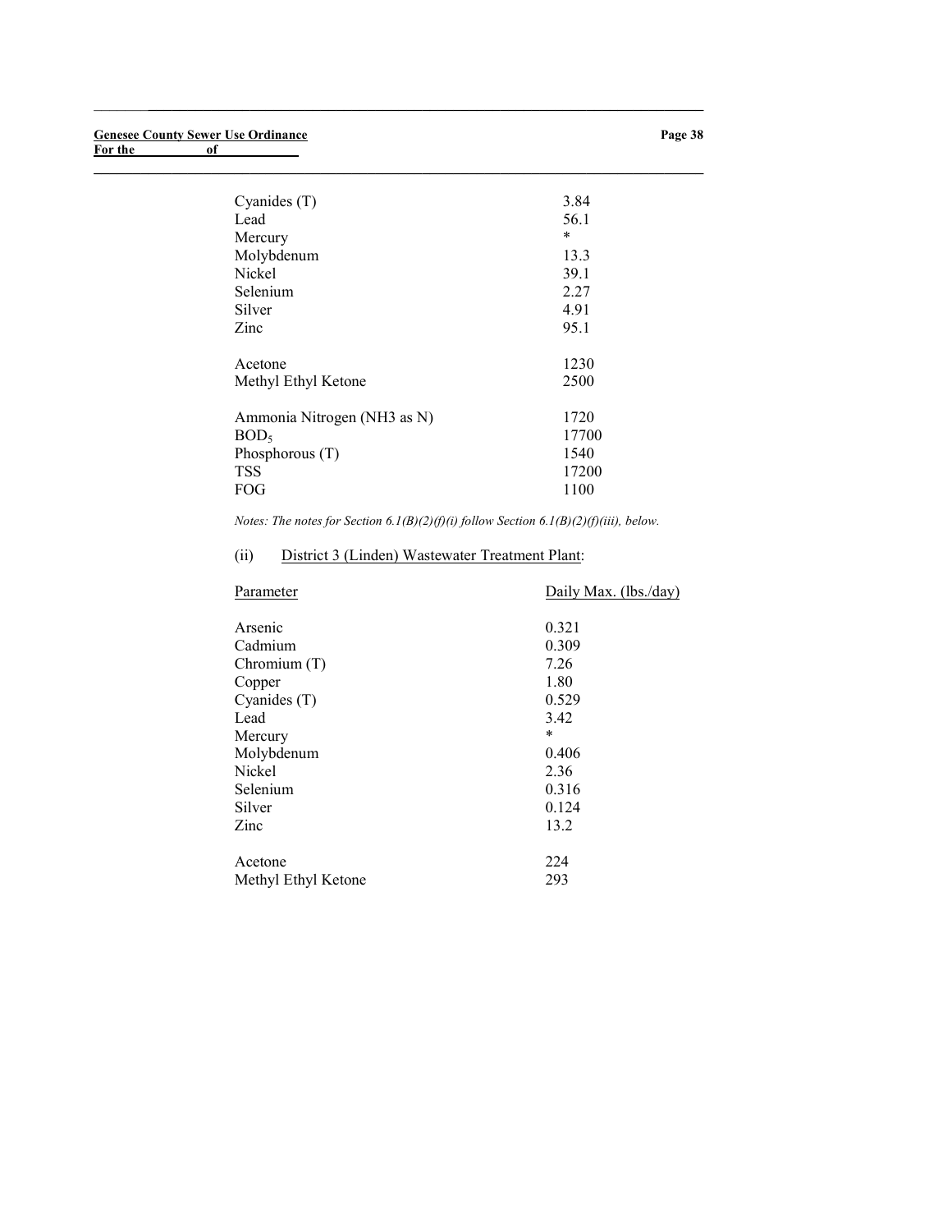| Cyanides (T)                | 3.84  |
|-----------------------------|-------|
| Lead                        | 56.1  |
| Mercury                     | *     |
| Molybdenum                  | 13.3  |
| Nickel                      | 39.1  |
| Selenium                    | 2.27  |
| Silver                      | 4.91  |
| Zinc                        | 95.1  |
|                             |       |
| Acetone                     | 1230  |
| Methyl Ethyl Ketone         | 2500  |
|                             |       |
| Ammonia Nitrogen (NH3 as N) | 1720  |
| BOD <sub>5</sub>            | 17700 |
| Phosphorous $(T)$           | 1540  |
| <b>TSS</b>                  | 17200 |
| FOG                         | 1100  |
|                             |       |

 $\_$  ,  $\_$  ,  $\_$  ,  $\_$  ,  $\_$  ,  $\_$  ,  $\_$  ,  $\_$  ,  $\_$  ,  $\_$  ,  $\_$  ,  $\_$  ,  $\_$  ,  $\_$  ,  $\_$  ,  $\_$  ,  $\_$  ,  $\_$  ,  $\_$ 

 $\_$  , and the set of the set of the set of the set of the set of the set of the set of the set of the set of the set of the set of the set of the set of the set of the set of the set of the set of the set of the set of th

Notes: The notes for Section  $6.1(B)(2)(f)(i)$  follow Section  $6.1(B)(2)(f)(iii)$ , below.

# (ii) District 3 (Linden) Wastewater Treatment Plant:

| Parameter           | Daily Max. (lbs./day) |
|---------------------|-----------------------|
| Arsenic             | 0.321                 |
| Cadmium             | 0.309                 |
| Chromium (T)        | 7.26                  |
| Copper              | 1.80                  |
| Cyanides (T)        | 0.529                 |
| Lead                | 3.42                  |
| Mercury             | $\ast$                |
| Molybdenum          | 0.406                 |
| Nickel              | 2.36                  |
| Selenium            | 0.316                 |
| Silver              | 0.124                 |
| Zinc                | 13.2                  |
| Acetone             | 224                   |
| Methyl Ethyl Ketone | 293                   |
|                     |                       |

### Page 38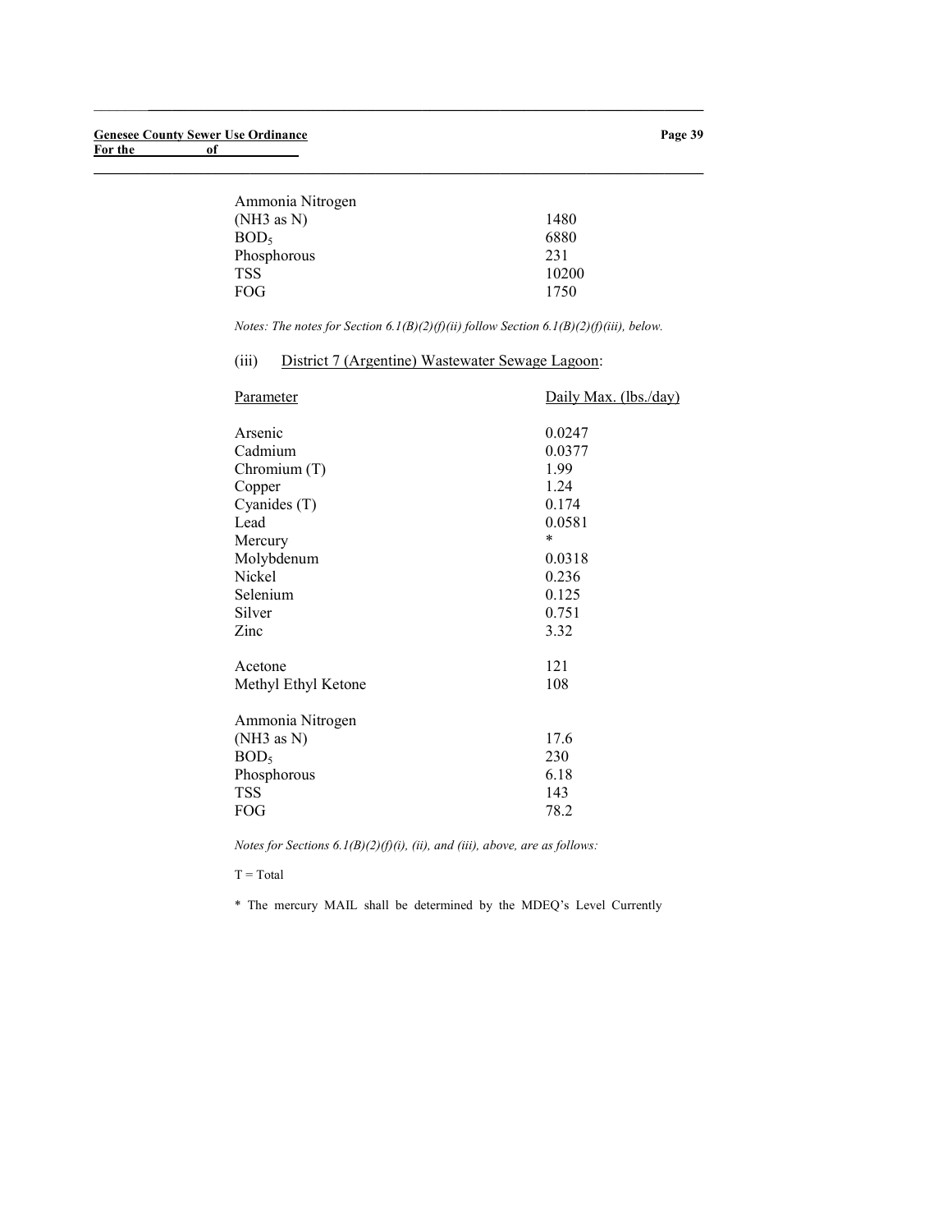| 1480  |
|-------|
| 6880  |
| 231   |
| 10200 |
| 1750  |
|       |

Notes: The notes for Section 6.1(B)(2)(f)(ii) follow Section 6.1(B)(2)(f)(iii), below.

# (iii) District 7 (Argentine) Wastewater Sewage Lagoon:

 $\_$  ,  $\_$  ,  $\_$  ,  $\_$  ,  $\_$  ,  $\_$  ,  $\_$  ,  $\_$  ,  $\_$  ,  $\_$  ,  $\_$  ,  $\_$  ,  $\_$  ,  $\_$  ,  $\_$  ,  $\_$  ,  $\_$  ,  $\_$  ,  $\_$ 

 $\_$  , and the set of the set of the set of the set of the set of the set of the set of the set of the set of the set of the set of the set of the set of the set of the set of the set of the set of the set of the set of th

| Parameter                                                                              | Daily Max. (lbs./day)              |
|----------------------------------------------------------------------------------------|------------------------------------|
| Arsenic                                                                                | 0.0247                             |
| Cadmium                                                                                | 0.0377                             |
| Chromium (T)                                                                           | 1.99                               |
| Copper                                                                                 | 1.24                               |
| Cyanides (T)                                                                           | 0.174                              |
| Lead                                                                                   | 0.0581                             |
| Mercury                                                                                | *                                  |
| Molybdenum                                                                             | 0.0318                             |
| Nickel                                                                                 | 0.236                              |
| Selenium                                                                               | 0.125                              |
| Silver                                                                                 | 0.751                              |
| Zinc                                                                                   | 3.32                               |
| Acetone                                                                                | 121                                |
| Methyl Ethyl Ketone                                                                    | 108                                |
| Ammonia Nitrogen<br>(NH3 as N)<br>BOD <sub>5</sub><br>Phosphorous<br><b>TSS</b><br>FOG | 17.6<br>230<br>6.18<br>143<br>78.2 |

Notes for Sections  $6.1(B)(2)(f)(i)$ , (ii), and (iii), above, are as follows:

 $T = Total$ 

\* The mercury MAIL shall be determined by the MDEQ's Level Currently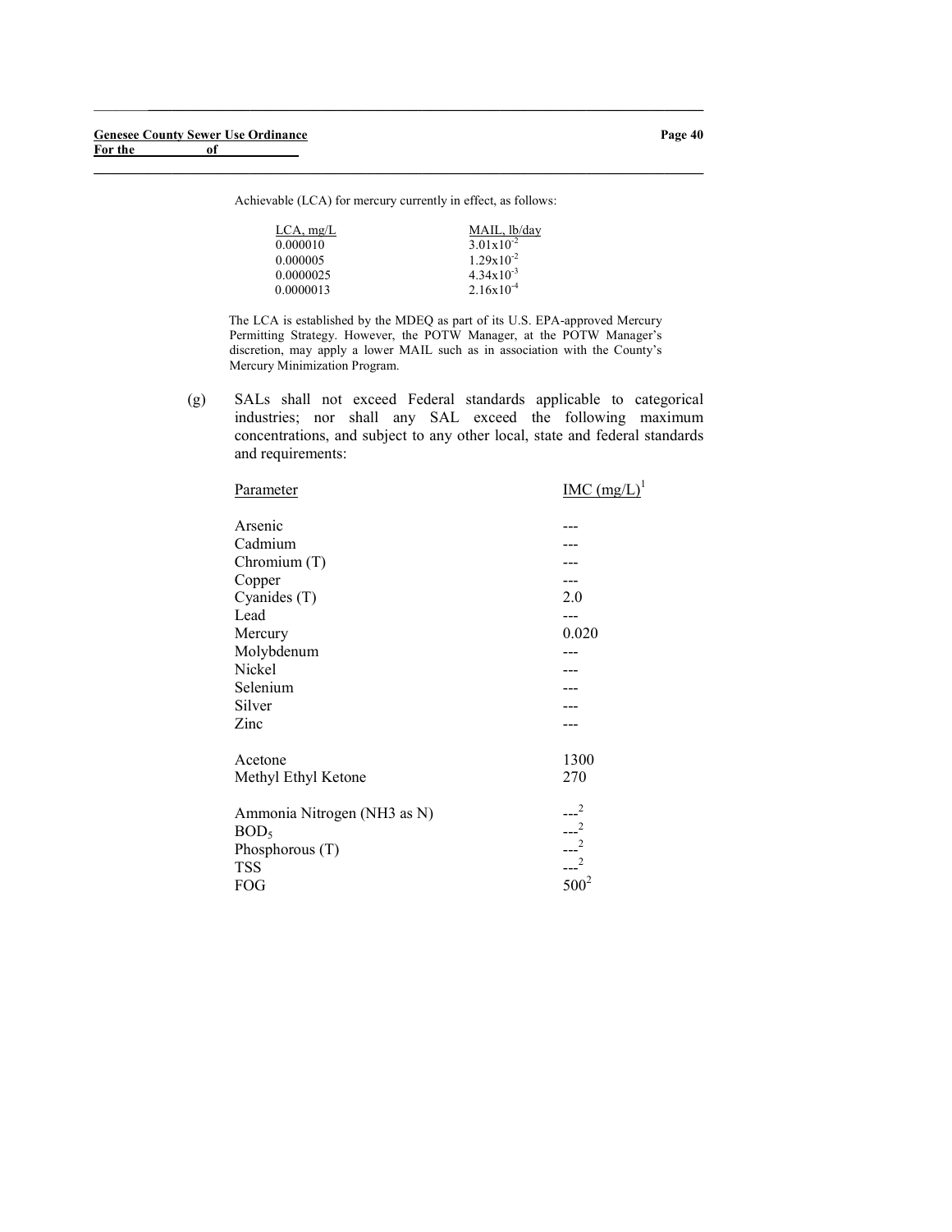Achievable (LCA) for mercury currently in effect, as follows:

 $\_$  , and the set of the set of the set of the set of the set of the set of the set of the set of the set of the set of the set of the set of the set of the set of the set of the set of the set of the set of the set of th

 $\_$  ,  $\_$  ,  $\_$  ,  $\_$  ,  $\_$  ,  $\_$  ,  $\_$  ,  $\_$  ,  $\_$  ,  $\_$  ,  $\_$  ,  $\_$  ,  $\_$  ,  $\_$  ,  $\_$  ,  $\_$  ,  $\_$  ,  $\_$  ,  $\_$ 

| $LCA$ , mg/L | MAIL, lb/day          |
|--------------|-----------------------|
| 0.000010     | $3.01 \times 10^{-2}$ |
| 0.000005     | $1.29 \times 10^{-2}$ |
| 0.0000025    | $4.34 \times 10^{-3}$ |
| 0.0000013    | $2.16x10^{-4}$        |

The LCA is established by the MDEQ as part of its U.S. EPA-approved Mercury Permitting Strategy. However, the POTW Manager, at the POTW Manager's discretion, may apply a lower MAIL such as in association with the County's Mercury Minimization Program.

(g) SALs shall not exceed Federal standards applicable to categorical industries; nor shall any SAL exceed the following maximum concentrations, and subject to any other local, state and federal standards and requirements:

| Parameter                      | $IMC (mg/L)^1$ |
|--------------------------------|----------------|
| Arsenic                        |                |
| Cadmium                        |                |
| Chromium $(T)$                 |                |
| Copper                         |                |
| Cyanides (T)                   | 2.0            |
| Lead                           | ---            |
| Mercury                        | 0.020          |
| Molybdenum                     |                |
| Nickel                         |                |
| Selenium                       |                |
| Silver                         |                |
| Zinc                           |                |
| Acetone<br>Methyl Ethyl Ketone | 1300<br>270    |
| Ammonia Nitrogen (NH3 as N)    | $-2$           |
| BOD <sub>5</sub>               | $-2$<br>$---2$ |
| Phosphorous $(T)$              |                |
| <b>TSS</b>                     | $-2$           |
| FOG                            | $500^2$        |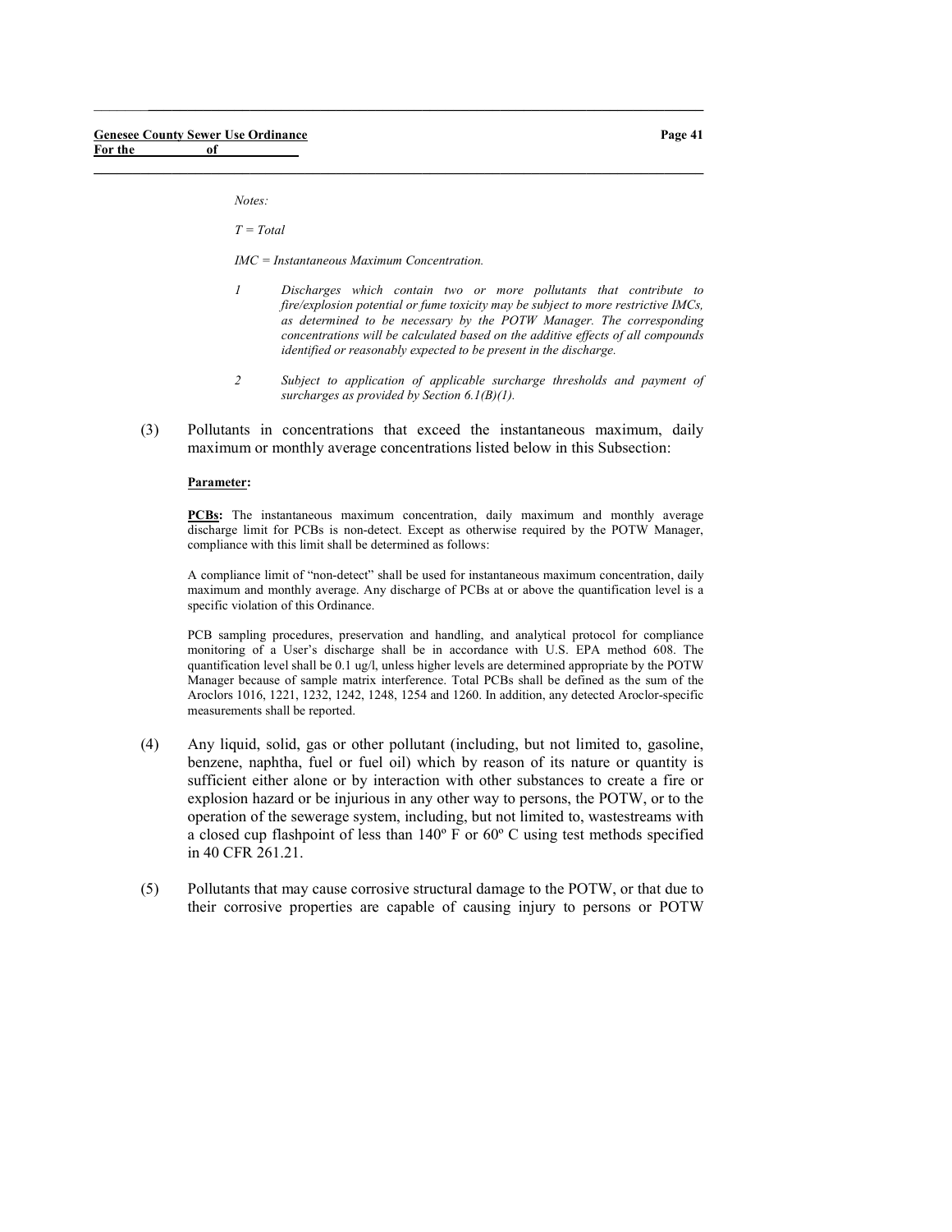Notes:

 $T = Total$ 

IMC = Instantaneous Maximum Concentration.

 $\_$  ,  $\_$  ,  $\_$  ,  $\_$  ,  $\_$  ,  $\_$  ,  $\_$  ,  $\_$  ,  $\_$  ,  $\_$  ,  $\_$  ,  $\_$  ,  $\_$  ,  $\_$  ,  $\_$  ,  $\_$  ,  $\_$  ,  $\_$  ,  $\_$ 

 $\_$  , and the set of the set of the set of the set of the set of the set of the set of the set of the set of the set of the set of the set of the set of the set of the set of the set of the set of the set of the set of th

- 1 Discharges which contain two or more pollutants that contribute to fire/explosion potential or fume toxicity may be subject to more restrictive IMCs, as determined to be necessary by the POTW Manager. The corresponding concentrations will be calculated based on the additive effects of all compounds identified or reasonably expected to be present in the discharge.
- 2 Subject to application of applicable surcharge thresholds and payment of surcharges as provided by Section 6.1(B)(1).
- (3) Pollutants in concentrations that exceed the instantaneous maximum, daily maximum or monthly average concentrations listed below in this Subsection:

#### Parameter:

PCBs: The instantaneous maximum concentration, daily maximum and monthly average discharge limit for PCBs is non-detect. Except as otherwise required by the POTW Manager, compliance with this limit shall be determined as follows:

A compliance limit of "non-detect" shall be used for instantaneous maximum concentration, daily maximum and monthly average. Any discharge of PCBs at or above the quantification level is a specific violation of this Ordinance.

PCB sampling procedures, preservation and handling, and analytical protocol for compliance monitoring of a User's discharge shall be in accordance with U.S. EPA method 608. The quantification level shall be 0.1 ug/l, unless higher levels are determined appropriate by the POTW Manager because of sample matrix interference. Total PCBs shall be defined as the sum of the Aroclors 1016, 1221, 1232, 1242, 1248, 1254 and 1260. In addition, any detected Aroclor-specific measurements shall be reported.

- (4) Any liquid, solid, gas or other pollutant (including, but not limited to, gasoline, benzene, naphtha, fuel or fuel oil) which by reason of its nature or quantity is sufficient either alone or by interaction with other substances to create a fire or explosion hazard or be injurious in any other way to persons, the POTW, or to the operation of the sewerage system, including, but not limited to, wastestreams with a closed cup flashpoint of less than 140º F or 60º C using test methods specified in 40 CFR 261.21.
- (5) Pollutants that may cause corrosive structural damage to the POTW, or that due to their corrosive properties are capable of causing injury to persons or POTW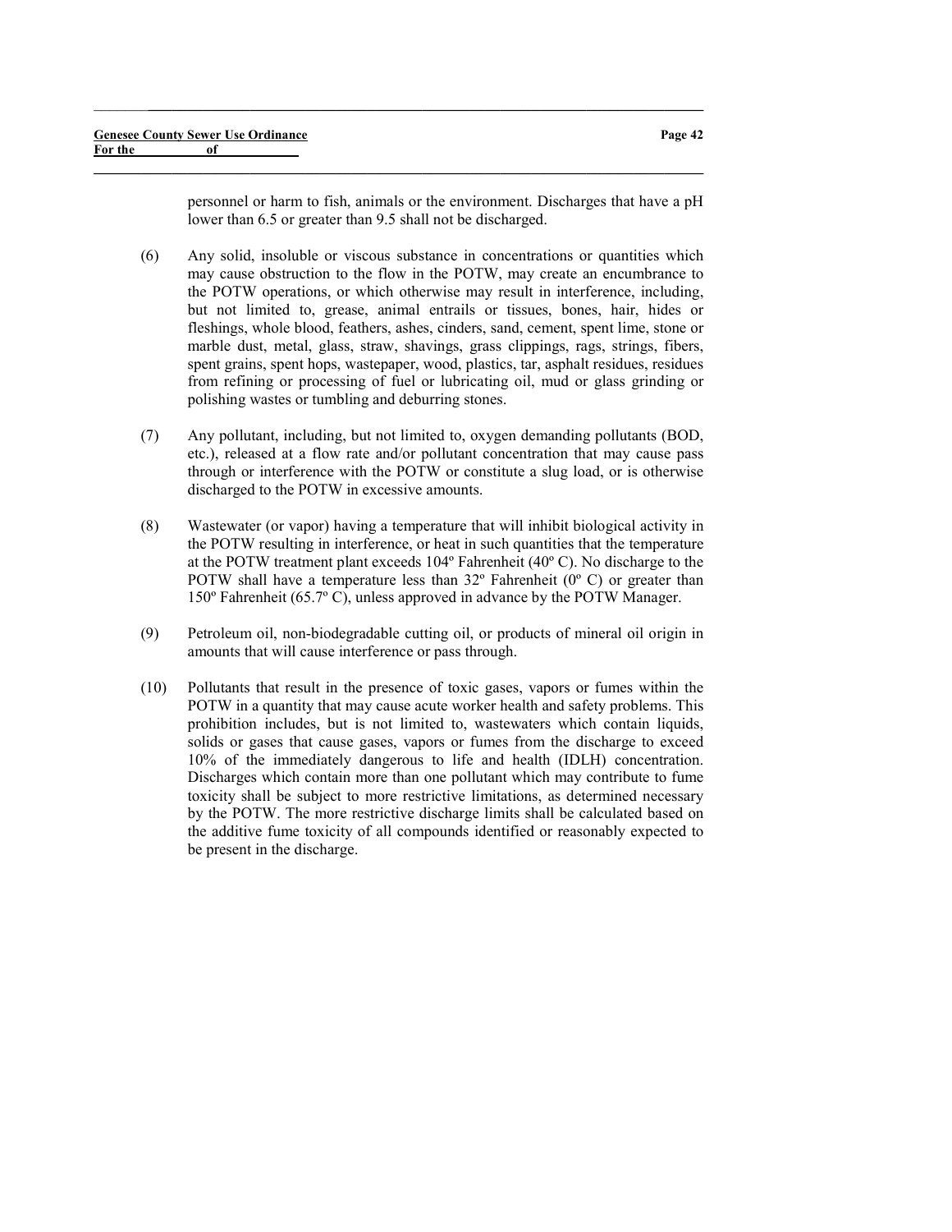personnel or harm to fish, animals or the environment. Discharges that have a pH lower than 6.5 or greater than 9.5 shall not be discharged.

(6) Any solid, insoluble or viscous substance in concentrations or quantities which may cause obstruction to the flow in the POTW, may create an encumbrance to the POTW operations, or which otherwise may result in interference, including, but not limited to, grease, animal entrails or tissues, bones, hair, hides or fleshings, whole blood, feathers, ashes, cinders, sand, cement, spent lime, stone or marble dust, metal, glass, straw, shavings, grass clippings, rags, strings, fibers, spent grains, spent hops, wastepaper, wood, plastics, tar, asphalt residues, residues from refining or processing of fuel or lubricating oil, mud or glass grinding or polishing wastes or tumbling and deburring stones.

 $\_$  ,  $\_$  ,  $\_$  ,  $\_$  ,  $\_$  ,  $\_$  ,  $\_$  ,  $\_$  ,  $\_$  ,  $\_$  ,  $\_$  ,  $\_$  ,  $\_$  ,  $\_$  ,  $\_$  ,  $\_$  ,  $\_$  ,  $\_$  ,  $\_$ 

- (7) Any pollutant, including, but not limited to, oxygen demanding pollutants (BOD, etc.), released at a flow rate and/or pollutant concentration that may cause pass through or interference with the POTW or constitute a slug load, or is otherwise discharged to the POTW in excessive amounts.
- (8) Wastewater (or vapor) having a temperature that will inhibit biological activity in the POTW resulting in interference, or heat in such quantities that the temperature at the POTW treatment plant exceeds 104º Fahrenheit (40º C). No discharge to the POTW shall have a temperature less than  $32^{\circ}$  Fahrenheit ( $0^{\circ}$  C) or greater than 150º Fahrenheit (65.7º C), unless approved in advance by the POTW Manager.
- (9) Petroleum oil, non-biodegradable cutting oil, or products of mineral oil origin in amounts that will cause interference or pass through.
- (10) Pollutants that result in the presence of toxic gases, vapors or fumes within the POTW in a quantity that may cause acute worker health and safety problems. This prohibition includes, but is not limited to, wastewaters which contain liquids, solids or gases that cause gases, vapors or fumes from the discharge to exceed 10% of the immediately dangerous to life and health (IDLH) concentration. Discharges which contain more than one pollutant which may contribute to fume toxicity shall be subject to more restrictive limitations, as determined necessary by the POTW. The more restrictive discharge limits shall be calculated based on the additive fume toxicity of all compounds identified or reasonably expected to be present in the discharge.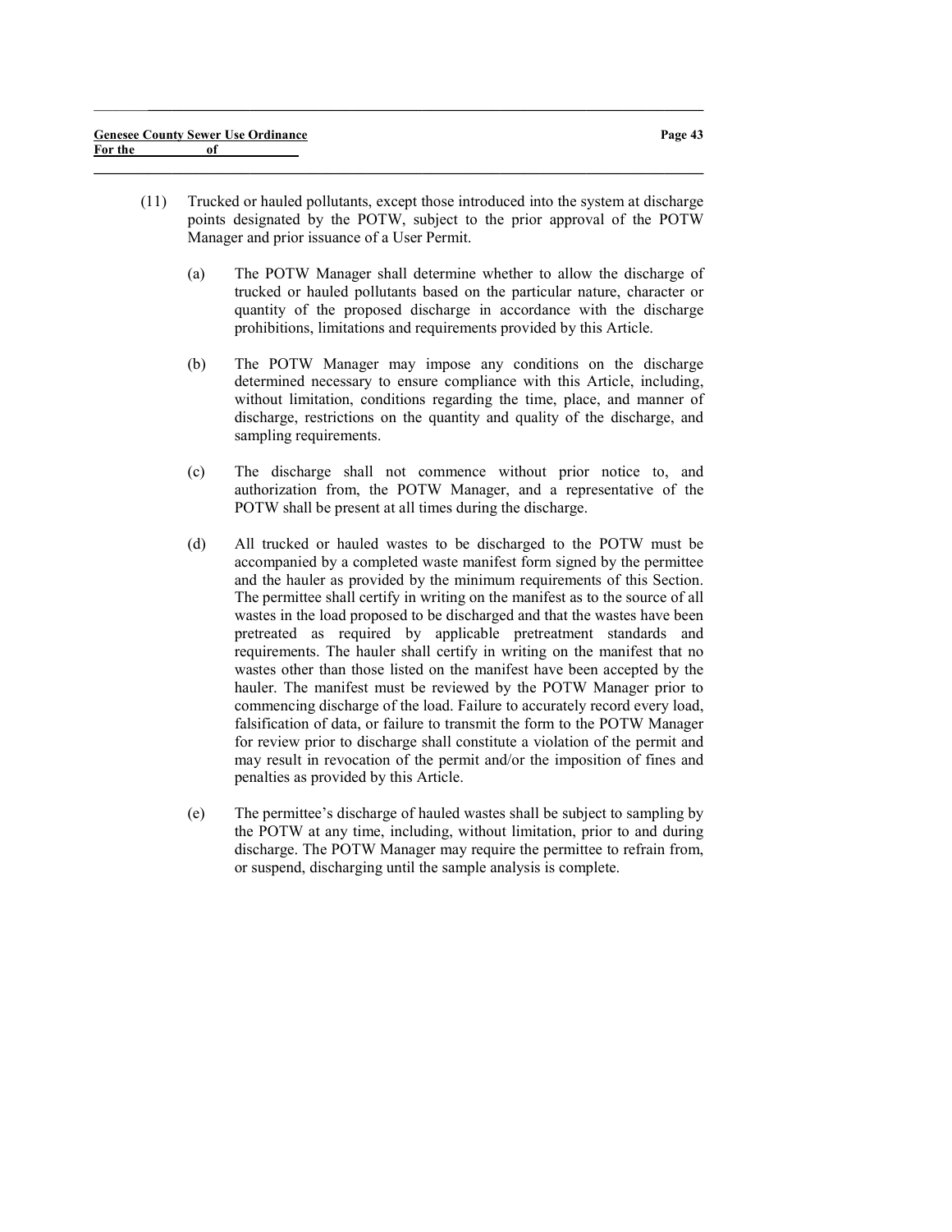(11) Trucked or hauled pollutants, except those introduced into the system at discharge points designated by the POTW, subject to the prior approval of the POTW Manager and prior issuance of a User Permit.

 $\_$  ,  $\_$  ,  $\_$  ,  $\_$  ,  $\_$  ,  $\_$  ,  $\_$  ,  $\_$  ,  $\_$  ,  $\_$  ,  $\_$  ,  $\_$  ,  $\_$  ,  $\_$  ,  $\_$  ,  $\_$  ,  $\_$  ,  $\_$  ,  $\_$ 

- (a) The POTW Manager shall determine whether to allow the discharge of trucked or hauled pollutants based on the particular nature, character or quantity of the proposed discharge in accordance with the discharge prohibitions, limitations and requirements provided by this Article.
- (b) The POTW Manager may impose any conditions on the discharge determined necessary to ensure compliance with this Article, including, without limitation, conditions regarding the time, place, and manner of discharge, restrictions on the quantity and quality of the discharge, and sampling requirements.
- (c) The discharge shall not commence without prior notice to, and authorization from, the POTW Manager, and a representative of the POTW shall be present at all times during the discharge.
- (d) All trucked or hauled wastes to be discharged to the POTW must be accompanied by a completed waste manifest form signed by the permittee and the hauler as provided by the minimum requirements of this Section. The permittee shall certify in writing on the manifest as to the source of all wastes in the load proposed to be discharged and that the wastes have been pretreated as required by applicable pretreatment standards and requirements. The hauler shall certify in writing on the manifest that no wastes other than those listed on the manifest have been accepted by the hauler. The manifest must be reviewed by the POTW Manager prior to commencing discharge of the load. Failure to accurately record every load, falsification of data, or failure to transmit the form to the POTW Manager for review prior to discharge shall constitute a violation of the permit and may result in revocation of the permit and/or the imposition of fines and penalties as provided by this Article.
- (e) The permittee's discharge of hauled wastes shall be subject to sampling by the POTW at any time, including, without limitation, prior to and during discharge. The POTW Manager may require the permittee to refrain from, or suspend, discharging until the sample analysis is complete.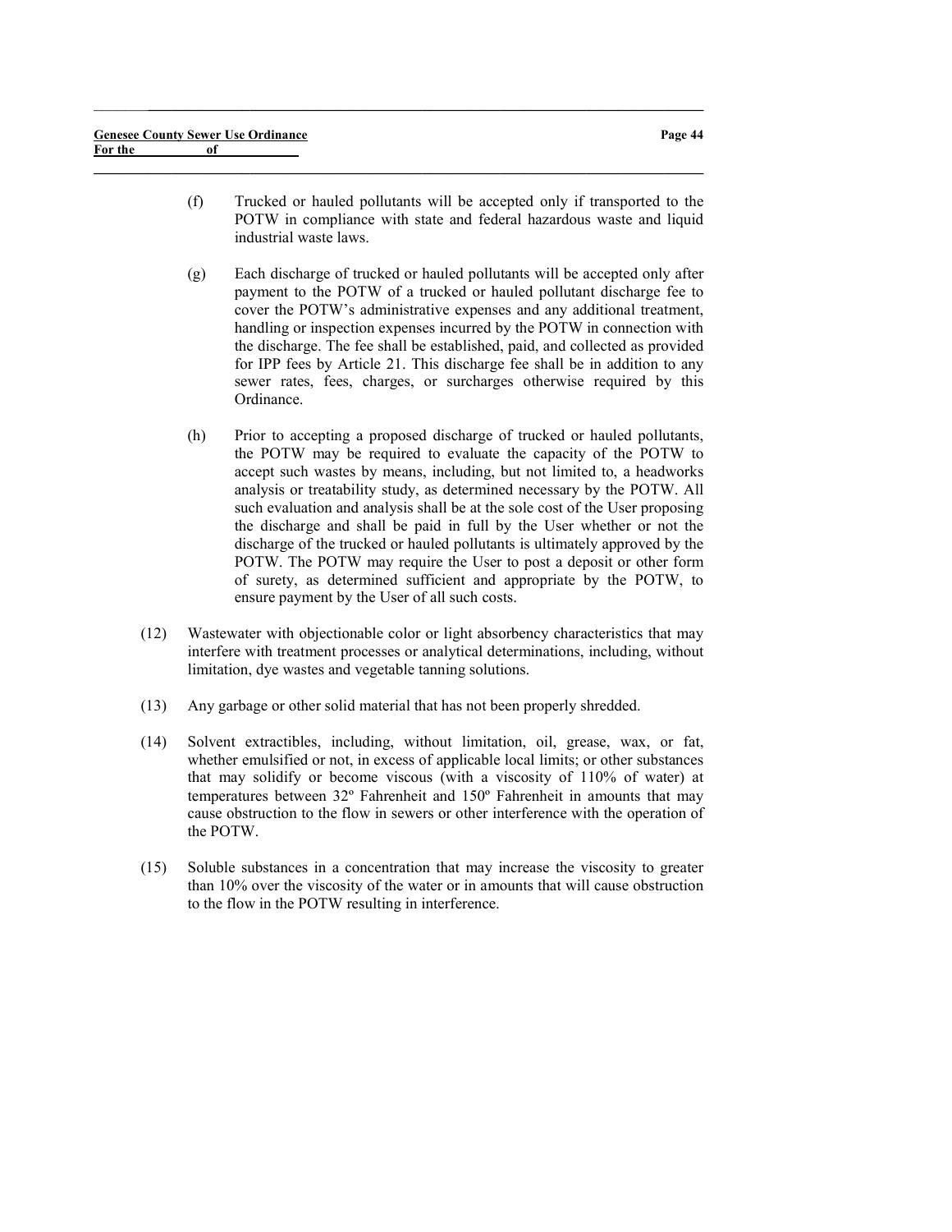(f) Trucked or hauled pollutants will be accepted only if transported to the POTW in compliance with state and federal hazardous waste and liquid industrial waste laws.

 $\_$  , and the set of the set of the set of the set of the set of the set of the set of the set of the set of the set of the set of the set of the set of the set of the set of the set of the set of the set of the set of th

- (g) Each discharge of trucked or hauled pollutants will be accepted only after payment to the POTW of a trucked or hauled pollutant discharge fee to cover the POTW's administrative expenses and any additional treatment, handling or inspection expenses incurred by the POTW in connection with the discharge. The fee shall be established, paid, and collected as provided for IPP fees by Article 21. This discharge fee shall be in addition to any sewer rates, fees, charges, or surcharges otherwise required by this Ordinance.
- (h) Prior to accepting a proposed discharge of trucked or hauled pollutants, the POTW may be required to evaluate the capacity of the POTW to accept such wastes by means, including, but not limited to, a headworks analysis or treatability study, as determined necessary by the POTW. All such evaluation and analysis shall be at the sole cost of the User proposing the discharge and shall be paid in full by the User whether or not the discharge of the trucked or hauled pollutants is ultimately approved by the POTW. The POTW may require the User to post a deposit or other form of surety, as determined sufficient and appropriate by the POTW, to ensure payment by the User of all such costs.
- (12) Wastewater with objectionable color or light absorbency characteristics that may interfere with treatment processes or analytical determinations, including, without limitation, dye wastes and vegetable tanning solutions.
- (13) Any garbage or other solid material that has not been properly shredded.
- (14) Solvent extractibles, including, without limitation, oil, grease, wax, or fat, whether emulsified or not, in excess of applicable local limits; or other substances that may solidify or become viscous (with a viscosity of 110% of water) at temperatures between 32º Fahrenheit and 150º Fahrenheit in amounts that may cause obstruction to the flow in sewers or other interference with the operation of the POTW.
- (15) Soluble substances in a concentration that may increase the viscosity to greater than 10% over the viscosity of the water or in amounts that will cause obstruction to the flow in the POTW resulting in interference.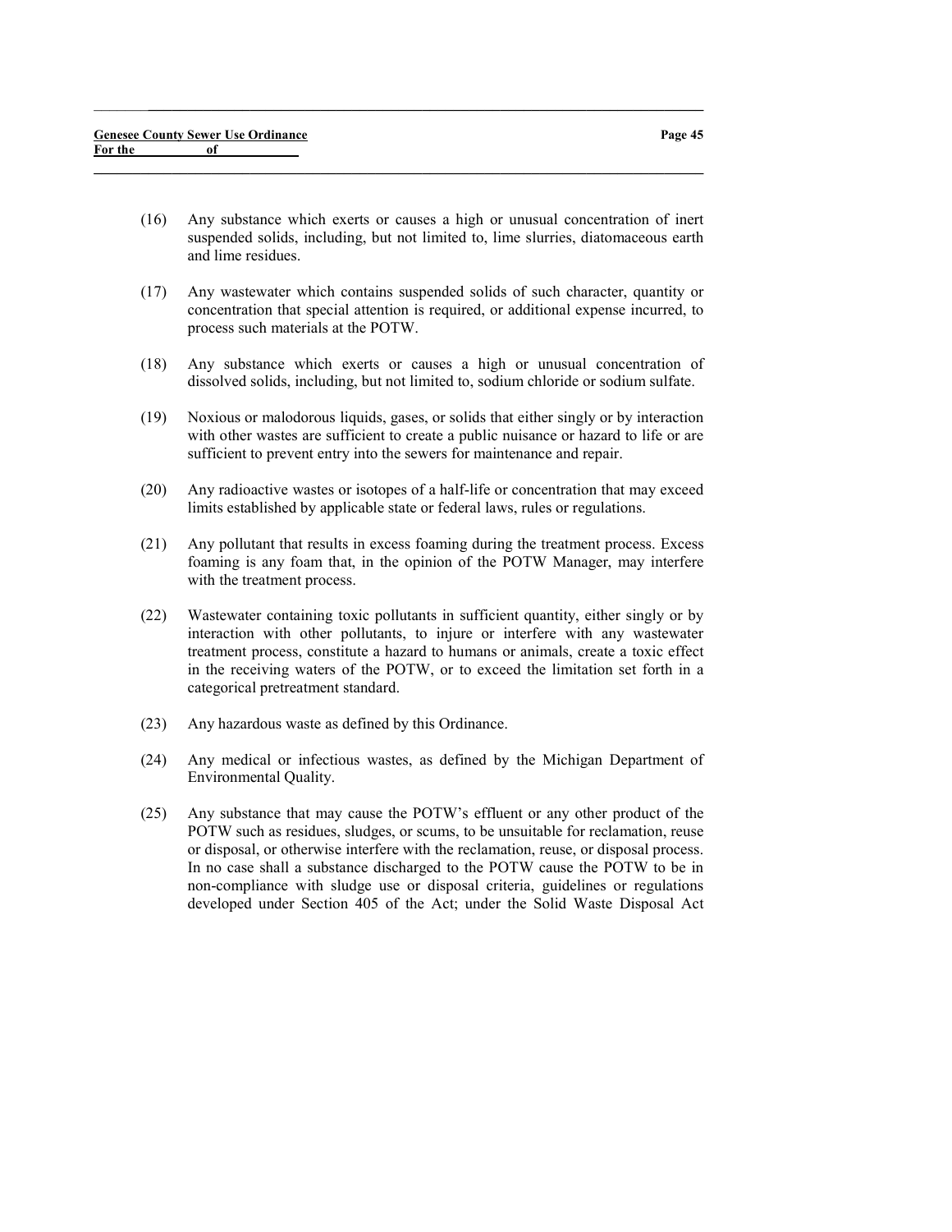(16) Any substance which exerts or causes a high or unusual concentration of inert suspended solids, including, but not limited to, lime slurries, diatomaceous earth and lime residues.

 $\_$  , and the set of the set of the set of the set of the set of the set of the set of the set of the set of the set of the set of the set of the set of the set of the set of the set of the set of the set of the set of th

- (17) Any wastewater which contains suspended solids of such character, quantity or concentration that special attention is required, or additional expense incurred, to process such materials at the POTW.
- (18) Any substance which exerts or causes a high or unusual concentration of dissolved solids, including, but not limited to, sodium chloride or sodium sulfate.
- (19) Noxious or malodorous liquids, gases, or solids that either singly or by interaction with other wastes are sufficient to create a public nuisance or hazard to life or are sufficient to prevent entry into the sewers for maintenance and repair.
- (20) Any radioactive wastes or isotopes of a half-life or concentration that may exceed limits established by applicable state or federal laws, rules or regulations.
- (21) Any pollutant that results in excess foaming during the treatment process. Excess foaming is any foam that, in the opinion of the POTW Manager, may interfere with the treatment process.
- (22) Wastewater containing toxic pollutants in sufficient quantity, either singly or by interaction with other pollutants, to injure or interfere with any wastewater treatment process, constitute a hazard to humans or animals, create a toxic effect in the receiving waters of the POTW, or to exceed the limitation set forth in a categorical pretreatment standard.
- (23) Any hazardous waste as defined by this Ordinance.
- (24) Any medical or infectious wastes, as defined by the Michigan Department of Environmental Quality.
- (25) Any substance that may cause the POTW's effluent or any other product of the POTW such as residues, sludges, or scums, to be unsuitable for reclamation, reuse or disposal, or otherwise interfere with the reclamation, reuse, or disposal process. In no case shall a substance discharged to the POTW cause the POTW to be in non-compliance with sludge use or disposal criteria, guidelines or regulations developed under Section 405 of the Act; under the Solid Waste Disposal Act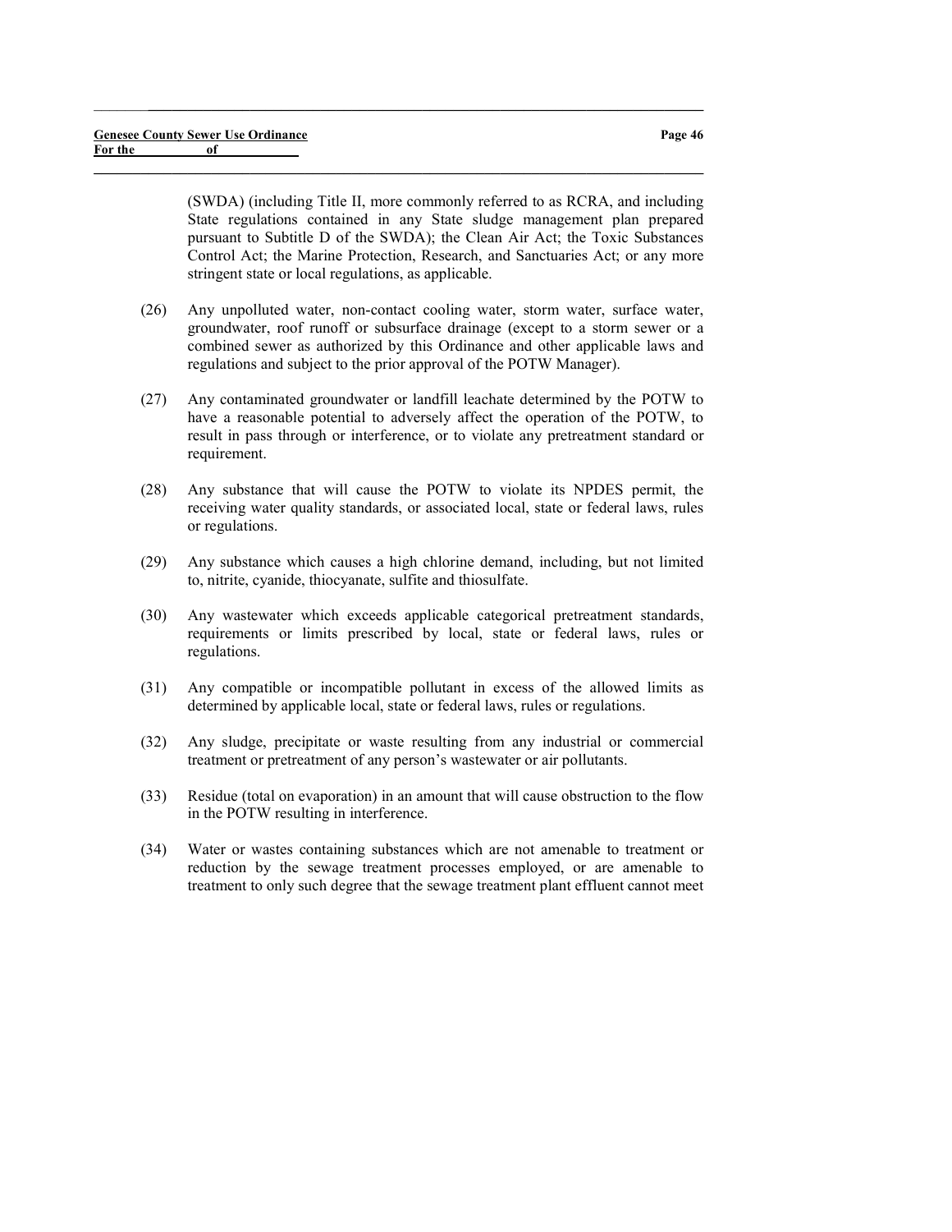(SWDA) (including Title II, more commonly referred to as RCRA, and including State regulations contained in any State sludge management plan prepared pursuant to Subtitle D of the SWDA); the Clean Air Act; the Toxic Substances Control Act; the Marine Protection, Research, and Sanctuaries Act; or any more stringent state or local regulations, as applicable.

(26) Any unpolluted water, non-contact cooling water, storm water, surface water, groundwater, roof runoff or subsurface drainage (except to a storm sewer or a combined sewer as authorized by this Ordinance and other applicable laws and regulations and subject to the prior approval of the POTW Manager).

 $\_$  , and the set of the set of the set of the set of the set of the set of the set of the set of the set of the set of the set of the set of the set of the set of the set of the set of the set of the set of the set of th

- (27) Any contaminated groundwater or landfill leachate determined by the POTW to have a reasonable potential to adversely affect the operation of the POTW, to result in pass through or interference, or to violate any pretreatment standard or requirement.
- (28) Any substance that will cause the POTW to violate its NPDES permit, the receiving water quality standards, or associated local, state or federal laws, rules or regulations.
- (29) Any substance which causes a high chlorine demand, including, but not limited to, nitrite, cyanide, thiocyanate, sulfite and thiosulfate.
- (30) Any wastewater which exceeds applicable categorical pretreatment standards, requirements or limits prescribed by local, state or federal laws, rules or regulations.
- (31) Any compatible or incompatible pollutant in excess of the allowed limits as determined by applicable local, state or federal laws, rules or regulations.
- (32) Any sludge, precipitate or waste resulting from any industrial or commercial treatment or pretreatment of any person's wastewater or air pollutants.
- (33) Residue (total on evaporation) in an amount that will cause obstruction to the flow in the POTW resulting in interference.
- (34) Water or wastes containing substances which are not amenable to treatment or reduction by the sewage treatment processes employed, or are amenable to treatment to only such degree that the sewage treatment plant effluent cannot meet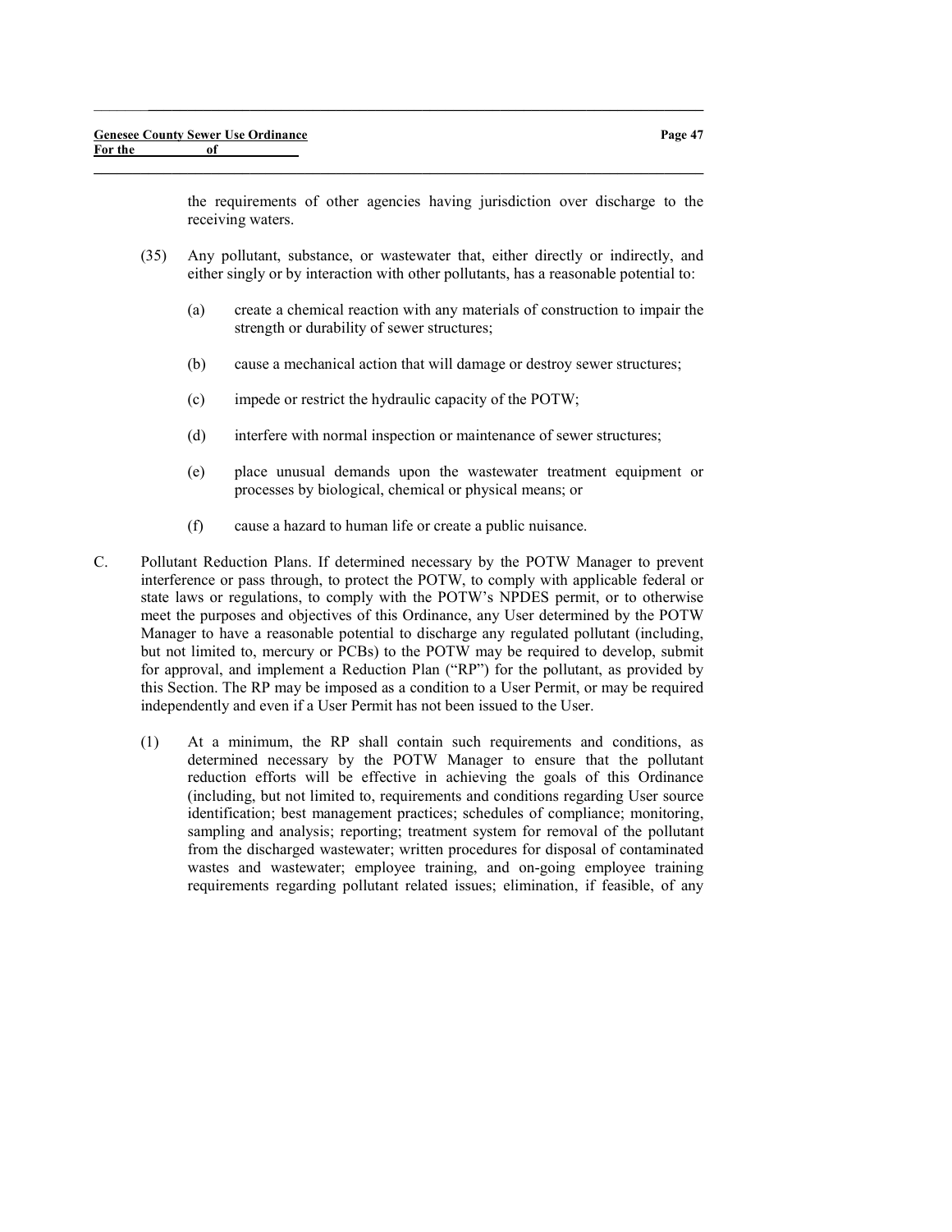the requirements of other agencies having jurisdiction over discharge to the receiving waters.

(35) Any pollutant, substance, or wastewater that, either directly or indirectly, and either singly or by interaction with other pollutants, has a reasonable potential to:

 $\_$  , and the set of the set of the set of the set of the set of the set of the set of the set of the set of the set of the set of the set of the set of the set of the set of the set of the set of the set of the set of th

- (a) create a chemical reaction with any materials of construction to impair the strength or durability of sewer structures;
- (b) cause a mechanical action that will damage or destroy sewer structures;
- (c) impede or restrict the hydraulic capacity of the POTW;
- (d) interfere with normal inspection or maintenance of sewer structures;
- (e) place unusual demands upon the wastewater treatment equipment or processes by biological, chemical or physical means; or
- (f) cause a hazard to human life or create a public nuisance.
- C. Pollutant Reduction Plans. If determined necessary by the POTW Manager to prevent interference or pass through, to protect the POTW, to comply with applicable federal or state laws or regulations, to comply with the POTW's NPDES permit, or to otherwise meet the purposes and objectives of this Ordinance, any User determined by the POTW Manager to have a reasonable potential to discharge any regulated pollutant (including, but not limited to, mercury or PCBs) to the POTW may be required to develop, submit for approval, and implement a Reduction Plan ("RP") for the pollutant, as provided by this Section. The RP may be imposed as a condition to a User Permit, or may be required independently and even if a User Permit has not been issued to the User.
	- (1) At a minimum, the RP shall contain such requirements and conditions, as determined necessary by the POTW Manager to ensure that the pollutant reduction efforts will be effective in achieving the goals of this Ordinance (including, but not limited to, requirements and conditions regarding User source identification; best management practices; schedules of compliance; monitoring, sampling and analysis; reporting; treatment system for removal of the pollutant from the discharged wastewater; written procedures for disposal of contaminated wastes and wastewater; employee training, and on-going employee training requirements regarding pollutant related issues; elimination, if feasible, of any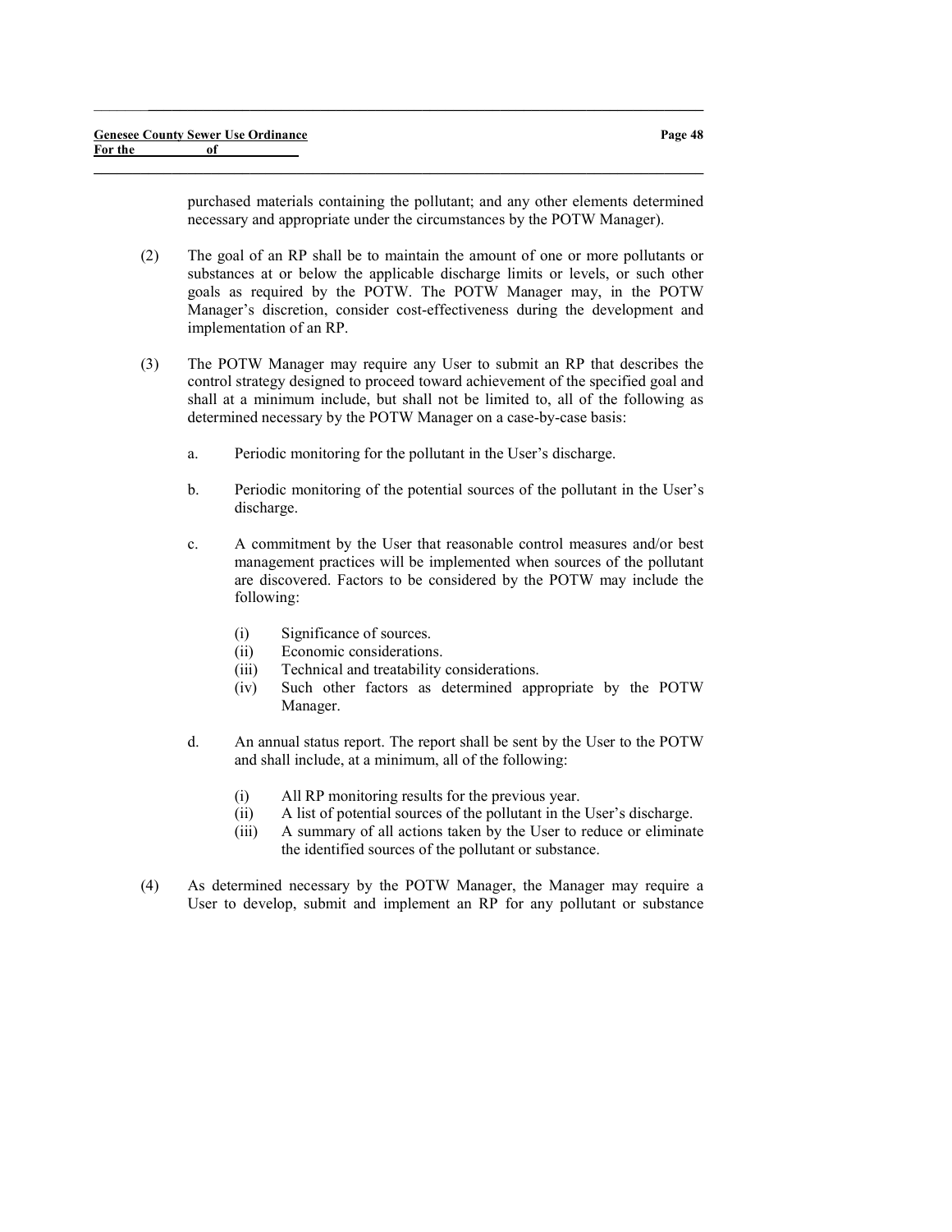purchased materials containing the pollutant; and any other elements determined necessary and appropriate under the circumstances by the POTW Manager).

(2) The goal of an RP shall be to maintain the amount of one or more pollutants or substances at or below the applicable discharge limits or levels, or such other goals as required by the POTW. The POTW Manager may, in the POTW Manager's discretion, consider cost-effectiveness during the development and implementation of an RP.

 $\_$  , and the set of the set of the set of the set of the set of the set of the set of the set of the set of the set of the set of the set of the set of the set of the set of the set of the set of the set of the set of th

- (3) The POTW Manager may require any User to submit an RP that describes the control strategy designed to proceed toward achievement of the specified goal and shall at a minimum include, but shall not be limited to, all of the following as determined necessary by the POTW Manager on a case-by-case basis:
	- a. Periodic monitoring for the pollutant in the User's discharge.
	- b. Periodic monitoring of the potential sources of the pollutant in the User's discharge.
	- c. A commitment by the User that reasonable control measures and/or best management practices will be implemented when sources of the pollutant are discovered. Factors to be considered by the POTW may include the following:
		- (i) Significance of sources.
		- (ii) Economic considerations.
		- (iii) Technical and treatability considerations.
		- (iv) Such other factors as determined appropriate by the POTW Manager.
	- d. An annual status report. The report shall be sent by the User to the POTW and shall include, at a minimum, all of the following:
		- (i) All RP monitoring results for the previous year.
		- (ii) A list of potential sources of the pollutant in the User's discharge.
		- (iii) A summary of all actions taken by the User to reduce or eliminate the identified sources of the pollutant or substance.
- (4) As determined necessary by the POTW Manager, the Manager may require a User to develop, submit and implement an RP for any pollutant or substance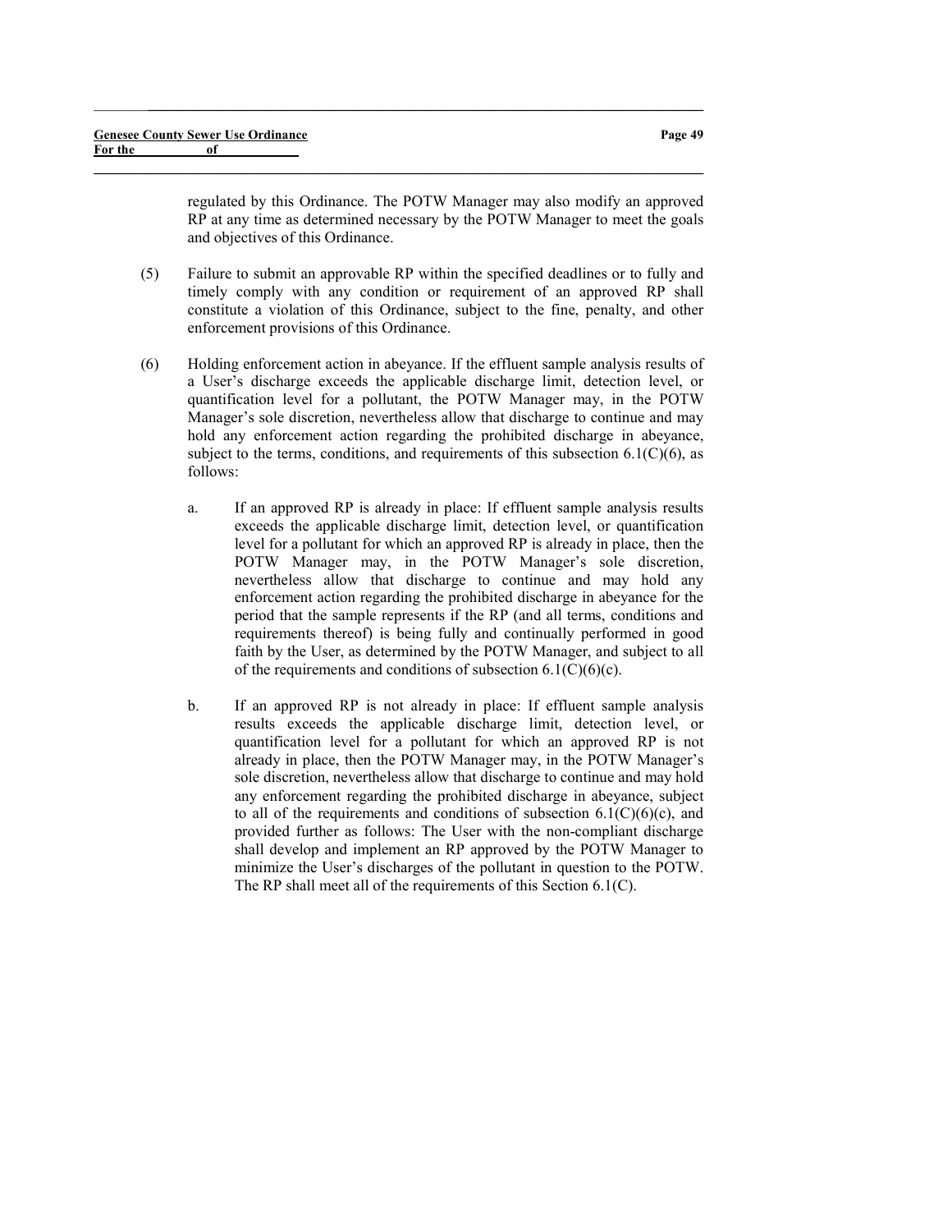regulated by this Ordinance. The POTW Manager may also modify an approved RP at any time as determined necessary by the POTW Manager to meet the goals and objectives of this Ordinance.

(5) Failure to submit an approvable RP within the specified deadlines or to fully and timely comply with any condition or requirement of an approved RP shall constitute a violation of this Ordinance, subject to the fine, penalty, and other enforcement provisions of this Ordinance.

 $\_$  , and the set of the set of the set of the set of the set of the set of the set of the set of the set of the set of the set of the set of the set of the set of the set of the set of the set of the set of the set of th

- (6) Holding enforcement action in abeyance. If the effluent sample analysis results of a User's discharge exceeds the applicable discharge limit, detection level, or quantification level for a pollutant, the POTW Manager may, in the POTW Manager's sole discretion, nevertheless allow that discharge to continue and may hold any enforcement action regarding the prohibited discharge in abeyance, subject to the terms, conditions, and requirements of this subsection  $6.1(C)(6)$ , as follows:
	- a. If an approved RP is already in place: If effluent sample analysis results exceeds the applicable discharge limit, detection level, or quantification level for a pollutant for which an approved RP is already in place, then the POTW Manager may, in the POTW Manager's sole discretion, nevertheless allow that discharge to continue and may hold any enforcement action regarding the prohibited discharge in abeyance for the period that the sample represents if the RP (and all terms, conditions and requirements thereof) is being fully and continually performed in good faith by the User, as determined by the POTW Manager, and subject to all of the requirements and conditions of subsection  $6.1(C)(6)(c)$ .
	- b. If an approved RP is not already in place: If effluent sample analysis results exceeds the applicable discharge limit, detection level, or quantification level for a pollutant for which an approved RP is not already in place, then the POTW Manager may, in the POTW Manager's sole discretion, nevertheless allow that discharge to continue and may hold any enforcement regarding the prohibited discharge in abeyance, subject to all of the requirements and conditions of subsection  $6.1(C)(6)(c)$ , and provided further as follows: The User with the non-compliant discharge shall develop and implement an RP approved by the POTW Manager to minimize the User's discharges of the pollutant in question to the POTW. The RP shall meet all of the requirements of this Section 6.1(C).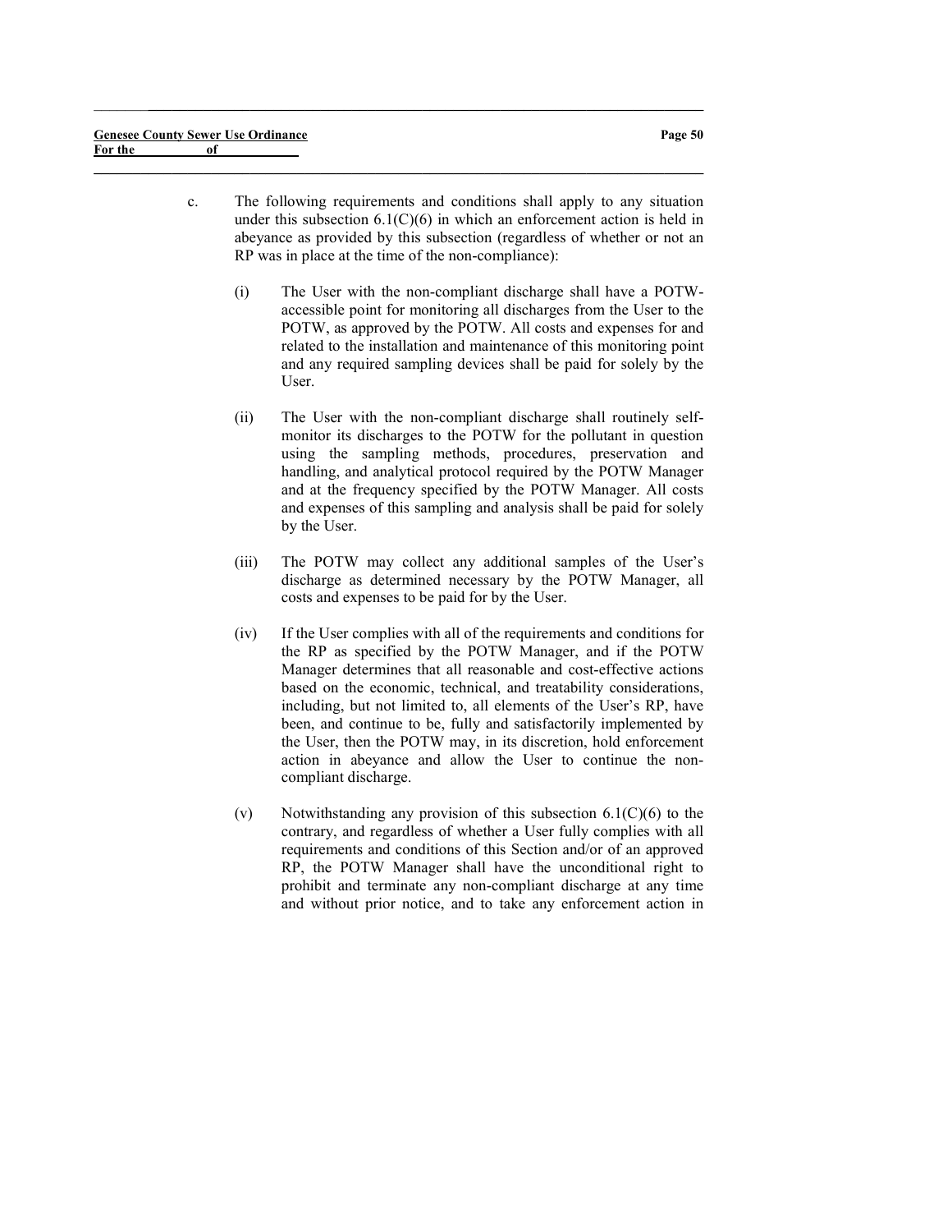c. The following requirements and conditions shall apply to any situation under this subsection  $6.1(C)(6)$  in which an enforcement action is held in abeyance as provided by this subsection (regardless of whether or not an RP was in place at the time of the non-compliance):

 $\_$  , and the set of the set of the set of the set of the set of the set of the set of the set of the set of the set of the set of the set of the set of the set of the set of the set of the set of the set of the set of th

- (i) The User with the non-compliant discharge shall have a POTWaccessible point for monitoring all discharges from the User to the POTW, as approved by the POTW. All costs and expenses for and related to the installation and maintenance of this monitoring point and any required sampling devices shall be paid for solely by the User.
- (ii) The User with the non-compliant discharge shall routinely selfmonitor its discharges to the POTW for the pollutant in question using the sampling methods, procedures, preservation and handling, and analytical protocol required by the POTW Manager and at the frequency specified by the POTW Manager. All costs and expenses of this sampling and analysis shall be paid for solely by the User.
- (iii) The POTW may collect any additional samples of the User's discharge as determined necessary by the POTW Manager, all costs and expenses to be paid for by the User.
- (iv) If the User complies with all of the requirements and conditions for the RP as specified by the POTW Manager, and if the POTW Manager determines that all reasonable and cost-effective actions based on the economic, technical, and treatability considerations, including, but not limited to, all elements of the User's RP, have been, and continue to be, fully and satisfactorily implemented by the User, then the POTW may, in its discretion, hold enforcement action in abeyance and allow the User to continue the noncompliant discharge.
- (v) Notwithstanding any provision of this subsection  $6.1(C)(6)$  to the contrary, and regardless of whether a User fully complies with all requirements and conditions of this Section and/or of an approved RP, the POTW Manager shall have the unconditional right to prohibit and terminate any non-compliant discharge at any time and without prior notice, and to take any enforcement action in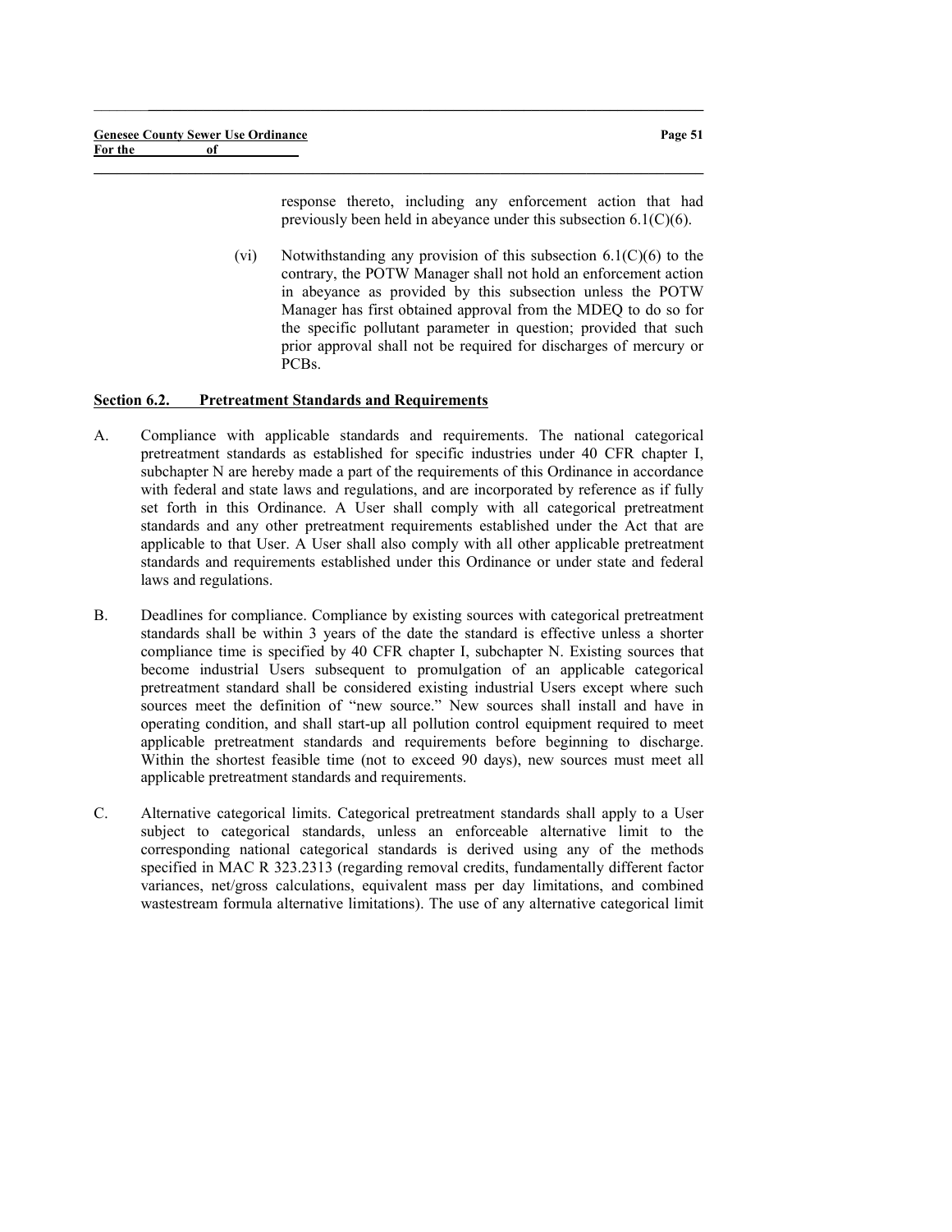response thereto, including any enforcement action that had previously been held in abeyance under this subsection 6.1(C)(6).

(vi) Notwithstanding any provision of this subsection  $6.1(C)(6)$  to the contrary, the POTW Manager shall not hold an enforcement action in abeyance as provided by this subsection unless the POTW Manager has first obtained approval from the MDEQ to do so for the specific pollutant parameter in question; provided that such prior approval shall not be required for discharges of mercury or PCBs.

#### Section 6.2. Pretreatment Standards and Requirements

A. Compliance with applicable standards and requirements. The national categorical pretreatment standards as established for specific industries under 40 CFR chapter I, subchapter N are hereby made a part of the requirements of this Ordinance in accordance with federal and state laws and regulations, and are incorporated by reference as if fully set forth in this Ordinance. A User shall comply with all categorical pretreatment standards and any other pretreatment requirements established under the Act that are applicable to that User. A User shall also comply with all other applicable pretreatment standards and requirements established under this Ordinance or under state and federal laws and regulations.

 $\_$  , and the set of the set of the set of the set of the set of the set of the set of the set of the set of the set of the set of the set of the set of the set of the set of the set of the set of the set of the set of th

- B. Deadlines for compliance. Compliance by existing sources with categorical pretreatment standards shall be within 3 years of the date the standard is effective unless a shorter compliance time is specified by 40 CFR chapter I, subchapter N. Existing sources that become industrial Users subsequent to promulgation of an applicable categorical pretreatment standard shall be considered existing industrial Users except where such sources meet the definition of "new source." New sources shall install and have in operating condition, and shall start-up all pollution control equipment required to meet applicable pretreatment standards and requirements before beginning to discharge. Within the shortest feasible time (not to exceed 90 days), new sources must meet all applicable pretreatment standards and requirements.
- C. Alternative categorical limits. Categorical pretreatment standards shall apply to a User subject to categorical standards, unless an enforceable alternative limit to the corresponding national categorical standards is derived using any of the methods specified in MAC R 323.2313 (regarding removal credits, fundamentally different factor variances, net/gross calculations, equivalent mass per day limitations, and combined wastestream formula alternative limitations). The use of any alternative categorical limit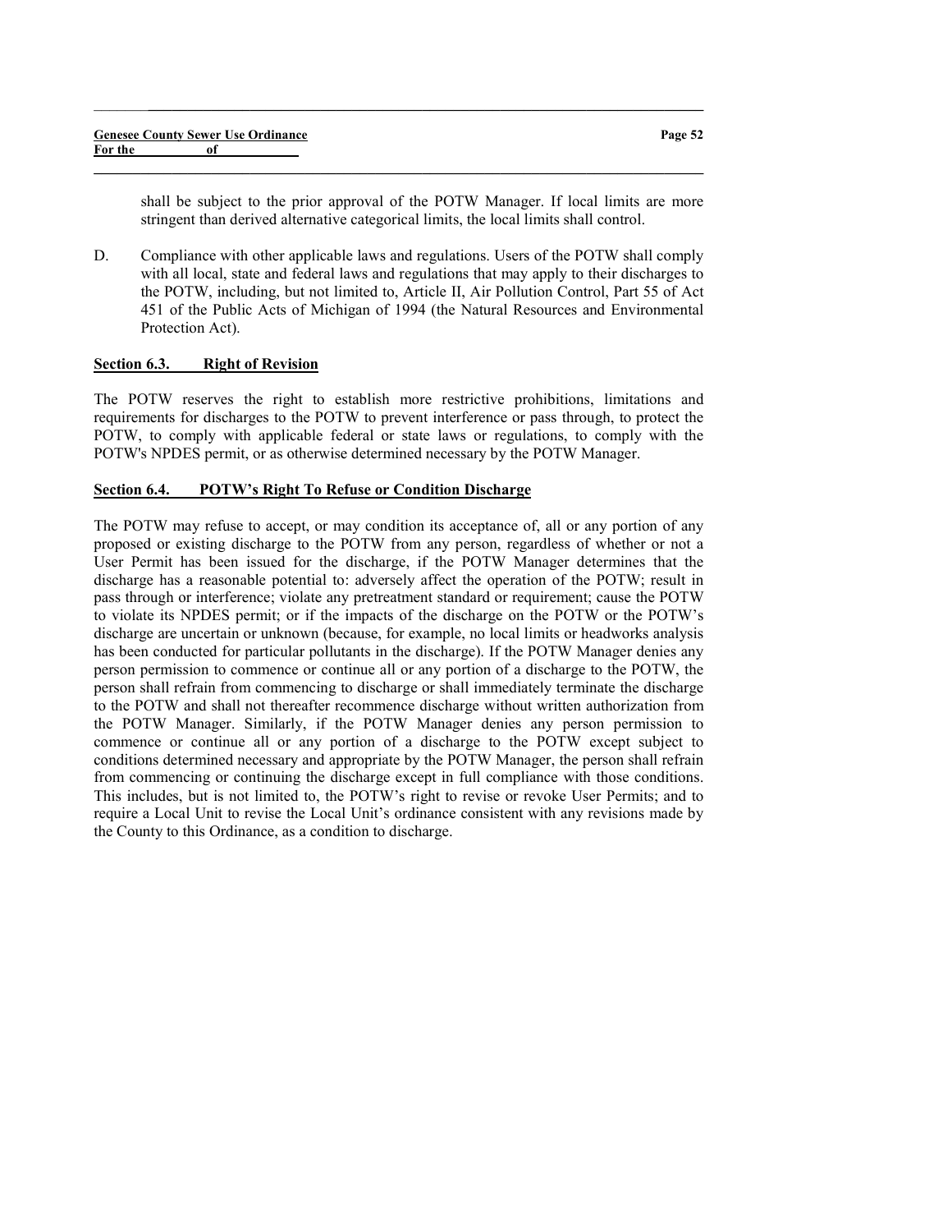shall be subject to the prior approval of the POTW Manager. If local limits are more stringent than derived alternative categorical limits, the local limits shall control.

D. Compliance with other applicable laws and regulations. Users of the POTW shall comply with all local, state and federal laws and regulations that may apply to their discharges to the POTW, including, but not limited to, Article II, Air Pollution Control, Part 55 of Act 451 of the Public Acts of Michigan of 1994 (the Natural Resources and Environmental Protection Act).

 $\_$  , and the set of the set of the set of the set of the set of the set of the set of the set of the set of the set of the set of the set of the set of the set of the set of the set of the set of the set of the set of th

 $\_$  , and the set of the set of the set of the set of the set of the set of the set of the set of the set of the set of the set of the set of the set of the set of the set of the set of the set of the set of the set of th

## Section 6.3. Right of Revision

The POTW reserves the right to establish more restrictive prohibitions, limitations and requirements for discharges to the POTW to prevent interference or pass through, to protect the POTW, to comply with applicable federal or state laws or regulations, to comply with the POTW's NPDES permit, or as otherwise determined necessary by the POTW Manager.

### Section 6.4. POTW's Right To Refuse or Condition Discharge

The POTW may refuse to accept, or may condition its acceptance of, all or any portion of any proposed or existing discharge to the POTW from any person, regardless of whether or not a User Permit has been issued for the discharge, if the POTW Manager determines that the discharge has a reasonable potential to: adversely affect the operation of the POTW; result in pass through or interference; violate any pretreatment standard or requirement; cause the POTW to violate its NPDES permit; or if the impacts of the discharge on the POTW or the POTW's discharge are uncertain or unknown (because, for example, no local limits or headworks analysis has been conducted for particular pollutants in the discharge). If the POTW Manager denies any person permission to commence or continue all or any portion of a discharge to the POTW, the person shall refrain from commencing to discharge or shall immediately terminate the discharge to the POTW and shall not thereafter recommence discharge without written authorization from the POTW Manager. Similarly, if the POTW Manager denies any person permission to commence or continue all or any portion of a discharge to the POTW except subject to conditions determined necessary and appropriate by the POTW Manager, the person shall refrain from commencing or continuing the discharge except in full compliance with those conditions. This includes, but is not limited to, the POTW's right to revise or revoke User Permits; and to require a Local Unit to revise the Local Unit's ordinance consistent with any revisions made by the County to this Ordinance, as a condition to discharge.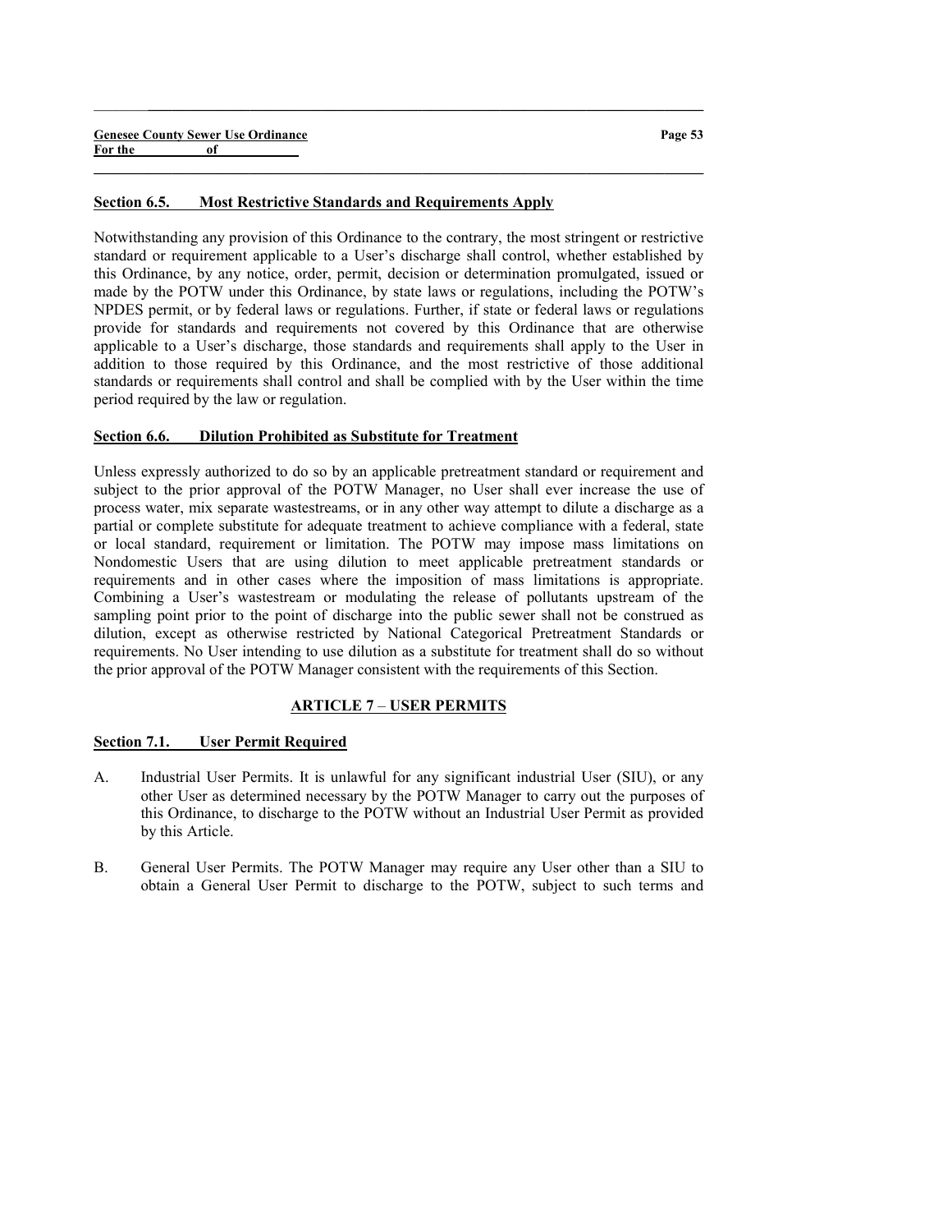#### Section 6.5. Most Restrictive Standards and Requirements Apply

Notwithstanding any provision of this Ordinance to the contrary, the most stringent or restrictive standard or requirement applicable to a User's discharge shall control, whether established by this Ordinance, by any notice, order, permit, decision or determination promulgated, issued or made by the POTW under this Ordinance, by state laws or regulations, including the POTW's NPDES permit, or by federal laws or regulations. Further, if state or federal laws or regulations provide for standards and requirements not covered by this Ordinance that are otherwise applicable to a User's discharge, those standards and requirements shall apply to the User in addition to those required by this Ordinance, and the most restrictive of those additional standards or requirements shall control and shall be complied with by the User within the time period required by the law or regulation.

 $\_$  , and the set of the set of the set of the set of the set of the set of the set of the set of the set of the set of the set of the set of the set of the set of the set of the set of the set of the set of the set of th

 $\_$  , and the set of the set of the set of the set of the set of the set of the set of the set of the set of the set of the set of the set of the set of the set of the set of the set of the set of the set of the set of th

### Section 6.6. Dilution Prohibited as Substitute for Treatment

Unless expressly authorized to do so by an applicable pretreatment standard or requirement and subject to the prior approval of the POTW Manager, no User shall ever increase the use of process water, mix separate wastestreams, or in any other way attempt to dilute a discharge as a partial or complete substitute for adequate treatment to achieve compliance with a federal, state or local standard, requirement or limitation. The POTW may impose mass limitations on Nondomestic Users that are using dilution to meet applicable pretreatment standards or requirements and in other cases where the imposition of mass limitations is appropriate. Combining a User's wastestream or modulating the release of pollutants upstream of the sampling point prior to the point of discharge into the public sewer shall not be construed as dilution, except as otherwise restricted by National Categorical Pretreatment Standards or requirements. No User intending to use dilution as a substitute for treatment shall do so without the prior approval of the POTW Manager consistent with the requirements of this Section.

#### ARTICLE 7 – USER PERMITS

#### Section 7.1. User Permit Required

- A. Industrial User Permits. It is unlawful for any significant industrial User (SIU), or any other User as determined necessary by the POTW Manager to carry out the purposes of this Ordinance, to discharge to the POTW without an Industrial User Permit as provided by this Article.
- B. General User Permits. The POTW Manager may require any User other than a SIU to obtain a General User Permit to discharge to the POTW, subject to such terms and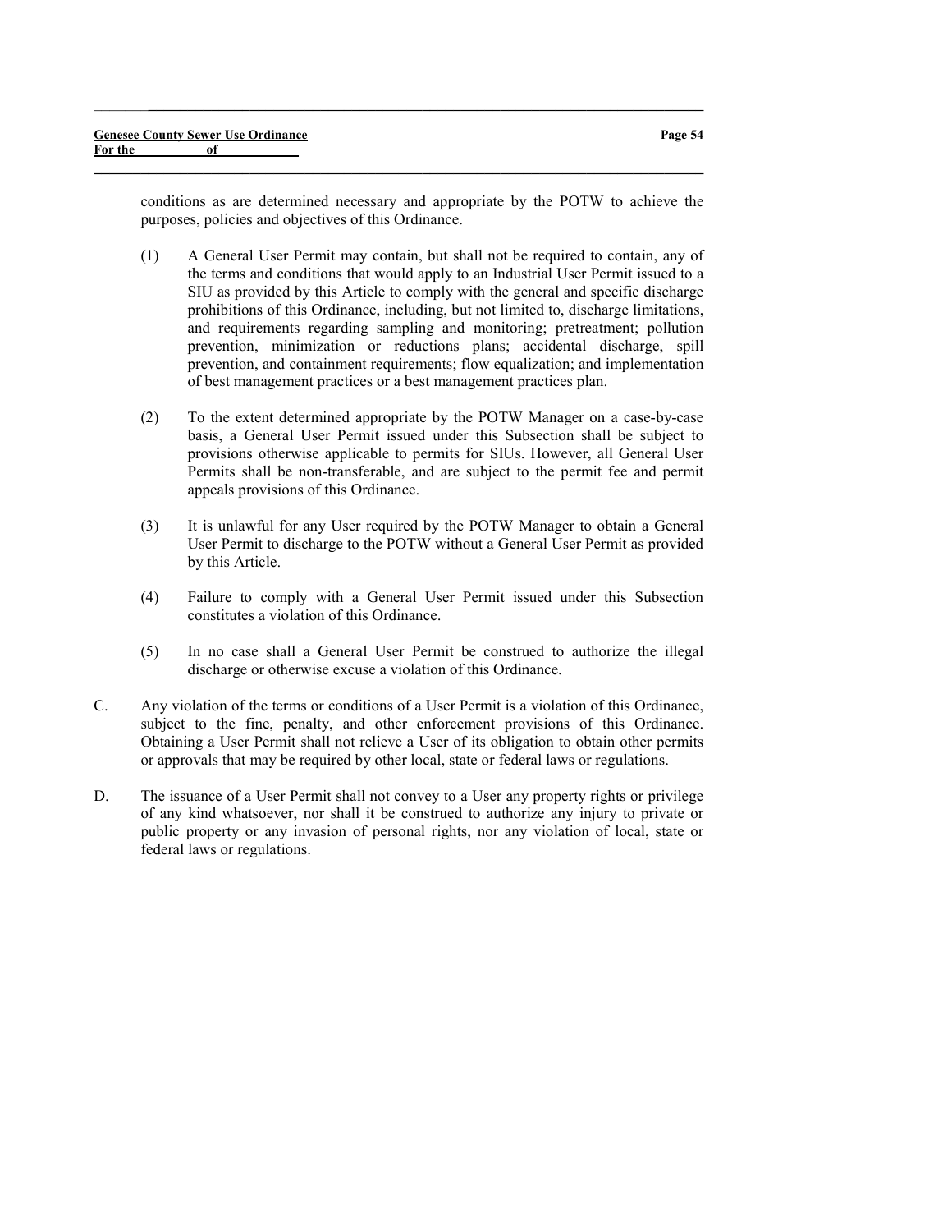conditions as are determined necessary and appropriate by the POTW to achieve the purposes, policies and objectives of this Ordinance.

 $\_$  , and the set of the set of the set of the set of the set of the set of the set of the set of the set of the set of the set of the set of the set of the set of the set of the set of the set of the set of the set of th

- (1) A General User Permit may contain, but shall not be required to contain, any of the terms and conditions that would apply to an Industrial User Permit issued to a SIU as provided by this Article to comply with the general and specific discharge prohibitions of this Ordinance, including, but not limited to, discharge limitations, and requirements regarding sampling and monitoring; pretreatment; pollution prevention, minimization or reductions plans; accidental discharge, spill prevention, and containment requirements; flow equalization; and implementation of best management practices or a best management practices plan.
- (2) To the extent determined appropriate by the POTW Manager on a case-by-case basis, a General User Permit issued under this Subsection shall be subject to provisions otherwise applicable to permits for SIUs. However, all General User Permits shall be non-transferable, and are subject to the permit fee and permit appeals provisions of this Ordinance.
- (3) It is unlawful for any User required by the POTW Manager to obtain a General User Permit to discharge to the POTW without a General User Permit as provided by this Article.
- (4) Failure to comply with a General User Permit issued under this Subsection constitutes a violation of this Ordinance.
- (5) In no case shall a General User Permit be construed to authorize the illegal discharge or otherwise excuse a violation of this Ordinance.
- C. Any violation of the terms or conditions of a User Permit is a violation of this Ordinance, subject to the fine, penalty, and other enforcement provisions of this Ordinance. Obtaining a User Permit shall not relieve a User of its obligation to obtain other permits or approvals that may be required by other local, state or federal laws or regulations.
- D. The issuance of a User Permit shall not convey to a User any property rights or privilege of any kind whatsoever, nor shall it be construed to authorize any injury to private or public property or any invasion of personal rights, nor any violation of local, state or federal laws or regulations.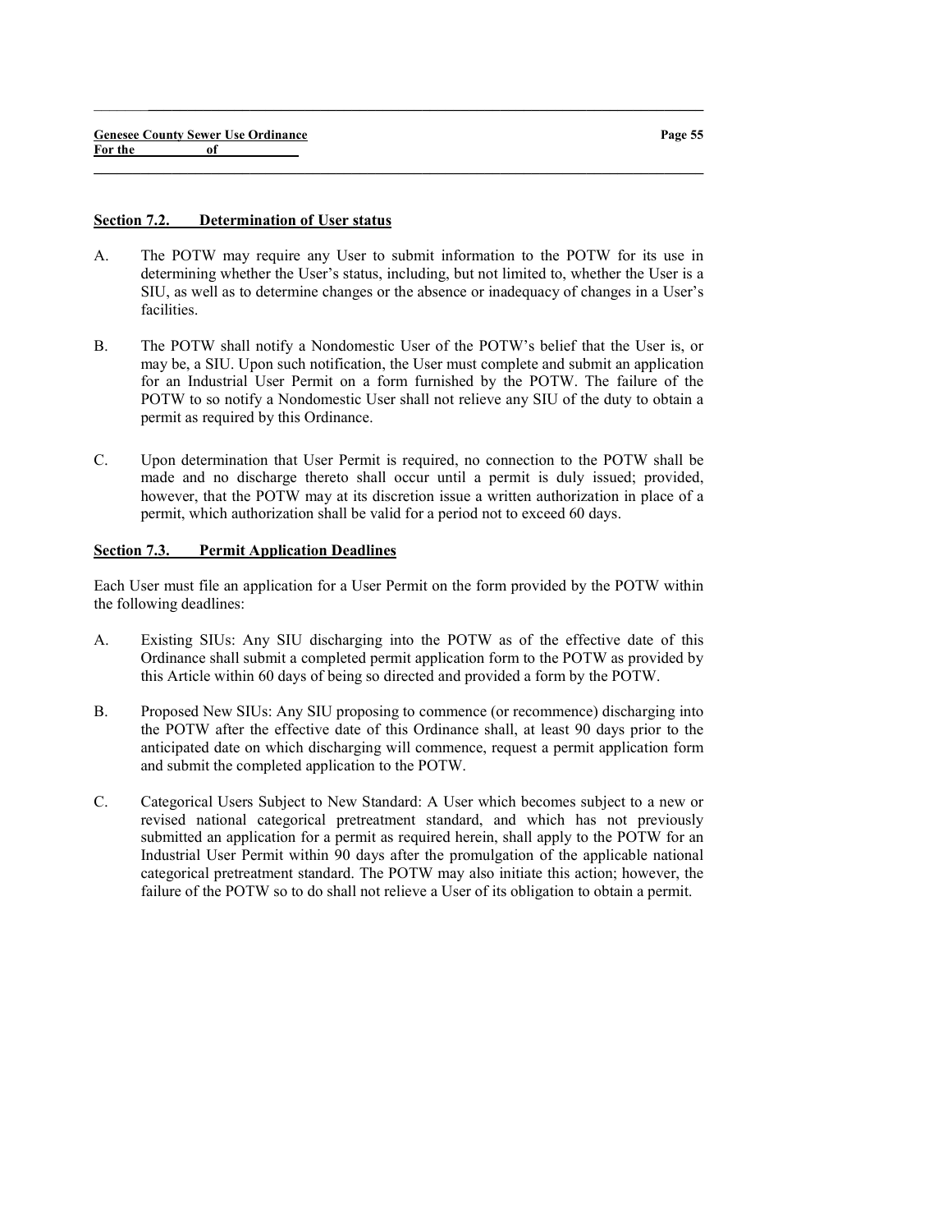#### Section 7.2. Determination of User status

A. The POTW may require any User to submit information to the POTW for its use in determining whether the User's status, including, but not limited to, whether the User is a SIU, as well as to determine changes or the absence or inadequacy of changes in a User's facilities.

 $\_$  , and the set of the set of the set of the set of the set of the set of the set of the set of the set of the set of the set of the set of the set of the set of the set of the set of the set of the set of the set of th

 $\_$  , and the set of the set of the set of the set of the set of the set of the set of the set of the set of the set of the set of the set of the set of the set of the set of the set of the set of the set of the set of th

- B. The POTW shall notify a Nondomestic User of the POTW's belief that the User is, or may be, a SIU. Upon such notification, the User must complete and submit an application for an Industrial User Permit on a form furnished by the POTW. The failure of the POTW to so notify a Nondomestic User shall not relieve any SIU of the duty to obtain a permit as required by this Ordinance.
- C. Upon determination that User Permit is required, no connection to the POTW shall be made and no discharge thereto shall occur until a permit is duly issued; provided, however, that the POTW may at its discretion issue a written authorization in place of a permit, which authorization shall be valid for a period not to exceed 60 days.

### Section 7.3. Permit Application Deadlines

Each User must file an application for a User Permit on the form provided by the POTW within the following deadlines:

- A. Existing SIUs: Any SIU discharging into the POTW as of the effective date of this Ordinance shall submit a completed permit application form to the POTW as provided by this Article within 60 days of being so directed and provided a form by the POTW.
- B. Proposed New SIUs: Any SIU proposing to commence (or recommence) discharging into the POTW after the effective date of this Ordinance shall, at least 90 days prior to the anticipated date on which discharging will commence, request a permit application form and submit the completed application to the POTW.
- C. Categorical Users Subject to New Standard: A User which becomes subject to a new or revised national categorical pretreatment standard, and which has not previously submitted an application for a permit as required herein, shall apply to the POTW for an Industrial User Permit within 90 days after the promulgation of the applicable national categorical pretreatment standard. The POTW may also initiate this action; however, the failure of the POTW so to do shall not relieve a User of its obligation to obtain a permit.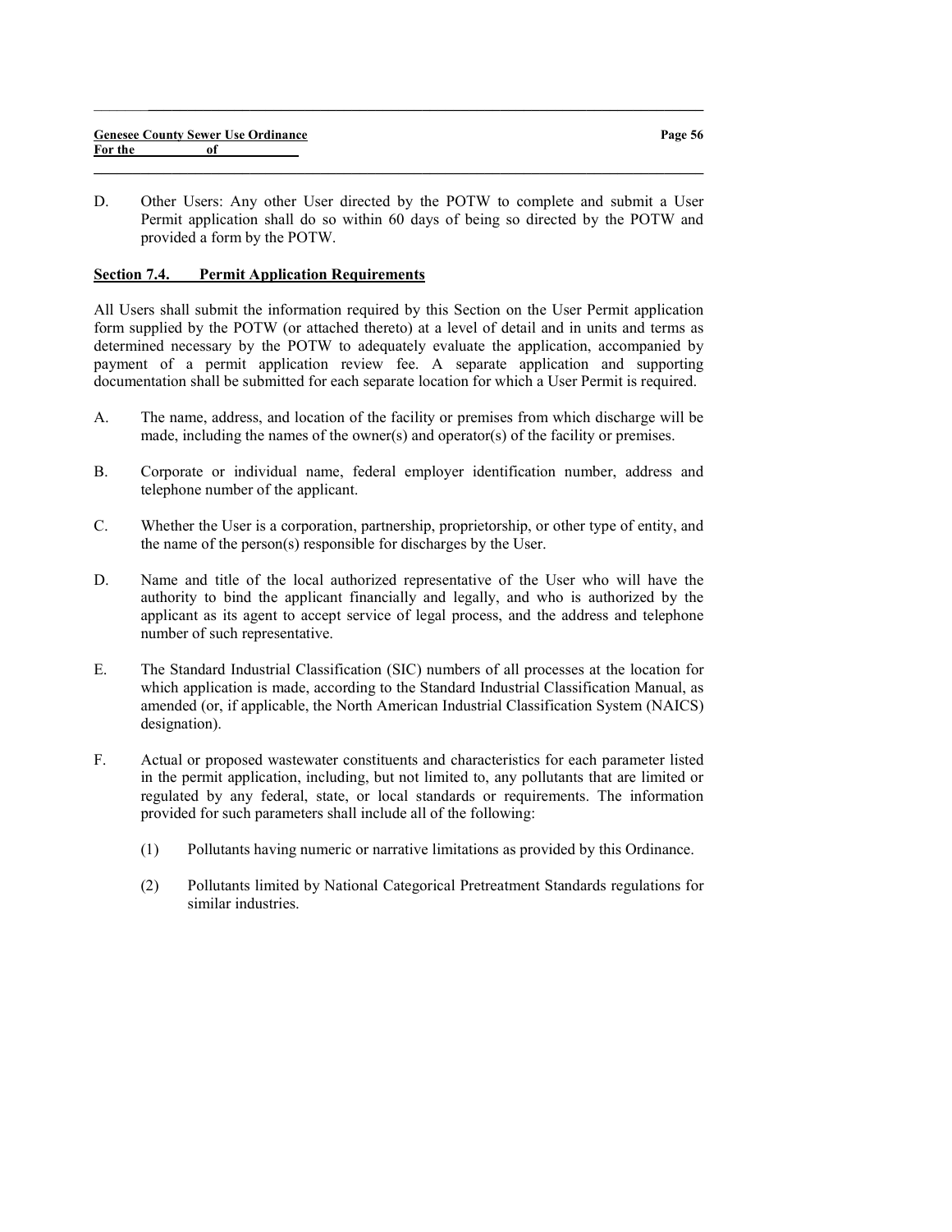$\_$  , and the set of the set of the set of the set of the set of the set of the set of the set of the set of the set of the set of the set of the set of the set of the set of the set of the set of the set of the set of th

 $\_$  , and the set of the set of the set of the set of the set of the set of the set of the set of the set of the set of the set of the set of the set of the set of the set of the set of the set of the set of the set of th

### Section 7.4. Permit Application Requirements

All Users shall submit the information required by this Section on the User Permit application form supplied by the POTW (or attached thereto) at a level of detail and in units and terms as determined necessary by the POTW to adequately evaluate the application, accompanied by payment of a permit application review fee. A separate application and supporting documentation shall be submitted for each separate location for which a User Permit is required.

- A. The name, address, and location of the facility or premises from which discharge will be made, including the names of the owner(s) and operator(s) of the facility or premises.
- B. Corporate or individual name, federal employer identification number, address and telephone number of the applicant.
- C. Whether the User is a corporation, partnership, proprietorship, or other type of entity, and the name of the person(s) responsible for discharges by the User.
- D. Name and title of the local authorized representative of the User who will have the authority to bind the applicant financially and legally, and who is authorized by the applicant as its agent to accept service of legal process, and the address and telephone number of such representative.
- E. The Standard Industrial Classification (SIC) numbers of all processes at the location for which application is made, according to the Standard Industrial Classification Manual, as amended (or, if applicable, the North American Industrial Classification System (NAICS) designation).
- F. Actual or proposed wastewater constituents and characteristics for each parameter listed in the permit application, including, but not limited to, any pollutants that are limited or regulated by any federal, state, or local standards or requirements. The information provided for such parameters shall include all of the following:
	- (1) Pollutants having numeric or narrative limitations as provided by this Ordinance.
	- (2) Pollutants limited by National Categorical Pretreatment Standards regulations for similar industries.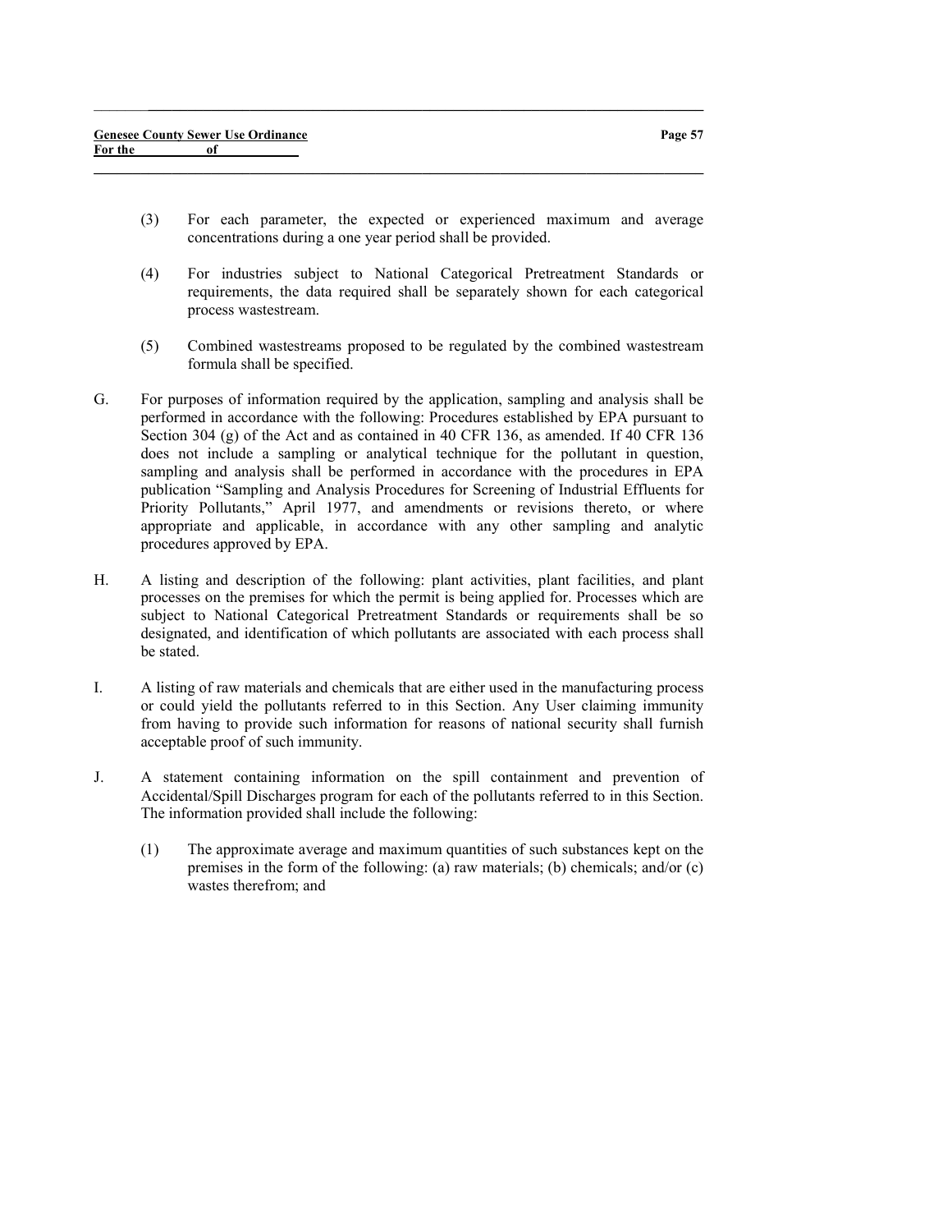(3) For each parameter, the expected or experienced maximum and average concentrations during a one year period shall be provided.

 $\_$  , and the set of the set of the set of the set of the set of the set of the set of the set of the set of the set of the set of the set of the set of the set of the set of the set of the set of the set of the set of th

- (4) For industries subject to National Categorical Pretreatment Standards or requirements, the data required shall be separately shown for each categorical process wastestream.
- (5) Combined wastestreams proposed to be regulated by the combined wastestream formula shall be specified.
- G. For purposes of information required by the application, sampling and analysis shall be performed in accordance with the following: Procedures established by EPA pursuant to Section 304 (g) of the Act and as contained in 40 CFR 136, as amended. If 40 CFR 136 does not include a sampling or analytical technique for the pollutant in question, sampling and analysis shall be performed in accordance with the procedures in EPA publication "Sampling and Analysis Procedures for Screening of Industrial Effluents for Priority Pollutants," April 1977, and amendments or revisions thereto, or where appropriate and applicable, in accordance with any other sampling and analytic procedures approved by EPA.
- H. A listing and description of the following: plant activities, plant facilities, and plant processes on the premises for which the permit is being applied for. Processes which are subject to National Categorical Pretreatment Standards or requirements shall be so designated, and identification of which pollutants are associated with each process shall be stated.
- I. A listing of raw materials and chemicals that are either used in the manufacturing process or could yield the pollutants referred to in this Section. Any User claiming immunity from having to provide such information for reasons of national security shall furnish acceptable proof of such immunity.
- J. A statement containing information on the spill containment and prevention of Accidental/Spill Discharges program for each of the pollutants referred to in this Section. The information provided shall include the following:
	- (1) The approximate average and maximum quantities of such substances kept on the premises in the form of the following: (a) raw materials; (b) chemicals; and/or (c) wastes therefrom; and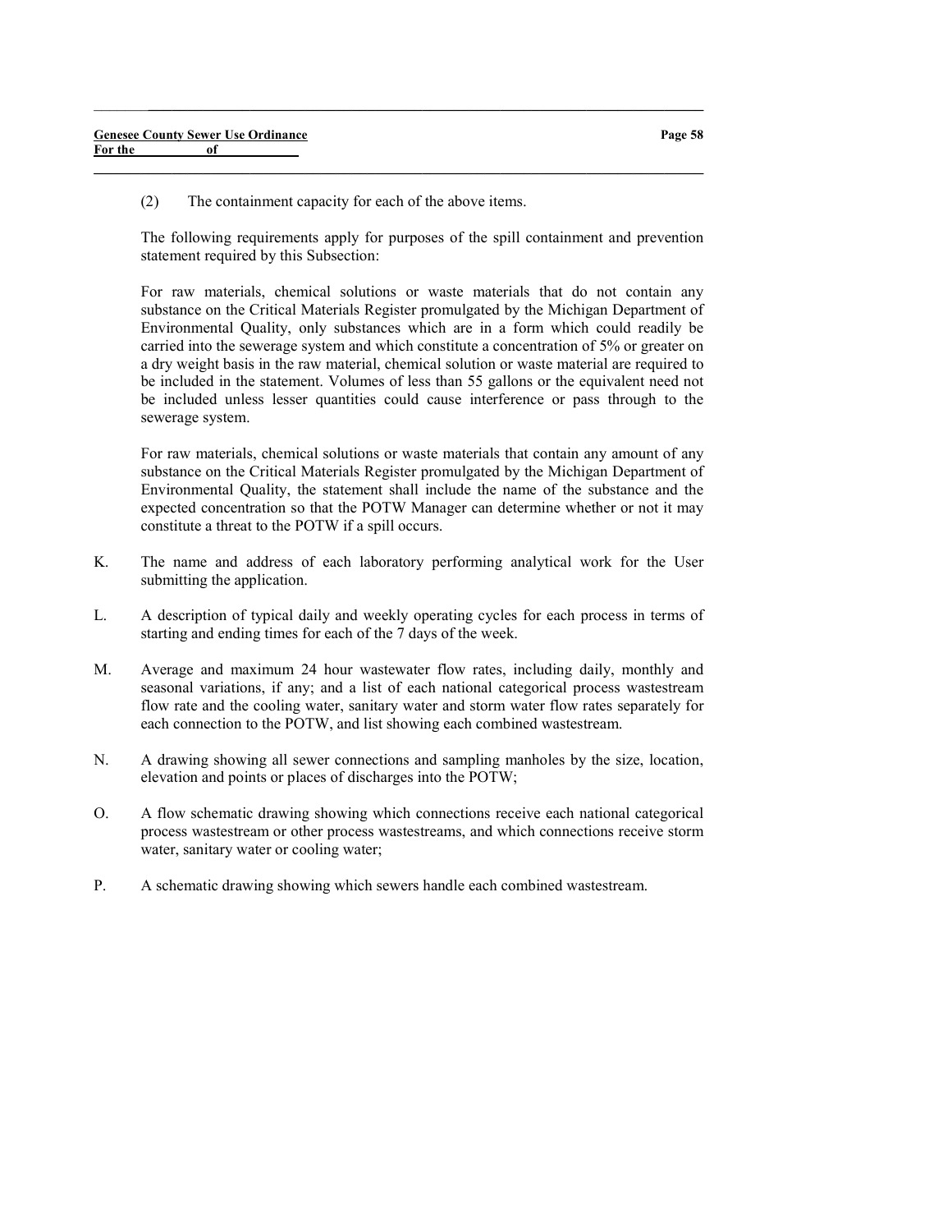(2) The containment capacity for each of the above items.

The following requirements apply for purposes of the spill containment and prevention statement required by this Subsection:

 $\_$  , and the set of the set of the set of the set of the set of the set of the set of the set of the set of the set of the set of the set of the set of the set of the set of the set of the set of the set of the set of th

 $\_$  , and the set of the set of the set of the set of the set of the set of the set of the set of the set of the set of the set of the set of the set of the set of the set of the set of the set of the set of the set of th

For raw materials, chemical solutions or waste materials that do not contain any substance on the Critical Materials Register promulgated by the Michigan Department of Environmental Quality, only substances which are in a form which could readily be carried into the sewerage system and which constitute a concentration of 5% or greater on a dry weight basis in the raw material, chemical solution or waste material are required to be included in the statement. Volumes of less than 55 gallons or the equivalent need not be included unless lesser quantities could cause interference or pass through to the sewerage system.

For raw materials, chemical solutions or waste materials that contain any amount of any substance on the Critical Materials Register promulgated by the Michigan Department of Environmental Quality, the statement shall include the name of the substance and the expected concentration so that the POTW Manager can determine whether or not it may constitute a threat to the POTW if a spill occurs.

- K. The name and address of each laboratory performing analytical work for the User submitting the application.
- L. A description of typical daily and weekly operating cycles for each process in terms of starting and ending times for each of the 7 days of the week.
- M. Average and maximum 24 hour wastewater flow rates, including daily, monthly and seasonal variations, if any; and a list of each national categorical process wastestream flow rate and the cooling water, sanitary water and storm water flow rates separately for each connection to the POTW, and list showing each combined wastestream.
- N. A drawing showing all sewer connections and sampling manholes by the size, location, elevation and points or places of discharges into the POTW;
- O. A flow schematic drawing showing which connections receive each national categorical process wastestream or other process wastestreams, and which connections receive storm water, sanitary water or cooling water;
- P. A schematic drawing showing which sewers handle each combined wastestream.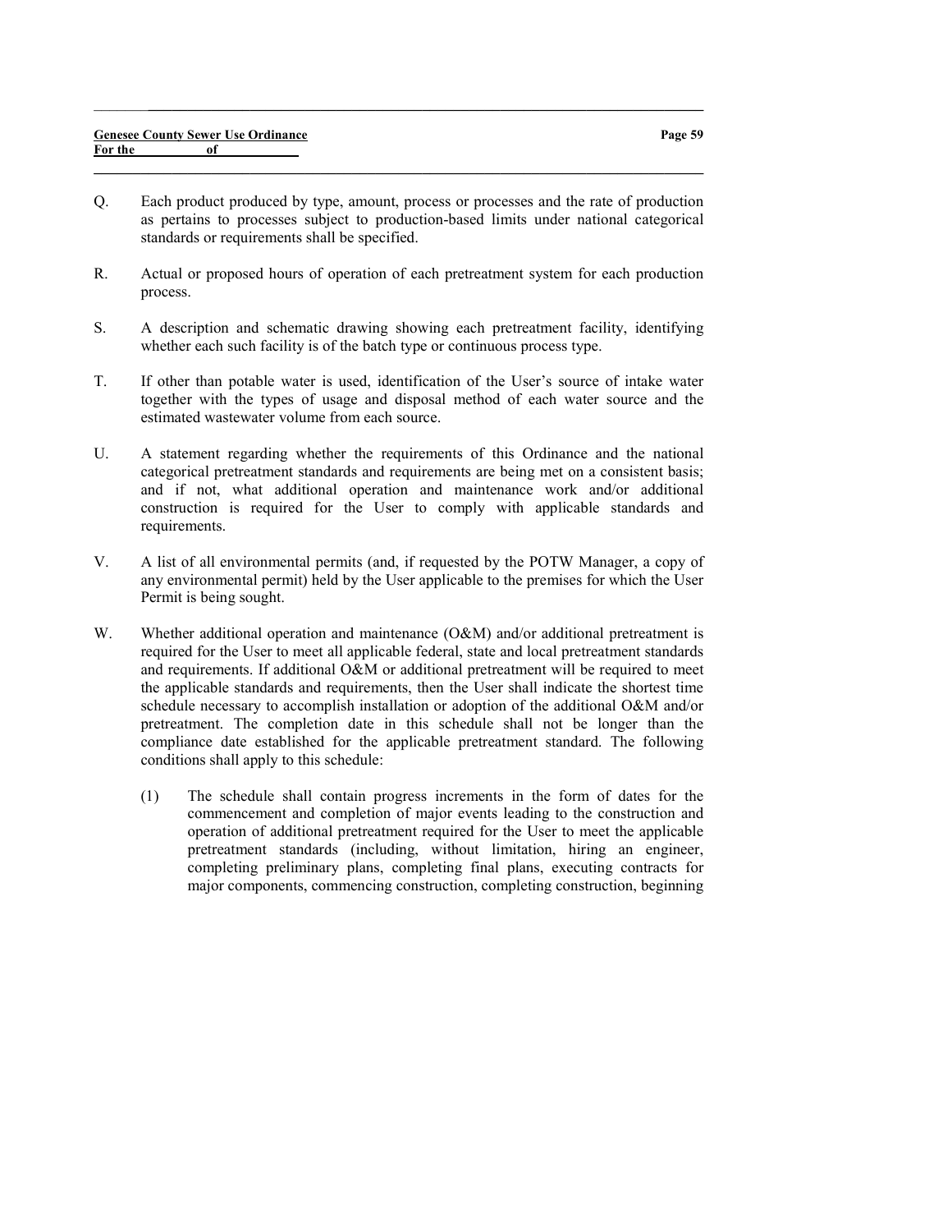Q. Each product produced by type, amount, process or processes and the rate of production as pertains to processes subject to production-based limits under national categorical standards or requirements shall be specified.

 $\_$  , and the set of the set of the set of the set of the set of the set of the set of the set of the set of the set of the set of the set of the set of the set of the set of the set of the set of the set of the set of th

- R. Actual or proposed hours of operation of each pretreatment system for each production process.
- S. A description and schematic drawing showing each pretreatment facility, identifying whether each such facility is of the batch type or continuous process type.
- T. If other than potable water is used, identification of the User's source of intake water together with the types of usage and disposal method of each water source and the estimated wastewater volume from each source.
- U. A statement regarding whether the requirements of this Ordinance and the national categorical pretreatment standards and requirements are being met on a consistent basis; and if not, what additional operation and maintenance work and/or additional construction is required for the User to comply with applicable standards and requirements.
- V. A list of all environmental permits (and, if requested by the POTW Manager, a copy of any environmental permit) held by the User applicable to the premises for which the User Permit is being sought.
- W. Whether additional operation and maintenance (O&M) and/or additional pretreatment is required for the User to meet all applicable federal, state and local pretreatment standards and requirements. If additional O&M or additional pretreatment will be required to meet the applicable standards and requirements, then the User shall indicate the shortest time schedule necessary to accomplish installation or adoption of the additional O&M and/or pretreatment. The completion date in this schedule shall not be longer than the compliance date established for the applicable pretreatment standard. The following conditions shall apply to this schedule:
	- (1) The schedule shall contain progress increments in the form of dates for the commencement and completion of major events leading to the construction and operation of additional pretreatment required for the User to meet the applicable pretreatment standards (including, without limitation, hiring an engineer, completing preliminary plans, completing final plans, executing contracts for major components, commencing construction, completing construction, beginning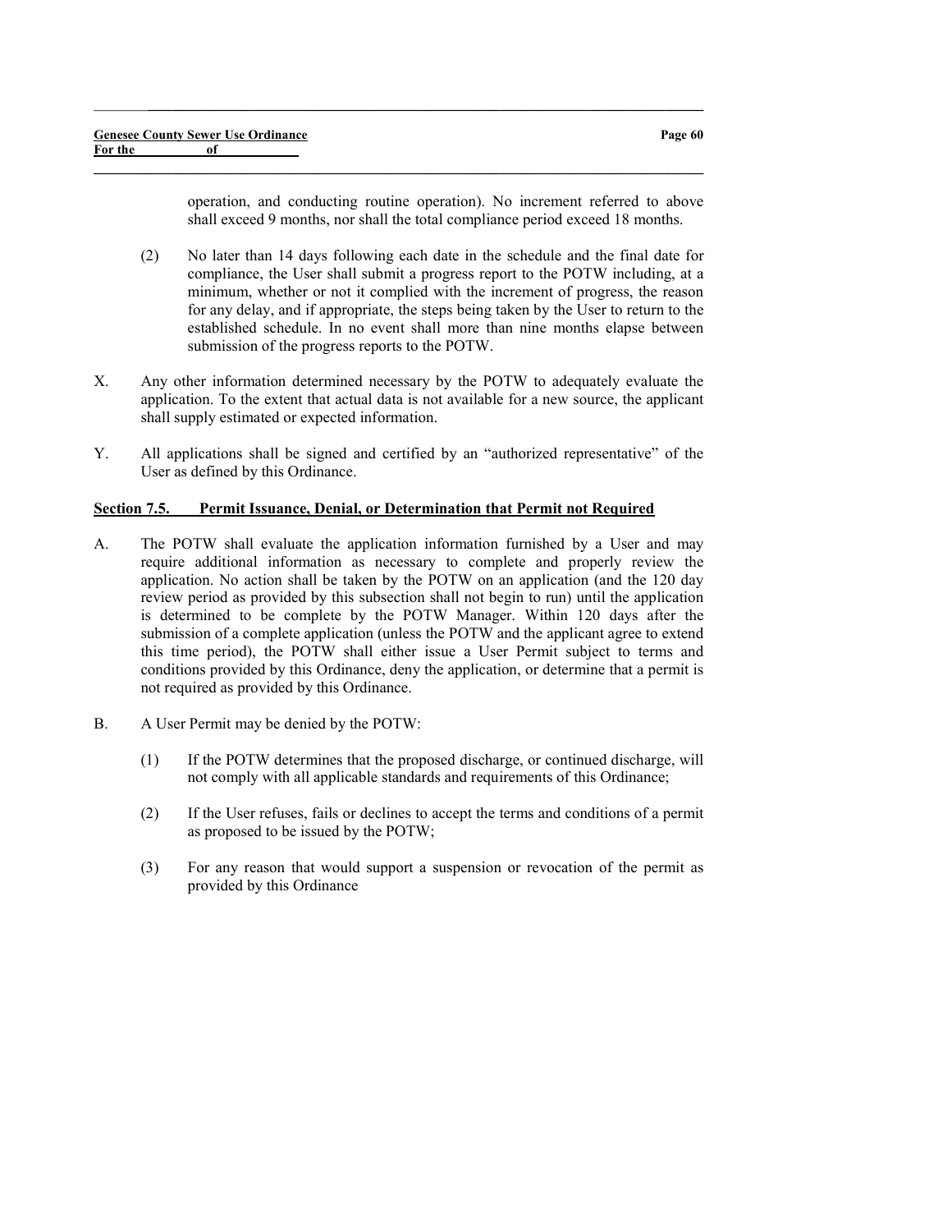operation, and conducting routine operation). No increment referred to above shall exceed 9 months, nor shall the total compliance period exceed 18 months.

- (2) No later than 14 days following each date in the schedule and the final date for compliance, the User shall submit a progress report to the POTW including, at a minimum, whether or not it complied with the increment of progress, the reason for any delay, and if appropriate, the steps being taken by the User to return to the established schedule. In no event shall more than nine months elapse between submission of the progress reports to the POTW.
- X. Any other information determined necessary by the POTW to adequately evaluate the application. To the extent that actual data is not available for a new source, the applicant shall supply estimated or expected information.

 $\_$  , and the set of the set of the set of the set of the set of the set of the set of the set of the set of the set of the set of the set of the set of the set of the set of the set of the set of the set of the set of th

 $\_$  , and the set of the set of the set of the set of the set of the set of the set of the set of the set of the set of the set of the set of the set of the set of the set of the set of the set of the set of the set of th

Y. All applications shall be signed and certified by an "authorized representative" of the User as defined by this Ordinance.

### Section 7.5. Permit Issuance, Denial, or Determination that Permit not Required

- A. The POTW shall evaluate the application information furnished by a User and may require additional information as necessary to complete and properly review the application. No action shall be taken by the POTW on an application (and the 120 day review period as provided by this subsection shall not begin to run) until the application is determined to be complete by the POTW Manager. Within 120 days after the submission of a complete application (unless the POTW and the applicant agree to extend this time period), the POTW shall either issue a User Permit subject to terms and conditions provided by this Ordinance, deny the application, or determine that a permit is not required as provided by this Ordinance.
- B. A User Permit may be denied by the POTW:
	- (1) If the POTW determines that the proposed discharge, or continued discharge, will not comply with all applicable standards and requirements of this Ordinance;
	- (2) If the User refuses, fails or declines to accept the terms and conditions of a permit as proposed to be issued by the POTW;
	- (3) For any reason that would support a suspension or revocation of the permit as provided by this Ordinance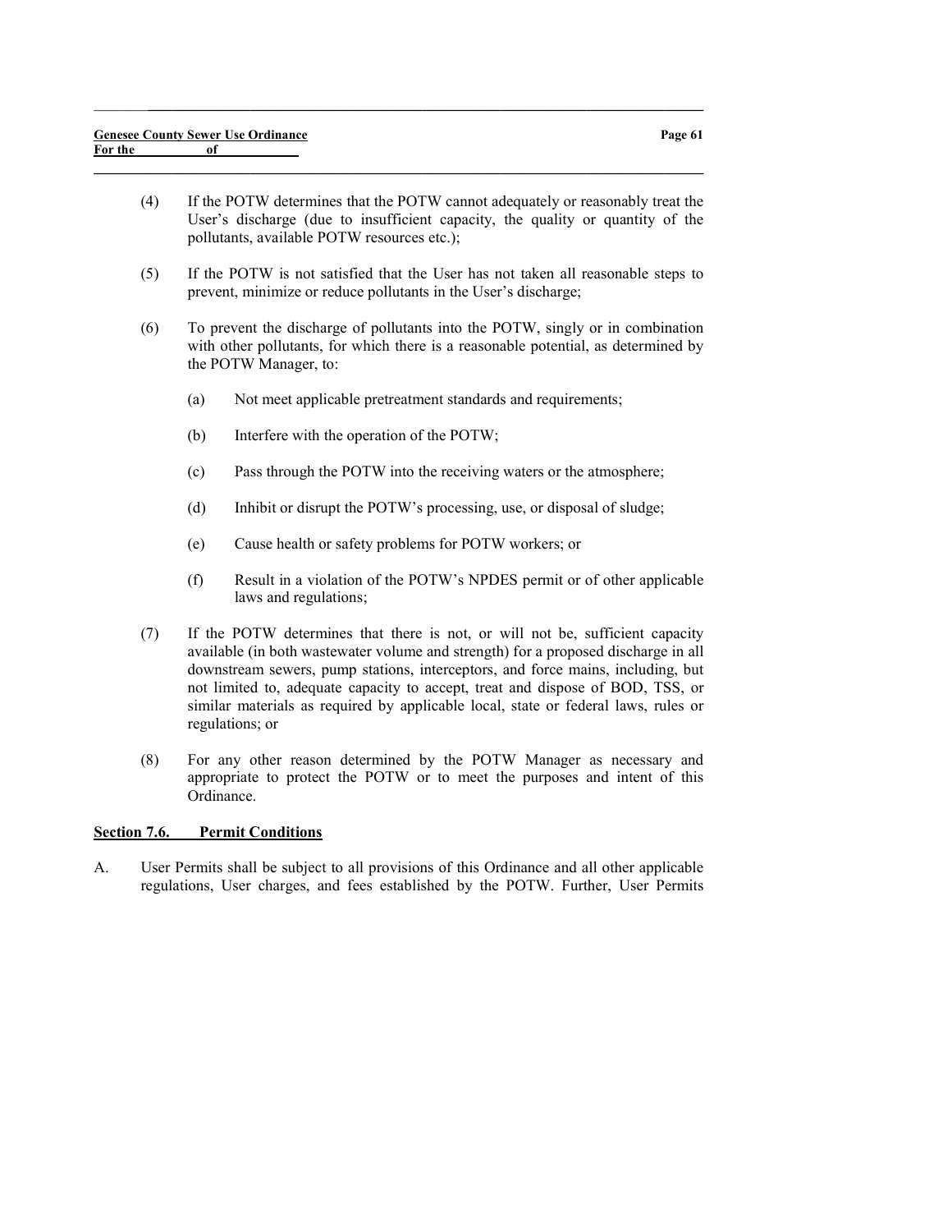(4) If the POTW determines that the POTW cannot adequately or reasonably treat the User's discharge (due to insufficient capacity, the quality or quantity of the pollutants, available POTW resources etc.);

 $\_$  , and the set of the set of the set of the set of the set of the set of the set of the set of the set of the set of the set of the set of the set of the set of the set of the set of the set of the set of the set of th

 $\_$  , and the set of the set of the set of the set of the set of the set of the set of the set of the set of the set of the set of the set of the set of the set of the set of the set of the set of the set of the set of th

- (5) If the POTW is not satisfied that the User has not taken all reasonable steps to prevent, minimize or reduce pollutants in the User's discharge;
- (6) To prevent the discharge of pollutants into the POTW, singly or in combination with other pollutants, for which there is a reasonable potential, as determined by the POTW Manager, to:
	- (a) Not meet applicable pretreatment standards and requirements;
	- (b) Interfere with the operation of the POTW;
	- (c) Pass through the POTW into the receiving waters or the atmosphere;
	- (d) Inhibit or disrupt the POTW's processing, use, or disposal of sludge;
	- (e) Cause health or safety problems for POTW workers; or
	- (f) Result in a violation of the POTW's NPDES permit or of other applicable laws and regulations;
- (7) If the POTW determines that there is not, or will not be, sufficient capacity available (in both wastewater volume and strength) for a proposed discharge in all downstream sewers, pump stations, interceptors, and force mains, including, but not limited to, adequate capacity to accept, treat and dispose of BOD, TSS, or similar materials as required by applicable local, state or federal laws, rules or regulations; or
- (8) For any other reason determined by the POTW Manager as necessary and appropriate to protect the POTW or to meet the purposes and intent of this Ordinance.

## Section 7.6. Permit Conditions

A. User Permits shall be subject to all provisions of this Ordinance and all other applicable regulations, User charges, and fees established by the POTW. Further, User Permits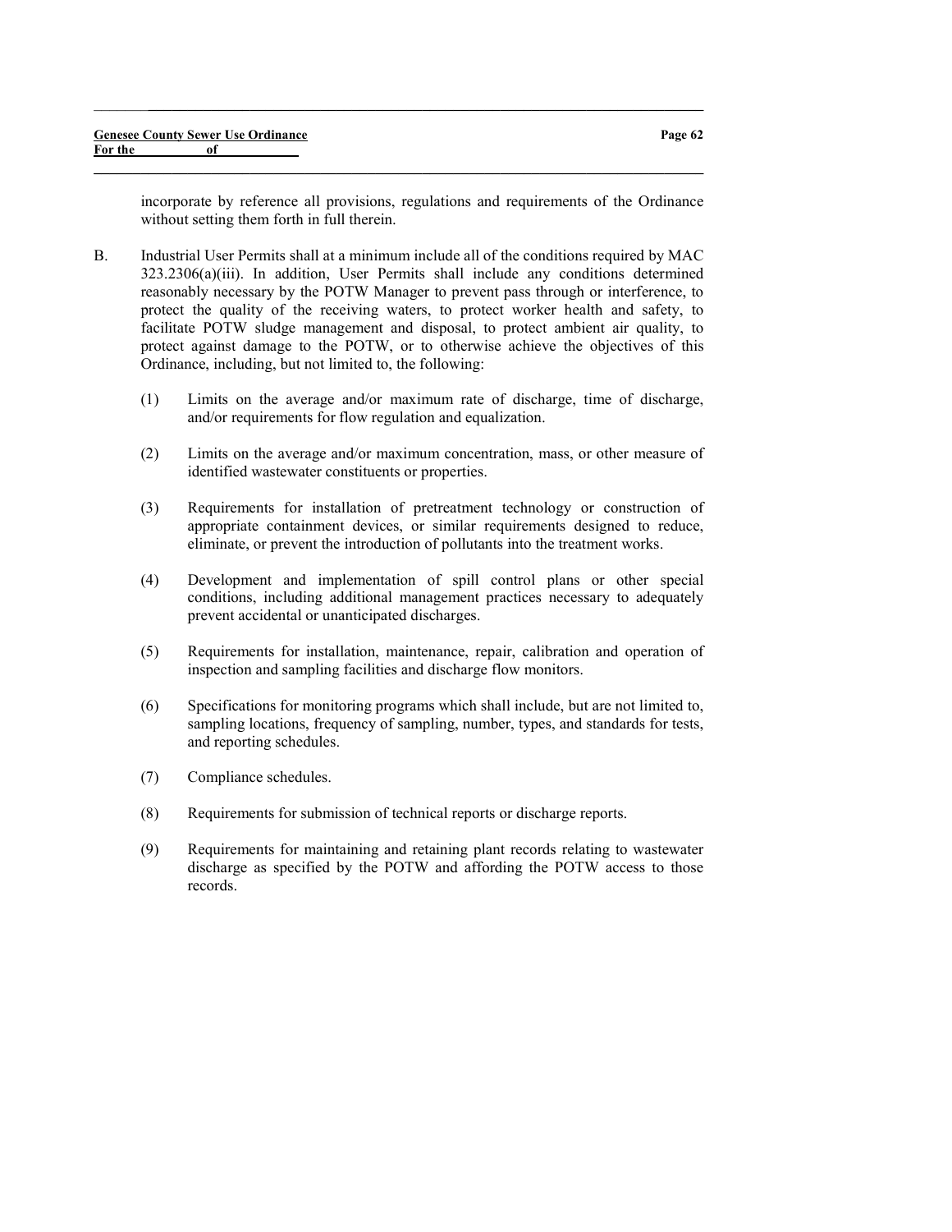incorporate by reference all provisions, regulations and requirements of the Ordinance without setting them forth in full therein.

B. Industrial User Permits shall at a minimum include all of the conditions required by MAC 323.2306(a)(iii). In addition, User Permits shall include any conditions determined reasonably necessary by the POTW Manager to prevent pass through or interference, to protect the quality of the receiving waters, to protect worker health and safety, to facilitate POTW sludge management and disposal, to protect ambient air quality, to protect against damage to the POTW, or to otherwise achieve the objectives of this Ordinance, including, but not limited to, the following:

 $\_$  , and the set of the set of the set of the set of the set of the set of the set of the set of the set of the set of the set of the set of the set of the set of the set of the set of the set of the set of the set of th

- (1) Limits on the average and/or maximum rate of discharge, time of discharge, and/or requirements for flow regulation and equalization.
- (2) Limits on the average and/or maximum concentration, mass, or other measure of identified wastewater constituents or properties.
- (3) Requirements for installation of pretreatment technology or construction of appropriate containment devices, or similar requirements designed to reduce, eliminate, or prevent the introduction of pollutants into the treatment works.
- (4) Development and implementation of spill control plans or other special conditions, including additional management practices necessary to adequately prevent accidental or unanticipated discharges.
- (5) Requirements for installation, maintenance, repair, calibration and operation of inspection and sampling facilities and discharge flow monitors.
- (6) Specifications for monitoring programs which shall include, but are not limited to, sampling locations, frequency of sampling, number, types, and standards for tests, and reporting schedules.
- (7) Compliance schedules.
- (8) Requirements for submission of technical reports or discharge reports.
- (9) Requirements for maintaining and retaining plant records relating to wastewater discharge as specified by the POTW and affording the POTW access to those records.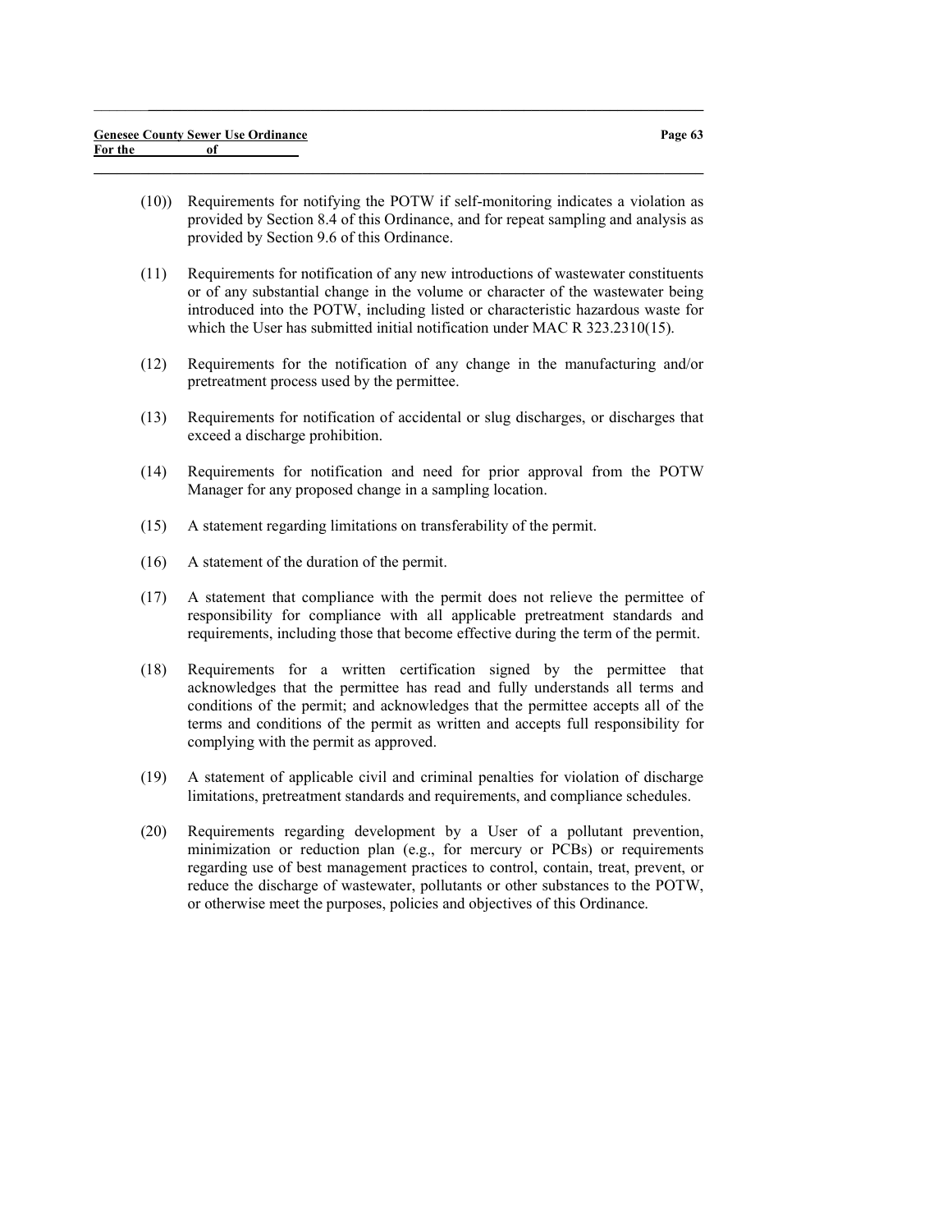(10)) Requirements for notifying the POTW if self-monitoring indicates a violation as provided by Section 8.4 of this Ordinance, and for repeat sampling and analysis as provided by Section 9.6 of this Ordinance.

 $\_$  , and the set of the set of the set of the set of the set of the set of the set of the set of the set of the set of the set of the set of the set of the set of the set of the set of the set of the set of the set of th

- (11) Requirements for notification of any new introductions of wastewater constituents or of any substantial change in the volume or character of the wastewater being introduced into the POTW, including listed or characteristic hazardous waste for which the User has submitted initial notification under MAC R 323.2310(15).
- (12) Requirements for the notification of any change in the manufacturing and/or pretreatment process used by the permittee.
- (13) Requirements for notification of accidental or slug discharges, or discharges that exceed a discharge prohibition.
- (14) Requirements for notification and need for prior approval from the POTW Manager for any proposed change in a sampling location.
- (15) A statement regarding limitations on transferability of the permit.
- (16) A statement of the duration of the permit.
- (17) A statement that compliance with the permit does not relieve the permittee of responsibility for compliance with all applicable pretreatment standards and requirements, including those that become effective during the term of the permit.
- (18) Requirements for a written certification signed by the permittee that acknowledges that the permittee has read and fully understands all terms and conditions of the permit; and acknowledges that the permittee accepts all of the terms and conditions of the permit as written and accepts full responsibility for complying with the permit as approved.
- (19) A statement of applicable civil and criminal penalties for violation of discharge limitations, pretreatment standards and requirements, and compliance schedules.
- (20) Requirements regarding development by a User of a pollutant prevention, minimization or reduction plan (e.g., for mercury or PCBs) or requirements regarding use of best management practices to control, contain, treat, prevent, or reduce the discharge of wastewater, pollutants or other substances to the POTW, or otherwise meet the purposes, policies and objectives of this Ordinance.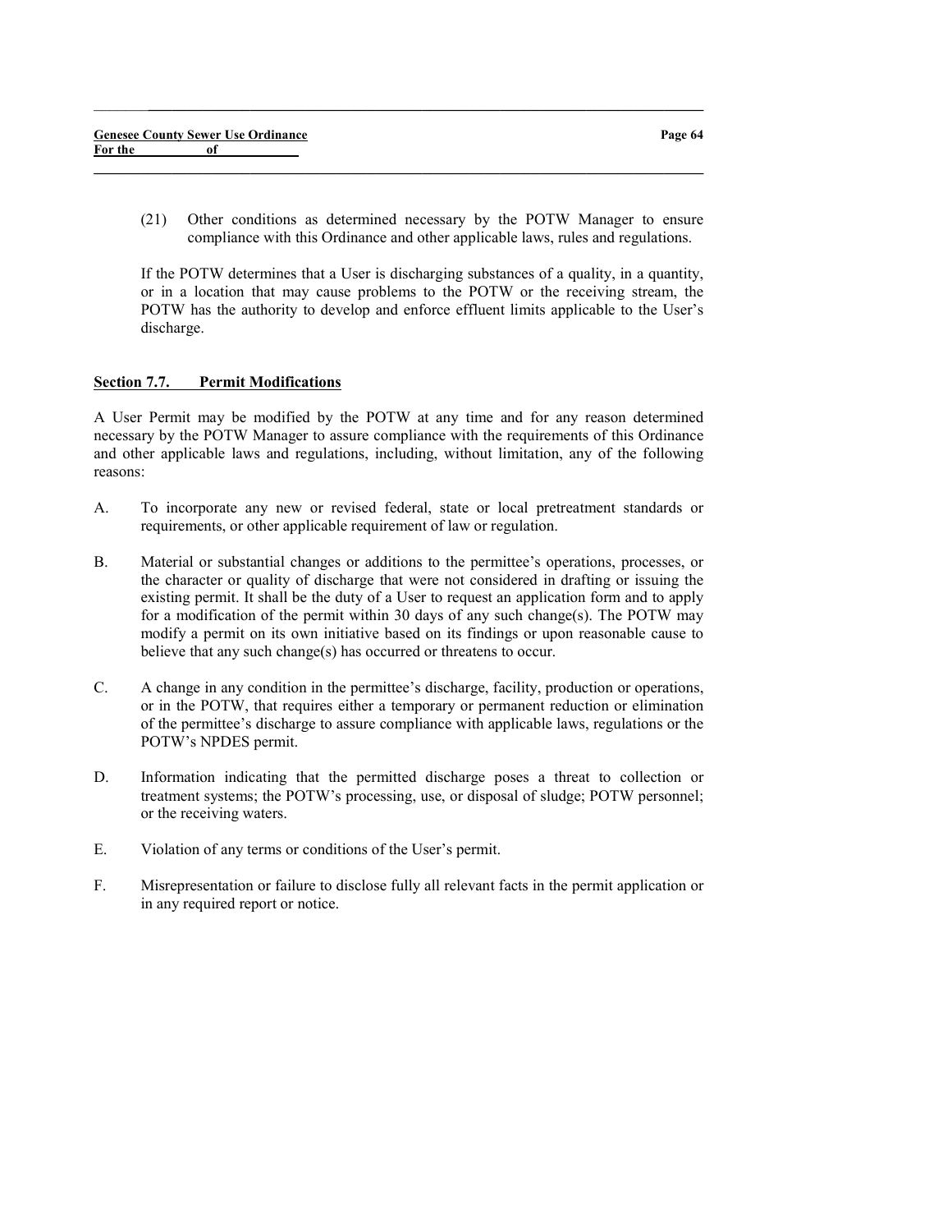(21) Other conditions as determined necessary by the POTW Manager to ensure compliance with this Ordinance and other applicable laws, rules and regulations.

 $\_$  , and the set of the set of the set of the set of the set of the set of the set of the set of the set of the set of the set of the set of the set of the set of the set of the set of the set of the set of the set of th

 $\_$  , and the set of the set of the set of the set of the set of the set of the set of the set of the set of the set of the set of the set of the set of the set of the set of the set of the set of the set of the set of th

If the POTW determines that a User is discharging substances of a quality, in a quantity, or in a location that may cause problems to the POTW or the receiving stream, the POTW has the authority to develop and enforce effluent limits applicable to the User's discharge.

#### Section 7.7. Permit Modifications

A User Permit may be modified by the POTW at any time and for any reason determined necessary by the POTW Manager to assure compliance with the requirements of this Ordinance and other applicable laws and regulations, including, without limitation, any of the following reasons:

- A. To incorporate any new or revised federal, state or local pretreatment standards or requirements, or other applicable requirement of law or regulation.
- B. Material or substantial changes or additions to the permittee's operations, processes, or the character or quality of discharge that were not considered in drafting or issuing the existing permit. It shall be the duty of a User to request an application form and to apply for a modification of the permit within 30 days of any such change(s). The POTW may modify a permit on its own initiative based on its findings or upon reasonable cause to believe that any such change(s) has occurred or threatens to occur.
- C. A change in any condition in the permittee's discharge, facility, production or operations, or in the POTW, that requires either a temporary or permanent reduction or elimination of the permittee's discharge to assure compliance with applicable laws, regulations or the POTW's NPDES permit.
- D. Information indicating that the permitted discharge poses a threat to collection or treatment systems; the POTW's processing, use, or disposal of sludge; POTW personnel; or the receiving waters.
- E. Violation of any terms or conditions of the User's permit.
- F. Misrepresentation or failure to disclose fully all relevant facts in the permit application or in any required report or notice.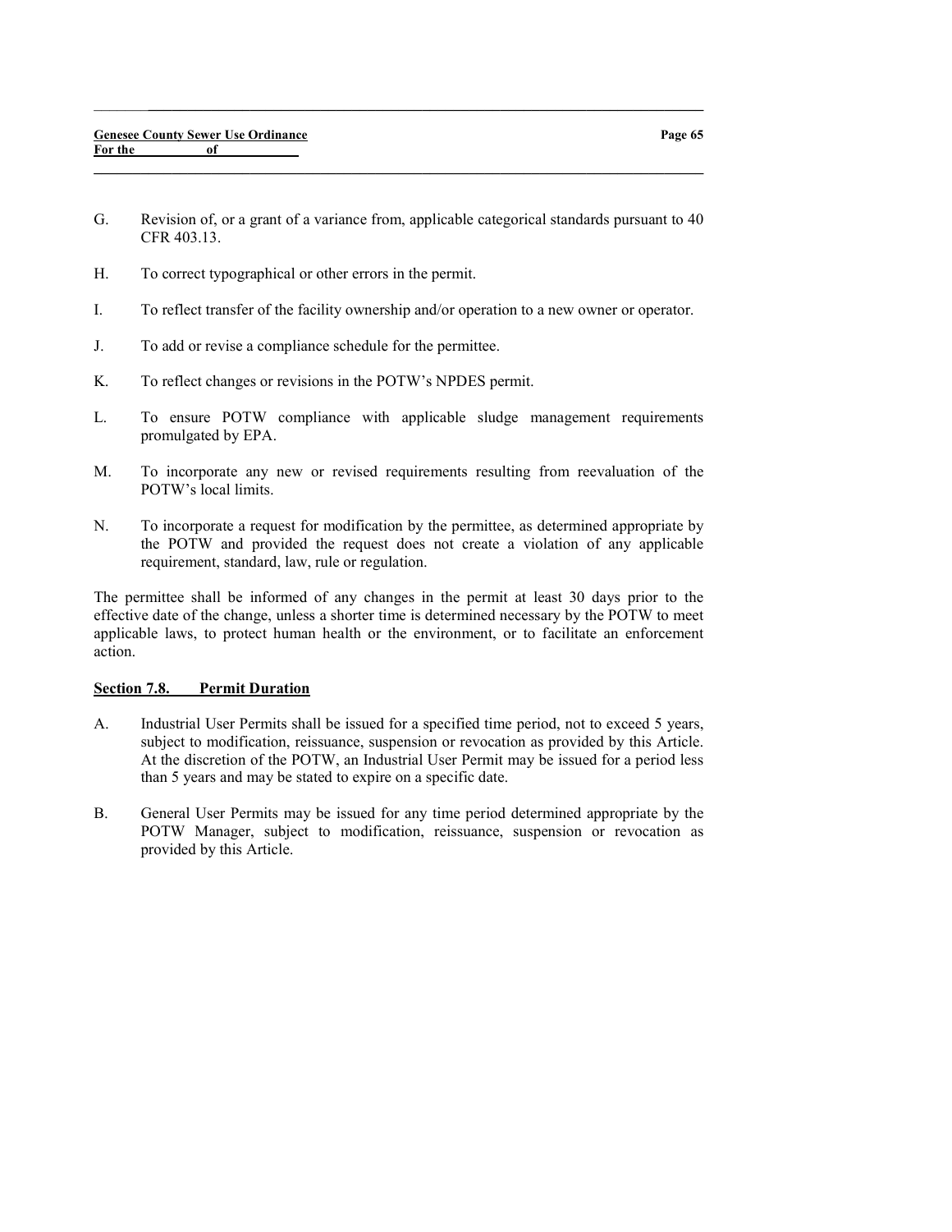G. Revision of, or a grant of a variance from, applicable categorical standards pursuant to 40 CFR 403.13.

 $\_$  , and the set of the set of the set of the set of the set of the set of the set of the set of the set of the set of the set of the set of the set of the set of the set of the set of the set of the set of the set of th

 $\_$  , and the set of the set of the set of the set of the set of the set of the set of the set of the set of the set of the set of the set of the set of the set of the set of the set of the set of the set of the set of th

- H. To correct typographical or other errors in the permit.
- I. To reflect transfer of the facility ownership and/or operation to a new owner or operator.
- J. To add or revise a compliance schedule for the permittee.
- K. To reflect changes or revisions in the POTW's NPDES permit.
- L. To ensure POTW compliance with applicable sludge management requirements promulgated by EPA.
- M. To incorporate any new or revised requirements resulting from reevaluation of the POTW's local limits.
- N. To incorporate a request for modification by the permittee, as determined appropriate by the POTW and provided the request does not create a violation of any applicable requirement, standard, law, rule or regulation.

The permittee shall be informed of any changes in the permit at least 30 days prior to the effective date of the change, unless a shorter time is determined necessary by the POTW to meet applicable laws, to protect human health or the environment, or to facilitate an enforcement action.

### Section 7.8. Permit Duration

- A. Industrial User Permits shall be issued for a specified time period, not to exceed 5 years, subject to modification, reissuance, suspension or revocation as provided by this Article. At the discretion of the POTW, an Industrial User Permit may be issued for a period less than 5 years and may be stated to expire on a specific date.
- B. General User Permits may be issued for any time period determined appropriate by the POTW Manager, subject to modification, reissuance, suspension or revocation as provided by this Article.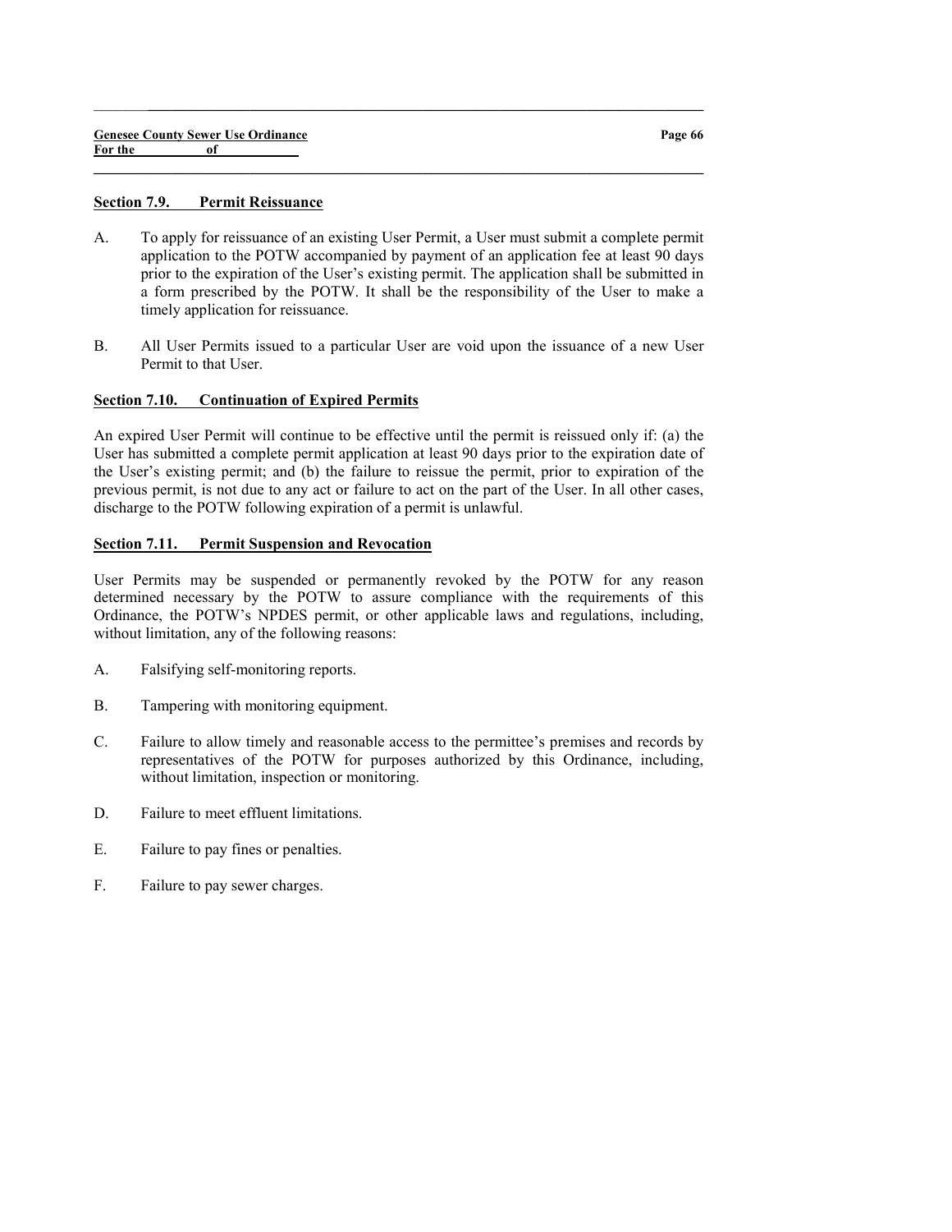#### Section 7.9. Permit Reissuance

A. To apply for reissuance of an existing User Permit, a User must submit a complete permit application to the POTW accompanied by payment of an application fee at least 90 days prior to the expiration of the User's existing permit. The application shall be submitted in a form prescribed by the POTW. It shall be the responsibility of the User to make a timely application for reissuance.

 $\_$  , and the set of the set of the set of the set of the set of the set of the set of the set of the set of the set of the set of the set of the set of the set of the set of the set of the set of the set of the set of th

 $\_$  , and the set of the set of the set of the set of the set of the set of the set of the set of the set of the set of the set of the set of the set of the set of the set of the set of the set of the set of the set of th

B. All User Permits issued to a particular User are void upon the issuance of a new User Permit to that User.

#### Section 7.10. Continuation of Expired Permits

An expired User Permit will continue to be effective until the permit is reissued only if: (a) the User has submitted a complete permit application at least 90 days prior to the expiration date of the User's existing permit; and (b) the failure to reissue the permit, prior to expiration of the previous permit, is not due to any act or failure to act on the part of the User. In all other cases, discharge to the POTW following expiration of a permit is unlawful.

### Section 7.11. Permit Suspension and Revocation

User Permits may be suspended or permanently revoked by the POTW for any reason determined necessary by the POTW to assure compliance with the requirements of this Ordinance, the POTW's NPDES permit, or other applicable laws and regulations, including, without limitation, any of the following reasons:

- A. Falsifying self-monitoring reports.
- B. Tampering with monitoring equipment.
- C. Failure to allow timely and reasonable access to the permittee's premises and records by representatives of the POTW for purposes authorized by this Ordinance, including, without limitation, inspection or monitoring.
- D. Failure to meet effluent limitations.
- E. Failure to pay fines or penalties.
- F. Failure to pay sewer charges.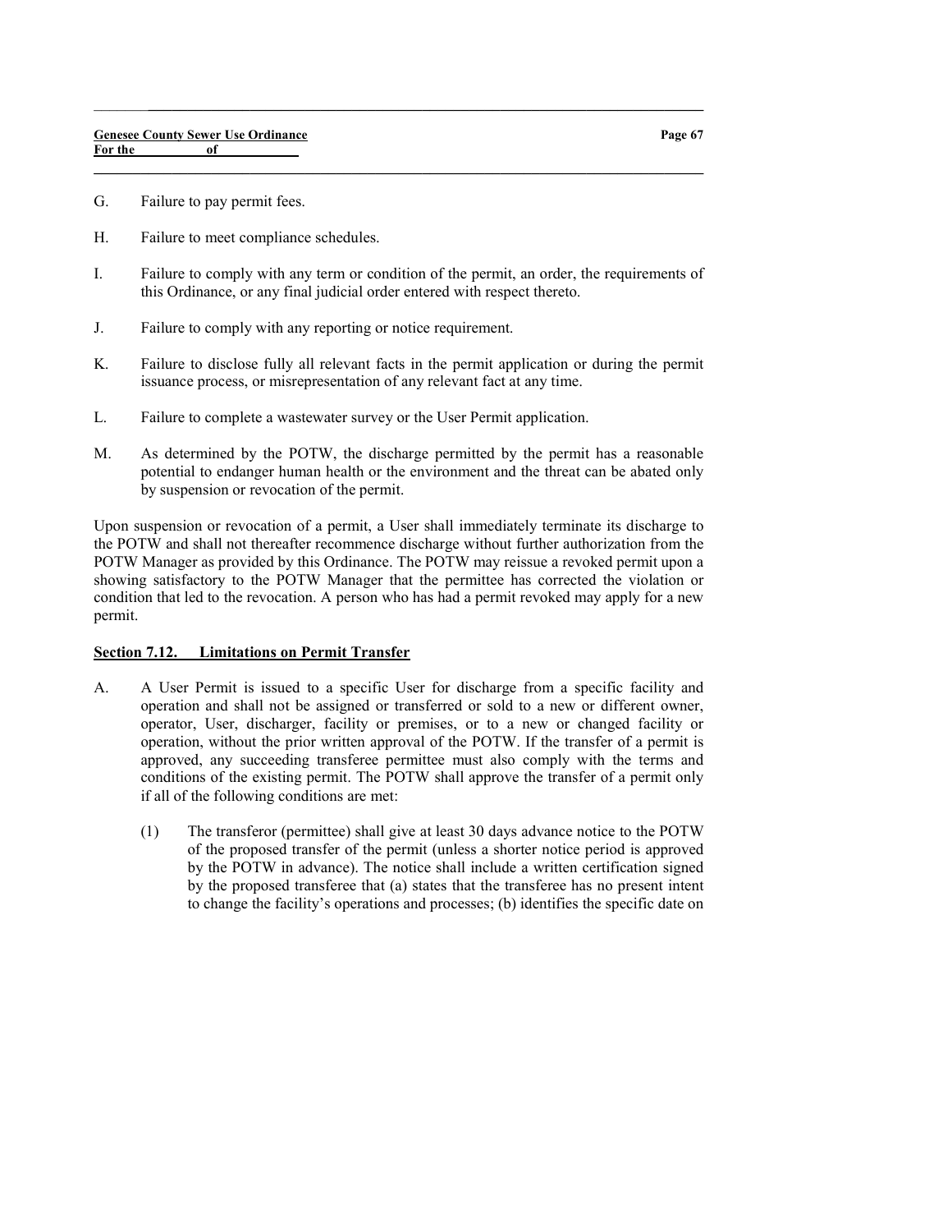- G. Failure to pay permit fees.
- H. Failure to meet compliance schedules.
- I. Failure to comply with any term or condition of the permit, an order, the requirements of this Ordinance, or any final judicial order entered with respect thereto.

 $\_$  , and the set of the set of the set of the set of the set of the set of the set of the set of the set of the set of the set of the set of the set of the set of the set of the set of the set of the set of the set of th

 $\_$  , and the set of the set of the set of the set of the set of the set of the set of the set of the set of the set of the set of the set of the set of the set of the set of the set of the set of the set of the set of th

- J. Failure to comply with any reporting or notice requirement.
- K. Failure to disclose fully all relevant facts in the permit application or during the permit issuance process, or misrepresentation of any relevant fact at any time.
- L. Failure to complete a wastewater survey or the User Permit application.
- M. As determined by the POTW, the discharge permitted by the permit has a reasonable potential to endanger human health or the environment and the threat can be abated only by suspension or revocation of the permit.

Upon suspension or revocation of a permit, a User shall immediately terminate its discharge to the POTW and shall not thereafter recommence discharge without further authorization from the POTW Manager as provided by this Ordinance. The POTW may reissue a revoked permit upon a showing satisfactory to the POTW Manager that the permittee has corrected the violation or condition that led to the revocation. A person who has had a permit revoked may apply for a new permit.

### Section 7.12. Limitations on Permit Transfer

- A. A User Permit is issued to a specific User for discharge from a specific facility and operation and shall not be assigned or transferred or sold to a new or different owner, operator, User, discharger, facility or premises, or to a new or changed facility or operation, without the prior written approval of the POTW. If the transfer of a permit is approved, any succeeding transferee permittee must also comply with the terms and conditions of the existing permit. The POTW shall approve the transfer of a permit only if all of the following conditions are met:
	- (1) The transferor (permittee) shall give at least 30 days advance notice to the POTW of the proposed transfer of the permit (unless a shorter notice period is approved by the POTW in advance). The notice shall include a written certification signed by the proposed transferee that (a) states that the transferee has no present intent to change the facility's operations and processes; (b) identifies the specific date on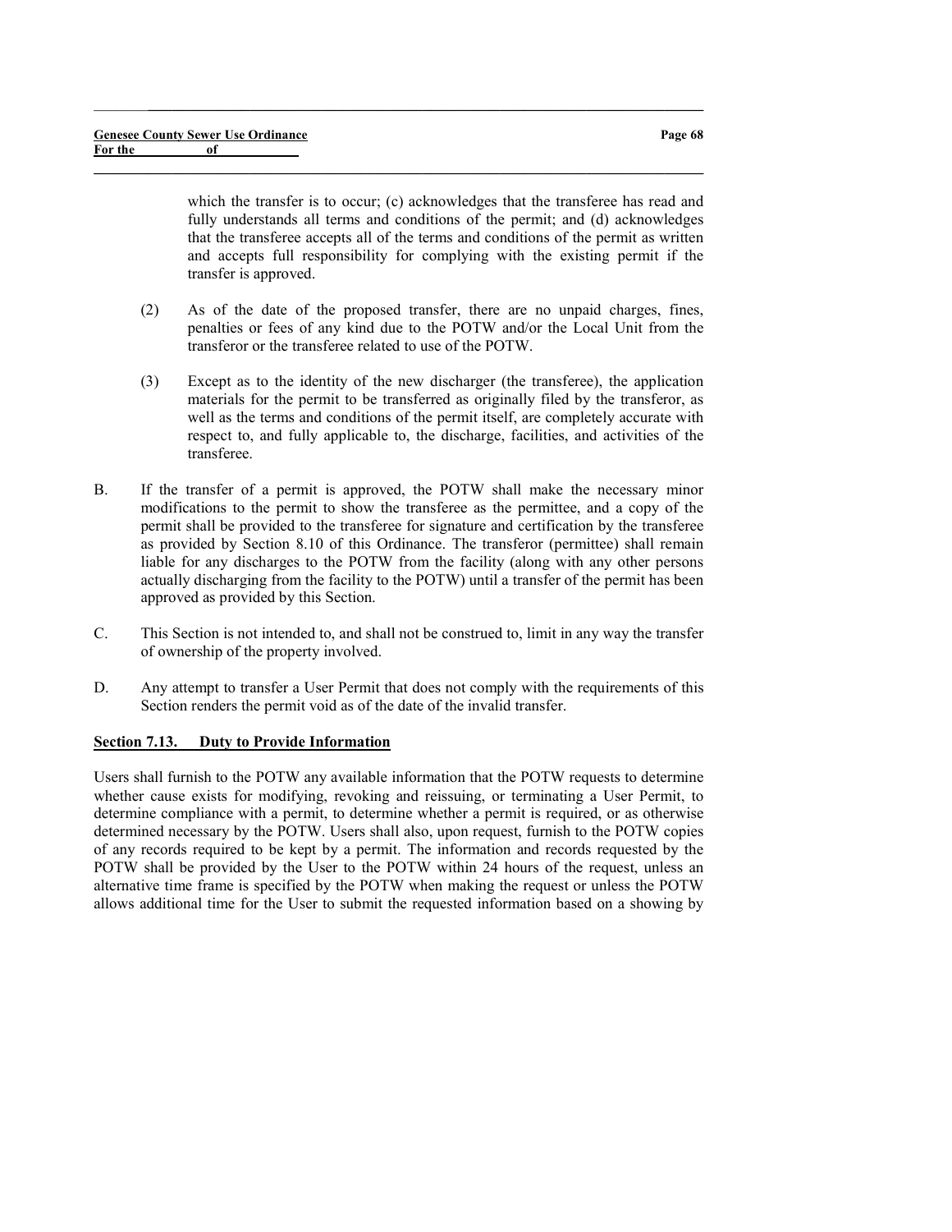which the transfer is to occur; (c) acknowledges that the transferee has read and fully understands all terms and conditions of the permit; and (d) acknowledges that the transferee accepts all of the terms and conditions of the permit as written and accepts full responsibility for complying with the existing permit if the transfer is approved.

(2) As of the date of the proposed transfer, there are no unpaid charges, fines, penalties or fees of any kind due to the POTW and/or the Local Unit from the transferor or the transferee related to use of the POTW.

 $\_$  ,  $\_$  ,  $\_$  ,  $\_$  ,  $\_$  ,  $\_$  ,  $\_$  ,  $\_$  ,  $\_$  ,  $\_$  ,  $\_$  ,  $\_$  ,  $\_$  ,  $\_$  ,  $\_$  ,  $\_$  ,  $\_$  ,  $\_$  ,  $\_$ 

 $\_$  , and the set of the set of the set of the set of the set of the set of the set of the set of the set of the set of the set of the set of the set of the set of the set of the set of the set of the set of the set of th

- (3) Except as to the identity of the new discharger (the transferee), the application materials for the permit to be transferred as originally filed by the transferor, as well as the terms and conditions of the permit itself, are completely accurate with respect to, and fully applicable to, the discharge, facilities, and activities of the transferee.
- B. If the transfer of a permit is approved, the POTW shall make the necessary minor modifications to the permit to show the transferee as the permittee, and a copy of the permit shall be provided to the transferee for signature and certification by the transferee as provided by Section 8.10 of this Ordinance. The transferor (permittee) shall remain liable for any discharges to the POTW from the facility (along with any other persons actually discharging from the facility to the POTW) until a transfer of the permit has been approved as provided by this Section.
- C. This Section is not intended to, and shall not be construed to, limit in any way the transfer of ownership of the property involved.
- D. Any attempt to transfer a User Permit that does not comply with the requirements of this Section renders the permit void as of the date of the invalid transfer.

#### Section 7.13. Duty to Provide Information

Users shall furnish to the POTW any available information that the POTW requests to determine whether cause exists for modifying, revoking and reissuing, or terminating a User Permit, to determine compliance with a permit, to determine whether a permit is required, or as otherwise determined necessary by the POTW. Users shall also, upon request, furnish to the POTW copies of any records required to be kept by a permit. The information and records requested by the POTW shall be provided by the User to the POTW within 24 hours of the request, unless an alternative time frame is specified by the POTW when making the request or unless the POTW allows additional time for the User to submit the requested information based on a showing by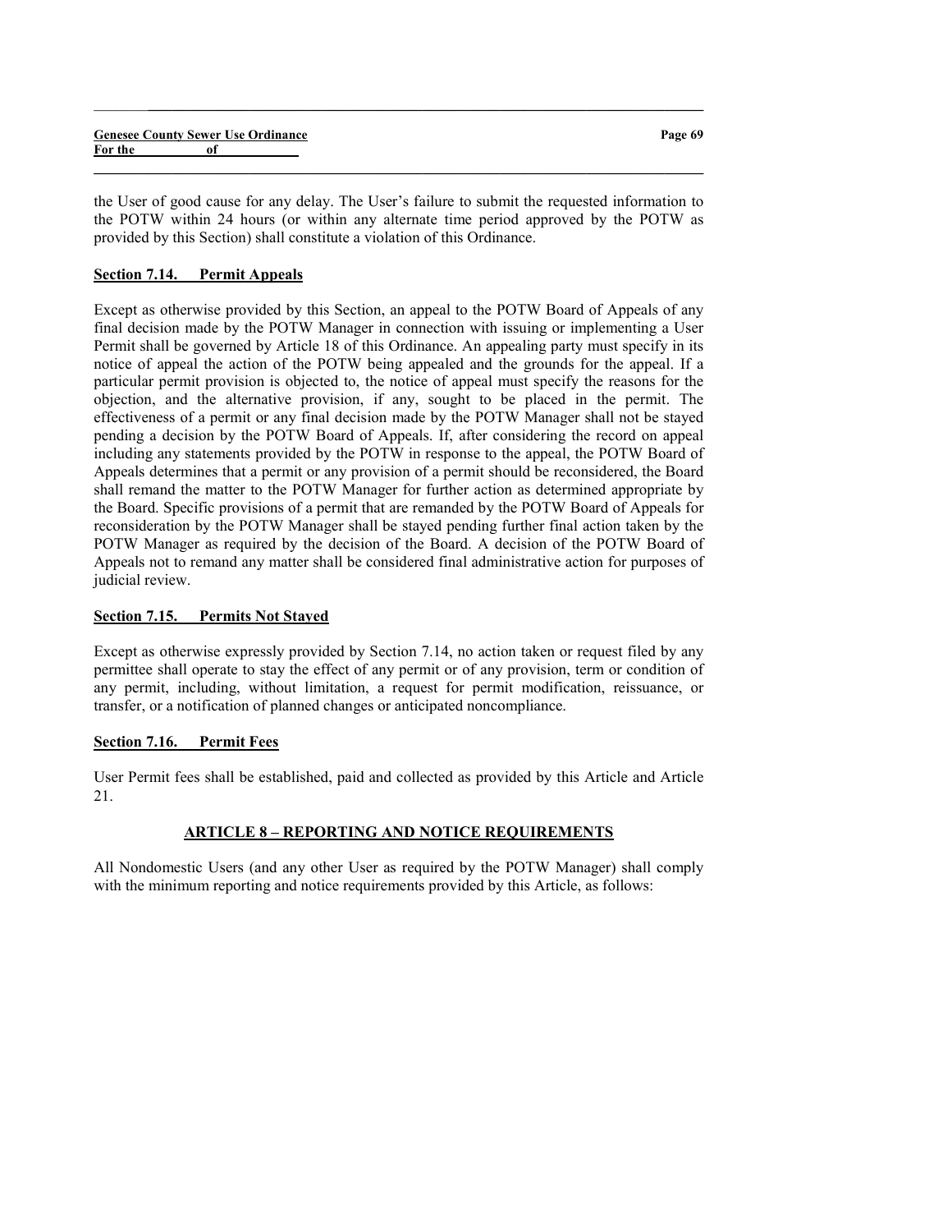|         | <b>Genesee County Sewer Use Ordinance</b> | Page 69 |
|---------|-------------------------------------------|---------|
| For the |                                           |         |
|         |                                           |         |

the User of good cause for any delay. The User's failure to submit the requested information to the POTW within 24 hours (or within any alternate time period approved by the POTW as provided by this Section) shall constitute a violation of this Ordinance.

 $\_$  ,  $\_$  ,  $\_$  ,  $\_$  ,  $\_$  ,  $\_$  ,  $\_$  ,  $\_$  ,  $\_$  ,  $\_$  ,  $\_$  ,  $\_$  ,  $\_$  ,  $\_$  ,  $\_$  ,  $\_$  ,  $\_$  ,  $\_$  ,  $\_$ 

# Section 7.14. Permit Appeals

Except as otherwise provided by this Section, an appeal to the POTW Board of Appeals of any final decision made by the POTW Manager in connection with issuing or implementing a User Permit shall be governed by Article 18 of this Ordinance. An appealing party must specify in its notice of appeal the action of the POTW being appealed and the grounds for the appeal. If a particular permit provision is objected to, the notice of appeal must specify the reasons for the objection, and the alternative provision, if any, sought to be placed in the permit. The effectiveness of a permit or any final decision made by the POTW Manager shall not be stayed pending a decision by the POTW Board of Appeals. If, after considering the record on appeal including any statements provided by the POTW in response to the appeal, the POTW Board of Appeals determines that a permit or any provision of a permit should be reconsidered, the Board shall remand the matter to the POTW Manager for further action as determined appropriate by the Board. Specific provisions of a permit that are remanded by the POTW Board of Appeals for reconsideration by the POTW Manager shall be stayed pending further final action taken by the POTW Manager as required by the decision of the Board. A decision of the POTW Board of Appeals not to remand any matter shall be considered final administrative action for purposes of judicial review.

## Section 7.15. Permits Not Stayed

Except as otherwise expressly provided by Section 7.14, no action taken or request filed by any permittee shall operate to stay the effect of any permit or of any provision, term or condition of any permit, including, without limitation, a request for permit modification, reissuance, or transfer, or a notification of planned changes or anticipated noncompliance.

## Section 7.16. Permit Fees

User Permit fees shall be established, paid and collected as provided by this Article and Article 21.

## ARTICLE 8 – REPORTING AND NOTICE REQUIREMENTS

All Nondomestic Users (and any other User as required by the POTW Manager) shall comply with the minimum reporting and notice requirements provided by this Article, as follows: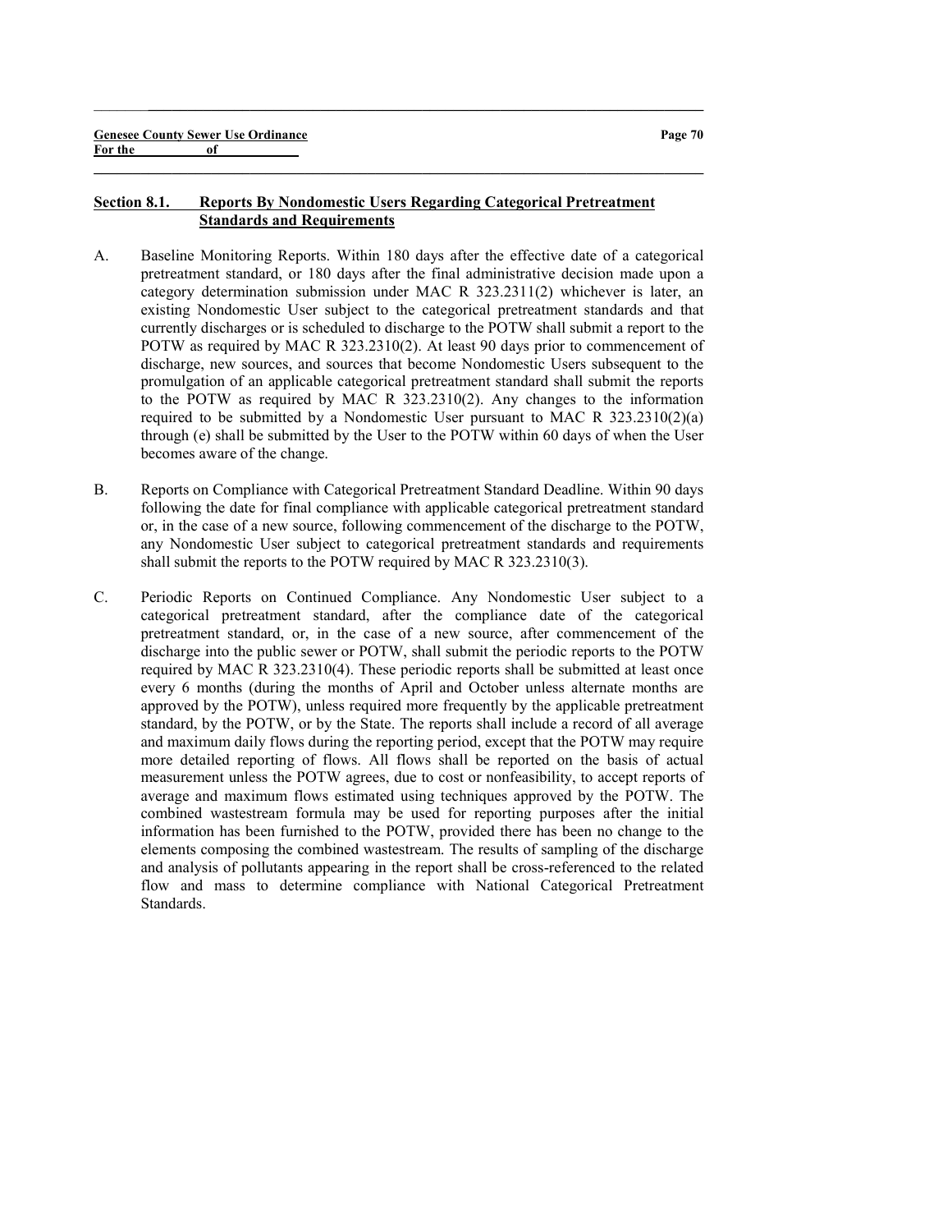#### Section 8.1. Reports By Nondomestic Users Regarding Categorical Pretreatment Standards and Requirements

 $\_$  ,  $\_$  ,  $\_$  ,  $\_$  ,  $\_$  ,  $\_$  ,  $\_$  ,  $\_$  ,  $\_$  ,  $\_$  ,  $\_$  ,  $\_$  ,  $\_$  ,  $\_$  ,  $\_$  ,  $\_$  ,  $\_$  ,  $\_$  ,  $\_$ 

- A. Baseline Monitoring Reports. Within 180 days after the effective date of a categorical pretreatment standard, or 180 days after the final administrative decision made upon a category determination submission under MAC R 323.2311(2) whichever is later, an existing Nondomestic User subject to the categorical pretreatment standards and that currently discharges or is scheduled to discharge to the POTW shall submit a report to the POTW as required by MAC R 323.2310(2). At least 90 days prior to commencement of discharge, new sources, and sources that become Nondomestic Users subsequent to the promulgation of an applicable categorical pretreatment standard shall submit the reports to the POTW as required by MAC R 323.2310(2). Any changes to the information required to be submitted by a Nondomestic User pursuant to MAC R 323.2310(2)(a) through (e) shall be submitted by the User to the POTW within 60 days of when the User becomes aware of the change.
- B. Reports on Compliance with Categorical Pretreatment Standard Deadline. Within 90 days following the date for final compliance with applicable categorical pretreatment standard or, in the case of a new source, following commencement of the discharge to the POTW, any Nondomestic User subject to categorical pretreatment standards and requirements shall submit the reports to the POTW required by MAC R 323.2310(3).
- C. Periodic Reports on Continued Compliance. Any Nondomestic User subject to a categorical pretreatment standard, after the compliance date of the categorical pretreatment standard, or, in the case of a new source, after commencement of the discharge into the public sewer or POTW, shall submit the periodic reports to the POTW required by MAC R 323.2310(4). These periodic reports shall be submitted at least once every 6 months (during the months of April and October unless alternate months are approved by the POTW), unless required more frequently by the applicable pretreatment standard, by the POTW, or by the State. The reports shall include a record of all average and maximum daily flows during the reporting period, except that the POTW may require more detailed reporting of flows. All flows shall be reported on the basis of actual measurement unless the POTW agrees, due to cost or nonfeasibility, to accept reports of average and maximum flows estimated using techniques approved by the POTW. The combined wastestream formula may be used for reporting purposes after the initial information has been furnished to the POTW, provided there has been no change to the elements composing the combined wastestream. The results of sampling of the discharge and analysis of pollutants appearing in the report shall be cross-referenced to the related flow and mass to determine compliance with National Categorical Pretreatment Standards.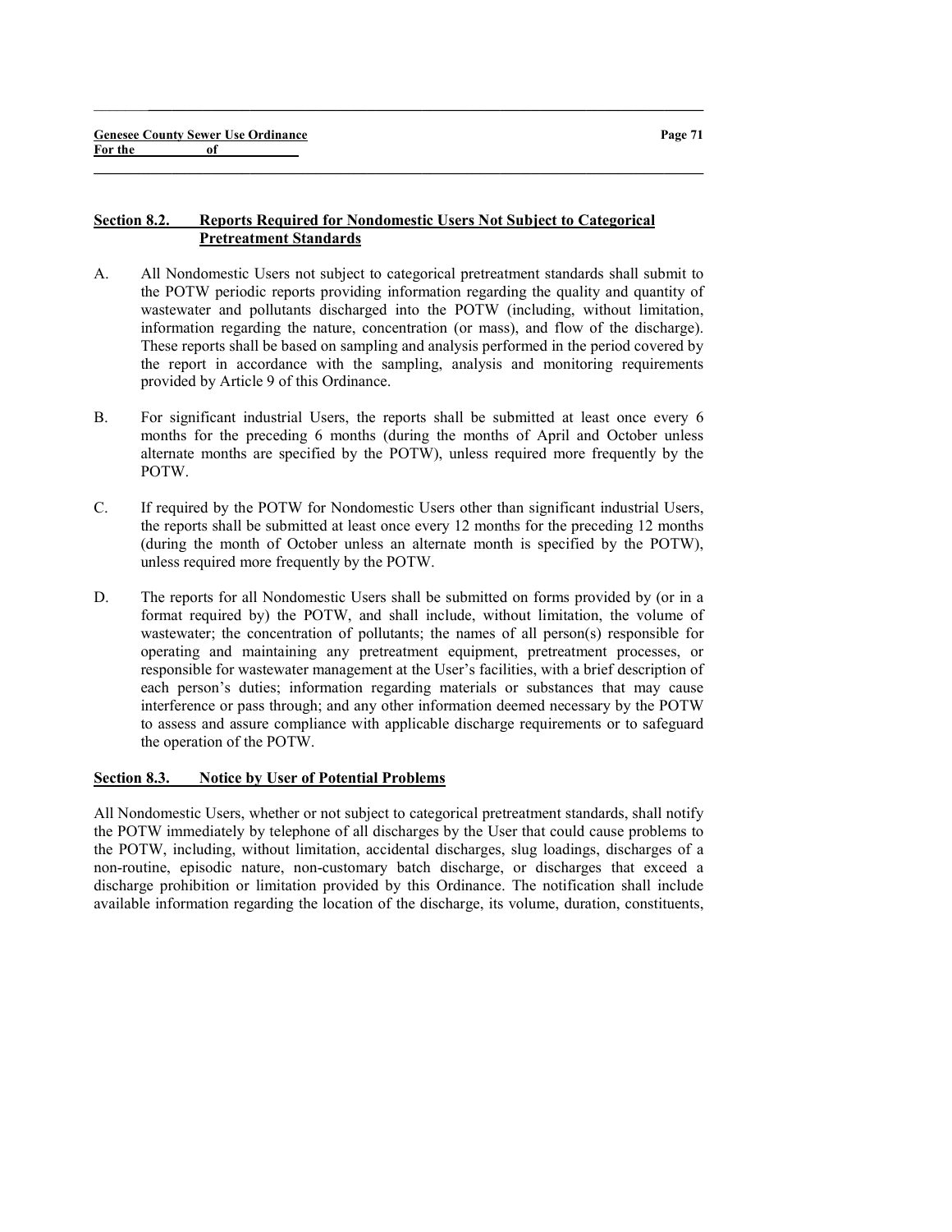### Section 8.2. Reports Required for Nondomestic Users Not Subject to Categorical Pretreatment Standards

A. All Nondomestic Users not subject to categorical pretreatment standards shall submit to the POTW periodic reports providing information regarding the quality and quantity of wastewater and pollutants discharged into the POTW (including, without limitation, information regarding the nature, concentration (or mass), and flow of the discharge). These reports shall be based on sampling and analysis performed in the period covered by the report in accordance with the sampling, analysis and monitoring requirements provided by Article 9 of this Ordinance.

 $\_$  ,  $\_$  ,  $\_$  ,  $\_$  ,  $\_$  ,  $\_$  ,  $\_$  ,  $\_$  ,  $\_$  ,  $\_$  ,  $\_$  ,  $\_$  ,  $\_$  ,  $\_$  ,  $\_$  ,  $\_$  ,  $\_$  ,  $\_$  ,  $\_$ 

 $\_$  , and the set of the set of the set of the set of the set of the set of the set of the set of the set of the set of the set of the set of the set of the set of the set of the set of the set of the set of the set of th

- B. For significant industrial Users, the reports shall be submitted at least once every 6 months for the preceding 6 months (during the months of April and October unless alternate months are specified by the POTW), unless required more frequently by the POTW.
- C. If required by the POTW for Nondomestic Users other than significant industrial Users, the reports shall be submitted at least once every 12 months for the preceding 12 months (during the month of October unless an alternate month is specified by the POTW), unless required more frequently by the POTW.
- D. The reports for all Nondomestic Users shall be submitted on forms provided by (or in a format required by) the POTW, and shall include, without limitation, the volume of wastewater; the concentration of pollutants; the names of all person(s) responsible for operating and maintaining any pretreatment equipment, pretreatment processes, or responsible for wastewater management at the User's facilities, with a brief description of each person's duties; information regarding materials or substances that may cause interference or pass through; and any other information deemed necessary by the POTW to assess and assure compliance with applicable discharge requirements or to safeguard the operation of the POTW.

### Section 8.3. Notice by User of Potential Problems

All Nondomestic Users, whether or not subject to categorical pretreatment standards, shall notify the POTW immediately by telephone of all discharges by the User that could cause problems to the POTW, including, without limitation, accidental discharges, slug loadings, discharges of a non-routine, episodic nature, non-customary batch discharge, or discharges that exceed a discharge prohibition or limitation provided by this Ordinance. The notification shall include available information regarding the location of the discharge, its volume, duration, constituents,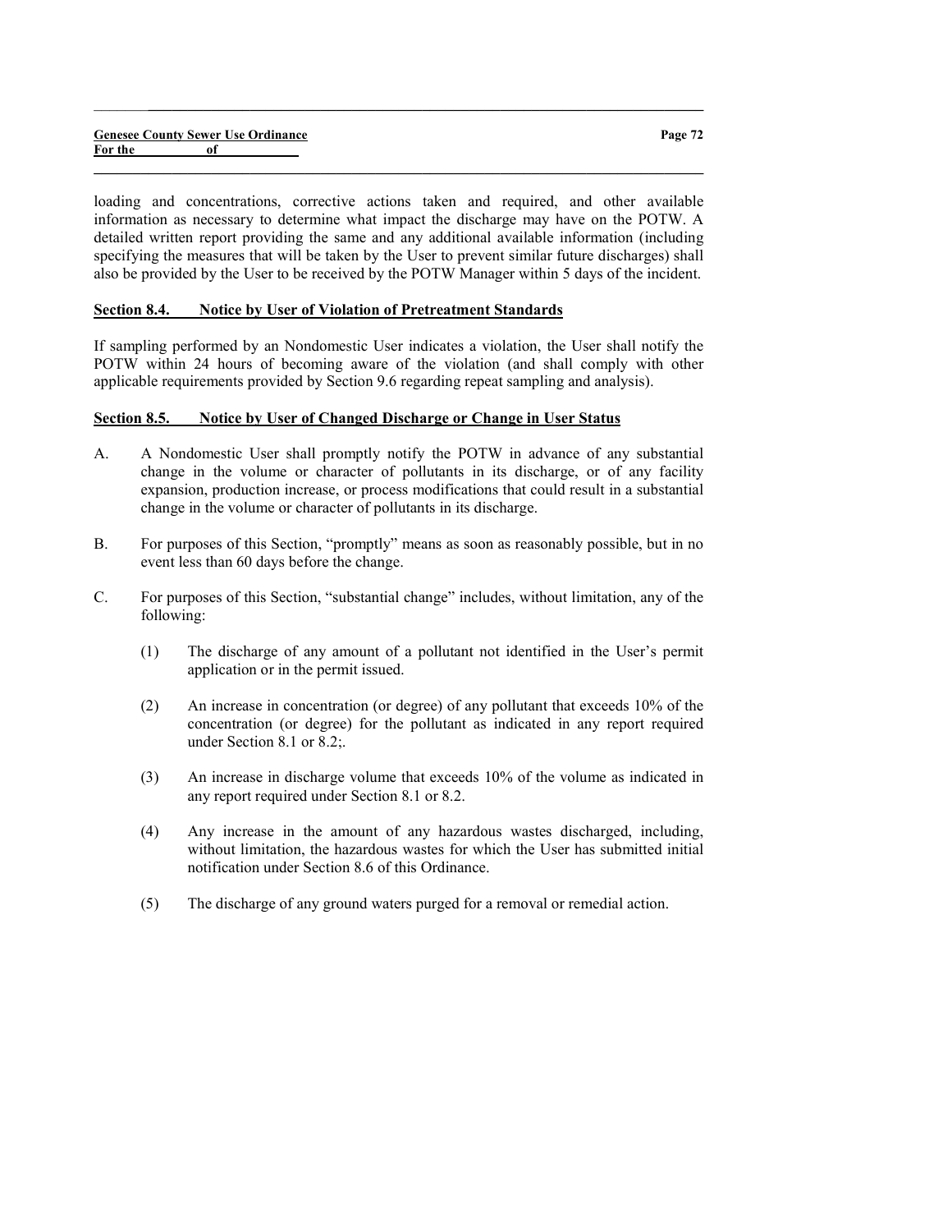|         |    | <b>Genesee County Sewer Use Ordinance</b> |
|---------|----|-------------------------------------------|
| For the | оf |                                           |

loading and concentrations, corrective actions taken and required, and other available information as necessary to determine what impact the discharge may have on the POTW. A detailed written report providing the same and any additional available information (including specifying the measures that will be taken by the User to prevent similar future discharges) shall also be provided by the User to be received by the POTW Manager within 5 days of the incident.

 $\_$  ,  $\_$  ,  $\_$  ,  $\_$  ,  $\_$  ,  $\_$  ,  $\_$  ,  $\_$  ,  $\_$  ,  $\_$  ,  $\_$  ,  $\_$  ,  $\_$  ,  $\_$  ,  $\_$  ,  $\_$  ,  $\_$  ,  $\_$  ,  $\_$ 

 $\_$  , and the set of the set of the set of the set of the set of the set of the set of the set of the set of the set of the set of the set of the set of the set of the set of the set of the set of the set of the set of th

### Section 8.4. Notice by User of Violation of Pretreatment Standards

If sampling performed by an Nondomestic User indicates a violation, the User shall notify the POTW within 24 hours of becoming aware of the violation (and shall comply with other applicable requirements provided by Section 9.6 regarding repeat sampling and analysis).

### Section 8.5. Notice by User of Changed Discharge or Change in User Status

- A. A Nondomestic User shall promptly notify the POTW in advance of any substantial change in the volume or character of pollutants in its discharge, or of any facility expansion, production increase, or process modifications that could result in a substantial change in the volume or character of pollutants in its discharge.
- B. For purposes of this Section, "promptly" means as soon as reasonably possible, but in no event less than 60 days before the change.
- C. For purposes of this Section, "substantial change" includes, without limitation, any of the following:
	- (1) The discharge of any amount of a pollutant not identified in the User's permit application or in the permit issued.
	- (2) An increase in concentration (or degree) of any pollutant that exceeds 10% of the concentration (or degree) for the pollutant as indicated in any report required under Section 8.1 or 8.2;.
	- (3) An increase in discharge volume that exceeds 10% of the volume as indicated in any report required under Section 8.1 or 8.2.
	- (4) Any increase in the amount of any hazardous wastes discharged, including, without limitation, the hazardous wastes for which the User has submitted initial notification under Section 8.6 of this Ordinance.
	- (5) The discharge of any ground waters purged for a removal or remedial action.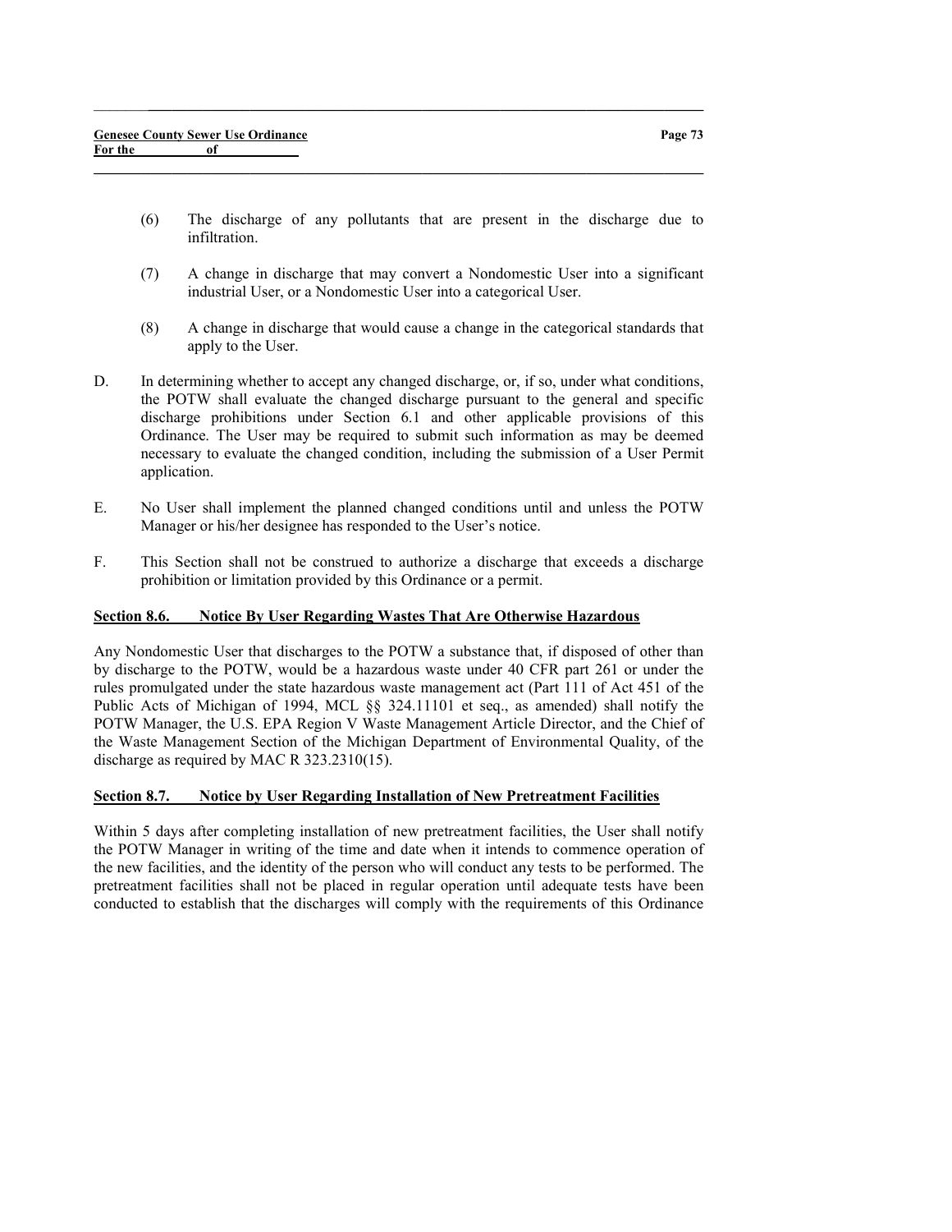(6) The discharge of any pollutants that are present in the discharge due to infiltration.

 $\_$  ,  $\_$  ,  $\_$  ,  $\_$  ,  $\_$  ,  $\_$  ,  $\_$  ,  $\_$  ,  $\_$  ,  $\_$  ,  $\_$  ,  $\_$  ,  $\_$  ,  $\_$  ,  $\_$  ,  $\_$  ,  $\_$  ,  $\_$  ,  $\_$ 

 $\_$  , and the set of the set of the set of the set of the set of the set of the set of the set of the set of the set of the set of the set of the set of the set of the set of the set of the set of the set of the set of th

- (7) A change in discharge that may convert a Nondomestic User into a significant industrial User, or a Nondomestic User into a categorical User.
- (8) A change in discharge that would cause a change in the categorical standards that apply to the User.
- D. In determining whether to accept any changed discharge, or, if so, under what conditions, the POTW shall evaluate the changed discharge pursuant to the general and specific discharge prohibitions under Section 6.1 and other applicable provisions of this Ordinance. The User may be required to submit such information as may be deemed necessary to evaluate the changed condition, including the submission of a User Permit application.
- E. No User shall implement the planned changed conditions until and unless the POTW Manager or his/her designee has responded to the User's notice.
- F. This Section shall not be construed to authorize a discharge that exceeds a discharge prohibition or limitation provided by this Ordinance or a permit.

### Section 8.6. Notice By User Regarding Wastes That Are Otherwise Hazardous

Any Nondomestic User that discharges to the POTW a substance that, if disposed of other than by discharge to the POTW, would be a hazardous waste under 40 CFR part 261 or under the rules promulgated under the state hazardous waste management act (Part 111 of Act 451 of the Public Acts of Michigan of 1994, MCL §§ 324.11101 et seq., as amended) shall notify the POTW Manager, the U.S. EPA Region V Waste Management Article Director, and the Chief of the Waste Management Section of the Michigan Department of Environmental Quality, of the discharge as required by MAC R 323.2310(15).

#### Section 8.7. Notice by User Regarding Installation of New Pretreatment Facilities

Within 5 days after completing installation of new pretreatment facilities, the User shall notify the POTW Manager in writing of the time and date when it intends to commence operation of the new facilities, and the identity of the person who will conduct any tests to be performed. The pretreatment facilities shall not be placed in regular operation until adequate tests have been conducted to establish that the discharges will comply with the requirements of this Ordinance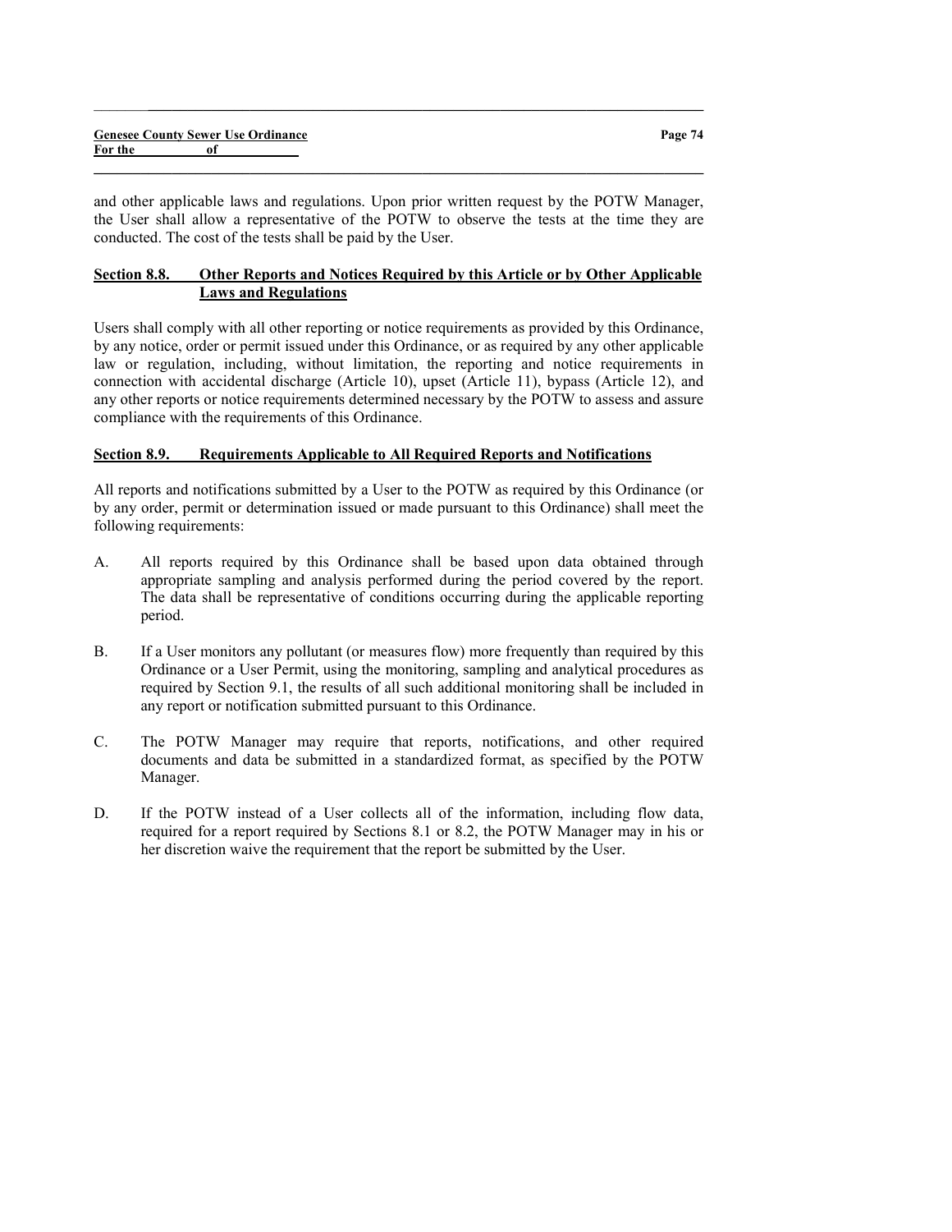and other applicable laws and regulations. Upon prior written request by the POTW Manager, the User shall allow a representative of the POTW to observe the tests at the time they are conducted. The cost of the tests shall be paid by the User.

 $\_$  , and the set of the set of the set of the set of the set of the set of the set of the set of the set of the set of the set of the set of the set of the set of the set of the set of the set of the set of the set of th

 $\_$  ,  $\_$  ,  $\_$  ,  $\_$  ,  $\_$  ,  $\_$  ,  $\_$  ,  $\_$  ,  $\_$  ,  $\_$  ,  $\_$  ,  $\_$  ,  $\_$  ,  $\_$  ,  $\_$  ,  $\_$  ,  $\_$  ,  $\_$  ,  $\_$ 

# Section 8.8. Other Reports and Notices Required by this Article or by Other Applicable Laws and Regulations

Users shall comply with all other reporting or notice requirements as provided by this Ordinance, by any notice, order or permit issued under this Ordinance, or as required by any other applicable law or regulation, including, without limitation, the reporting and notice requirements in connection with accidental discharge (Article 10), upset (Article 11), bypass (Article 12), and any other reports or notice requirements determined necessary by the POTW to assess and assure compliance with the requirements of this Ordinance.

### Section 8.9. Requirements Applicable to All Required Reports and Notifications

All reports and notifications submitted by a User to the POTW as required by this Ordinance (or by any order, permit or determination issued or made pursuant to this Ordinance) shall meet the following requirements:

- A. All reports required by this Ordinance shall be based upon data obtained through appropriate sampling and analysis performed during the period covered by the report. The data shall be representative of conditions occurring during the applicable reporting period.
- B. If a User monitors any pollutant (or measures flow) more frequently than required by this Ordinance or a User Permit, using the monitoring, sampling and analytical procedures as required by Section 9.1, the results of all such additional monitoring shall be included in any report or notification submitted pursuant to this Ordinance.
- C. The POTW Manager may require that reports, notifications, and other required documents and data be submitted in a standardized format, as specified by the POTW Manager.
- D. If the POTW instead of a User collects all of the information, including flow data, required for a report required by Sections 8.1 or 8.2, the POTW Manager may in his or her discretion waive the requirement that the report be submitted by the User.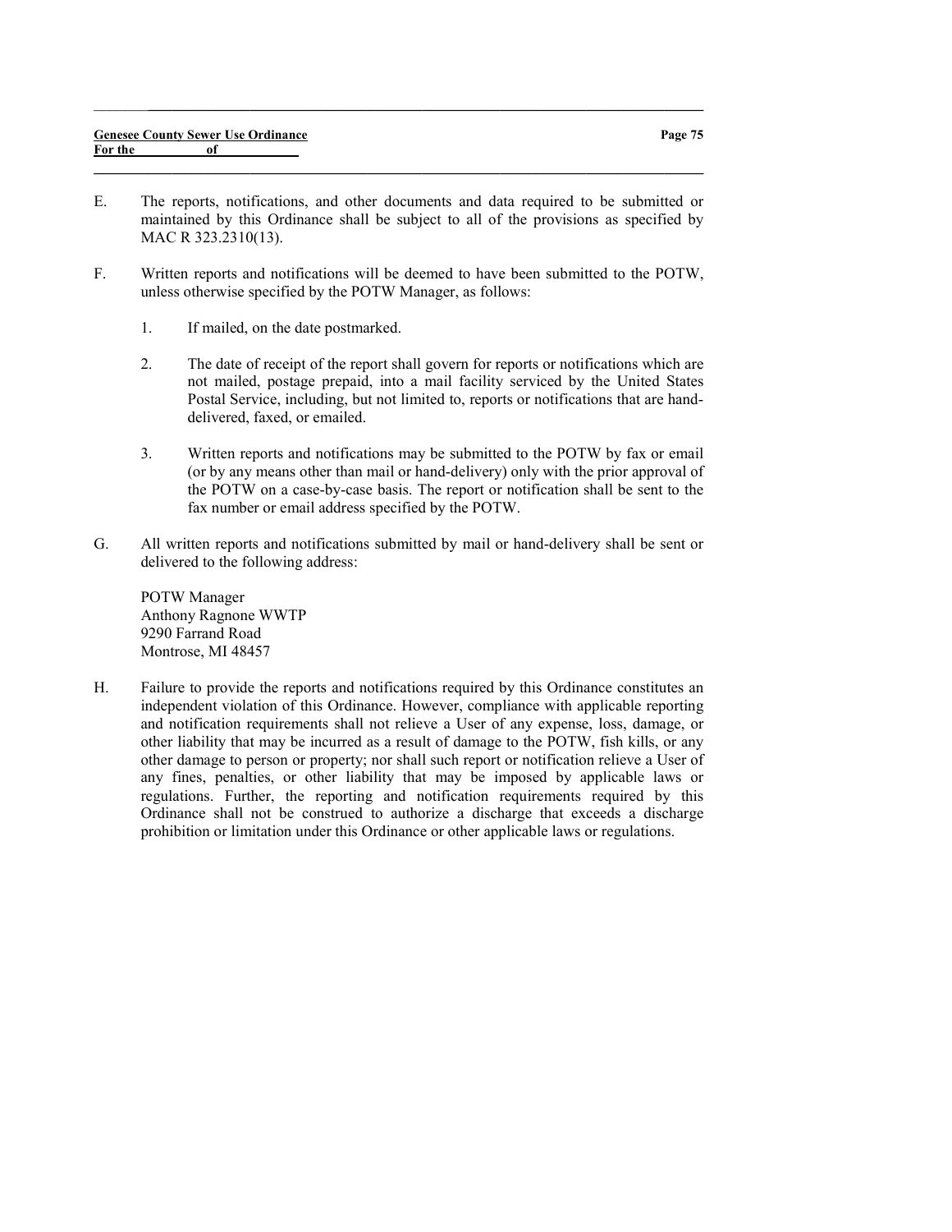$\_$  , and the set of the set of the set of the set of the set of the set of the set of the set of the set of the set of the set of the set of the set of the set of the set of the set of the set of the set of the set of th

 $\_$  ,  $\_$  ,  $\_$  ,  $\_$  ,  $\_$  ,  $\_$  ,  $\_$  ,  $\_$  ,  $\_$  ,  $\_$  ,  $\_$  ,  $\_$  ,  $\_$  ,  $\_$  ,  $\_$  ,  $\_$  ,  $\_$  ,  $\_$  ,  $\_$ 

- F. Written reports and notifications will be deemed to have been submitted to the POTW, unless otherwise specified by the POTW Manager, as follows:
	- 1. If mailed, on the date postmarked.
	- 2. The date of receipt of the report shall govern for reports or notifications which are not mailed, postage prepaid, into a mail facility serviced by the United States Postal Service, including, but not limited to, reports or notifications that are handdelivered, faxed, or emailed.
	- 3. Written reports and notifications may be submitted to the POTW by fax or email (or by any means other than mail or hand-delivery) only with the prior approval of the POTW on a case-by-case basis. The report or notification shall be sent to the fax number or email address specified by the POTW.
- G. All written reports and notifications submitted by mail or hand-delivery shall be sent or delivered to the following address:

POTW Manager Anthony Ragnone WWTP 9290 Farrand Road Montrose, MI 48457

H. Failure to provide the reports and notifications required by this Ordinance constitutes an independent violation of this Ordinance. However, compliance with applicable reporting and notification requirements shall not relieve a User of any expense, loss, damage, or other liability that may be incurred as a result of damage to the POTW, fish kills, or any other damage to person or property; nor shall such report or notification relieve a User of any fines, penalties, or other liability that may be imposed by applicable laws or regulations. Further, the reporting and notification requirements required by this Ordinance shall not be construed to authorize a discharge that exceeds a discharge prohibition or limitation under this Ordinance or other applicable laws or regulations.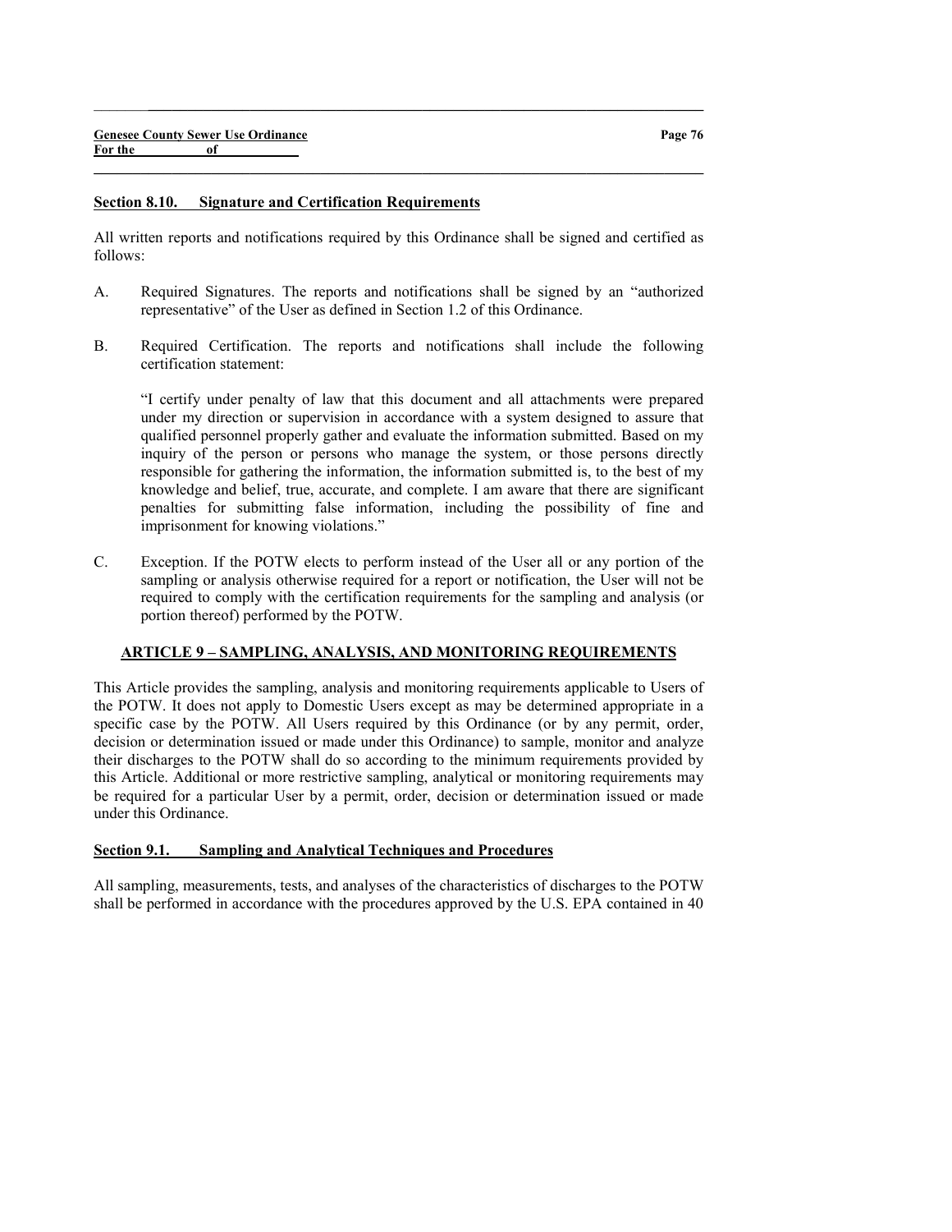#### Section 8.10. Signature and Certification Requirements

All written reports and notifications required by this Ordinance shall be signed and certified as follows:

 $\_$  ,  $\_$  ,  $\_$  ,  $\_$  ,  $\_$  ,  $\_$  ,  $\_$  ,  $\_$  ,  $\_$  ,  $\_$  ,  $\_$  ,  $\_$  ,  $\_$  ,  $\_$  ,  $\_$  ,  $\_$  ,  $\_$  ,  $\_$  ,  $\_$ 

 $\_$  , and the set of the set of the set of the set of the set of the set of the set of the set of the set of the set of the set of the set of the set of the set of the set of the set of the set of the set of the set of th

- A. Required Signatures. The reports and notifications shall be signed by an "authorized representative" of the User as defined in Section 1.2 of this Ordinance.
- B. Required Certification. The reports and notifications shall include the following certification statement:

"I certify under penalty of law that this document and all attachments were prepared under my direction or supervision in accordance with a system designed to assure that qualified personnel properly gather and evaluate the information submitted. Based on my inquiry of the person or persons who manage the system, or those persons directly responsible for gathering the information, the information submitted is, to the best of my knowledge and belief, true, accurate, and complete. I am aware that there are significant penalties for submitting false information, including the possibility of fine and imprisonment for knowing violations."

C. Exception. If the POTW elects to perform instead of the User all or any portion of the sampling or analysis otherwise required for a report or notification, the User will not be required to comply with the certification requirements for the sampling and analysis (or portion thereof) performed by the POTW.

### ARTICLE 9 – SAMPLING, ANALYSIS, AND MONITORING REQUIREMENTS

This Article provides the sampling, analysis and monitoring requirements applicable to Users of the POTW. It does not apply to Domestic Users except as may be determined appropriate in a specific case by the POTW. All Users required by this Ordinance (or by any permit, order, decision or determination issued or made under this Ordinance) to sample, monitor and analyze their discharges to the POTW shall do so according to the minimum requirements provided by this Article. Additional or more restrictive sampling, analytical or monitoring requirements may be required for a particular User by a permit, order, decision or determination issued or made under this Ordinance.

#### Section 9.1. Sampling and Analytical Techniques and Procedures

All sampling, measurements, tests, and analyses of the characteristics of discharges to the POTW shall be performed in accordance with the procedures approved by the U.S. EPA contained in 40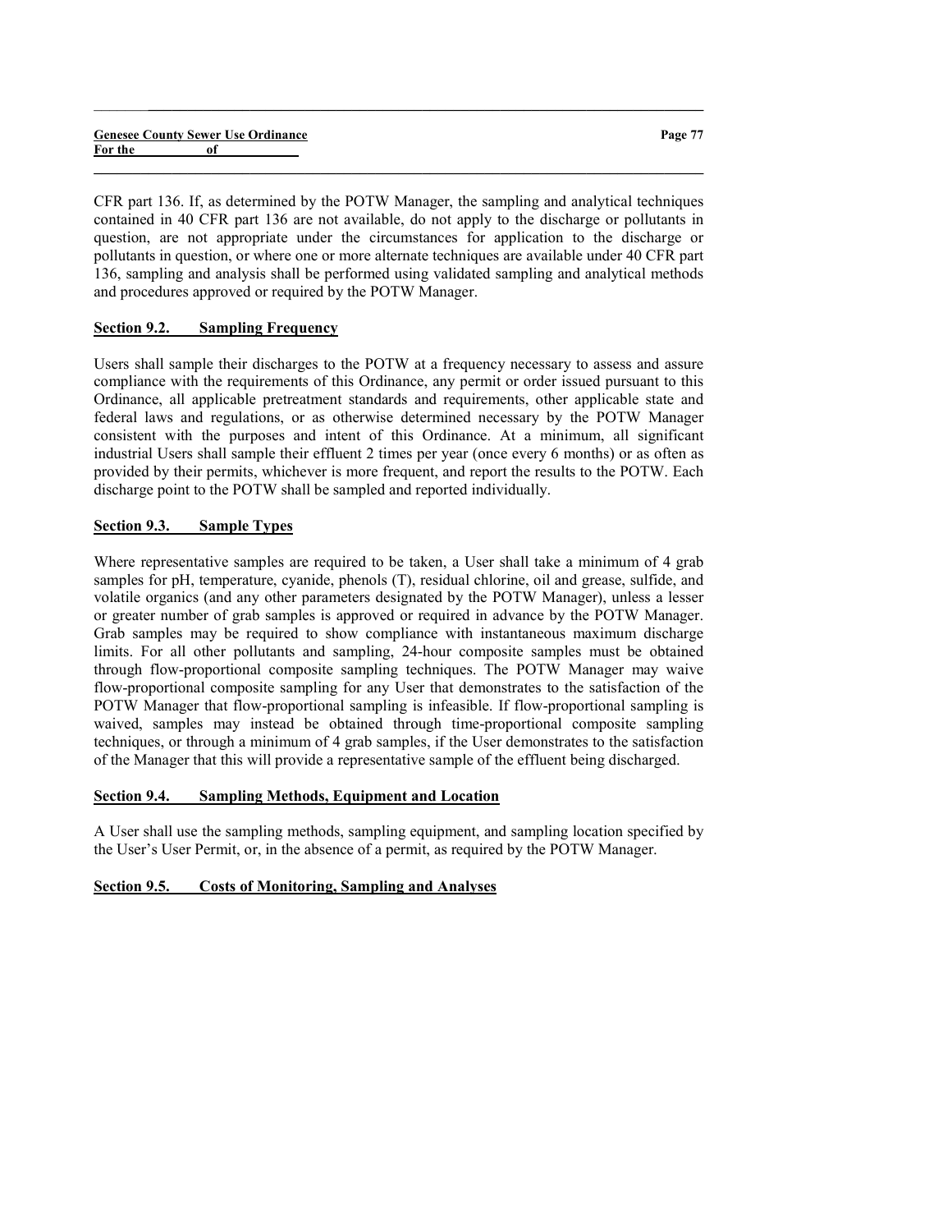|         | <b>Genesee County Sewer Use Ordinance</b> |  |
|---------|-------------------------------------------|--|
| For the | of                                        |  |

Page 77

CFR part 136. If, as determined by the POTW Manager, the sampling and analytical techniques contained in 40 CFR part 136 are not available, do not apply to the discharge or pollutants in question, are not appropriate under the circumstances for application to the discharge or pollutants in question, or where one or more alternate techniques are available under 40 CFR part 136, sampling and analysis shall be performed using validated sampling and analytical methods and procedures approved or required by the POTW Manager.

 $\_$  ,  $\_$  ,  $\_$  ,  $\_$  ,  $\_$  ,  $\_$  ,  $\_$  ,  $\_$  ,  $\_$  ,  $\_$  ,  $\_$  ,  $\_$  ,  $\_$  ,  $\_$  ,  $\_$  ,  $\_$  ,  $\_$  ,  $\_$  ,  $\_$ 

 $\_$  , and the set of the set of the set of the set of the set of the set of the set of the set of the set of the set of the set of the set of the set of the set of the set of the set of the set of the set of the set of th

### Section 9.2. Sampling Frequency

Users shall sample their discharges to the POTW at a frequency necessary to assess and assure compliance with the requirements of this Ordinance, any permit or order issued pursuant to this Ordinance, all applicable pretreatment standards and requirements, other applicable state and federal laws and regulations, or as otherwise determined necessary by the POTW Manager consistent with the purposes and intent of this Ordinance. At a minimum, all significant industrial Users shall sample their effluent 2 times per year (once every 6 months) or as often as provided by their permits, whichever is more frequent, and report the results to the POTW. Each discharge point to the POTW shall be sampled and reported individually.

# Section 9.3. Sample Types

Where representative samples are required to be taken, a User shall take a minimum of 4 grab samples for pH, temperature, cyanide, phenols (T), residual chlorine, oil and grease, sulfide, and volatile organics (and any other parameters designated by the POTW Manager), unless a lesser or greater number of grab samples is approved or required in advance by the POTW Manager. Grab samples may be required to show compliance with instantaneous maximum discharge limits. For all other pollutants and sampling, 24-hour composite samples must be obtained through flow-proportional composite sampling techniques. The POTW Manager may waive flow-proportional composite sampling for any User that demonstrates to the satisfaction of the POTW Manager that flow-proportional sampling is infeasible. If flow-proportional sampling is waived, samples may instead be obtained through time-proportional composite sampling techniques, or through a minimum of 4 grab samples, if the User demonstrates to the satisfaction of the Manager that this will provide a representative sample of the effluent being discharged.

# Section 9.4. Sampling Methods, Equipment and Location

A User shall use the sampling methods, sampling equipment, and sampling location specified by the User's User Permit, or, in the absence of a permit, as required by the POTW Manager.

# Section 9.5. Costs of Monitoring, Sampling and Analyses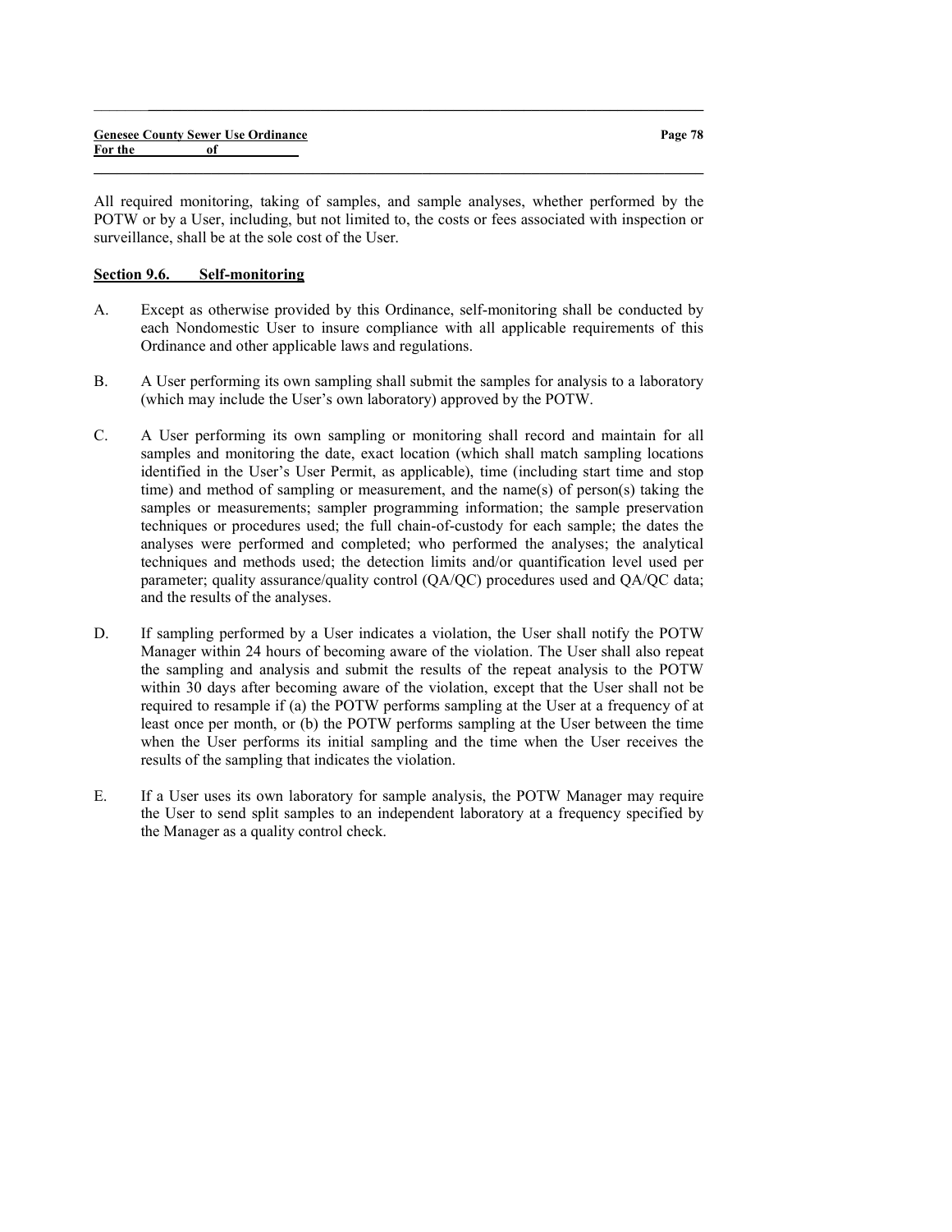All required monitoring, taking of samples, and sample analyses, whether performed by the POTW or by a User, including, but not limited to, the costs or fees associated with inspection or surveillance, shall be at the sole cost of the User.

 $\_$  , and the set of the set of the set of the set of the set of the set of the set of the set of the set of the set of the set of the set of the set of the set of the set of the set of the set of the set of the set of th

 $\_$  ,  $\_$  ,  $\_$  ,  $\_$  ,  $\_$  ,  $\_$  ,  $\_$  ,  $\_$  ,  $\_$  ,  $\_$  ,  $\_$  ,  $\_$  ,  $\_$  ,  $\_$  ,  $\_$  ,  $\_$  ,  $\_$  ,  $\_$  ,  $\_$ 

# Section 9.6. Self-monitoring

- A. Except as otherwise provided by this Ordinance, self-monitoring shall be conducted by each Nondomestic User to insure compliance with all applicable requirements of this Ordinance and other applicable laws and regulations.
- B. A User performing its own sampling shall submit the samples for analysis to a laboratory (which may include the User's own laboratory) approved by the POTW.
- C. A User performing its own sampling or monitoring shall record and maintain for all samples and monitoring the date, exact location (which shall match sampling locations identified in the User's User Permit, as applicable), time (including start time and stop time) and method of sampling or measurement, and the name(s) of person(s) taking the samples or measurements; sampler programming information; the sample preservation techniques or procedures used; the full chain-of-custody for each sample; the dates the analyses were performed and completed; who performed the analyses; the analytical techniques and methods used; the detection limits and/or quantification level used per parameter; quality assurance/quality control (QA/QC) procedures used and QA/QC data; and the results of the analyses.
- D. If sampling performed by a User indicates a violation, the User shall notify the POTW Manager within 24 hours of becoming aware of the violation. The User shall also repeat the sampling and analysis and submit the results of the repeat analysis to the POTW within 30 days after becoming aware of the violation, except that the User shall not be required to resample if (a) the POTW performs sampling at the User at a frequency of at least once per month, or (b) the POTW performs sampling at the User between the time when the User performs its initial sampling and the time when the User receives the results of the sampling that indicates the violation.
- E. If a User uses its own laboratory for sample analysis, the POTW Manager may require the User to send split samples to an independent laboratory at a frequency specified by the Manager as a quality control check.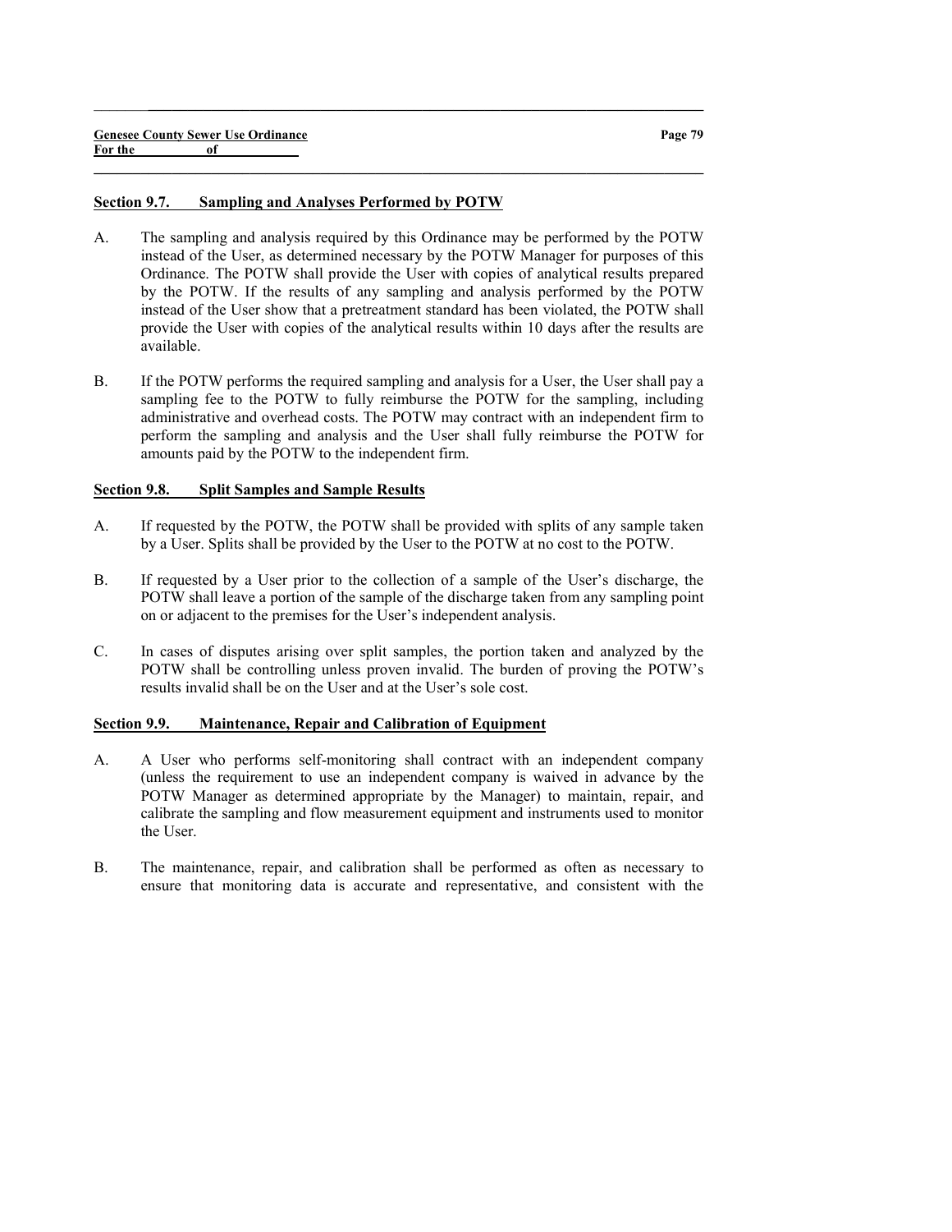#### Section 9.7. Sampling and Analyses Performed by POTW

A. The sampling and analysis required by this Ordinance may be performed by the POTW instead of the User, as determined necessary by the POTW Manager for purposes of this Ordinance. The POTW shall provide the User with copies of analytical results prepared by the POTW. If the results of any sampling and analysis performed by the POTW instead of the User show that a pretreatment standard has been violated, the POTW shall provide the User with copies of the analytical results within 10 days after the results are available.

 $\_$  ,  $\_$  ,  $\_$  ,  $\_$  ,  $\_$  ,  $\_$  ,  $\_$  ,  $\_$  ,  $\_$  ,  $\_$  ,  $\_$  ,  $\_$  ,  $\_$  ,  $\_$  ,  $\_$  ,  $\_$  ,  $\_$  ,  $\_$  ,  $\_$ 

 $\_$  , and the set of the set of the set of the set of the set of the set of the set of the set of the set of the set of the set of the set of the set of the set of the set of the set of the set of the set of the set of th

B. If the POTW performs the required sampling and analysis for a User, the User shall pay a sampling fee to the POTW to fully reimburse the POTW for the sampling, including administrative and overhead costs. The POTW may contract with an independent firm to perform the sampling and analysis and the User shall fully reimburse the POTW for amounts paid by the POTW to the independent firm.

### Section 9.8. Split Samples and Sample Results

- A. If requested by the POTW, the POTW shall be provided with splits of any sample taken by a User. Splits shall be provided by the User to the POTW at no cost to the POTW.
- B. If requested by a User prior to the collection of a sample of the User's discharge, the POTW shall leave a portion of the sample of the discharge taken from any sampling point on or adjacent to the premises for the User's independent analysis.
- C. In cases of disputes arising over split samples, the portion taken and analyzed by the POTW shall be controlling unless proven invalid. The burden of proving the POTW's results invalid shall be on the User and at the User's sole cost.

### Section 9.9. Maintenance, Repair and Calibration of Equipment

- A. A User who performs self-monitoring shall contract with an independent company (unless the requirement to use an independent company is waived in advance by the POTW Manager as determined appropriate by the Manager) to maintain, repair, and calibrate the sampling and flow measurement equipment and instruments used to monitor the User.
- B. The maintenance, repair, and calibration shall be performed as often as necessary to ensure that monitoring data is accurate and representative, and consistent with the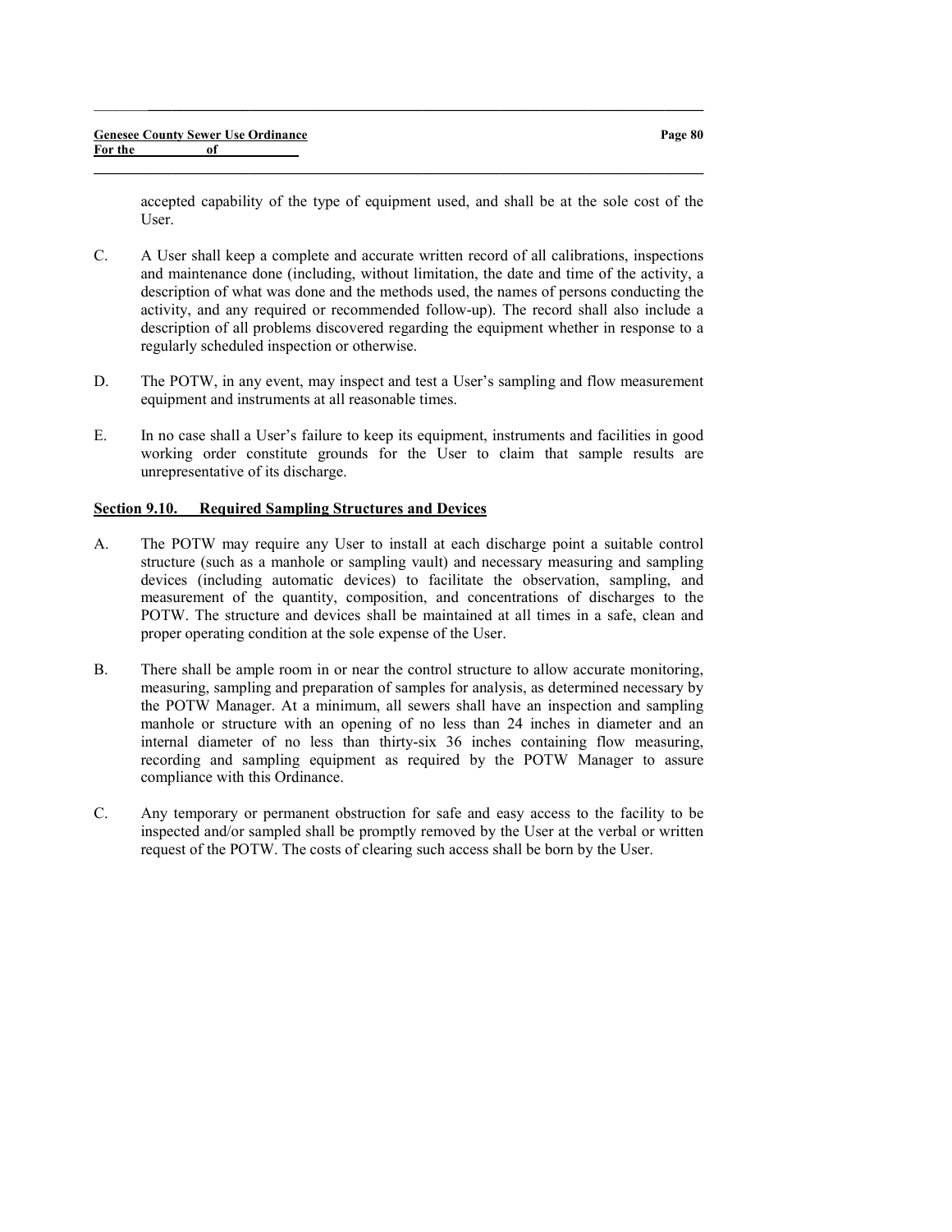accepted capability of the type of equipment used, and shall be at the sole cost of the User.

C. A User shall keep a complete and accurate written record of all calibrations, inspections and maintenance done (including, without limitation, the date and time of the activity, a description of what was done and the methods used, the names of persons conducting the activity, and any required or recommended follow-up). The record shall also include a description of all problems discovered regarding the equipment whether in response to a regularly scheduled inspection or otherwise.

 $\_$  ,  $\_$  ,  $\_$  ,  $\_$  ,  $\_$  ,  $\_$  ,  $\_$  ,  $\_$  ,  $\_$  ,  $\_$  ,  $\_$  ,  $\_$  ,  $\_$  ,  $\_$  ,  $\_$  ,  $\_$  ,  $\_$  ,  $\_$  ,  $\_$ 

 $\_$  , and the set of the set of the set of the set of the set of the set of the set of the set of the set of the set of the set of the set of the set of the set of the set of the set of the set of the set of the set of th

- D. The POTW, in any event, may inspect and test a User's sampling and flow measurement equipment and instruments at all reasonable times.
- E. In no case shall a User's failure to keep its equipment, instruments and facilities in good working order constitute grounds for the User to claim that sample results are unrepresentative of its discharge.

### Section 9.10. Required Sampling Structures and Devices

- A. The POTW may require any User to install at each discharge point a suitable control structure (such as a manhole or sampling vault) and necessary measuring and sampling devices (including automatic devices) to facilitate the observation, sampling, and measurement of the quantity, composition, and concentrations of discharges to the POTW. The structure and devices shall be maintained at all times in a safe, clean and proper operating condition at the sole expense of the User.
- B. There shall be ample room in or near the control structure to allow accurate monitoring, measuring, sampling and preparation of samples for analysis, as determined necessary by the POTW Manager. At a minimum, all sewers shall have an inspection and sampling manhole or structure with an opening of no less than 24 inches in diameter and an internal diameter of no less than thirty-six 36 inches containing flow measuring, recording and sampling equipment as required by the POTW Manager to assure compliance with this Ordinance.
- C. Any temporary or permanent obstruction for safe and easy access to the facility to be inspected and/or sampled shall be promptly removed by the User at the verbal or written request of the POTW. The costs of clearing such access shall be born by the User.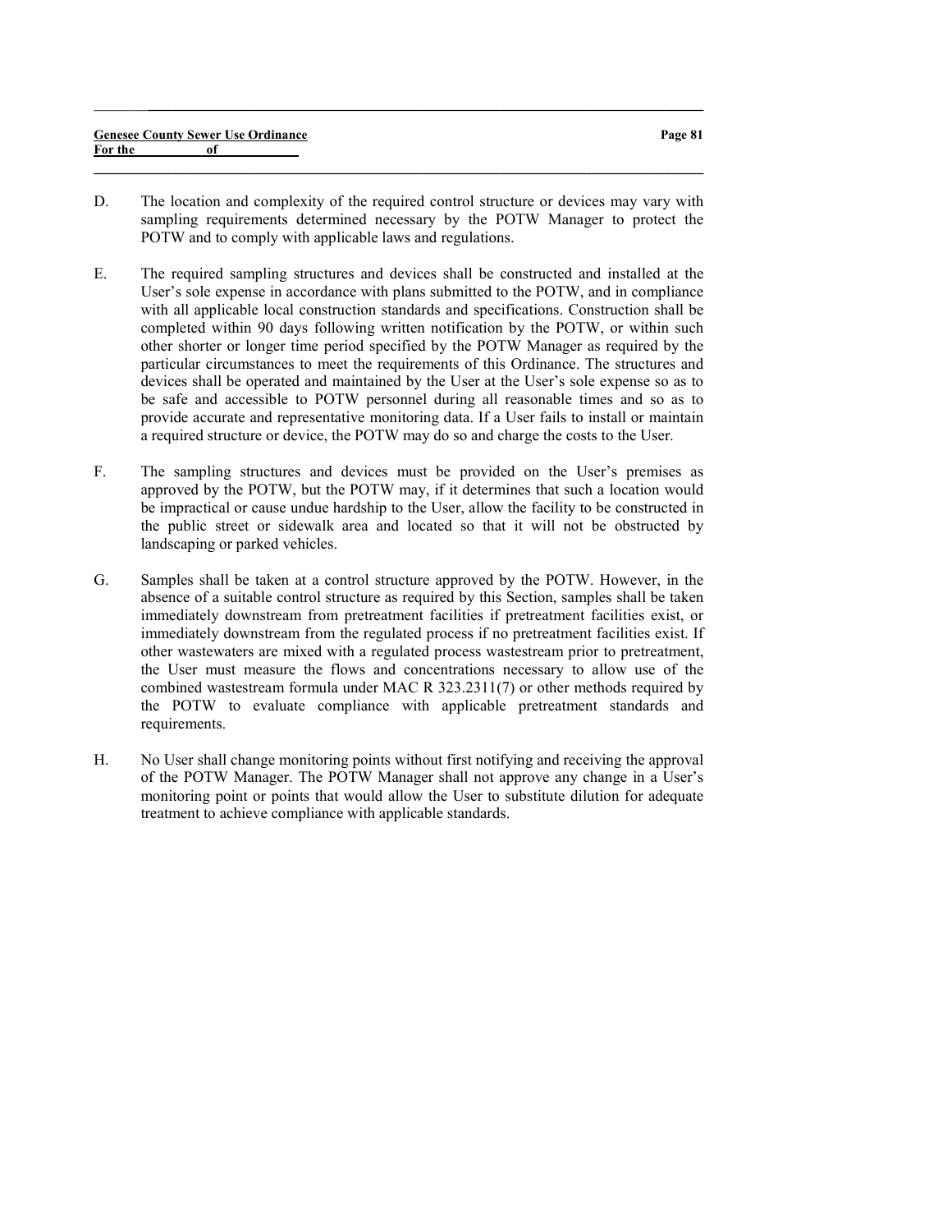|         | <b>Genesee County Sewer Use Ordinance</b> | Page 81 |
|---------|-------------------------------------------|---------|
| For the |                                           |         |
|         |                                           |         |

 $\_$  ,  $\_$  ,  $\_$  ,  $\_$  ,  $\_$  ,  $\_$  ,  $\_$  ,  $\_$  ,  $\_$  ,  $\_$  ,  $\_$  ,  $\_$  ,  $\_$  ,  $\_$  ,  $\_$  ,  $\_$  ,  $\_$  ,  $\_$  ,  $\_$ 

- D. The location and complexity of the required control structure or devices may vary with sampling requirements determined necessary by the POTW Manager to protect the POTW and to comply with applicable laws and regulations.
- E. The required sampling structures and devices shall be constructed and installed at the User's sole expense in accordance with plans submitted to the POTW, and in compliance with all applicable local construction standards and specifications. Construction shall be completed within 90 days following written notification by the POTW, or within such other shorter or longer time period specified by the POTW Manager as required by the particular circumstances to meet the requirements of this Ordinance. The structures and devices shall be operated and maintained by the User at the User's sole expense so as to be safe and accessible to POTW personnel during all reasonable times and so as to provide accurate and representative monitoring data. If a User fails to install or maintain a required structure or device, the POTW may do so and charge the costs to the User.
- F. The sampling structures and devices must be provided on the User's premises as approved by the POTW, but the POTW may, if it determines that such a location would be impractical or cause undue hardship to the User, allow the facility to be constructed in the public street or sidewalk area and located so that it will not be obstructed by landscaping or parked vehicles.
- G. Samples shall be taken at a control structure approved by the POTW. However, in the absence of a suitable control structure as required by this Section, samples shall be taken immediately downstream from pretreatment facilities if pretreatment facilities exist, or immediately downstream from the regulated process if no pretreatment facilities exist. If other wastewaters are mixed with a regulated process wastestream prior to pretreatment, the User must measure the flows and concentrations necessary to allow use of the combined wastestream formula under MAC R 323.2311(7) or other methods required by the POTW to evaluate compliance with applicable pretreatment standards and requirements.
- H. No User shall change monitoring points without first notifying and receiving the approval of the POTW Manager. The POTW Manager shall not approve any change in a User's monitoring point or points that would allow the User to substitute dilution for adequate treatment to achieve compliance with applicable standards.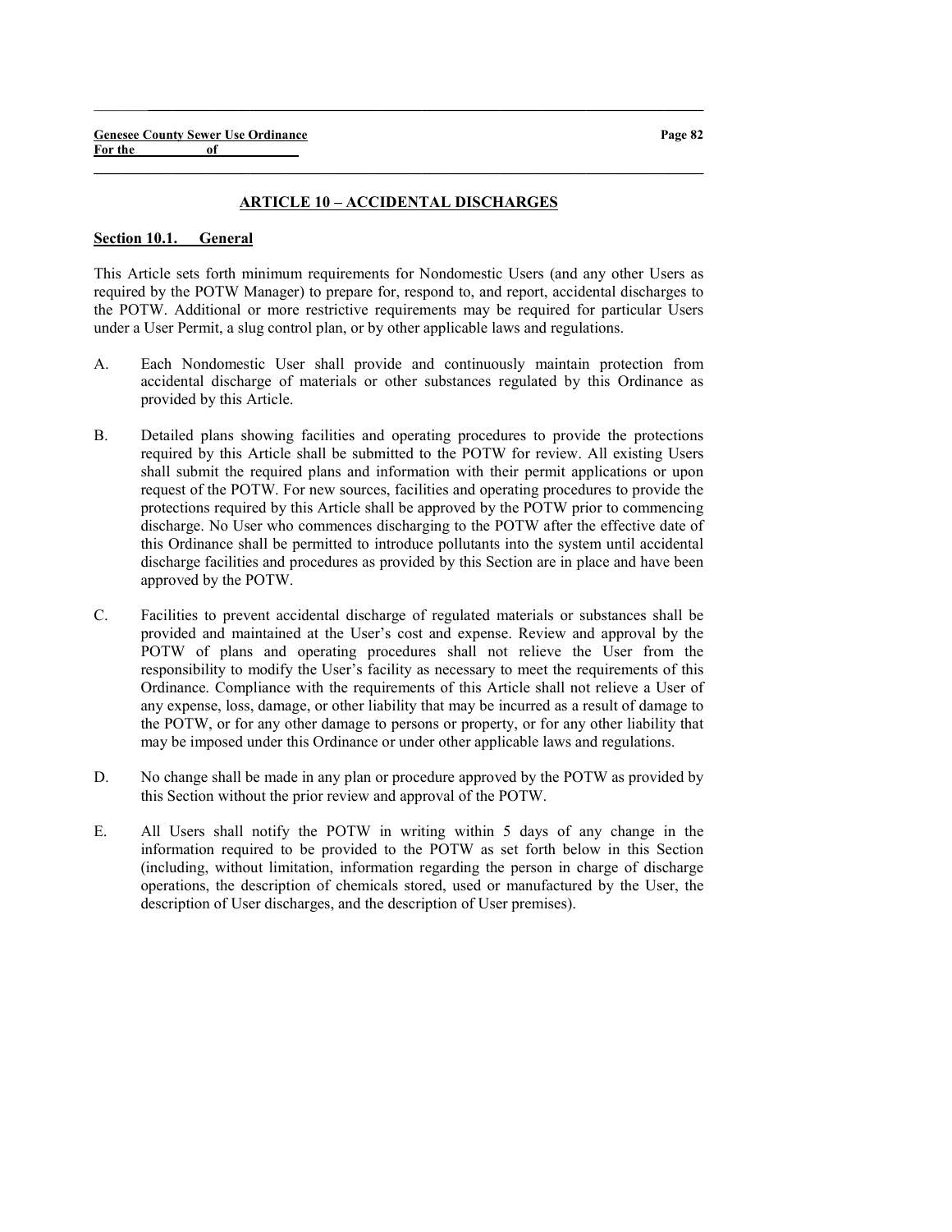#### ARTICLE 10 – ACCIDENTAL DISCHARGES

 $\_$  , and the set of the set of the set of the set of the set of the set of the set of the set of the set of the set of the set of the set of the set of the set of the set of the set of the set of the set of the set of th

 $\_$  ,  $\_$  ,  $\_$  ,  $\_$  ,  $\_$  ,  $\_$  ,  $\_$  ,  $\_$  ,  $\_$  ,  $\_$  ,  $\_$  ,  $\_$  ,  $\_$  ,  $\_$  ,  $\_$  ,  $\_$  ,  $\_$  ,  $\_$  ,  $\_$ 

### Section 10.1. General

This Article sets forth minimum requirements for Nondomestic Users (and any other Users as required by the POTW Manager) to prepare for, respond to, and report, accidental discharges to the POTW. Additional or more restrictive requirements may be required for particular Users under a User Permit, a slug control plan, or by other applicable laws and regulations.

- A. Each Nondomestic User shall provide and continuously maintain protection from accidental discharge of materials or other substances regulated by this Ordinance as provided by this Article.
- B. Detailed plans showing facilities and operating procedures to provide the protections required by this Article shall be submitted to the POTW for review. All existing Users shall submit the required plans and information with their permit applications or upon request of the POTW. For new sources, facilities and operating procedures to provide the protections required by this Article shall be approved by the POTW prior to commencing discharge. No User who commences discharging to the POTW after the effective date of this Ordinance shall be permitted to introduce pollutants into the system until accidental discharge facilities and procedures as provided by this Section are in place and have been approved by the POTW.
- C. Facilities to prevent accidental discharge of regulated materials or substances shall be provided and maintained at the User's cost and expense. Review and approval by the POTW of plans and operating procedures shall not relieve the User from the responsibility to modify the User's facility as necessary to meet the requirements of this Ordinance. Compliance with the requirements of this Article shall not relieve a User of any expense, loss, damage, or other liability that may be incurred as a result of damage to the POTW, or for any other damage to persons or property, or for any other liability that may be imposed under this Ordinance or under other applicable laws and regulations.
- D. No change shall be made in any plan or procedure approved by the POTW as provided by this Section without the prior review and approval of the POTW.
- E. All Users shall notify the POTW in writing within 5 days of any change in the information required to be provided to the POTW as set forth below in this Section (including, without limitation, information regarding the person in charge of discharge operations, the description of chemicals stored, used or manufactured by the User, the description of User discharges, and the description of User premises).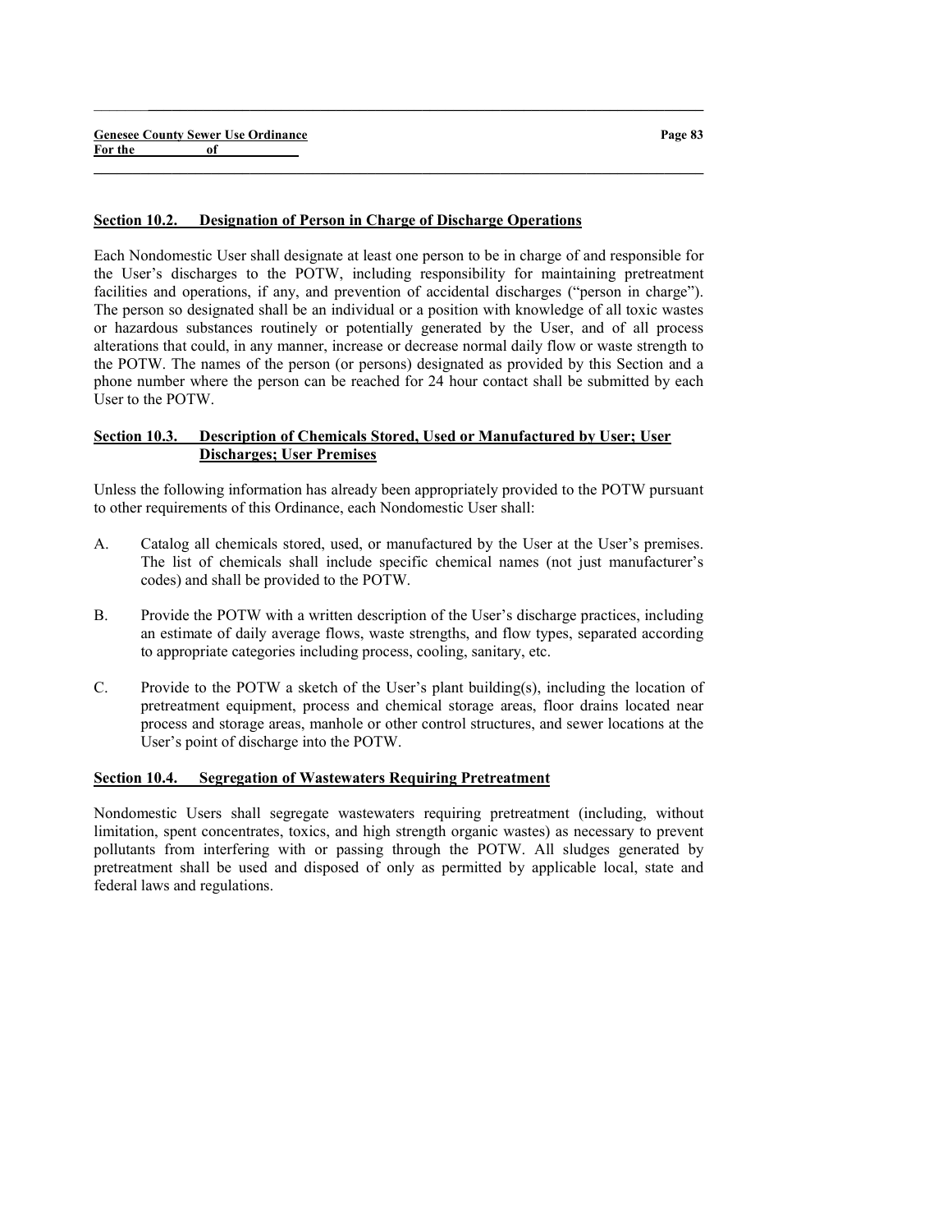### Section 10.2. Designation of Person in Charge of Discharge Operations

Each Nondomestic User shall designate at least one person to be in charge of and responsible for the User's discharges to the POTW, including responsibility for maintaining pretreatment facilities and operations, if any, and prevention of accidental discharges ("person in charge"). The person so designated shall be an individual or a position with knowledge of all toxic wastes or hazardous substances routinely or potentially generated by the User, and of all process alterations that could, in any manner, increase or decrease normal daily flow or waste strength to the POTW. The names of the person (or persons) designated as provided by this Section and a phone number where the person can be reached for 24 hour contact shall be submitted by each User to the POTW.

 $\_$  ,  $\_$  ,  $\_$  ,  $\_$  ,  $\_$  ,  $\_$  ,  $\_$  ,  $\_$  ,  $\_$  ,  $\_$  ,  $\_$  ,  $\_$  ,  $\_$  ,  $\_$  ,  $\_$  ,  $\_$  ,  $\_$  ,  $\_$  ,  $\_$ 

 $\_$  , and the set of the set of the set of the set of the set of the set of the set of the set of the set of the set of the set of the set of the set of the set of the set of the set of the set of the set of the set of th

# Section 10.3. Description of Chemicals Stored, Used or Manufactured by User; User Discharges; User Premises

Unless the following information has already been appropriately provided to the POTW pursuant to other requirements of this Ordinance, each Nondomestic User shall:

- A. Catalog all chemicals stored, used, or manufactured by the User at the User's premises. The list of chemicals shall include specific chemical names (not just manufacturer's codes) and shall be provided to the POTW.
- B. Provide the POTW with a written description of the User's discharge practices, including an estimate of daily average flows, waste strengths, and flow types, separated according to appropriate categories including process, cooling, sanitary, etc.
- C. Provide to the POTW a sketch of the User's plant building(s), including the location of pretreatment equipment, process and chemical storage areas, floor drains located near process and storage areas, manhole or other control structures, and sewer locations at the User's point of discharge into the POTW.

# Section 10.4. Segregation of Wastewaters Requiring Pretreatment

Nondomestic Users shall segregate wastewaters requiring pretreatment (including, without limitation, spent concentrates, toxics, and high strength organic wastes) as necessary to prevent pollutants from interfering with or passing through the POTW. All sludges generated by pretreatment shall be used and disposed of only as permitted by applicable local, state and federal laws and regulations.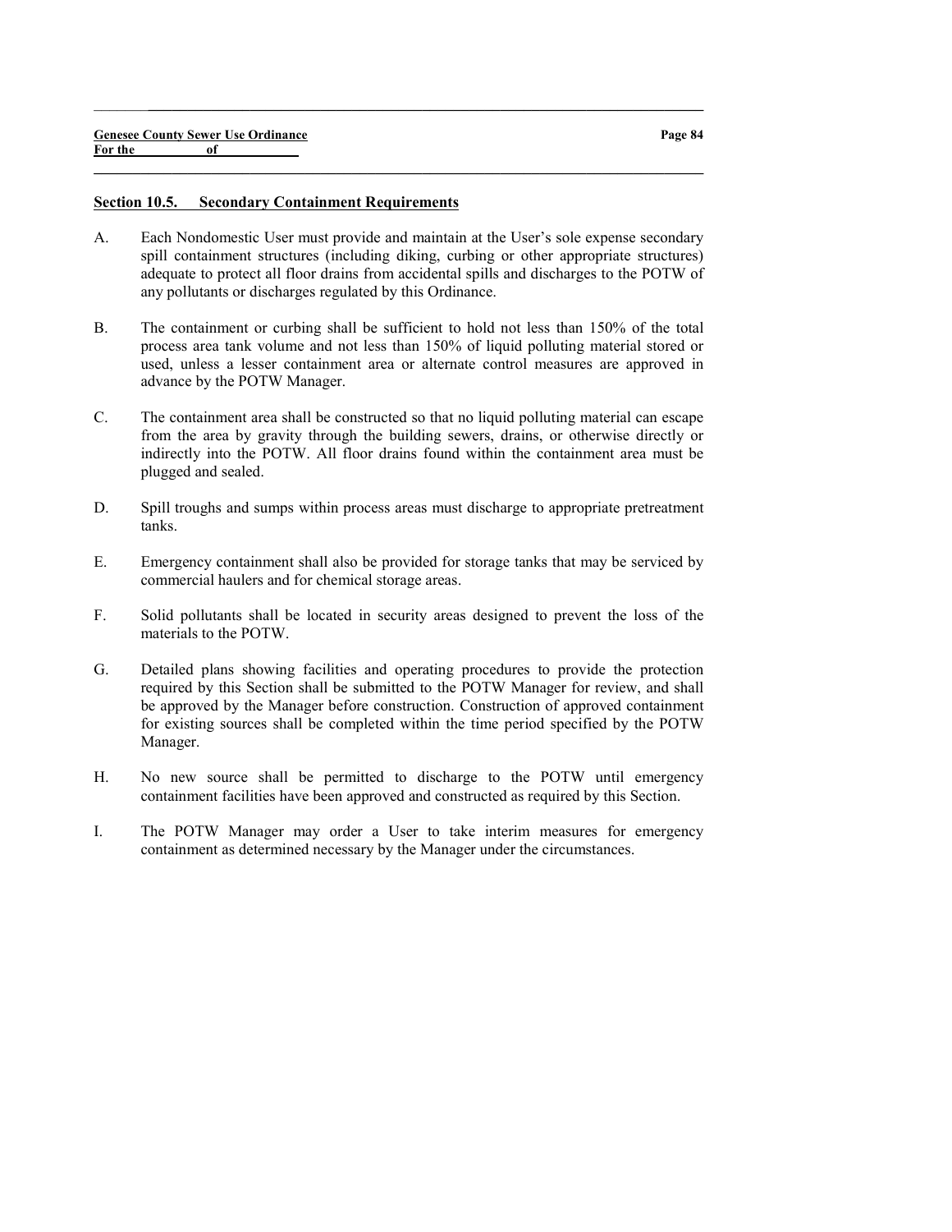#### Section 10.5. Secondary Containment Requirements

A. Each Nondomestic User must provide and maintain at the User's sole expense secondary spill containment structures (including diking, curbing or other appropriate structures) adequate to protect all floor drains from accidental spills and discharges to the POTW of any pollutants or discharges regulated by this Ordinance.

 $\_$  ,  $\_$  ,  $\_$  ,  $\_$  ,  $\_$  ,  $\_$  ,  $\_$  ,  $\_$  ,  $\_$  ,  $\_$  ,  $\_$  ,  $\_$  ,  $\_$  ,  $\_$  ,  $\_$  ,  $\_$  ,  $\_$  ,  $\_$  ,  $\_$ 

- B. The containment or curbing shall be sufficient to hold not less than 150% of the total process area tank volume and not less than 150% of liquid polluting material stored or used, unless a lesser containment area or alternate control measures are approved in advance by the POTW Manager.
- C. The containment area shall be constructed so that no liquid polluting material can escape from the area by gravity through the building sewers, drains, or otherwise directly or indirectly into the POTW. All floor drains found within the containment area must be plugged and sealed.
- D. Spill troughs and sumps within process areas must discharge to appropriate pretreatment tanks.
- E. Emergency containment shall also be provided for storage tanks that may be serviced by commercial haulers and for chemical storage areas.
- F. Solid pollutants shall be located in security areas designed to prevent the loss of the materials to the POTW.
- G. Detailed plans showing facilities and operating procedures to provide the protection required by this Section shall be submitted to the POTW Manager for review, and shall be approved by the Manager before construction. Construction of approved containment for existing sources shall be completed within the time period specified by the POTW Manager.
- H. No new source shall be permitted to discharge to the POTW until emergency containment facilities have been approved and constructed as required by this Section.
- I. The POTW Manager may order a User to take interim measures for emergency containment as determined necessary by the Manager under the circumstances.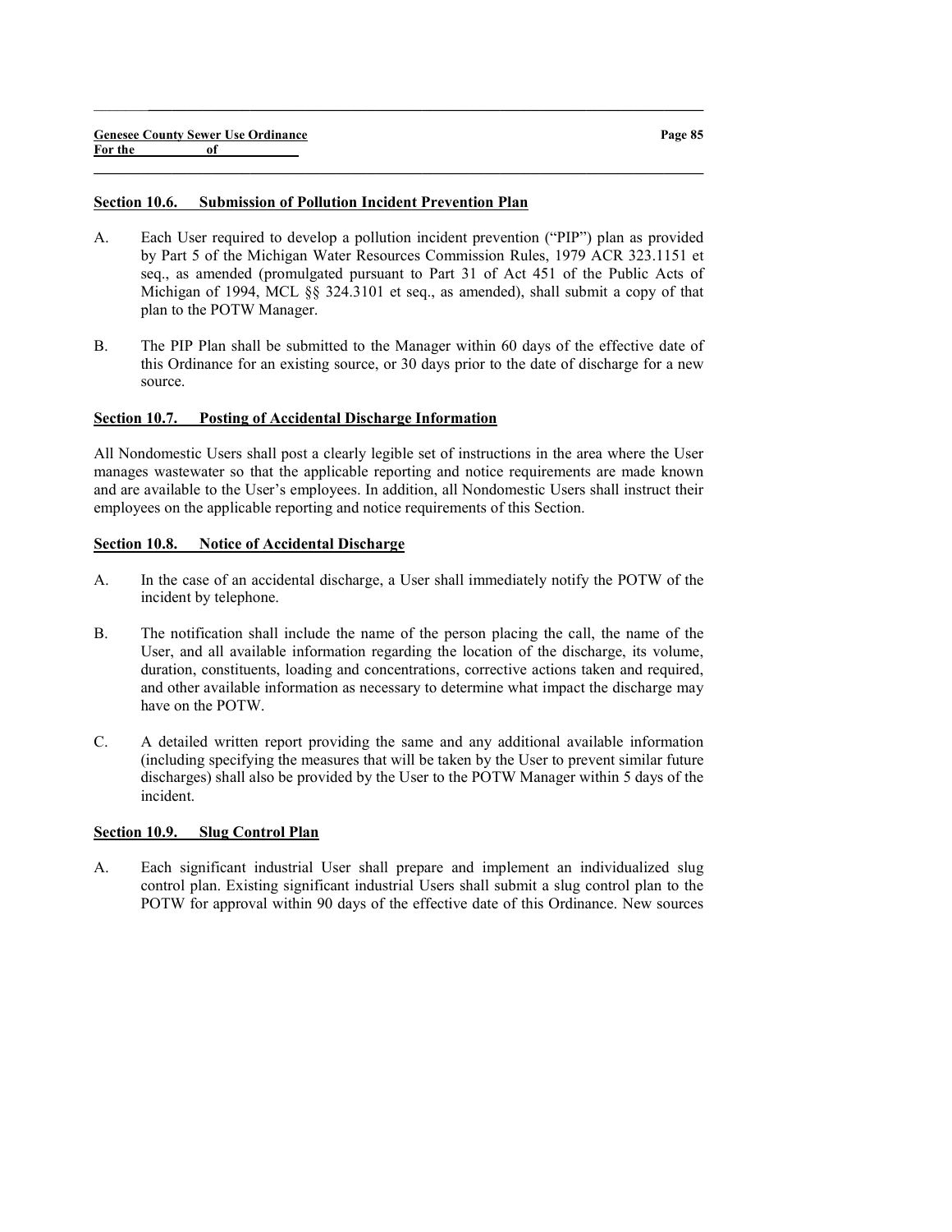#### Section 10.6. Submission of Pollution Incident Prevention Plan

A. Each User required to develop a pollution incident prevention ("PIP") plan as provided by Part 5 of the Michigan Water Resources Commission Rules, 1979 ACR 323.1151 et seq., as amended (promulgated pursuant to Part 31 of Act 451 of the Public Acts of Michigan of 1994, MCL §§ 324.3101 et seq., as amended), shall submit a copy of that plan to the POTW Manager.

 $\_$  ,  $\_$  ,  $\_$  ,  $\_$  ,  $\_$  ,  $\_$  ,  $\_$  ,  $\_$  ,  $\_$  ,  $\_$  ,  $\_$  ,  $\_$  ,  $\_$  ,  $\_$  ,  $\_$  ,  $\_$  ,  $\_$  ,  $\_$  ,  $\_$ 

 $\_$  , and the set of the set of the set of the set of the set of the set of the set of the set of the set of the set of the set of the set of the set of the set of the set of the set of the set of the set of the set of th

B. The PIP Plan shall be submitted to the Manager within 60 days of the effective date of this Ordinance for an existing source, or 30 days prior to the date of discharge for a new source.

#### Section 10.7. Posting of Accidental Discharge Information

All Nondomestic Users shall post a clearly legible set of instructions in the area where the User manages wastewater so that the applicable reporting and notice requirements are made known and are available to the User's employees. In addition, all Nondomestic Users shall instruct their employees on the applicable reporting and notice requirements of this Section.

#### Section 10.8. Notice of Accidental Discharge

- A. In the case of an accidental discharge, a User shall immediately notify the POTW of the incident by telephone.
- B. The notification shall include the name of the person placing the call, the name of the User, and all available information regarding the location of the discharge, its volume, duration, constituents, loading and concentrations, corrective actions taken and required, and other available information as necessary to determine what impact the discharge may have on the POTW.
- C. A detailed written report providing the same and any additional available information (including specifying the measures that will be taken by the User to prevent similar future discharges) shall also be provided by the User to the POTW Manager within 5 days of the incident.

#### Section 10.9. Slug Control Plan

A. Each significant industrial User shall prepare and implement an individualized slug control plan. Existing significant industrial Users shall submit a slug control plan to the POTW for approval within 90 days of the effective date of this Ordinance. New sources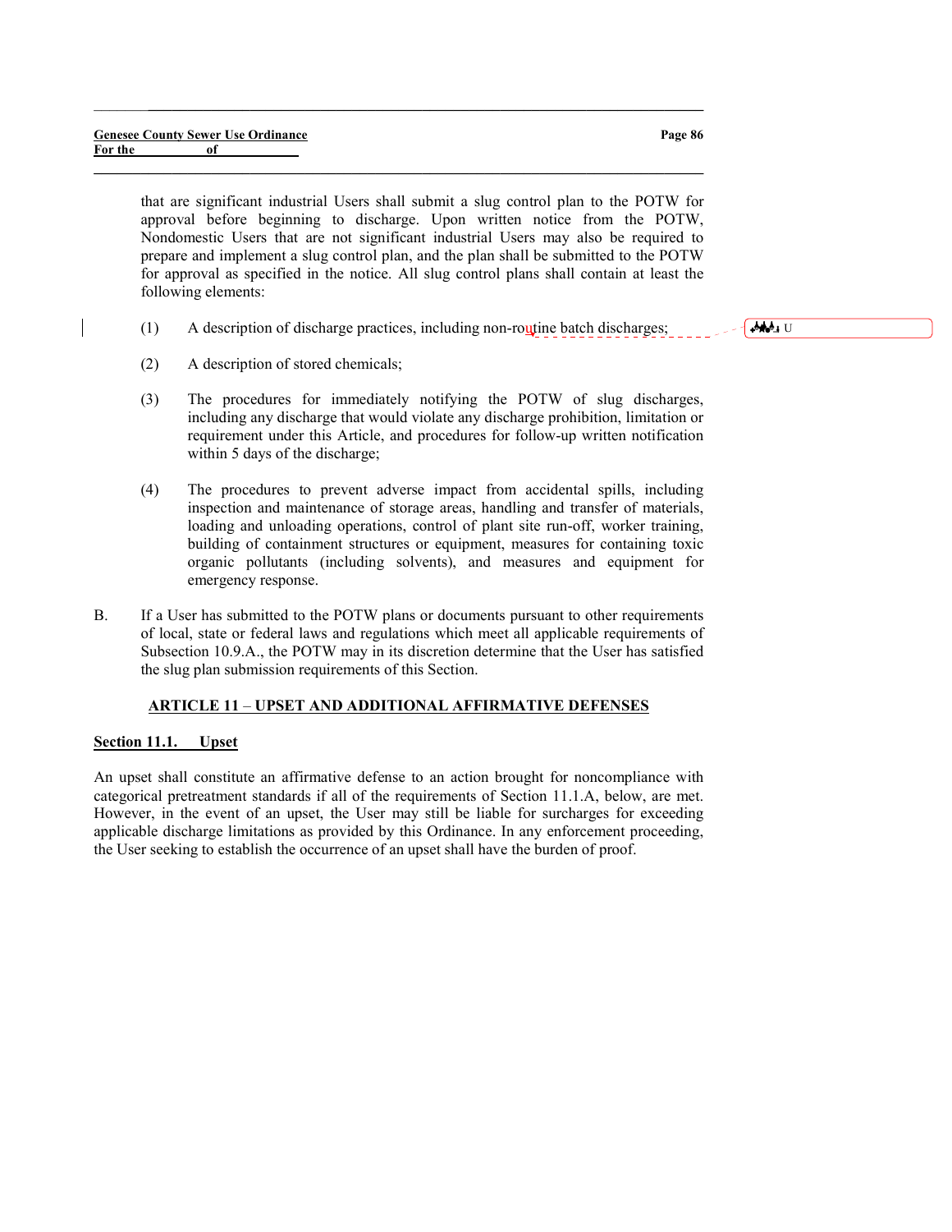that are significant industrial Users shall submit a slug control plan to the POTW for approval before beginning to discharge. Upon written notice from the POTW, Nondomestic Users that are not significant industrial Users may also be required to prepare and implement a slug control plan, and the plan shall be submitted to the POTW for approval as specified in the notice. All slug control plans shall contain at least the following elements:

(1) A description of discharge practices, including non-routine batch discharges;

 $\_$  ,  $\_$  ,  $\_$  ,  $\_$  ,  $\_$  ,  $\_$  ,  $\_$  ,  $\_$  ,  $\_$  ,  $\_$  ,  $\_$  ,  $\_$  ,  $\_$  ,  $\_$  ,  $\_$  ,  $\_$  ,  $\_$  ,  $\_$  ,  $\_$ 

 $\_$  , and the set of the set of the set of the set of the set of the set of the set of the set of the set of the set of the set of the set of the set of the set of the set of the set of the set of the set of the set of th

- (2) A description of stored chemicals;
- (3) The procedures for immediately notifying the POTW of slug discharges, including any discharge that would violate any discharge prohibition, limitation or requirement under this Article, and procedures for follow-up written notification within 5 days of the discharge;
- (4) The procedures to prevent adverse impact from accidental spills, including inspection and maintenance of storage areas, handling and transfer of materials, loading and unloading operations, control of plant site run-off, worker training, building of containment structures or equipment, measures for containing toxic organic pollutants (including solvents), and measures and equipment for emergency response.
- B. If a User has submitted to the POTW plans or documents pursuant to other requirements of local, state or federal laws and regulations which meet all applicable requirements of Subsection 10.9.A., the POTW may in its discretion determine that the User has satisfied the slug plan submission requirements of this Section.

# ARTICLE 11 – UPSET AND ADDITIONAL AFFIRMATIVE DEFENSES

### Section 11.1. Upset

An upset shall constitute an affirmative defense to an action brought for noncompliance with categorical pretreatment standards if all of the requirements of Section 11.1.A, below, are met. However, in the event of an upset, the User may still be liable for surcharges for exceeding applicable discharge limitations as provided by this Ordinance. In any enforcement proceeding, the User seeking to establish the occurrence of an upset shall have the burden of proof.

Page 86

Deleted: U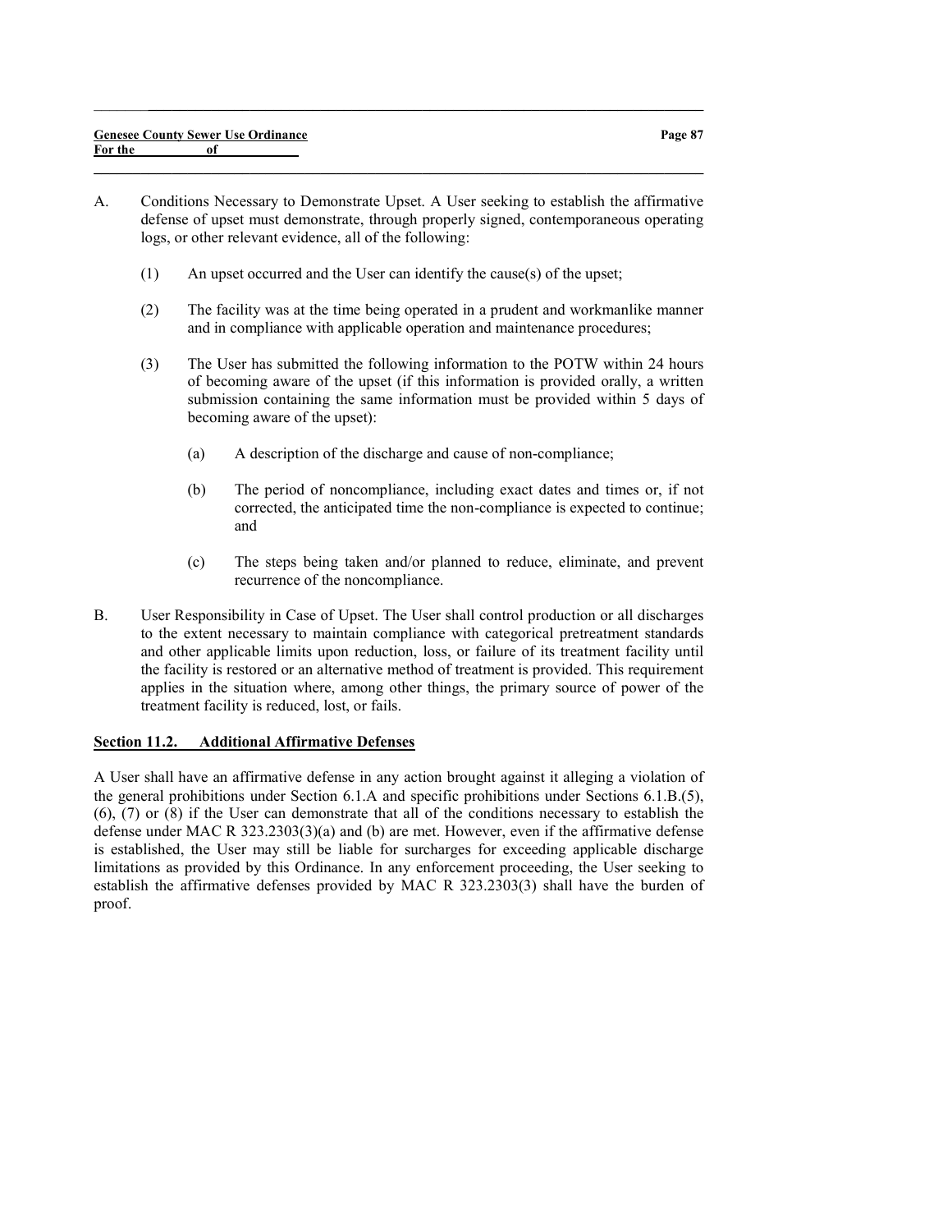A. Conditions Necessary to Demonstrate Upset. A User seeking to establish the affirmative defense of upset must demonstrate, through properly signed, contemporaneous operating logs, or other relevant evidence, all of the following:

 $\_$  , and the set of the set of the set of the set of the set of the set of the set of the set of the set of the set of the set of the set of the set of the set of the set of the set of the set of the set of the set of th

 $\_$  ,  $\_$  ,  $\_$  ,  $\_$  ,  $\_$  ,  $\_$  ,  $\_$  ,  $\_$  ,  $\_$  ,  $\_$  ,  $\_$  ,  $\_$  ,  $\_$  ,  $\_$  ,  $\_$  ,  $\_$  ,  $\_$  ,  $\_$  ,  $\_$ 

- (1) An upset occurred and the User can identify the cause(s) of the upset;
- (2) The facility was at the time being operated in a prudent and workmanlike manner and in compliance with applicable operation and maintenance procedures;
- (3) The User has submitted the following information to the POTW within 24 hours of becoming aware of the upset (if this information is provided orally, a written submission containing the same information must be provided within 5 days of becoming aware of the upset):
	- (a) A description of the discharge and cause of non-compliance;
	- (b) The period of noncompliance, including exact dates and times or, if not corrected, the anticipated time the non-compliance is expected to continue; and
	- (c) The steps being taken and/or planned to reduce, eliminate, and prevent recurrence of the noncompliance.
- B. User Responsibility in Case of Upset. The User shall control production or all discharges to the extent necessary to maintain compliance with categorical pretreatment standards and other applicable limits upon reduction, loss, or failure of its treatment facility until the facility is restored or an alternative method of treatment is provided. This requirement applies in the situation where, among other things, the primary source of power of the treatment facility is reduced, lost, or fails.

#### Section 11.2. Additional Affirmative Defenses

A User shall have an affirmative defense in any action brought against it alleging a violation of the general prohibitions under Section 6.1.A and specific prohibitions under Sections 6.1.B.(5), (6), (7) or (8) if the User can demonstrate that all of the conditions necessary to establish the defense under MAC R 323.2303(3)(a) and (b) are met. However, even if the affirmative defense is established, the User may still be liable for surcharges for exceeding applicable discharge limitations as provided by this Ordinance. In any enforcement proceeding, the User seeking to establish the affirmative defenses provided by MAC R 323.2303(3) shall have the burden of proof.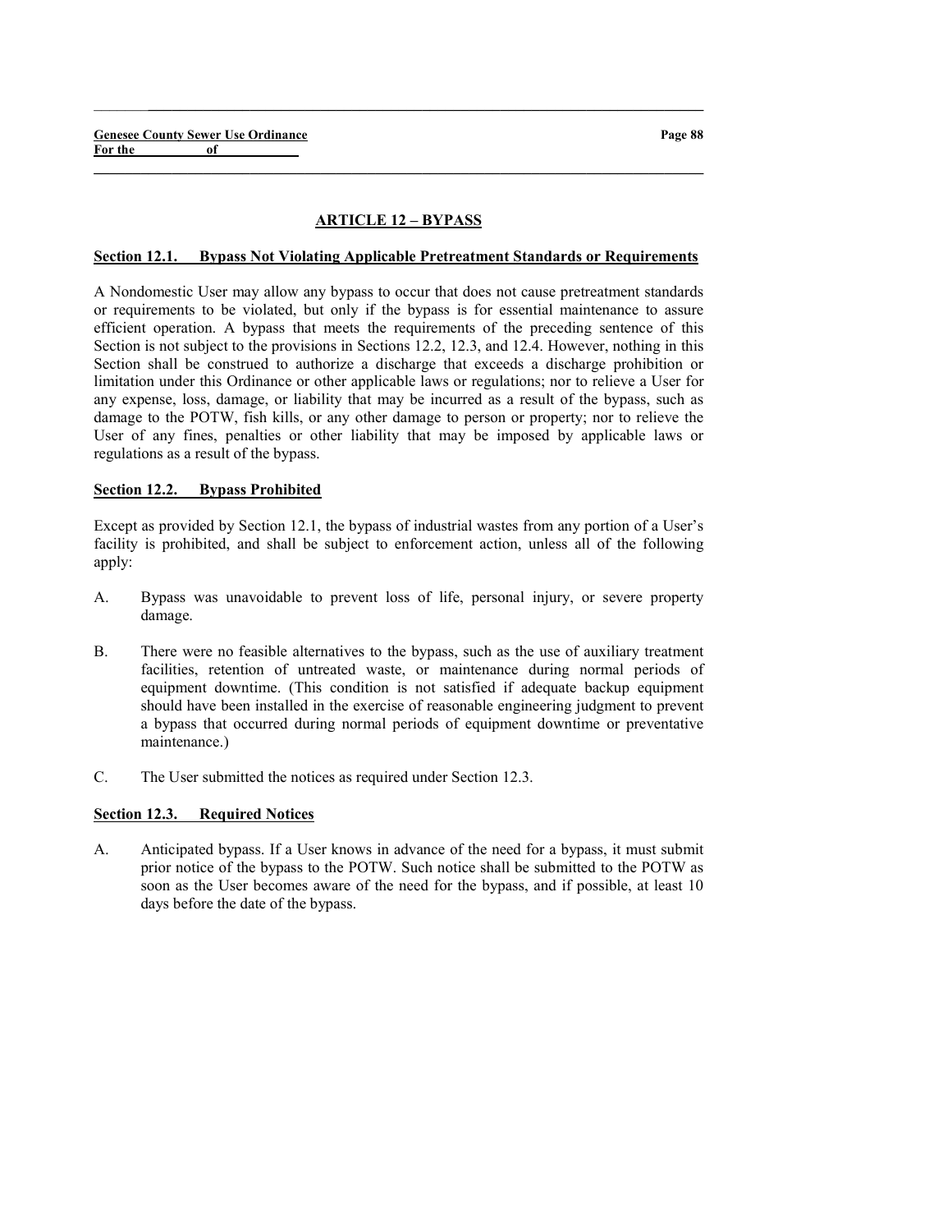# ARTICLE 12 – BYPASS

 $\_$  , and the set of the set of the set of the set of the set of the set of the set of the set of the set of the set of the set of the set of the set of the set of the set of the set of the set of the set of the set of th

 $\_$  ,  $\_$  ,  $\_$  ,  $\_$  ,  $\_$  ,  $\_$  ,  $\_$  ,  $\_$  ,  $\_$  ,  $\_$  ,  $\_$  ,  $\_$  ,  $\_$  ,  $\_$  ,  $\_$  ,  $\_$  ,  $\_$  ,  $\_$  ,  $\_$ 

#### Section 12.1. Bypass Not Violating Applicable Pretreatment Standards or Requirements

A Nondomestic User may allow any bypass to occur that does not cause pretreatment standards or requirements to be violated, but only if the bypass is for essential maintenance to assure efficient operation. A bypass that meets the requirements of the preceding sentence of this Section is not subject to the provisions in Sections 12.2, 12.3, and 12.4. However, nothing in this Section shall be construed to authorize a discharge that exceeds a discharge prohibition or limitation under this Ordinance or other applicable laws or regulations; nor to relieve a User for any expense, loss, damage, or liability that may be incurred as a result of the bypass, such as damage to the POTW, fish kills, or any other damage to person or property; nor to relieve the User of any fines, penalties or other liability that may be imposed by applicable laws or regulations as a result of the bypass.

### Section 12.2. Bypass Prohibited

Except as provided by Section 12.1, the bypass of industrial wastes from any portion of a User's facility is prohibited, and shall be subject to enforcement action, unless all of the following apply:

- A. Bypass was unavoidable to prevent loss of life, personal injury, or severe property damage.
- B. There were no feasible alternatives to the bypass, such as the use of auxiliary treatment facilities, retention of untreated waste, or maintenance during normal periods of equipment downtime. (This condition is not satisfied if adequate backup equipment should have been installed in the exercise of reasonable engineering judgment to prevent a bypass that occurred during normal periods of equipment downtime or preventative maintenance.)
- C. The User submitted the notices as required under Section 12.3.

# Section 12.3. Required Notices

A. Anticipated bypass. If a User knows in advance of the need for a bypass, it must submit prior notice of the bypass to the POTW. Such notice shall be submitted to the POTW as soon as the User becomes aware of the need for the bypass, and if possible, at least 10 days before the date of the bypass.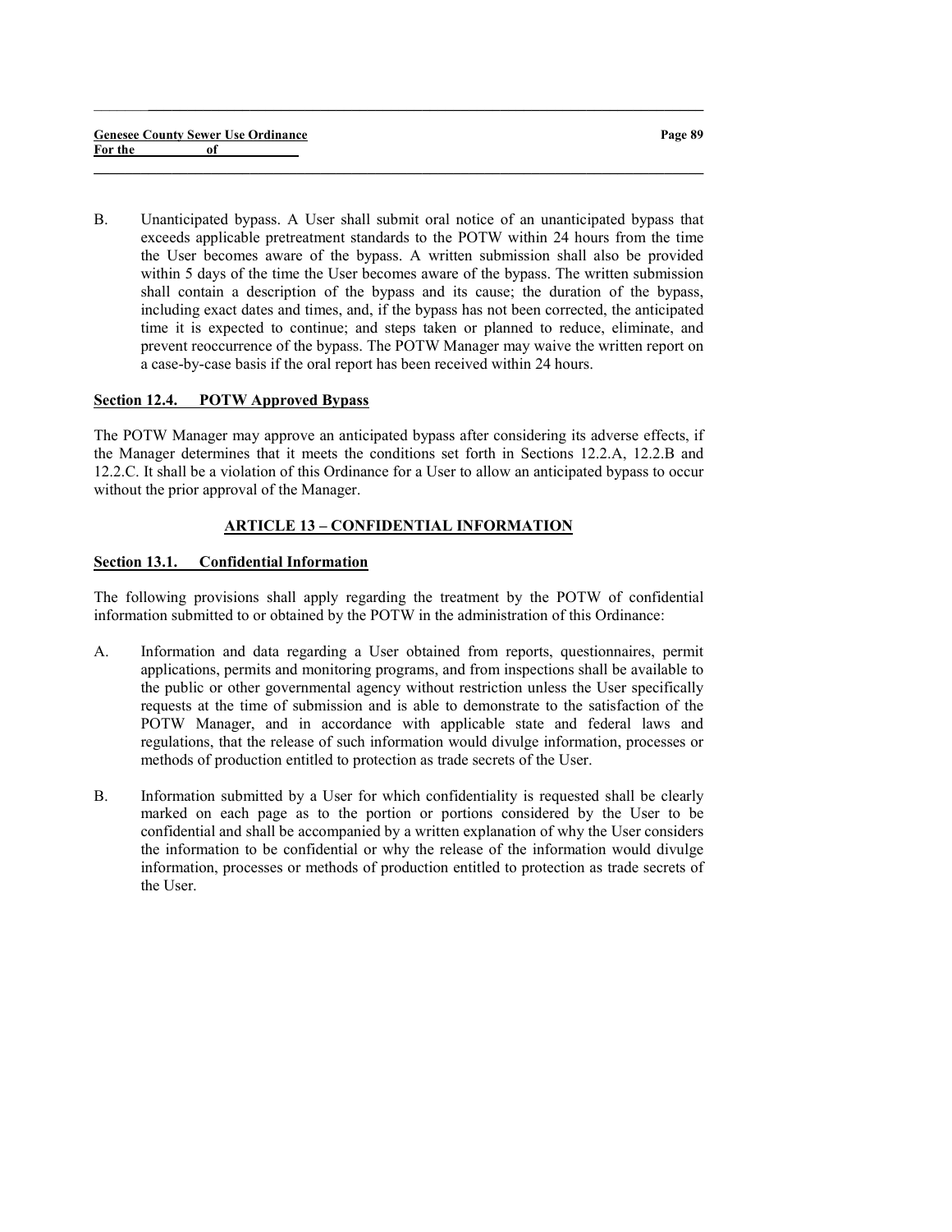B. Unanticipated bypass. A User shall submit oral notice of an unanticipated bypass that exceeds applicable pretreatment standards to the POTW within 24 hours from the time the User becomes aware of the bypass. A written submission shall also be provided within 5 days of the time the User becomes aware of the bypass. The written submission shall contain a description of the bypass and its cause; the duration of the bypass, including exact dates and times, and, if the bypass has not been corrected, the anticipated time it is expected to continue; and steps taken or planned to reduce, eliminate, and prevent reoccurrence of the bypass. The POTW Manager may waive the written report on a case-by-case basis if the oral report has been received within 24 hours.

 $\_$  ,  $\_$  ,  $\_$  ,  $\_$  ,  $\_$  ,  $\_$  ,  $\_$  ,  $\_$  ,  $\_$  ,  $\_$  ,  $\_$  ,  $\_$  ,  $\_$  ,  $\_$  ,  $\_$  ,  $\_$  ,  $\_$  ,  $\_$  ,  $\_$ 

 $\_$  , and the set of the set of the set of the set of the set of the set of the set of the set of the set of the set of the set of the set of the set of the set of the set of the set of the set of the set of the set of th

#### Section 12.4. POTW Approved Bypass

The POTW Manager may approve an anticipated bypass after considering its adverse effects, if the Manager determines that it meets the conditions set forth in Sections 12.2.A, 12.2.B and 12.2.C. It shall be a violation of this Ordinance for a User to allow an anticipated bypass to occur without the prior approval of the Manager.

# ARTICLE 13 – CONFIDENTIAL INFORMATION

### Section 13.1. Confidential Information

The following provisions shall apply regarding the treatment by the POTW of confidential information submitted to or obtained by the POTW in the administration of this Ordinance:

- A. Information and data regarding a User obtained from reports, questionnaires, permit applications, permits and monitoring programs, and from inspections shall be available to the public or other governmental agency without restriction unless the User specifically requests at the time of submission and is able to demonstrate to the satisfaction of the POTW Manager, and in accordance with applicable state and federal laws and regulations, that the release of such information would divulge information, processes or methods of production entitled to protection as trade secrets of the User.
- B. Information submitted by a User for which confidentiality is requested shall be clearly marked on each page as to the portion or portions considered by the User to be confidential and shall be accompanied by a written explanation of why the User considers the information to be confidential or why the release of the information would divulge information, processes or methods of production entitled to protection as trade secrets of the User.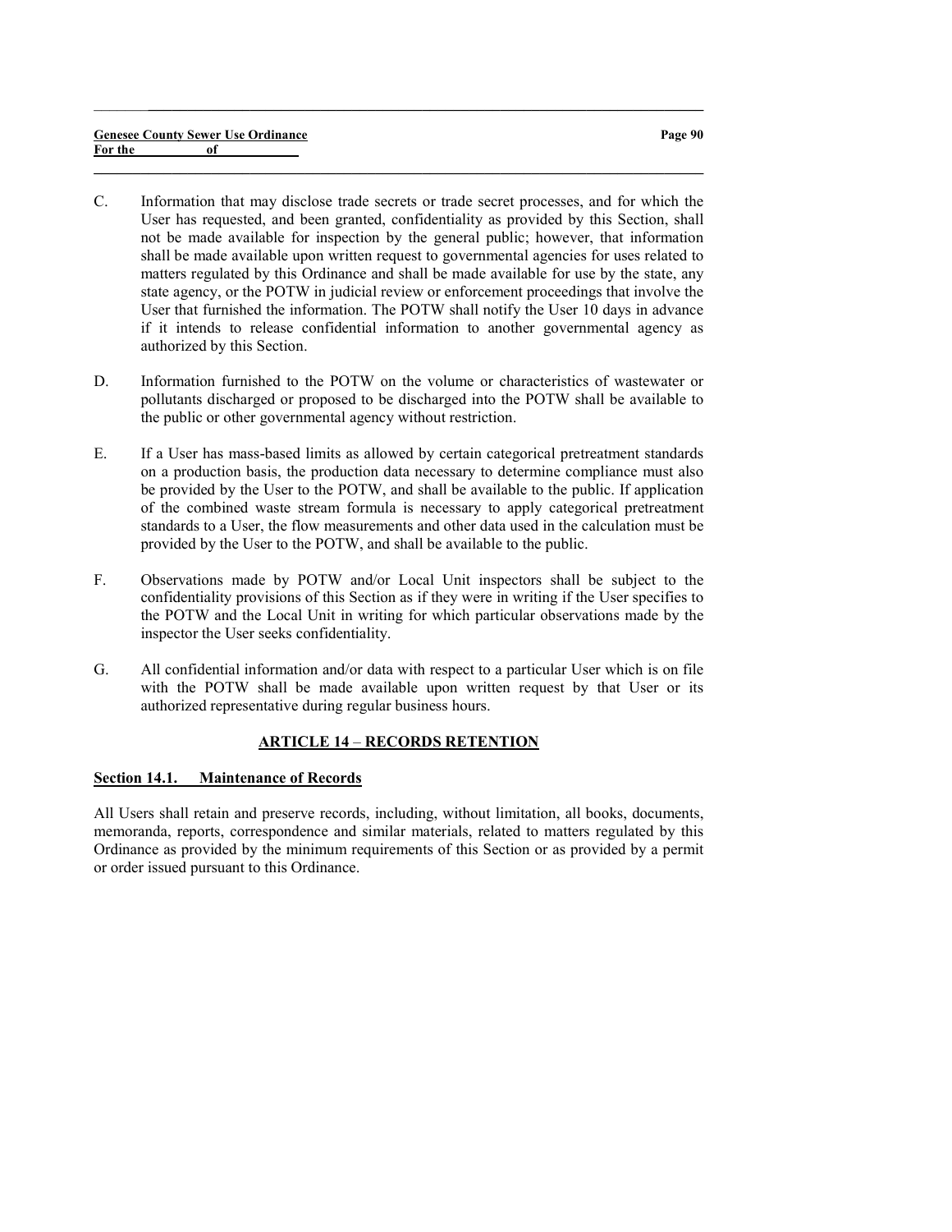#### Genesee County Sewer Use Ordinance For the of

C. Information that may disclose trade secrets or trade secret processes, and for which the User has requested, and been granted, confidentiality as provided by this Section, shall not be made available for inspection by the general public; however, that information shall be made available upon written request to governmental agencies for uses related to matters regulated by this Ordinance and shall be made available for use by the state, any state agency, or the POTW in judicial review or enforcement proceedings that involve the User that furnished the information. The POTW shall notify the User 10 days in advance if it intends to release confidential information to another governmental agency as authorized by this Section.

 $\_$  ,  $\_$  ,  $\_$  ,  $\_$  ,  $\_$  ,  $\_$  ,  $\_$  ,  $\_$  ,  $\_$  ,  $\_$  ,  $\_$  ,  $\_$  ,  $\_$  ,  $\_$  ,  $\_$  ,  $\_$  ,  $\_$  ,  $\_$  ,  $\_$ 

 $\_$  , and the set of the set of the set of the set of the set of the set of the set of the set of the set of the set of the set of the set of the set of the set of the set of the set of the set of the set of the set of th

- D. Information furnished to the POTW on the volume or characteristics of wastewater or pollutants discharged or proposed to be discharged into the POTW shall be available to the public or other governmental agency without restriction.
- E. If a User has mass-based limits as allowed by certain categorical pretreatment standards on a production basis, the production data necessary to determine compliance must also be provided by the User to the POTW, and shall be available to the public. If application of the combined waste stream formula is necessary to apply categorical pretreatment standards to a User, the flow measurements and other data used in the calculation must be provided by the User to the POTW, and shall be available to the public.
- F. Observations made by POTW and/or Local Unit inspectors shall be subject to the confidentiality provisions of this Section as if they were in writing if the User specifies to the POTW and the Local Unit in writing for which particular observations made by the inspector the User seeks confidentiality.
- G. All confidential information and/or data with respect to a particular User which is on file with the POTW shall be made available upon written request by that User or its authorized representative during regular business hours.

# ARTICLE 14 – RECORDS RETENTION

# Section 14.1. Maintenance of Records

All Users shall retain and preserve records, including, without limitation, all books, documents, memoranda, reports, correspondence and similar materials, related to matters regulated by this Ordinance as provided by the minimum requirements of this Section or as provided by a permit or order issued pursuant to this Ordinance.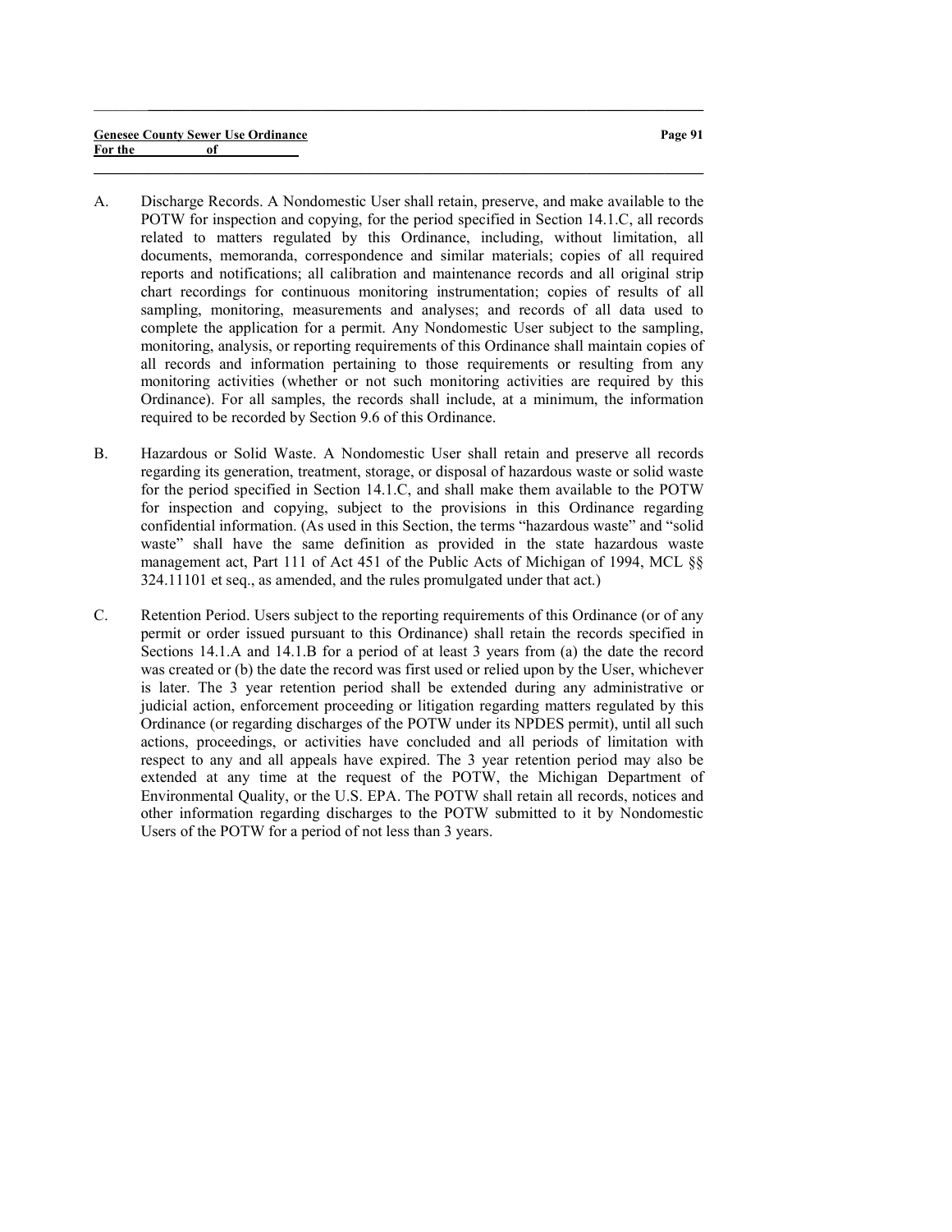A. Discharge Records. A Nondomestic User shall retain, preserve, and make available to the POTW for inspection and copying, for the period specified in Section 14.1.C, all records related to matters regulated by this Ordinance, including, without limitation, all documents, memoranda, correspondence and similar materials; copies of all required reports and notifications; all calibration and maintenance records and all original strip chart recordings for continuous monitoring instrumentation; copies of results of all sampling, monitoring, measurements and analyses; and records of all data used to complete the application for a permit. Any Nondomestic User subject to the sampling, monitoring, analysis, or reporting requirements of this Ordinance shall maintain copies of all records and information pertaining to those requirements or resulting from any monitoring activities (whether or not such monitoring activities are required by this Ordinance). For all samples, the records shall include, at a minimum, the information required to be recorded by Section 9.6 of this Ordinance.

 $\_$  , and the set of the set of the set of the set of the set of the set of the set of the set of the set of the set of the set of the set of the set of the set of the set of the set of the set of the set of the set of th

- B. Hazardous or Solid Waste. A Nondomestic User shall retain and preserve all records regarding its generation, treatment, storage, or disposal of hazardous waste or solid waste for the period specified in Section 14.1.C, and shall make them available to the POTW for inspection and copying, subject to the provisions in this Ordinance regarding confidential information. (As used in this Section, the terms "hazardous waste" and "solid waste" shall have the same definition as provided in the state hazardous waste management act, Part 111 of Act 451 of the Public Acts of Michigan of 1994, MCL §§ 324.11101 et seq., as amended, and the rules promulgated under that act.)
- C. Retention Period. Users subject to the reporting requirements of this Ordinance (or of any permit or order issued pursuant to this Ordinance) shall retain the records specified in Sections 14.1.A and 14.1.B for a period of at least 3 years from (a) the date the record was created or (b) the date the record was first used or relied upon by the User, whichever is later. The 3 year retention period shall be extended during any administrative or judicial action, enforcement proceeding or litigation regarding matters regulated by this Ordinance (or regarding discharges of the POTW under its NPDES permit), until all such actions, proceedings, or activities have concluded and all periods of limitation with respect to any and all appeals have expired. The 3 year retention period may also be extended at any time at the request of the POTW, the Michigan Department of Environmental Quality, or the U.S. EPA. The POTW shall retain all records, notices and other information regarding discharges to the POTW submitted to it by Nondomestic Users of the POTW for a period of not less than 3 years.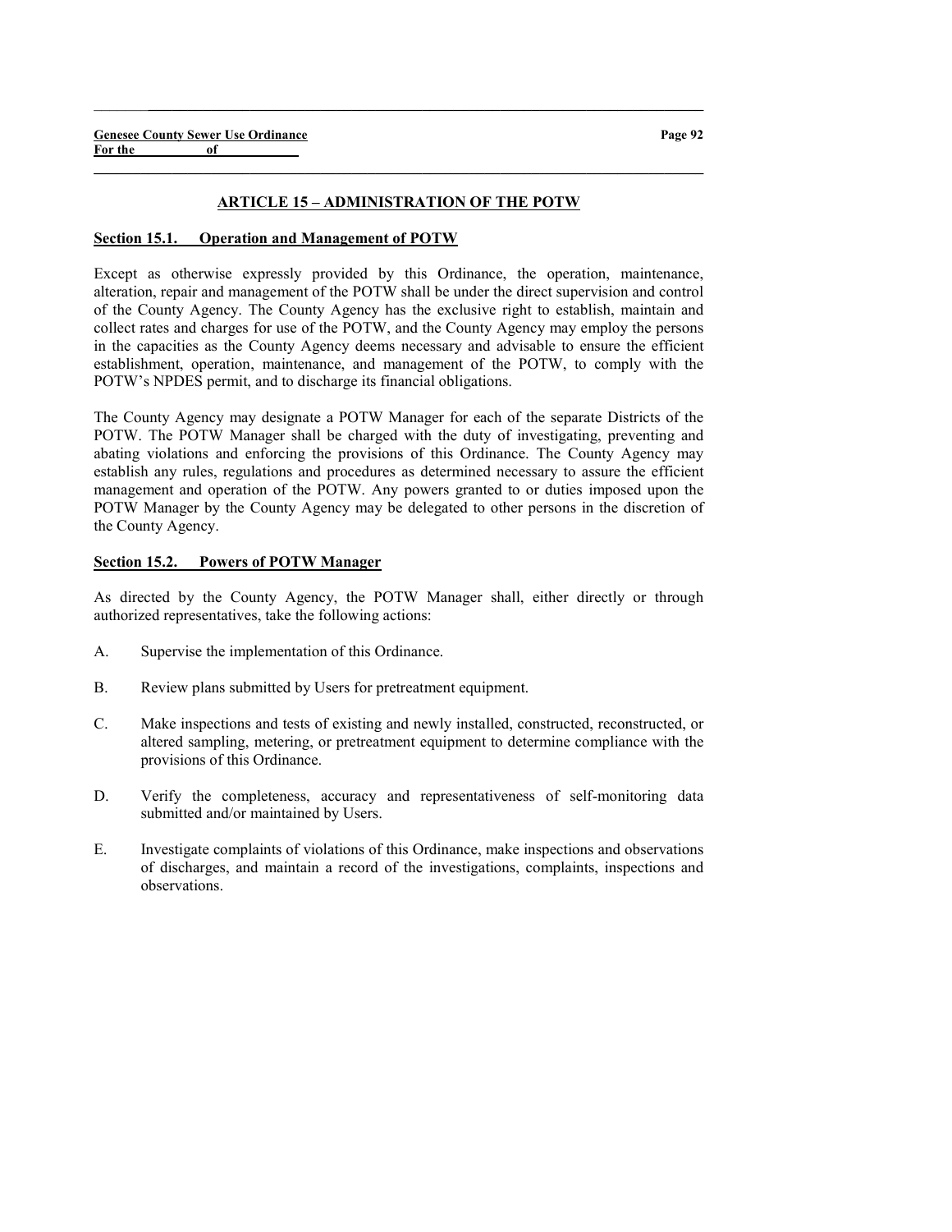#### ARTICLE 15 – ADMINISTRATION OF THE POTW

 $\_$  , and the set of the set of the set of the set of the set of the set of the set of the set of the set of the set of the set of the set of the set of the set of the set of the set of the set of the set of the set of th

 $\_$  , and the set of the set of the set of the set of the set of the set of the set of the set of the set of the set of the set of the set of the set of the set of the set of the set of the set of the set of the set of th

### Section 15.1. Operation and Management of POTW

Except as otherwise expressly provided by this Ordinance, the operation, maintenance, alteration, repair and management of the POTW shall be under the direct supervision and control of the County Agency. The County Agency has the exclusive right to establish, maintain and collect rates and charges for use of the POTW, and the County Agency may employ the persons in the capacities as the County Agency deems necessary and advisable to ensure the efficient establishment, operation, maintenance, and management of the POTW, to comply with the POTW's NPDES permit, and to discharge its financial obligations.

The County Agency may designate a POTW Manager for each of the separate Districts of the POTW. The POTW Manager shall be charged with the duty of investigating, preventing and abating violations and enforcing the provisions of this Ordinance. The County Agency may establish any rules, regulations and procedures as determined necessary to assure the efficient management and operation of the POTW. Any powers granted to or duties imposed upon the POTW Manager by the County Agency may be delegated to other persons in the discretion of the County Agency.

#### Section 15.2. Powers of POTW Manager

As directed by the County Agency, the POTW Manager shall, either directly or through authorized representatives, take the following actions:

- A. Supervise the implementation of this Ordinance.
- B. Review plans submitted by Users for pretreatment equipment.
- C. Make inspections and tests of existing and newly installed, constructed, reconstructed, or altered sampling, metering, or pretreatment equipment to determine compliance with the provisions of this Ordinance.
- D. Verify the completeness, accuracy and representativeness of self-monitoring data submitted and/or maintained by Users.
- E. Investigate complaints of violations of this Ordinance, make inspections and observations of discharges, and maintain a record of the investigations, complaints, inspections and observations.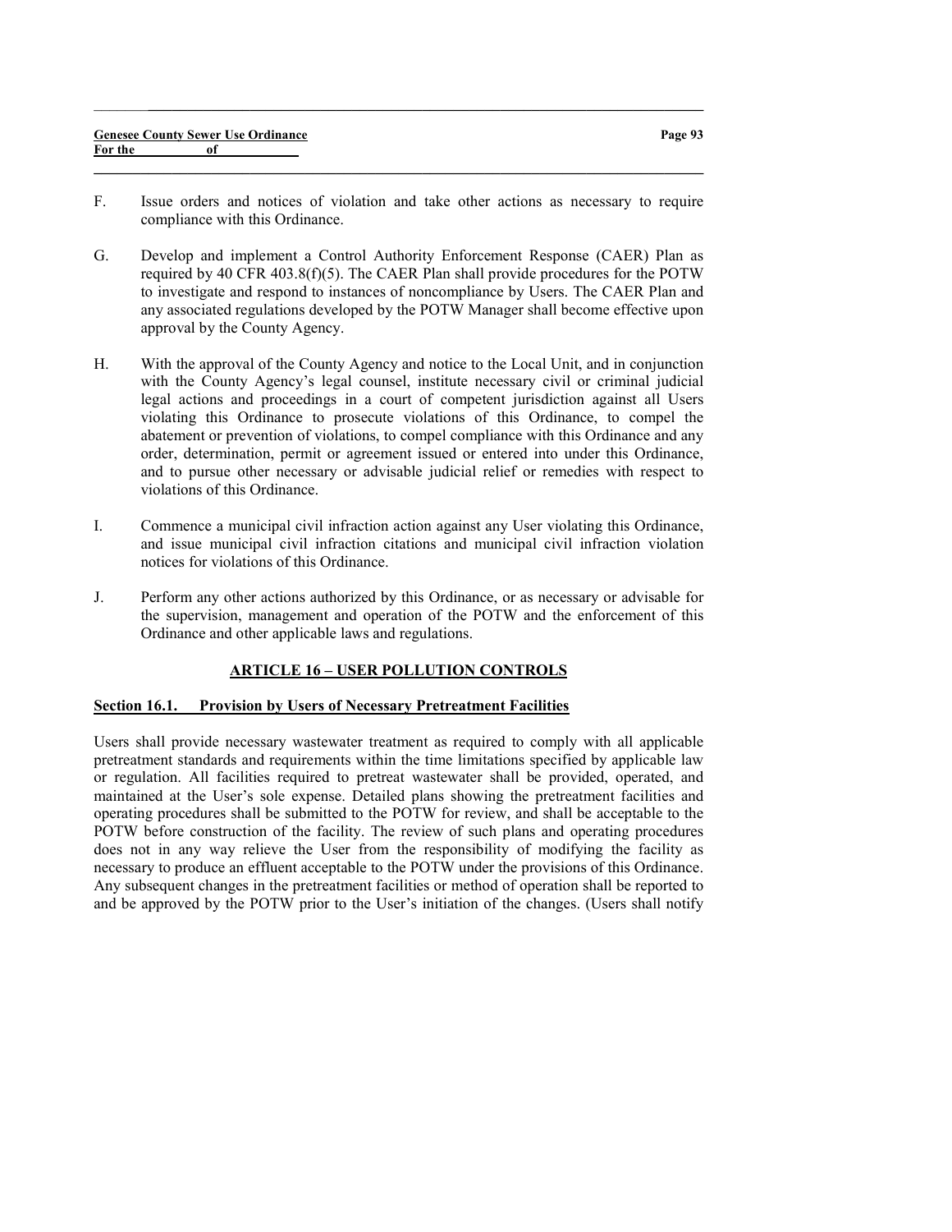| <b>Genesee County Sewer Use Ordinance</b> |  |
|-------------------------------------------|--|
| For the                                   |  |

F. Issue orders and notices of violation and take other actions as necessary to require compliance with this Ordinance.

 $\_$  , and the set of the set of the set of the set of the set of the set of the set of the set of the set of the set of the set of the set of the set of the set of the set of the set of the set of the set of the set of th

 $\_$  , and the set of the set of the set of the set of the set of the set of the set of the set of the set of the set of the set of the set of the set of the set of the set of the set of the set of the set of the set of th

- G. Develop and implement a Control Authority Enforcement Response (CAER) Plan as required by 40 CFR 403.8(f)(5). The CAER Plan shall provide procedures for the POTW to investigate and respond to instances of noncompliance by Users. The CAER Plan and any associated regulations developed by the POTW Manager shall become effective upon approval by the County Agency.
- H. With the approval of the County Agency and notice to the Local Unit, and in conjunction with the County Agency's legal counsel, institute necessary civil or criminal judicial legal actions and proceedings in a court of competent jurisdiction against all Users violating this Ordinance to prosecute violations of this Ordinance, to compel the abatement or prevention of violations, to compel compliance with this Ordinance and any order, determination, permit or agreement issued or entered into under this Ordinance, and to pursue other necessary or advisable judicial relief or remedies with respect to violations of this Ordinance.
- I. Commence a municipal civil infraction action against any User violating this Ordinance, and issue municipal civil infraction citations and municipal civil infraction violation notices for violations of this Ordinance.
- J. Perform any other actions authorized by this Ordinance, or as necessary or advisable for the supervision, management and operation of the POTW and the enforcement of this Ordinance and other applicable laws and regulations.

# ARTICLE 16 – USER POLLUTION CONTROLS

# Section 16.1. Provision by Users of Necessary Pretreatment Facilities

Users shall provide necessary wastewater treatment as required to comply with all applicable pretreatment standards and requirements within the time limitations specified by applicable law or regulation. All facilities required to pretreat wastewater shall be provided, operated, and maintained at the User's sole expense. Detailed plans showing the pretreatment facilities and operating procedures shall be submitted to the POTW for review, and shall be acceptable to the POTW before construction of the facility. The review of such plans and operating procedures does not in any way relieve the User from the responsibility of modifying the facility as necessary to produce an effluent acceptable to the POTW under the provisions of this Ordinance. Any subsequent changes in the pretreatment facilities or method of operation shall be reported to and be approved by the POTW prior to the User's initiation of the changes. (Users shall notify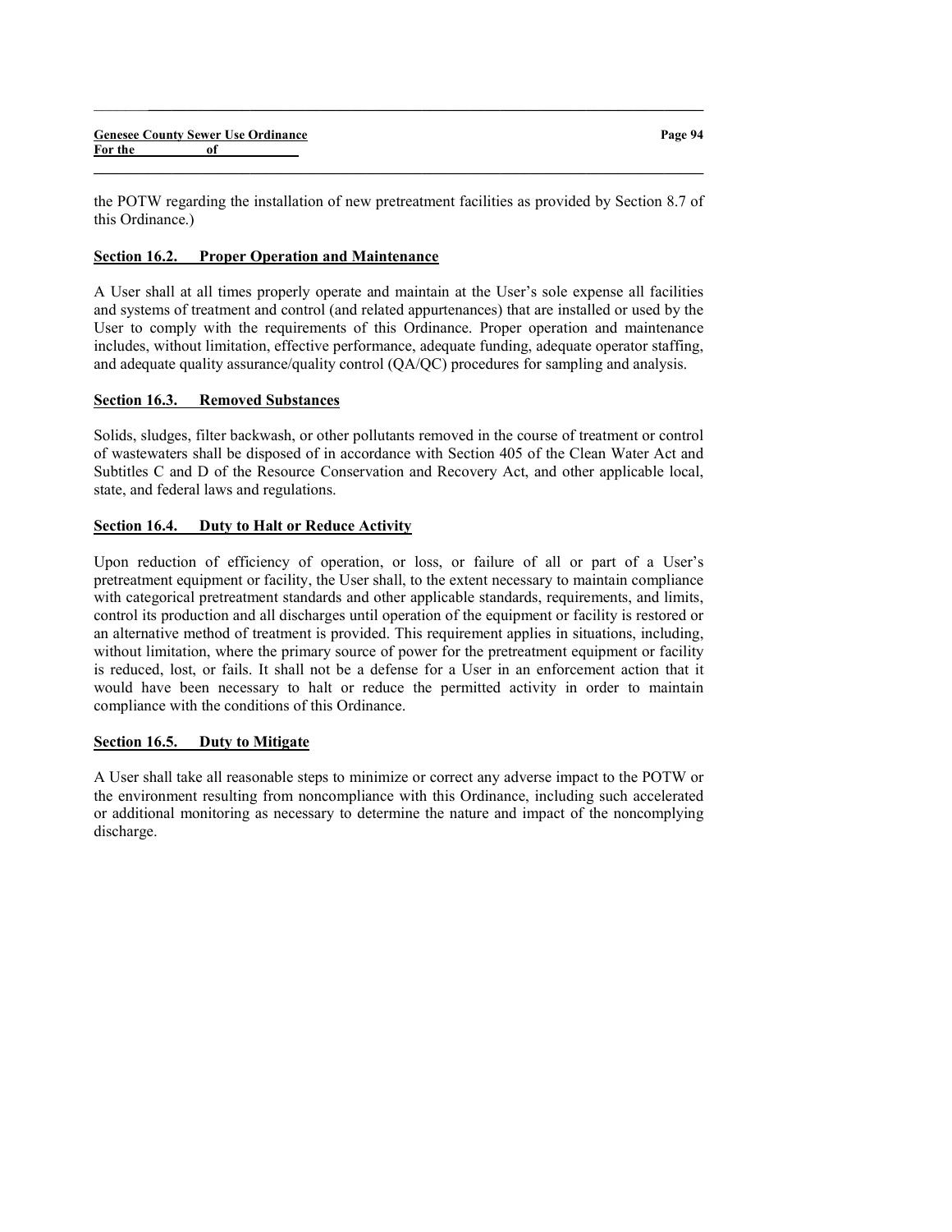the POTW regarding the installation of new pretreatment facilities as provided by Section 8.7 of this Ordinance.)

 $\_$  , and the set of the set of the set of the set of the set of the set of the set of the set of the set of the set of the set of the set of the set of the set of the set of the set of the set of the set of the set of th

 $\_$  , and the set of the set of the set of the set of the set of the set of the set of the set of the set of the set of the set of the set of the set of the set of the set of the set of the set of the set of the set of th

### Section 16.2. Proper Operation and Maintenance

A User shall at all times properly operate and maintain at the User's sole expense all facilities and systems of treatment and control (and related appurtenances) that are installed or used by the User to comply with the requirements of this Ordinance. Proper operation and maintenance includes, without limitation, effective performance, adequate funding, adequate operator staffing, and adequate quality assurance/quality control (QA/QC) procedures for sampling and analysis.

### Section 16.3. Removed Substances

Solids, sludges, filter backwash, or other pollutants removed in the course of treatment or control of wastewaters shall be disposed of in accordance with Section 405 of the Clean Water Act and Subtitles C and D of the Resource Conservation and Recovery Act, and other applicable local, state, and federal laws and regulations.

# Section 16.4. Duty to Halt or Reduce Activity

Upon reduction of efficiency of operation, or loss, or failure of all or part of a User's pretreatment equipment or facility, the User shall, to the extent necessary to maintain compliance with categorical pretreatment standards and other applicable standards, requirements, and limits, control its production and all discharges until operation of the equipment or facility is restored or an alternative method of treatment is provided. This requirement applies in situations, including, without limitation, where the primary source of power for the pretreatment equipment or facility is reduced, lost, or fails. It shall not be a defense for a User in an enforcement action that it would have been necessary to halt or reduce the permitted activity in order to maintain compliance with the conditions of this Ordinance.

# Section 16.5. Duty to Mitigate

A User shall take all reasonable steps to minimize or correct any adverse impact to the POTW or the environment resulting from noncompliance with this Ordinance, including such accelerated or additional monitoring as necessary to determine the nature and impact of the noncomplying discharge.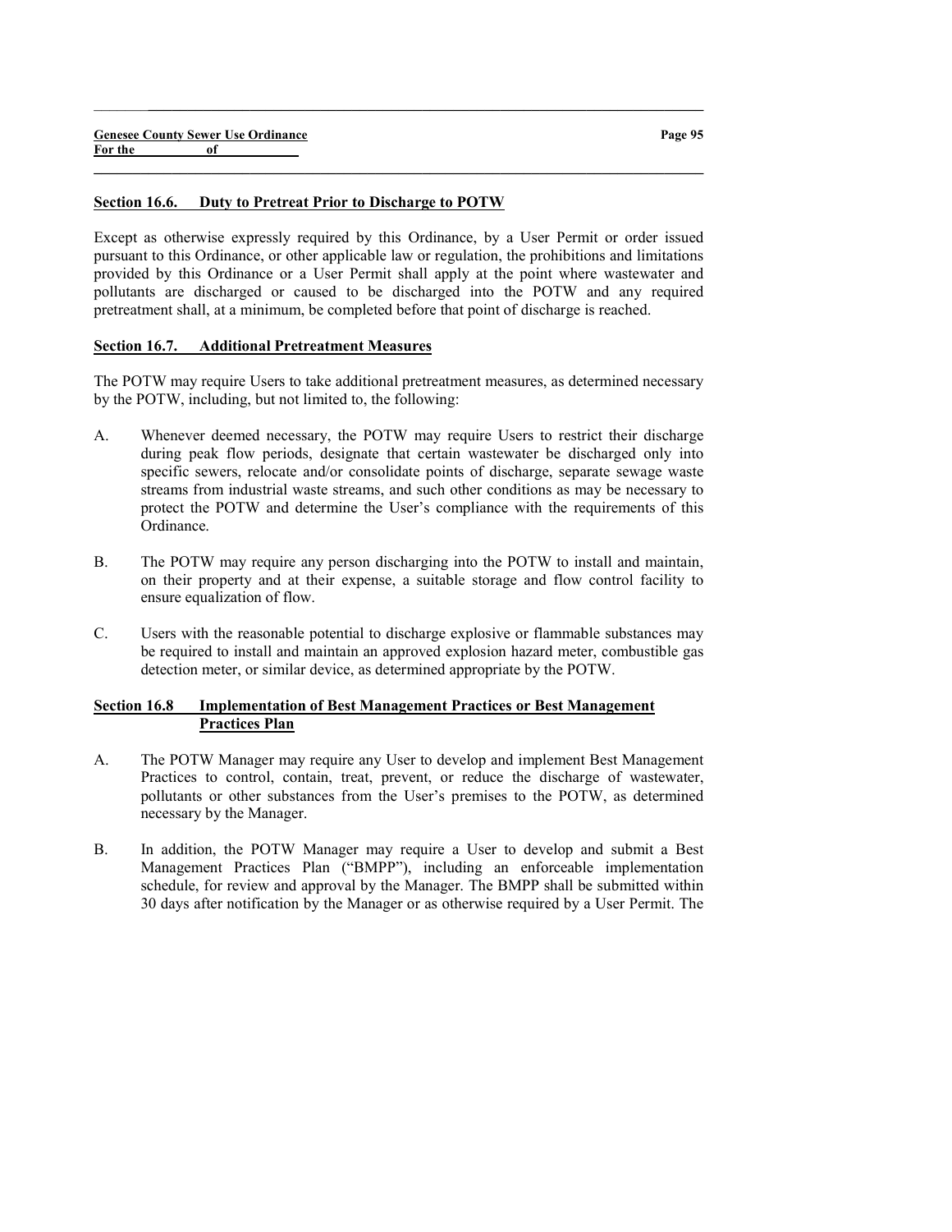#### Section 16.6. Duty to Pretreat Prior to Discharge to POTW

Except as otherwise expressly required by this Ordinance, by a User Permit or order issued pursuant to this Ordinance, or other applicable law or regulation, the prohibitions and limitations provided by this Ordinance or a User Permit shall apply at the point where wastewater and pollutants are discharged or caused to be discharged into the POTW and any required pretreatment shall, at a minimum, be completed before that point of discharge is reached.

 $\_$  , and the set of the set of the set of the set of the set of the set of the set of the set of the set of the set of the set of the set of the set of the set of the set of the set of the set of the set of the set of th

 $\_$  , and the set of the set of the set of the set of the set of the set of the set of the set of the set of the set of the set of the set of the set of the set of the set of the set of the set of the set of the set of th

### Section 16.7. Additional Pretreatment Measures

The POTW may require Users to take additional pretreatment measures, as determined necessary by the POTW, including, but not limited to, the following:

- A. Whenever deemed necessary, the POTW may require Users to restrict their discharge during peak flow periods, designate that certain wastewater be discharged only into specific sewers, relocate and/or consolidate points of discharge, separate sewage waste streams from industrial waste streams, and such other conditions as may be necessary to protect the POTW and determine the User's compliance with the requirements of this Ordinance.
- B. The POTW may require any person discharging into the POTW to install and maintain, on their property and at their expense, a suitable storage and flow control facility to ensure equalization of flow.
- C. Users with the reasonable potential to discharge explosive or flammable substances may be required to install and maintain an approved explosion hazard meter, combustible gas detection meter, or similar device, as determined appropriate by the POTW.

### Section 16.8 Implementation of Best Management Practices or Best Management Practices Plan

- A. The POTW Manager may require any User to develop and implement Best Management Practices to control, contain, treat, prevent, or reduce the discharge of wastewater, pollutants or other substances from the User's premises to the POTW, as determined necessary by the Manager.
- B. In addition, the POTW Manager may require a User to develop and submit a Best Management Practices Plan ("BMPP"), including an enforceable implementation schedule, for review and approval by the Manager. The BMPP shall be submitted within 30 days after notification by the Manager or as otherwise required by a User Permit. The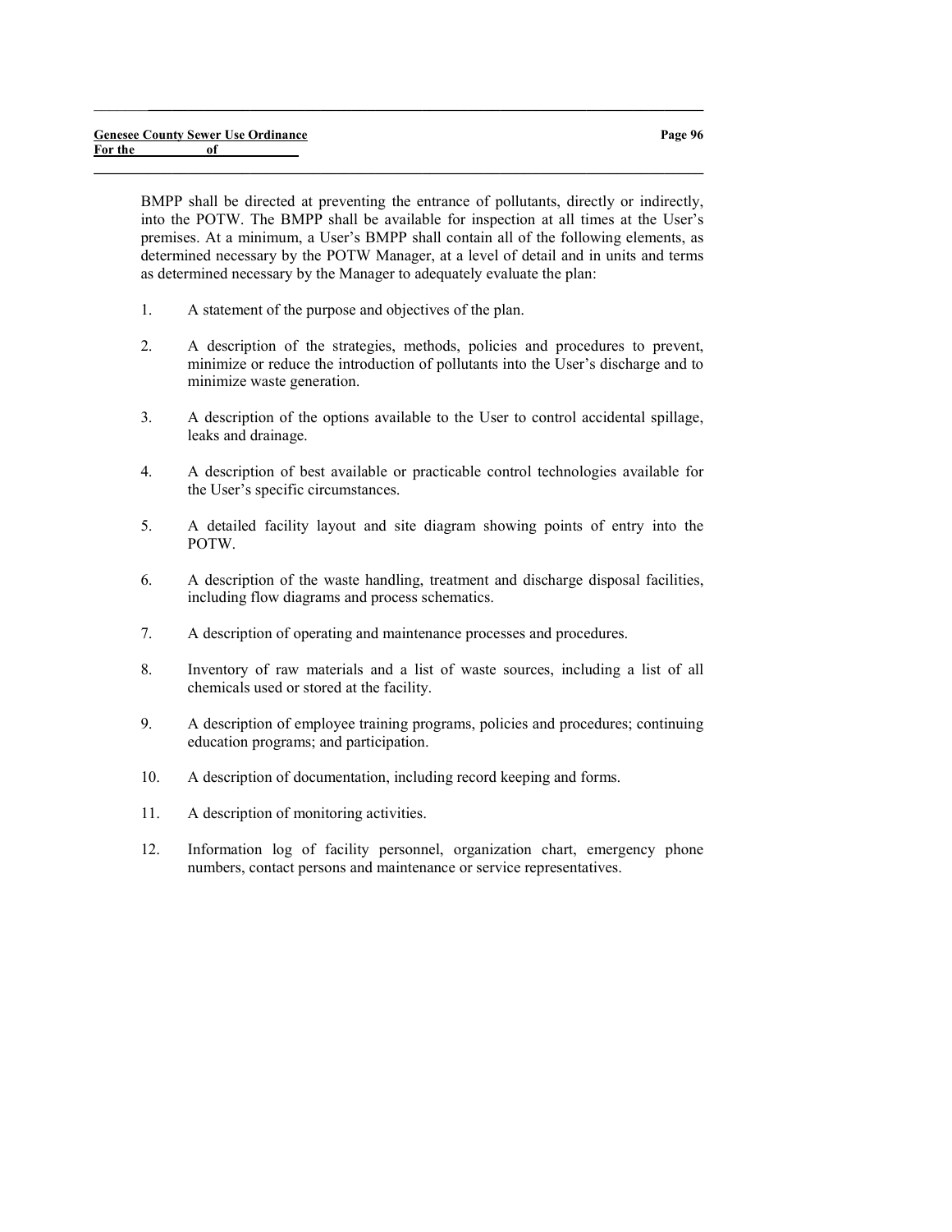BMPP shall be directed at preventing the entrance of pollutants, directly or indirectly, into the POTW. The BMPP shall be available for inspection at all times at the User's premises. At a minimum, a User's BMPP shall contain all of the following elements, as determined necessary by the POTW Manager, at a level of detail and in units and terms as determined necessary by the Manager to adequately evaluate the plan:

 $\_$  , and the set of the set of the set of the set of the set of the set of the set of the set of the set of the set of the set of the set of the set of the set of the set of the set of the set of the set of the set of th

- 1. A statement of the purpose and objectives of the plan.
- 2. A description of the strategies, methods, policies and procedures to prevent, minimize or reduce the introduction of pollutants into the User's discharge and to minimize waste generation.
- 3. A description of the options available to the User to control accidental spillage, leaks and drainage.
- 4. A description of best available or practicable control technologies available for the User's specific circumstances.
- 5. A detailed facility layout and site diagram showing points of entry into the POTW.
- 6. A description of the waste handling, treatment and discharge disposal facilities, including flow diagrams and process schematics.
- 7. A description of operating and maintenance processes and procedures.
- 8. Inventory of raw materials and a list of waste sources, including a list of all chemicals used or stored at the facility.
- 9. A description of employee training programs, policies and procedures; continuing education programs; and participation.
- 10. A description of documentation, including record keeping and forms.
- 11. A description of monitoring activities.
- 12. Information log of facility personnel, organization chart, emergency phone numbers, contact persons and maintenance or service representatives.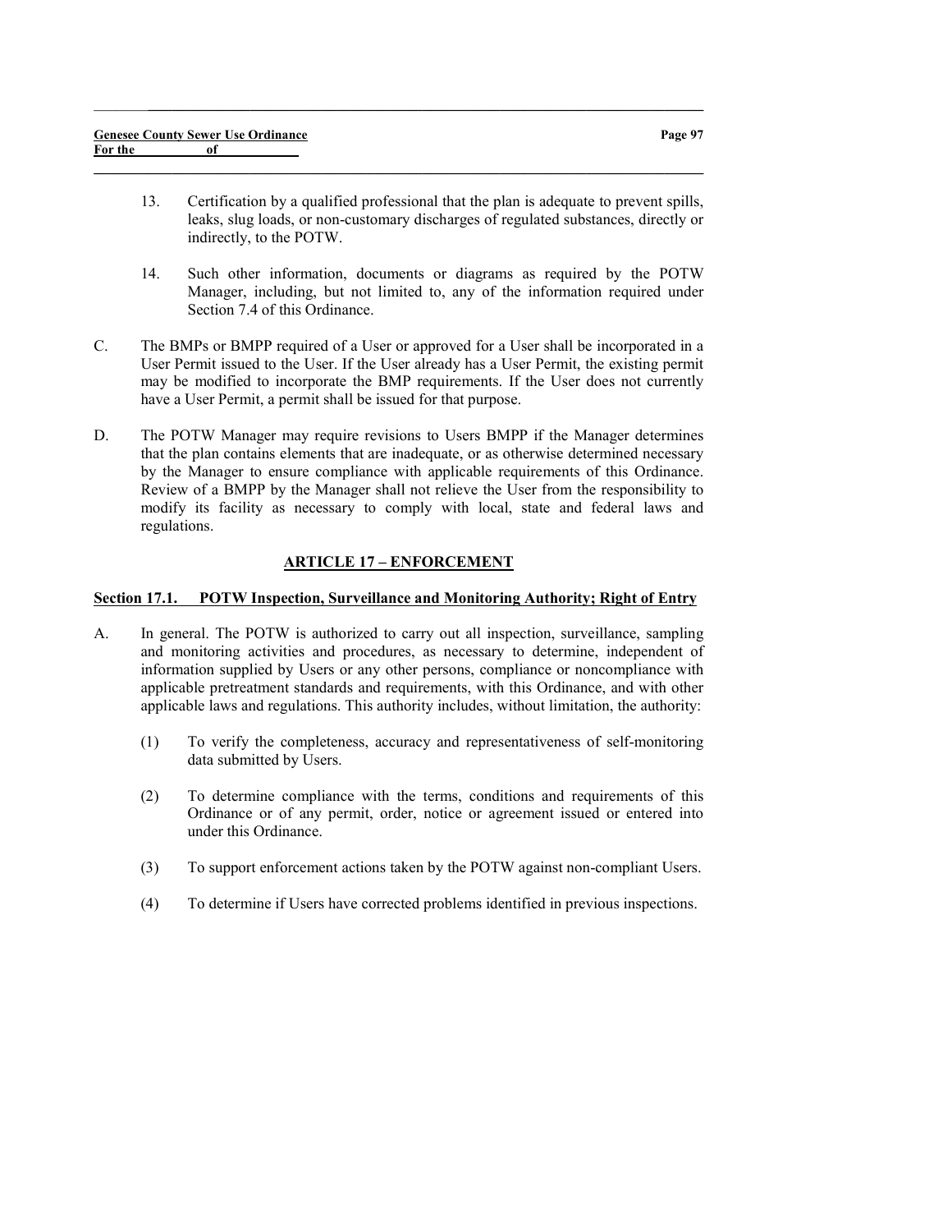13. Certification by a qualified professional that the plan is adequate to prevent spills, leaks, slug loads, or non-customary discharges of regulated substances, directly or indirectly, to the POTW.

 $\_$  , and the set of the set of the set of the set of the set of the set of the set of the set of the set of the set of the set of the set of the set of the set of the set of the set of the set of the set of the set of th

 $\_$  , and the set of the set of the set of the set of the set of the set of the set of the set of the set of the set of the set of the set of the set of the set of the set of the set of the set of the set of the set of th

- 14. Such other information, documents or diagrams as required by the POTW Manager, including, but not limited to, any of the information required under Section 7.4 of this Ordinance.
- C. The BMPs or BMPP required of a User or approved for a User shall be incorporated in a User Permit issued to the User. If the User already has a User Permit, the existing permit may be modified to incorporate the BMP requirements. If the User does not currently have a User Permit, a permit shall be issued for that purpose.
- D. The POTW Manager may require revisions to Users BMPP if the Manager determines that the plan contains elements that are inadequate, or as otherwise determined necessary by the Manager to ensure compliance with applicable requirements of this Ordinance. Review of a BMPP by the Manager shall not relieve the User from the responsibility to modify its facility as necessary to comply with local, state and federal laws and regulations.

### ARTICLE 17 – ENFORCEMENT

#### Section 17.1. POTW Inspection, Surveillance and Monitoring Authority; Right of Entry

- A. In general. The POTW is authorized to carry out all inspection, surveillance, sampling and monitoring activities and procedures, as necessary to determine, independent of information supplied by Users or any other persons, compliance or noncompliance with applicable pretreatment standards and requirements, with this Ordinance, and with other applicable laws and regulations. This authority includes, without limitation, the authority:
	- (1) To verify the completeness, accuracy and representativeness of self-monitoring data submitted by Users.
	- (2) To determine compliance with the terms, conditions and requirements of this Ordinance or of any permit, order, notice or agreement issued or entered into under this Ordinance.
	- (3) To support enforcement actions taken by the POTW against non-compliant Users.
	- (4) To determine if Users have corrected problems identified in previous inspections.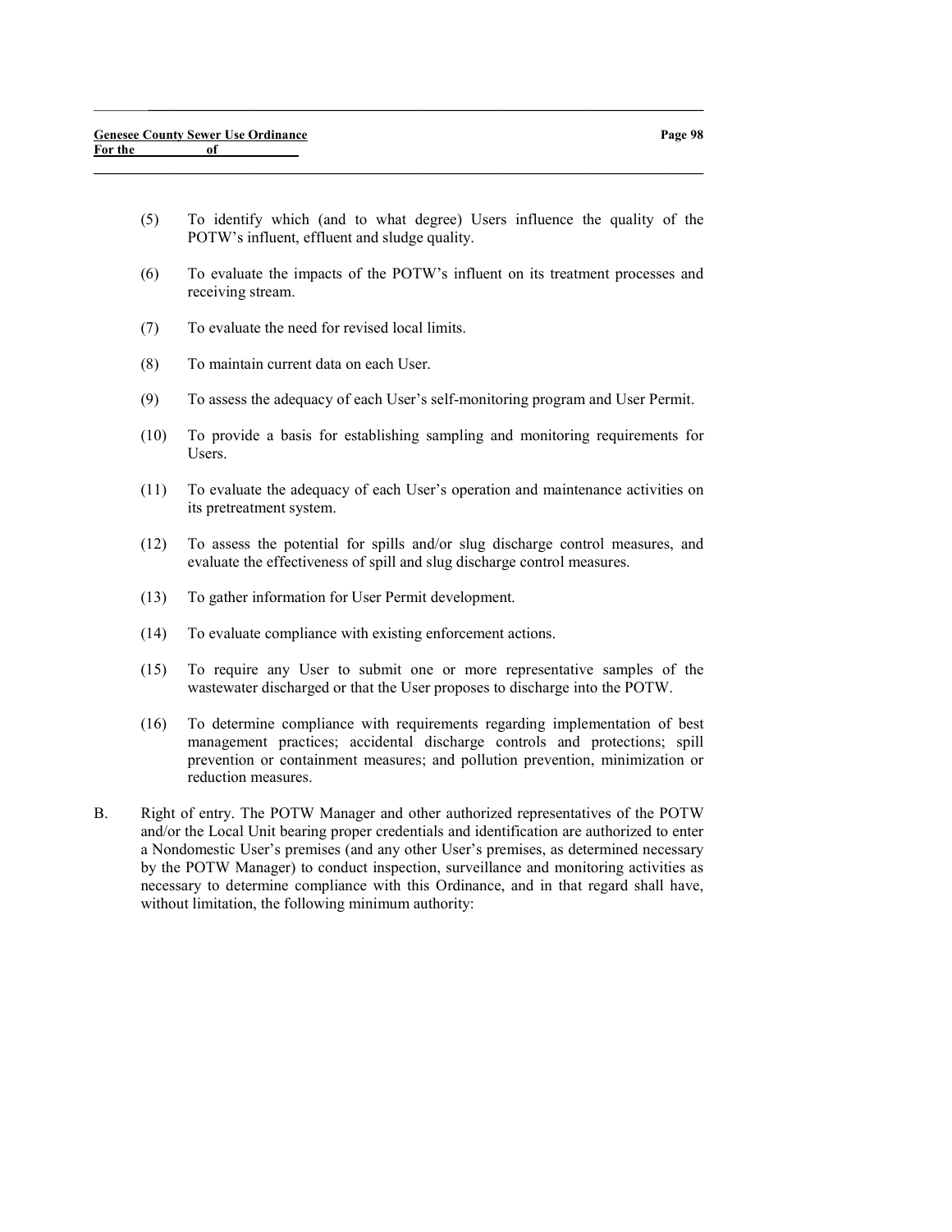(5) To identify which (and to what degree) Users influence the quality of the POTW's influent, effluent and sludge quality.

 $\_$  , and the set of the set of the set of the set of the set of the set of the set of the set of the set of the set of the set of the set of the set of the set of the set of the set of the set of the set of the set of th

- (6) To evaluate the impacts of the POTW's influent on its treatment processes and receiving stream.
- (7) To evaluate the need for revised local limits.
- (8) To maintain current data on each User.
- (9) To assess the adequacy of each User's self-monitoring program and User Permit.
- (10) To provide a basis for establishing sampling and monitoring requirements for Users.
- (11) To evaluate the adequacy of each User's operation and maintenance activities on its pretreatment system.
- (12) To assess the potential for spills and/or slug discharge control measures, and evaluate the effectiveness of spill and slug discharge control measures.
- (13) To gather information for User Permit development.
- (14) To evaluate compliance with existing enforcement actions.
- (15) To require any User to submit one or more representative samples of the wastewater discharged or that the User proposes to discharge into the POTW.
- (16) To determine compliance with requirements regarding implementation of best management practices; accidental discharge controls and protections; spill prevention or containment measures; and pollution prevention, minimization or reduction measures.
- B. Right of entry. The POTW Manager and other authorized representatives of the POTW and/or the Local Unit bearing proper credentials and identification are authorized to enter a Nondomestic User's premises (and any other User's premises, as determined necessary by the POTW Manager) to conduct inspection, surveillance and monitoring activities as necessary to determine compliance with this Ordinance, and in that regard shall have, without limitation, the following minimum authority: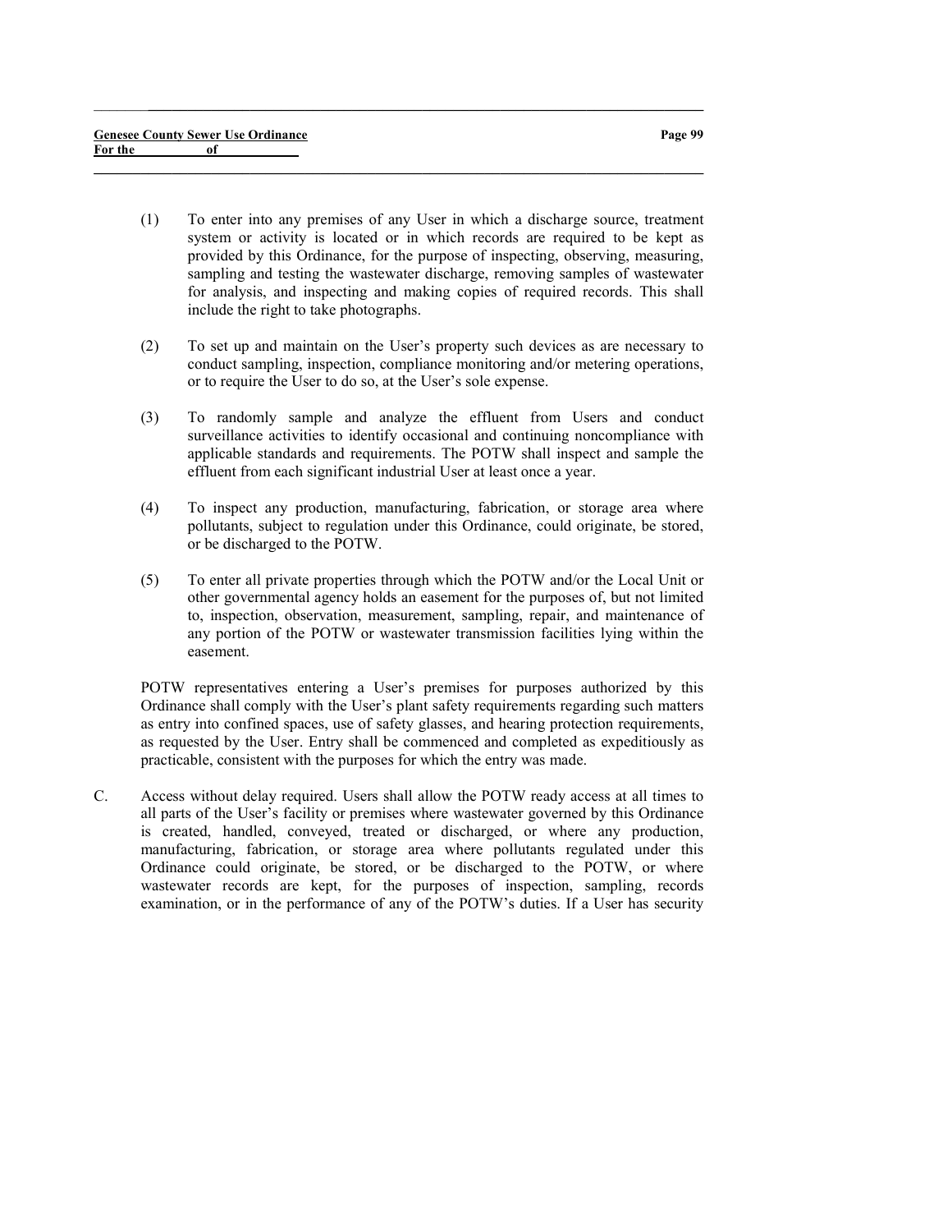(1) To enter into any premises of any User in which a discharge source, treatment system or activity is located or in which records are required to be kept as provided by this Ordinance, for the purpose of inspecting, observing, measuring, sampling and testing the wastewater discharge, removing samples of wastewater for analysis, and inspecting and making copies of required records. This shall include the right to take photographs.

 $\_$  , and the set of the set of the set of the set of the set of the set of the set of the set of the set of the set of the set of the set of the set of the set of the set of the set of the set of the set of the set of th

 $\_$  , and the set of the set of the set of the set of the set of the set of the set of the set of the set of the set of the set of the set of the set of the set of the set of the set of the set of the set of the set of th

- (2) To set up and maintain on the User's property such devices as are necessary to conduct sampling, inspection, compliance monitoring and/or metering operations, or to require the User to do so, at the User's sole expense.
- (3) To randomly sample and analyze the effluent from Users and conduct surveillance activities to identify occasional and continuing noncompliance with applicable standards and requirements. The POTW shall inspect and sample the effluent from each significant industrial User at least once a year.
- (4) To inspect any production, manufacturing, fabrication, or storage area where pollutants, subject to regulation under this Ordinance, could originate, be stored, or be discharged to the POTW.
- (5) To enter all private properties through which the POTW and/or the Local Unit or other governmental agency holds an easement for the purposes of, but not limited to, inspection, observation, measurement, sampling, repair, and maintenance of any portion of the POTW or wastewater transmission facilities lying within the easement.

POTW representatives entering a User's premises for purposes authorized by this Ordinance shall comply with the User's plant safety requirements regarding such matters as entry into confined spaces, use of safety glasses, and hearing protection requirements, as requested by the User. Entry shall be commenced and completed as expeditiously as practicable, consistent with the purposes for which the entry was made.

C. Access without delay required. Users shall allow the POTW ready access at all times to all parts of the User's facility or premises where wastewater governed by this Ordinance is created, handled, conveyed, treated or discharged, or where any production, manufacturing, fabrication, or storage area where pollutants regulated under this Ordinance could originate, be stored, or be discharged to the POTW, or where wastewater records are kept, for the purposes of inspection, sampling, records examination, or in the performance of any of the POTW's duties. If a User has security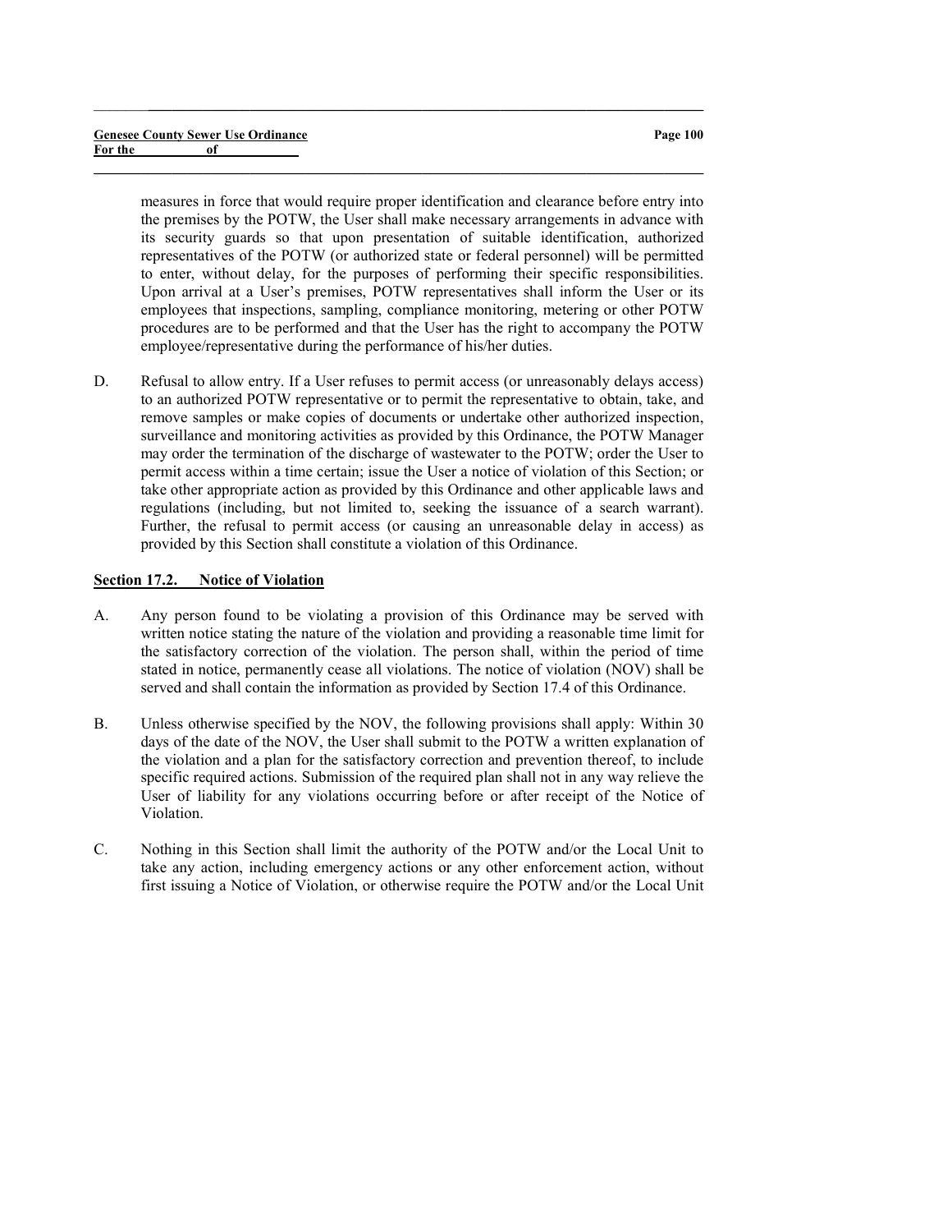measures in force that would require proper identification and clearance before entry into the premises by the POTW, the User shall make necessary arrangements in advance with its security guards so that upon presentation of suitable identification, authorized representatives of the POTW (or authorized state or federal personnel) will be permitted to enter, without delay, for the purposes of performing their specific responsibilities. Upon arrival at a User's premises, POTW representatives shall inform the User or its employees that inspections, sampling, compliance monitoring, metering or other POTW procedures are to be performed and that the User has the right to accompany the POTW employee/representative during the performance of his/her duties.

 $\_$  , and the set of the set of the set of the set of the set of the set of the set of the set of the set of the set of the set of the set of the set of the set of the set of the set of the set of the set of the set of th

 $\_$  , and the set of the set of the set of the set of the set of the set of the set of the set of the set of the set of the set of the set of the set of the set of the set of the set of the set of the set of the set of th

D. Refusal to allow entry. If a User refuses to permit access (or unreasonably delays access) to an authorized POTW representative or to permit the representative to obtain, take, and remove samples or make copies of documents or undertake other authorized inspection, surveillance and monitoring activities as provided by this Ordinance, the POTW Manager may order the termination of the discharge of wastewater to the POTW; order the User to permit access within a time certain; issue the User a notice of violation of this Section; or take other appropriate action as provided by this Ordinance and other applicable laws and regulations (including, but not limited to, seeking the issuance of a search warrant). Further, the refusal to permit access (or causing an unreasonable delay in access) as provided by this Section shall constitute a violation of this Ordinance.

## Section 17.2. Notice of Violation

- A. Any person found to be violating a provision of this Ordinance may be served with written notice stating the nature of the violation and providing a reasonable time limit for the satisfactory correction of the violation. The person shall, within the period of time stated in notice, permanently cease all violations. The notice of violation (NOV) shall be served and shall contain the information as provided by Section 17.4 of this Ordinance.
- B. Unless otherwise specified by the NOV, the following provisions shall apply: Within 30 days of the date of the NOV, the User shall submit to the POTW a written explanation of the violation and a plan for the satisfactory correction and prevention thereof, to include specific required actions. Submission of the required plan shall not in any way relieve the User of liability for any violations occurring before or after receipt of the Notice of Violation.
- C. Nothing in this Section shall limit the authority of the POTW and/or the Local Unit to take any action, including emergency actions or any other enforcement action, without first issuing a Notice of Violation, or otherwise require the POTW and/or the Local Unit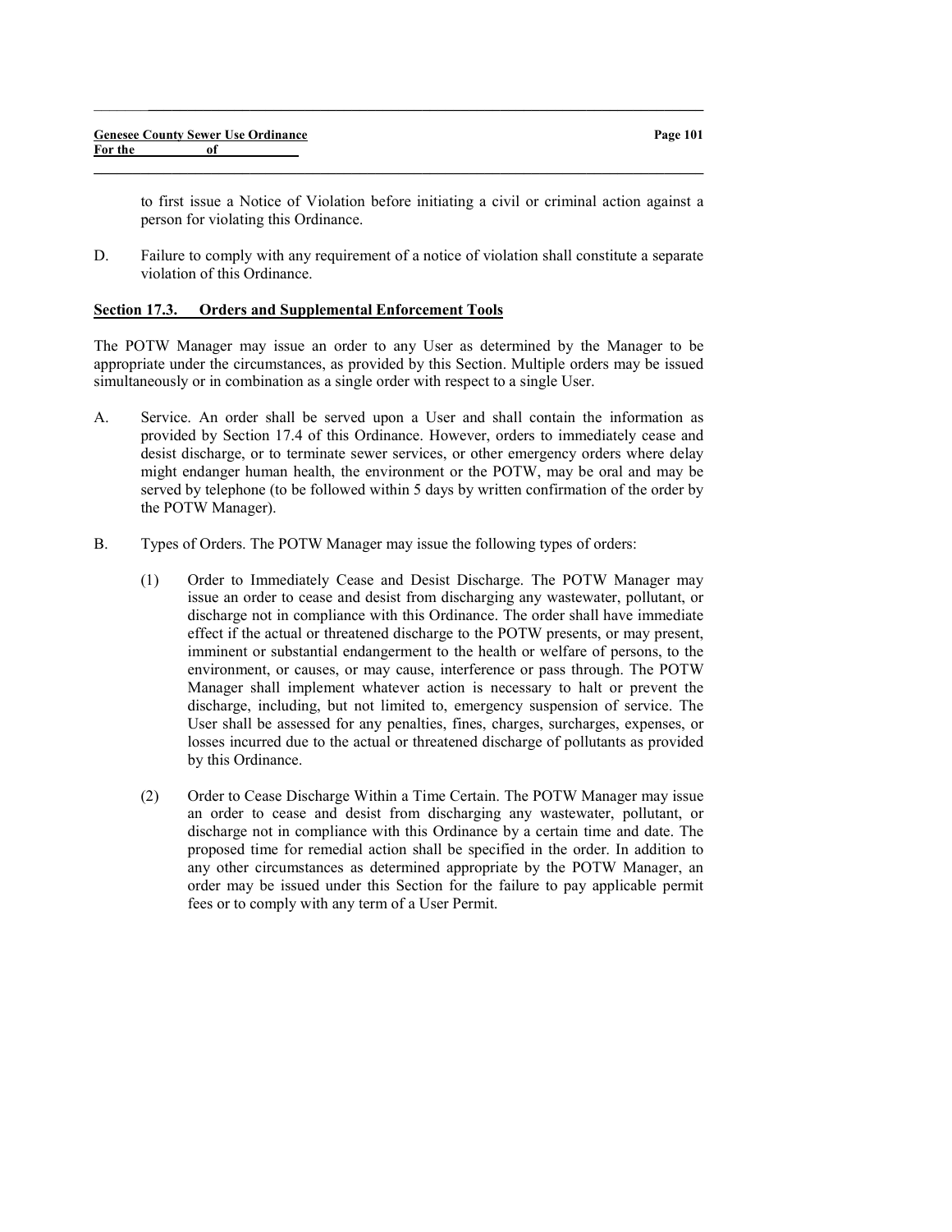|         | <b>Genesee County Sewer Use Ordinance</b> | Page 101 |
|---------|-------------------------------------------|----------|
| For the |                                           |          |
|         |                                           |          |

 $\_$  , and the set of the set of the set of the set of the set of the set of the set of the set of the set of the set of the set of the set of the set of the set of the set of the set of the set of the set of the set of th

to first issue a Notice of Violation before initiating a civil or criminal action against a person for violating this Ordinance.

D. Failure to comply with any requirement of a notice of violation shall constitute a separate violation of this Ordinance.

## Section 17.3. Orders and Supplemental Enforcement Tools

The POTW Manager may issue an order to any User as determined by the Manager to be appropriate under the circumstances, as provided by this Section. Multiple orders may be issued simultaneously or in combination as a single order with respect to a single User.

- A. Service. An order shall be served upon a User and shall contain the information as provided by Section 17.4 of this Ordinance. However, orders to immediately cease and desist discharge, or to terminate sewer services, or other emergency orders where delay might endanger human health, the environment or the POTW, may be oral and may be served by telephone (to be followed within 5 days by written confirmation of the order by the POTW Manager).
- B. Types of Orders. The POTW Manager may issue the following types of orders:
	- (1) Order to Immediately Cease and Desist Discharge. The POTW Manager may issue an order to cease and desist from discharging any wastewater, pollutant, or discharge not in compliance with this Ordinance. The order shall have immediate effect if the actual or threatened discharge to the POTW presents, or may present, imminent or substantial endangerment to the health or welfare of persons, to the environment, or causes, or may cause, interference or pass through. The POTW Manager shall implement whatever action is necessary to halt or prevent the discharge, including, but not limited to, emergency suspension of service. The User shall be assessed for any penalties, fines, charges, surcharges, expenses, or losses incurred due to the actual or threatened discharge of pollutants as provided by this Ordinance.
	- (2) Order to Cease Discharge Within a Time Certain. The POTW Manager may issue an order to cease and desist from discharging any wastewater, pollutant, or discharge not in compliance with this Ordinance by a certain time and date. The proposed time for remedial action shall be specified in the order. In addition to any other circumstances as determined appropriate by the POTW Manager, an order may be issued under this Section for the failure to pay applicable permit fees or to comply with any term of a User Permit.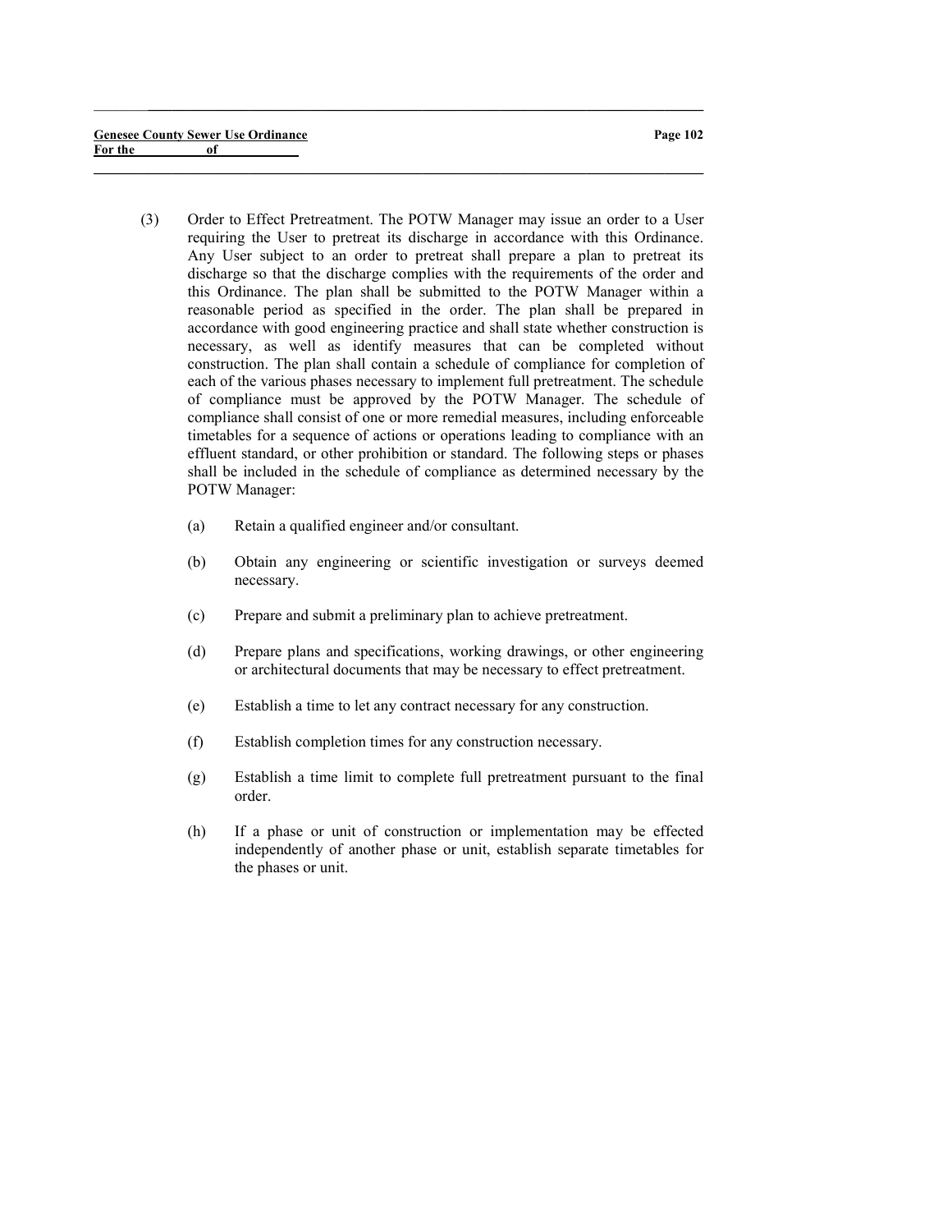(3) Order to Effect Pretreatment. The POTW Manager may issue an order to a User requiring the User to pretreat its discharge in accordance with this Ordinance. Any User subject to an order to pretreat shall prepare a plan to pretreat its discharge so that the discharge complies with the requirements of the order and this Ordinance. The plan shall be submitted to the POTW Manager within a reasonable period as specified in the order. The plan shall be prepared in accordance with good engineering practice and shall state whether construction is necessary, as well as identify measures that can be completed without construction. The plan shall contain a schedule of compliance for completion of each of the various phases necessary to implement full pretreatment. The schedule of compliance must be approved by the POTW Manager. The schedule of compliance shall consist of one or more remedial measures, including enforceable timetables for a sequence of actions or operations leading to compliance with an effluent standard, or other prohibition or standard. The following steps or phases shall be included in the schedule of compliance as determined necessary by the POTW Manager:

 $\_$  , and the set of the set of the set of the set of the set of the set of the set of the set of the set of the set of the set of the set of the set of the set of the set of the set of the set of the set of the set of th

- (a) Retain a qualified engineer and/or consultant.
- (b) Obtain any engineering or scientific investigation or surveys deemed necessary.
- (c) Prepare and submit a preliminary plan to achieve pretreatment.
- (d) Prepare plans and specifications, working drawings, or other engineering or architectural documents that may be necessary to effect pretreatment.
- (e) Establish a time to let any contract necessary for any construction.
- (f) Establish completion times for any construction necessary.
- (g) Establish a time limit to complete full pretreatment pursuant to the final order.
- (h) If a phase or unit of construction or implementation may be effected independently of another phase or unit, establish separate timetables for the phases or unit.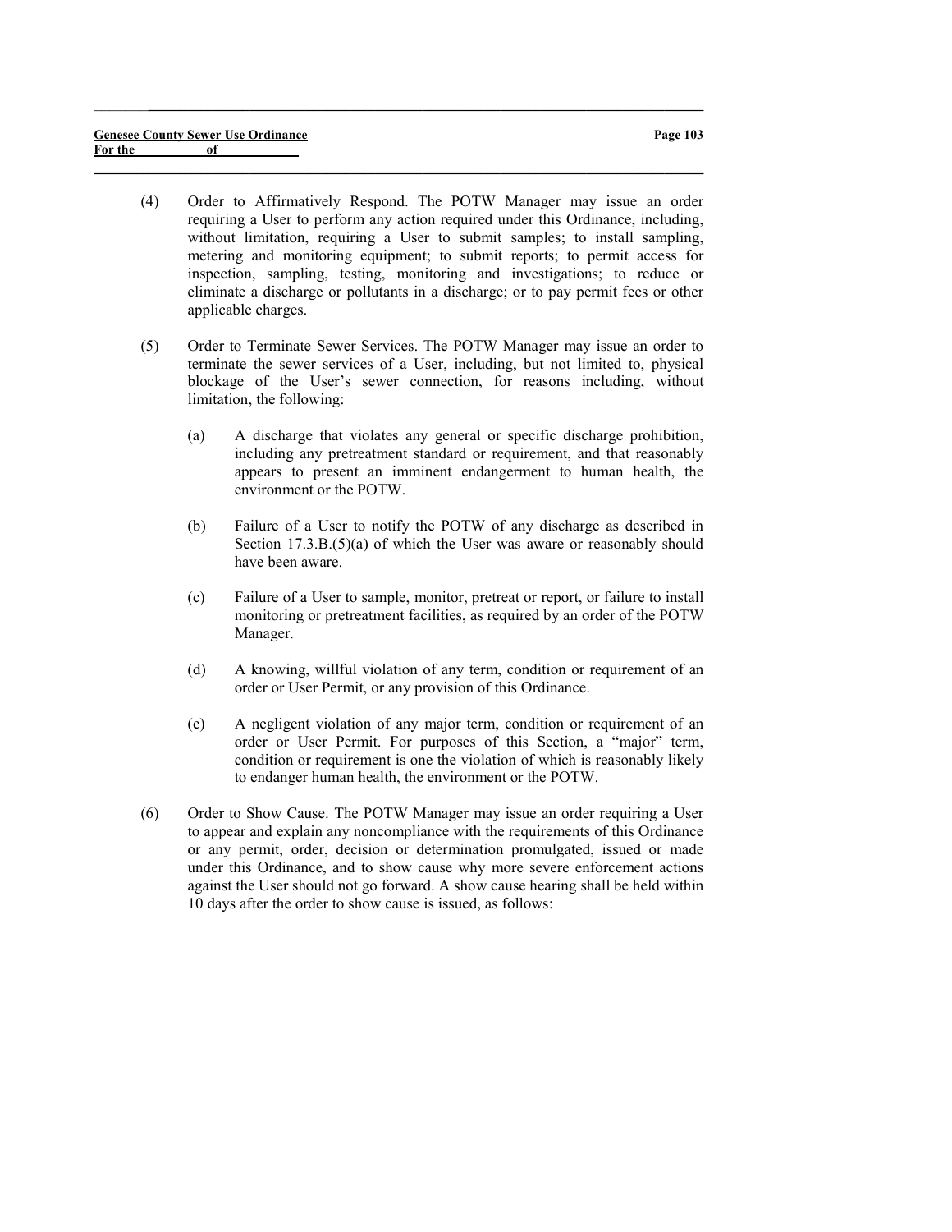(4) Order to Affirmatively Respond. The POTW Manager may issue an order requiring a User to perform any action required under this Ordinance, including, without limitation, requiring a User to submit samples; to install sampling, metering and monitoring equipment; to submit reports; to permit access for inspection, sampling, testing, monitoring and investigations; to reduce or eliminate a discharge or pollutants in a discharge; or to pay permit fees or other applicable charges.

 $\_$  , and the set of the set of the set of the set of the set of the set of the set of the set of the set of the set of the set of the set of the set of the set of the set of the set of the set of the set of the set of th

- (5) Order to Terminate Sewer Services. The POTW Manager may issue an order to terminate the sewer services of a User, including, but not limited to, physical blockage of the User's sewer connection, for reasons including, without limitation, the following:
	- (a) A discharge that violates any general or specific discharge prohibition, including any pretreatment standard or requirement, and that reasonably appears to present an imminent endangerment to human health, the environment or the POTW.
	- (b) Failure of a User to notify the POTW of any discharge as described in Section 17.3.B.(5)(a) of which the User was aware or reasonably should have been aware.
	- (c) Failure of a User to sample, monitor, pretreat or report, or failure to install monitoring or pretreatment facilities, as required by an order of the POTW Manager.
	- (d) A knowing, willful violation of any term, condition or requirement of an order or User Permit, or any provision of this Ordinance.
	- (e) A negligent violation of any major term, condition or requirement of an order or User Permit. For purposes of this Section, a "major" term, condition or requirement is one the violation of which is reasonably likely to endanger human health, the environment or the POTW.
- (6) Order to Show Cause. The POTW Manager may issue an order requiring a User to appear and explain any noncompliance with the requirements of this Ordinance or any permit, order, decision or determination promulgated, issued or made under this Ordinance, and to show cause why more severe enforcement actions against the User should not go forward. A show cause hearing shall be held within 10 days after the order to show cause is issued, as follows: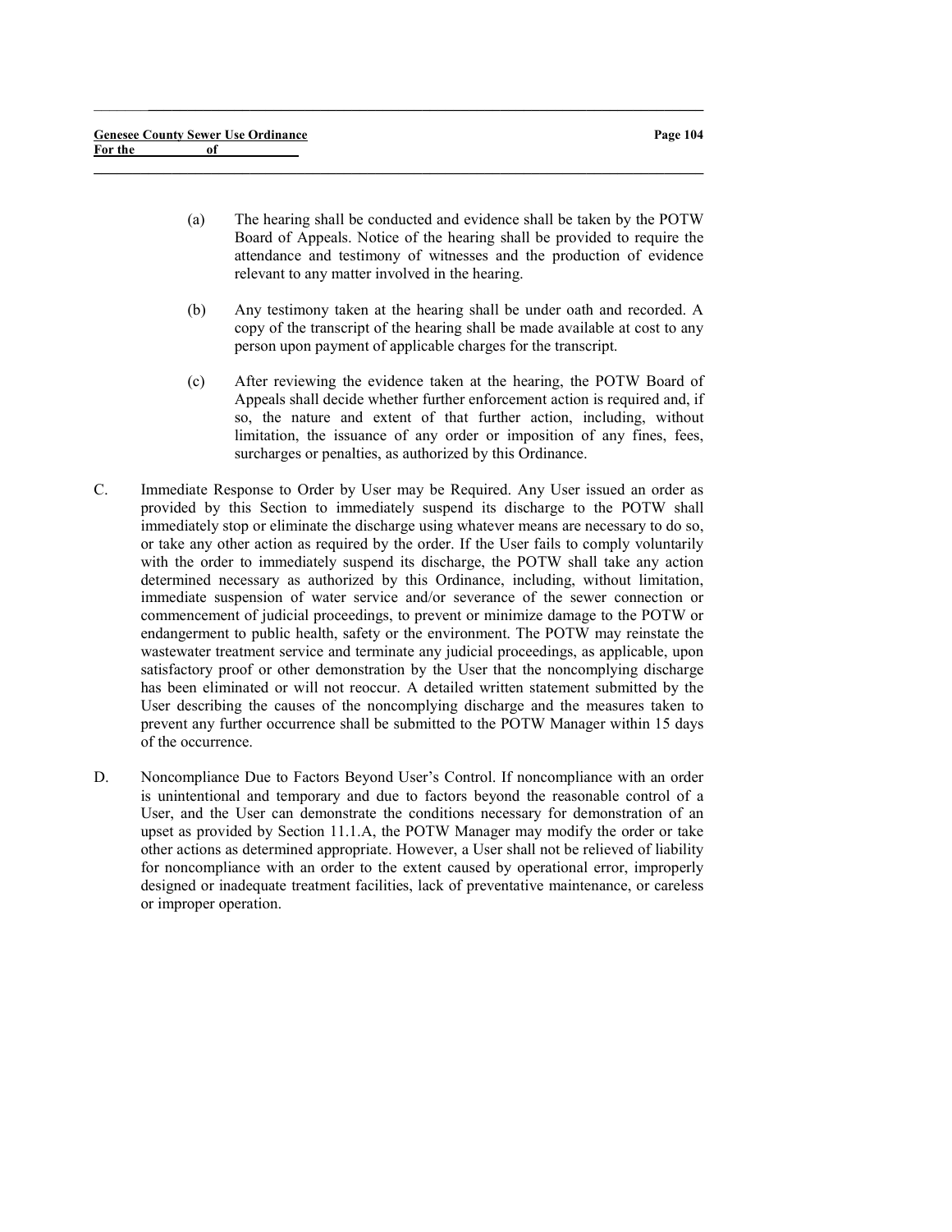(a) The hearing shall be conducted and evidence shall be taken by the POTW Board of Appeals. Notice of the hearing shall be provided to require the attendance and testimony of witnesses and the production of evidence relevant to any matter involved in the hearing.

 $\_$  , and the set of the set of the set of the set of the set of the set of the set of the set of the set of the set of the set of the set of the set of the set of the set of the set of the set of the set of the set of th

- (b) Any testimony taken at the hearing shall be under oath and recorded. A copy of the transcript of the hearing shall be made available at cost to any person upon payment of applicable charges for the transcript.
- (c) After reviewing the evidence taken at the hearing, the POTW Board of Appeals shall decide whether further enforcement action is required and, if so, the nature and extent of that further action, including, without limitation, the issuance of any order or imposition of any fines, fees, surcharges or penalties, as authorized by this Ordinance.
- C. Immediate Response to Order by User may be Required. Any User issued an order as provided by this Section to immediately suspend its discharge to the POTW shall immediately stop or eliminate the discharge using whatever means are necessary to do so, or take any other action as required by the order. If the User fails to comply voluntarily with the order to immediately suspend its discharge, the POTW shall take any action determined necessary as authorized by this Ordinance, including, without limitation, immediate suspension of water service and/or severance of the sewer connection or commencement of judicial proceedings, to prevent or minimize damage to the POTW or endangerment to public health, safety or the environment. The POTW may reinstate the wastewater treatment service and terminate any judicial proceedings, as applicable, upon satisfactory proof or other demonstration by the User that the noncomplying discharge has been eliminated or will not reoccur. A detailed written statement submitted by the User describing the causes of the noncomplying discharge and the measures taken to prevent any further occurrence shall be submitted to the POTW Manager within 15 days of the occurrence.
- D. Noncompliance Due to Factors Beyond User's Control. If noncompliance with an order is unintentional and temporary and due to factors beyond the reasonable control of a User, and the User can demonstrate the conditions necessary for demonstration of an upset as provided by Section 11.1.A, the POTW Manager may modify the order or take other actions as determined appropriate. However, a User shall not be relieved of liability for noncompliance with an order to the extent caused by operational error, improperly designed or inadequate treatment facilities, lack of preventative maintenance, or careless or improper operation.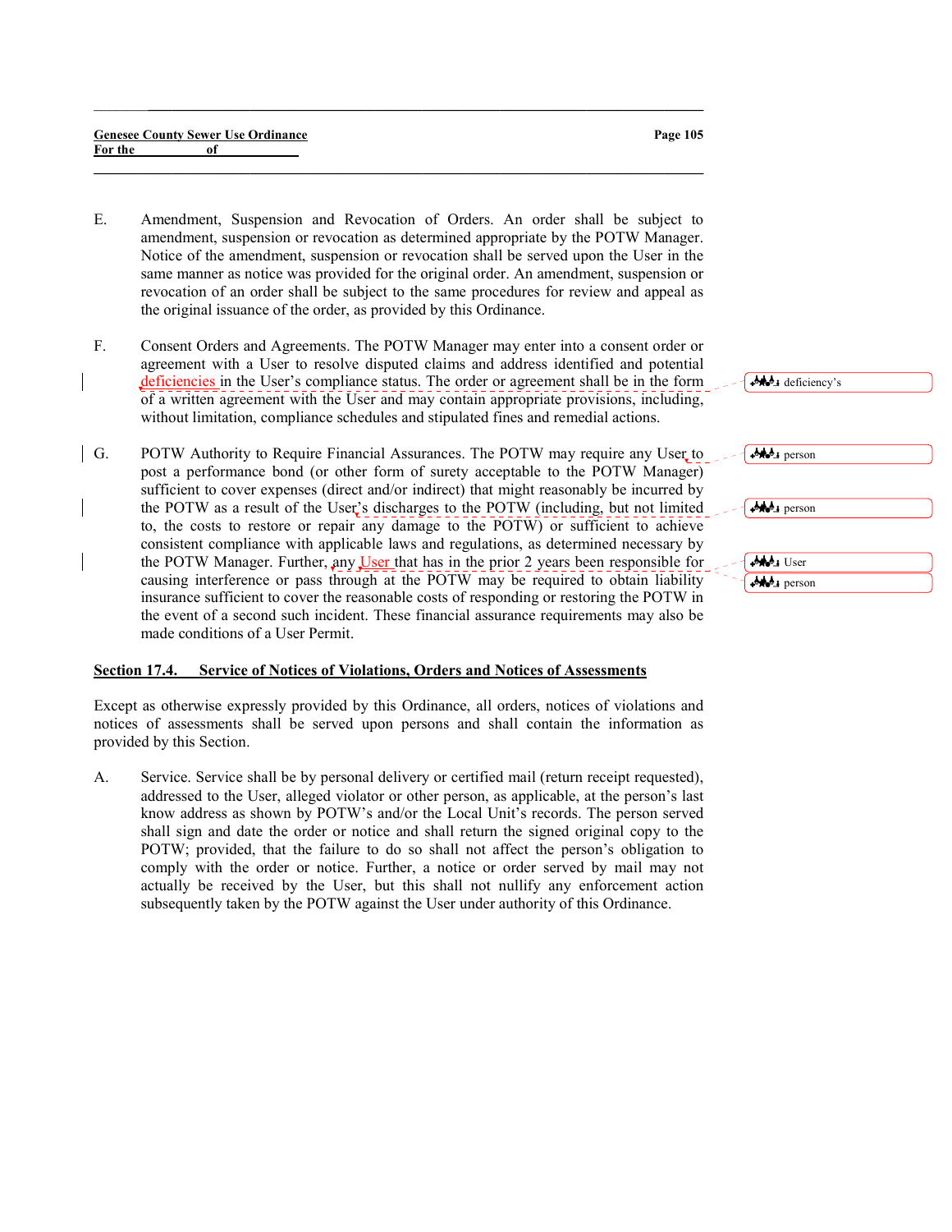#### Genesee County Sewer Use Ordinance For the of

E. Amendment, Suspension and Revocation of Orders. An order shall be subject to amendment, suspension or revocation as determined appropriate by the POTW Manager. Notice of the amendment, suspension or revocation shall be served upon the User in the same manner as notice was provided for the original order. An amendment, suspension or revocation of an order shall be subject to the same procedures for review and appeal as the original issuance of the order, as provided by this Ordinance.

 $\_$  , and the set of the set of the set of the set of the set of the set of the set of the set of the set of the set of the set of the set of the set of the set of the set of the set of the set of the set of the set of th

 $\_$  , and the set of the set of the set of the set of the set of the set of the set of the set of the set of the set of the set of the set of the set of the set of the set of the set of the set of the set of the set of th

- F. Consent Orders and Agreements. The POTW Manager may enter into a consent order or agreement with a User to resolve disputed claims and address identified and potential deficiencies in the User's compliance status. The order or agreement shall be in the form of a written agreement with the User and may contain appropriate provisions, including, without limitation, compliance schedules and stipulated fines and remedial actions.
- G. POTW Authority to Require Financial Assurances. The POTW may require any User to post a performance bond (or other form of surety acceptable to the POTW Manager) sufficient to cover expenses (direct and/or indirect) that might reasonably be incurred by the POTW as a result of the User's discharges to the POTW (including, but not limited to, the costs to restore or repair any damage to the POTW) or sufficient to achieve consistent compliance with applicable laws and regulations, as determined necessary by the POTW Manager. Further, any User that has in the prior 2 years been responsible for causing interference or pass through at the POTW may be required to obtain liability insurance sufficient to cover the reasonable costs of responding or restoring the POTW in the event of a second such incident. These financial assurance requirements may also be made conditions of a User Permit.

# Section 17.4. Service of Notices of Violations, Orders and Notices of Assessments

Except as otherwise expressly provided by this Ordinance, all orders, notices of violations and notices of assessments shall be served upon persons and shall contain the information as provided by this Section.

A. Service. Service shall be by personal delivery or certified mail (return receipt requested), addressed to the User, alleged violator or other person, as applicable, at the person's last know address as shown by POTW's and/or the Local Unit's records. The person served shall sign and date the order or notice and shall return the signed original copy to the POTW; provided, that the failure to do so shall not affect the person's obligation to comply with the order or notice. Further, a notice or order served by mail may not actually be received by the User, but this shall not nullify any enforcement action subsequently taken by the POTW against the User under authority of this Ordinance.

| All deficiency's      |  |
|-----------------------|--|
| <b>AND</b> person     |  |
| <b>AND</b> person     |  |
| Ma User<br>$i$ person |  |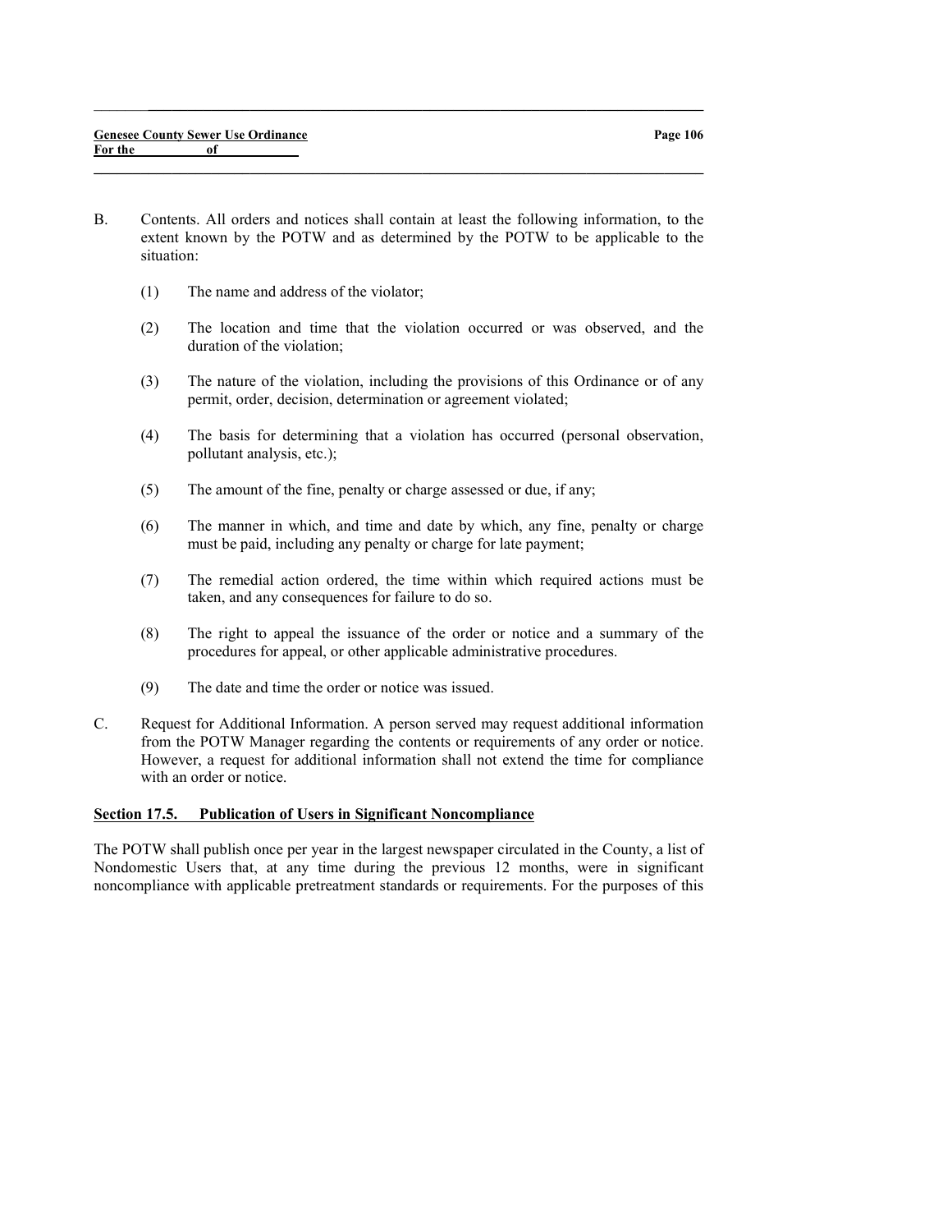B. Contents. All orders and notices shall contain at least the following information, to the extent known by the POTW and as determined by the POTW to be applicable to the situation:

 $\_$  , and the set of the set of the set of the set of the set of the set of the set of the set of the set of the set of the set of the set of the set of the set of the set of the set of the set of the set of the set of th

 $\_$  , and the set of the set of the set of the set of the set of the set of the set of the set of the set of the set of the set of the set of the set of the set of the set of the set of the set of the set of the set of th

- (1) The name and address of the violator;
- (2) The location and time that the violation occurred or was observed, and the duration of the violation;
- (3) The nature of the violation, including the provisions of this Ordinance or of any permit, order, decision, determination or agreement violated;
- (4) The basis for determining that a violation has occurred (personal observation, pollutant analysis, etc.);
- (5) The amount of the fine, penalty or charge assessed or due, if any;
- (6) The manner in which, and time and date by which, any fine, penalty or charge must be paid, including any penalty or charge for late payment;
- (7) The remedial action ordered, the time within which required actions must be taken, and any consequences for failure to do so.
- (8) The right to appeal the issuance of the order or notice and a summary of the procedures for appeal, or other applicable administrative procedures.
- (9) The date and time the order or notice was issued.
- C. Request for Additional Information. A person served may request additional information from the POTW Manager regarding the contents or requirements of any order or notice. However, a request for additional information shall not extend the time for compliance with an order or notice.

# Section 17.5. Publication of Users in Significant Noncompliance

The POTW shall publish once per year in the largest newspaper circulated in the County, a list of Nondomestic Users that, at any time during the previous 12 months, were in significant noncompliance with applicable pretreatment standards or requirements. For the purposes of this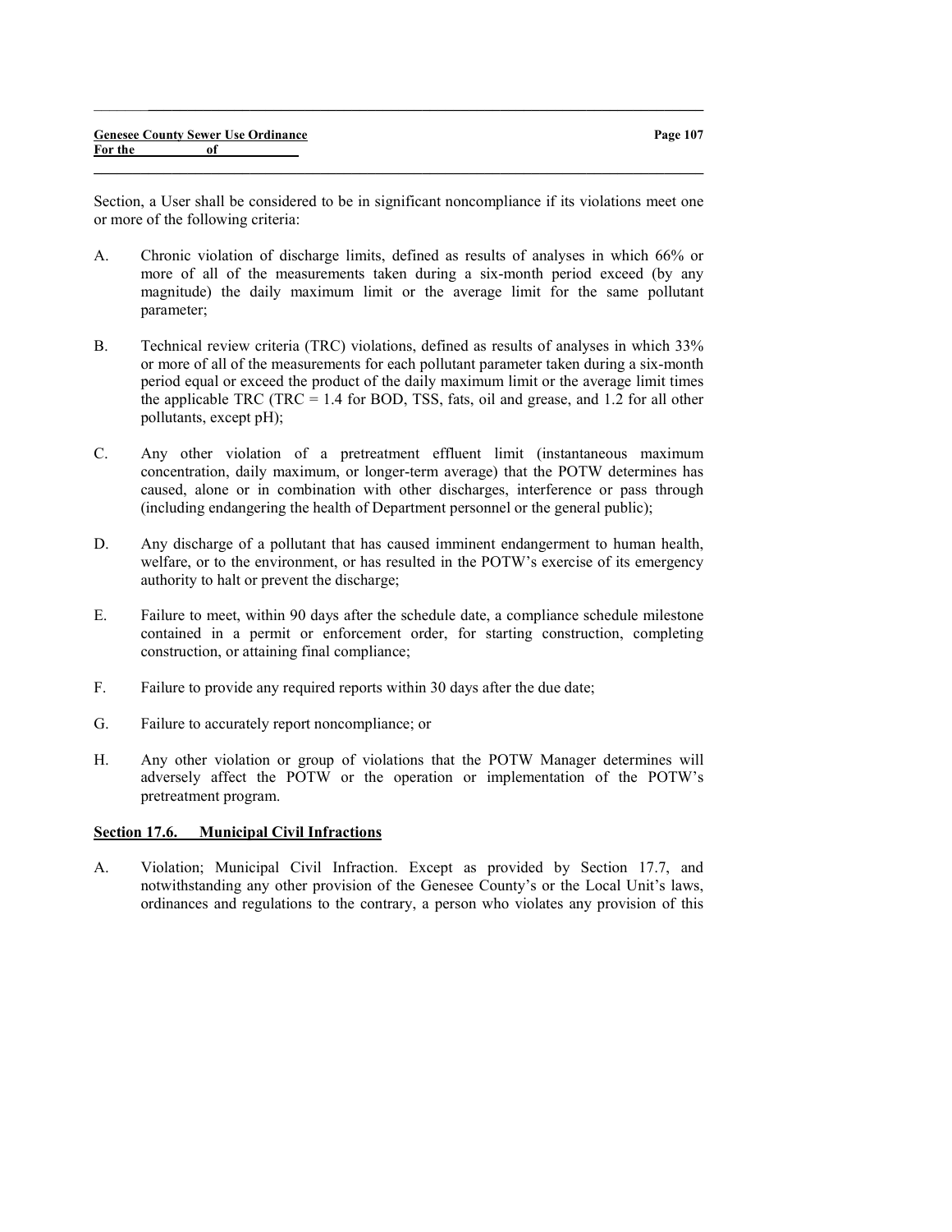Section, a User shall be considered to be in significant noncompliance if its violations meet one or more of the following criteria:

 $\_$  , and the set of the set of the set of the set of the set of the set of the set of the set of the set of the set of the set of the set of the set of the set of the set of the set of the set of the set of the set of th

 $\_$  , and the set of the set of the set of the set of the set of the set of the set of the set of the set of the set of the set of the set of the set of the set of the set of the set of the set of the set of the set of th

- A. Chronic violation of discharge limits, defined as results of analyses in which 66% or more of all of the measurements taken during a six-month period exceed (by any magnitude) the daily maximum limit or the average limit for the same pollutant parameter;
- B. Technical review criteria (TRC) violations, defined as results of analyses in which 33% or more of all of the measurements for each pollutant parameter taken during a six-month period equal or exceed the product of the daily maximum limit or the average limit times the applicable TRC (TRC =  $1.4$  for BOD, TSS, fats, oil and grease, and 1.2 for all other pollutants, except pH);
- C. Any other violation of a pretreatment effluent limit (instantaneous maximum concentration, daily maximum, or longer-term average) that the POTW determines has caused, alone or in combination with other discharges, interference or pass through (including endangering the health of Department personnel or the general public);
- D. Any discharge of a pollutant that has caused imminent endangerment to human health, welfare, or to the environment, or has resulted in the POTW's exercise of its emergency authority to halt or prevent the discharge;
- E. Failure to meet, within 90 days after the schedule date, a compliance schedule milestone contained in a permit or enforcement order, for starting construction, completing construction, or attaining final compliance;
- F. Failure to provide any required reports within 30 days after the due date;
- G. Failure to accurately report noncompliance; or
- H. Any other violation or group of violations that the POTW Manager determines will adversely affect the POTW or the operation or implementation of the POTW's pretreatment program.

#### Section 17.6. Municipal Civil Infractions

A. Violation; Municipal Civil Infraction. Except as provided by Section 17.7, and notwithstanding any other provision of the Genesee County's or the Local Unit's laws, ordinances and regulations to the contrary, a person who violates any provision of this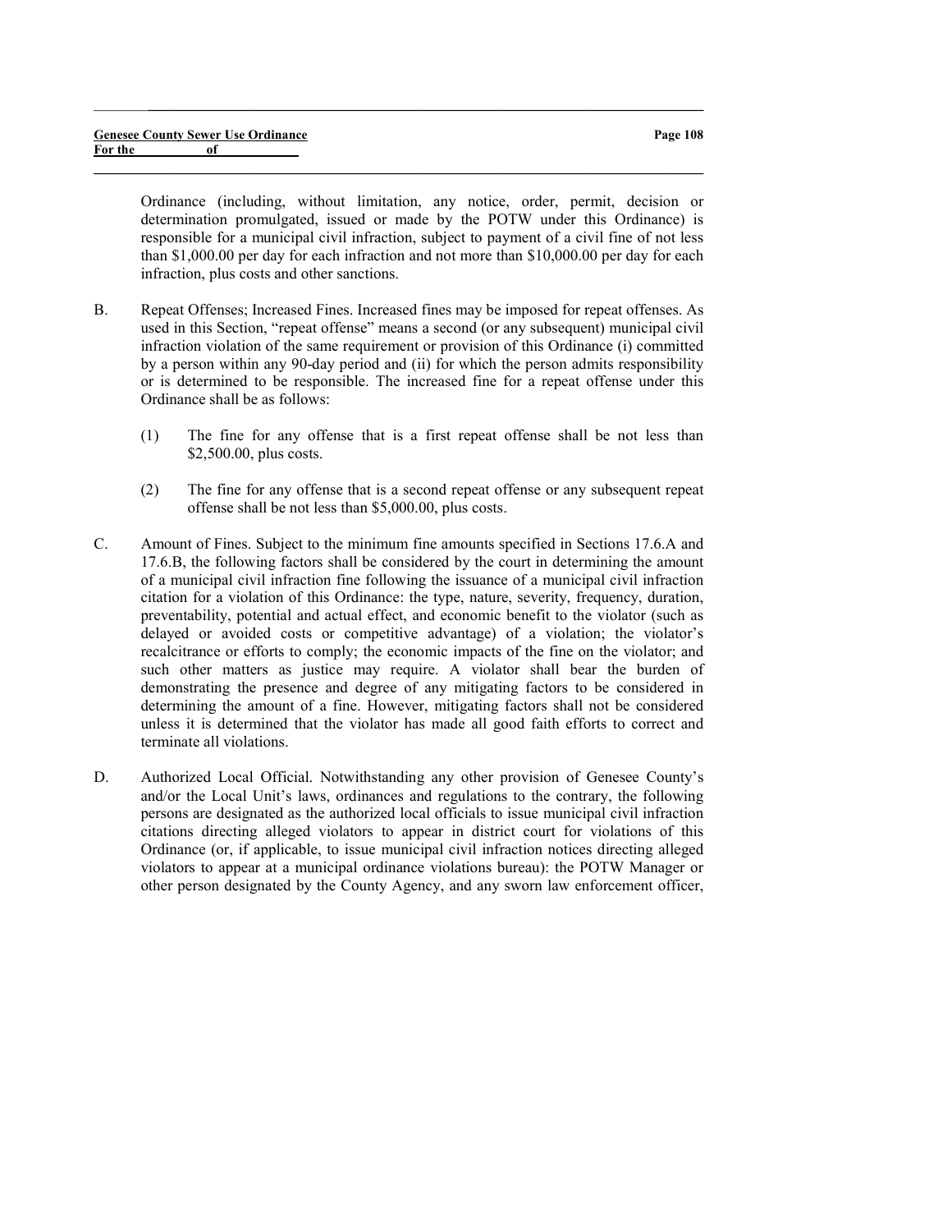Ordinance (including, without limitation, any notice, order, permit, decision or determination promulgated, issued or made by the POTW under this Ordinance) is responsible for a municipal civil infraction, subject to payment of a civil fine of not less than \$1,000.00 per day for each infraction and not more than \$10,000.00 per day for each infraction, plus costs and other sanctions.

 $\_$  , and the set of the set of the set of the set of the set of the set of the set of the set of the set of the set of the set of the set of the set of the set of the set of the set of the set of the set of the set of th

- B. Repeat Offenses; Increased Fines. Increased fines may be imposed for repeat offenses. As used in this Section, "repeat offense" means a second (or any subsequent) municipal civil infraction violation of the same requirement or provision of this Ordinance (i) committed by a person within any 90-day period and (ii) for which the person admits responsibility or is determined to be responsible. The increased fine for a repeat offense under this Ordinance shall be as follows:
	- (1) The fine for any offense that is a first repeat offense shall be not less than \$2,500.00, plus costs.
	- (2) The fine for any offense that is a second repeat offense or any subsequent repeat offense shall be not less than \$5,000.00, plus costs.
- C. Amount of Fines. Subject to the minimum fine amounts specified in Sections 17.6.A and 17.6.B, the following factors shall be considered by the court in determining the amount of a municipal civil infraction fine following the issuance of a municipal civil infraction citation for a violation of this Ordinance: the type, nature, severity, frequency, duration, preventability, potential and actual effect, and economic benefit to the violator (such as delayed or avoided costs or competitive advantage) of a violation; the violator's recalcitrance or efforts to comply; the economic impacts of the fine on the violator; and such other matters as justice may require. A violator shall bear the burden of demonstrating the presence and degree of any mitigating factors to be considered in determining the amount of a fine. However, mitigating factors shall not be considered unless it is determined that the violator has made all good faith efforts to correct and terminate all violations.
- D. Authorized Local Official. Notwithstanding any other provision of Genesee County's and/or the Local Unit's laws, ordinances and regulations to the contrary, the following persons are designated as the authorized local officials to issue municipal civil infraction citations directing alleged violators to appear in district court for violations of this Ordinance (or, if applicable, to issue municipal civil infraction notices directing alleged violators to appear at a municipal ordinance violations bureau): the POTW Manager or other person designated by the County Agency, and any sworn law enforcement officer,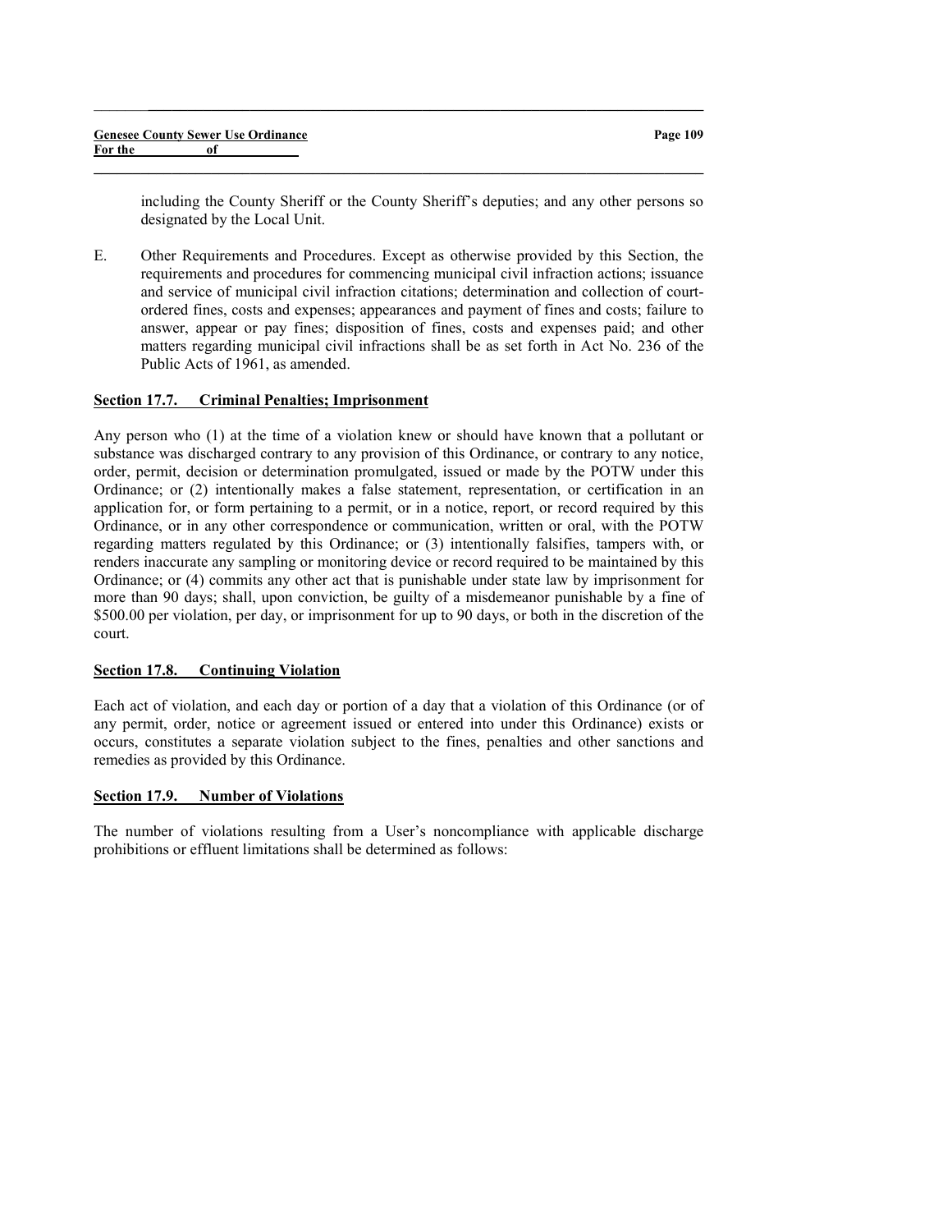|         | <b>Genesee County Sewer Use Ordinance</b> |
|---------|-------------------------------------------|
| For the | of                                        |

including the County Sheriff or the County Sheriff's deputies; and any other persons so designated by the Local Unit.

E. Other Requirements and Procedures. Except as otherwise provided by this Section, the requirements and procedures for commencing municipal civil infraction actions; issuance and service of municipal civil infraction citations; determination and collection of courtordered fines, costs and expenses; appearances and payment of fines and costs; failure to answer, appear or pay fines; disposition of fines, costs and expenses paid; and other matters regarding municipal civil infractions shall be as set forth in Act No. 236 of the Public Acts of 1961, as amended.

 $\_$  ,  $\_$  ,  $\_$  ,  $\_$  ,  $\_$  ,  $\_$  ,  $\_$  ,  $\_$  ,  $\_$  ,  $\_$  ,  $\_$  ,  $\_$  ,  $\_$  ,  $\_$  ,  $\_$  ,  $\_$  ,  $\_$  ,  $\_$  ,  $\_$ 

 $\_$  , and the set of the set of the set of the set of the set of the set of the set of the set of the set of the set of the set of the set of the set of the set of the set of the set of the set of the set of the set of th

#### Section 17.7. Criminal Penalties; Imprisonment

Any person who (1) at the time of a violation knew or should have known that a pollutant or substance was discharged contrary to any provision of this Ordinance, or contrary to any notice, order, permit, decision or determination promulgated, issued or made by the POTW under this Ordinance; or (2) intentionally makes a false statement, representation, or certification in an application for, or form pertaining to a permit, or in a notice, report, or record required by this Ordinance, or in any other correspondence or communication, written or oral, with the POTW regarding matters regulated by this Ordinance; or (3) intentionally falsifies, tampers with, or renders inaccurate any sampling or monitoring device or record required to be maintained by this Ordinance; or (4) commits any other act that is punishable under state law by imprisonment for more than 90 days; shall, upon conviction, be guilty of a misdemeanor punishable by a fine of \$500.00 per violation, per day, or imprisonment for up to 90 days, or both in the discretion of the court.

#### Section 17.8. Continuing Violation

Each act of violation, and each day or portion of a day that a violation of this Ordinance (or of any permit, order, notice or agreement issued or entered into under this Ordinance) exists or occurs, constitutes a separate violation subject to the fines, penalties and other sanctions and remedies as provided by this Ordinance.

#### Section 17.9. Number of Violations

The number of violations resulting from a User's noncompliance with applicable discharge prohibitions or effluent limitations shall be determined as follows: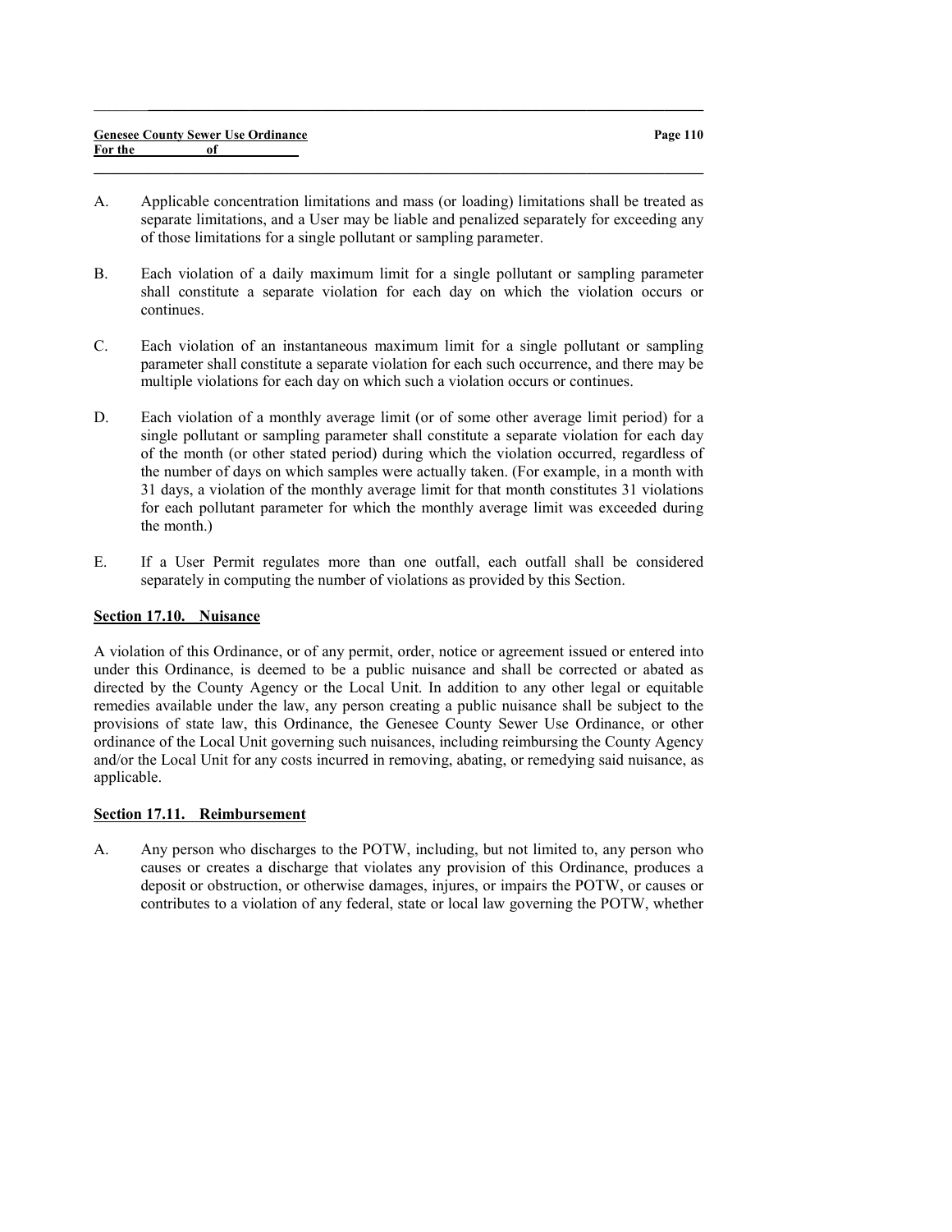|         |    | <b>Genesee County Sewer Use Ordinance</b> |
|---------|----|-------------------------------------------|
| For the | of |                                           |

A. Applicable concentration limitations and mass (or loading) limitations shall be treated as separate limitations, and a User may be liable and penalized separately for exceeding any of those limitations for a single pollutant or sampling parameter.

 $\_$  , and the set of the set of the set of the set of the set of the set of the set of the set of the set of the set of the set of the set of the set of the set of the set of the set of the set of the set of the set of th

 $\_$  ,  $\_$  ,  $\_$  ,  $\_$  ,  $\_$  ,  $\_$  ,  $\_$  ,  $\_$  ,  $\_$  ,  $\_$  ,  $\_$  ,  $\_$  ,  $\_$  ,  $\_$  ,  $\_$  ,  $\_$  ,  $\_$  ,  $\_$  ,  $\_$ 

- B. Each violation of a daily maximum limit for a single pollutant or sampling parameter shall constitute a separate violation for each day on which the violation occurs or continues.
- C. Each violation of an instantaneous maximum limit for a single pollutant or sampling parameter shall constitute a separate violation for each such occurrence, and there may be multiple violations for each day on which such a violation occurs or continues.
- D. Each violation of a monthly average limit (or of some other average limit period) for a single pollutant or sampling parameter shall constitute a separate violation for each day of the month (or other stated period) during which the violation occurred, regardless of the number of days on which samples were actually taken. (For example, in a month with 31 days, a violation of the monthly average limit for that month constitutes 31 violations for each pollutant parameter for which the monthly average limit was exceeded during the month.)
- E. If a User Permit regulates more than one outfall, each outfall shall be considered separately in computing the number of violations as provided by this Section.

### Section 17.10. Nuisance

A violation of this Ordinance, or of any permit, order, notice or agreement issued or entered into under this Ordinance, is deemed to be a public nuisance and shall be corrected or abated as directed by the County Agency or the Local Unit. In addition to any other legal or equitable remedies available under the law, any person creating a public nuisance shall be subject to the provisions of state law, this Ordinance, the Genesee County Sewer Use Ordinance, or other ordinance of the Local Unit governing such nuisances, including reimbursing the County Agency and/or the Local Unit for any costs incurred in removing, abating, or remedying said nuisance, as applicable.

## Section 17.11. Reimbursement

A. Any person who discharges to the POTW, including, but not limited to, any person who causes or creates a discharge that violates any provision of this Ordinance, produces a deposit or obstruction, or otherwise damages, injures, or impairs the POTW, or causes or contributes to a violation of any federal, state or local law governing the POTW, whether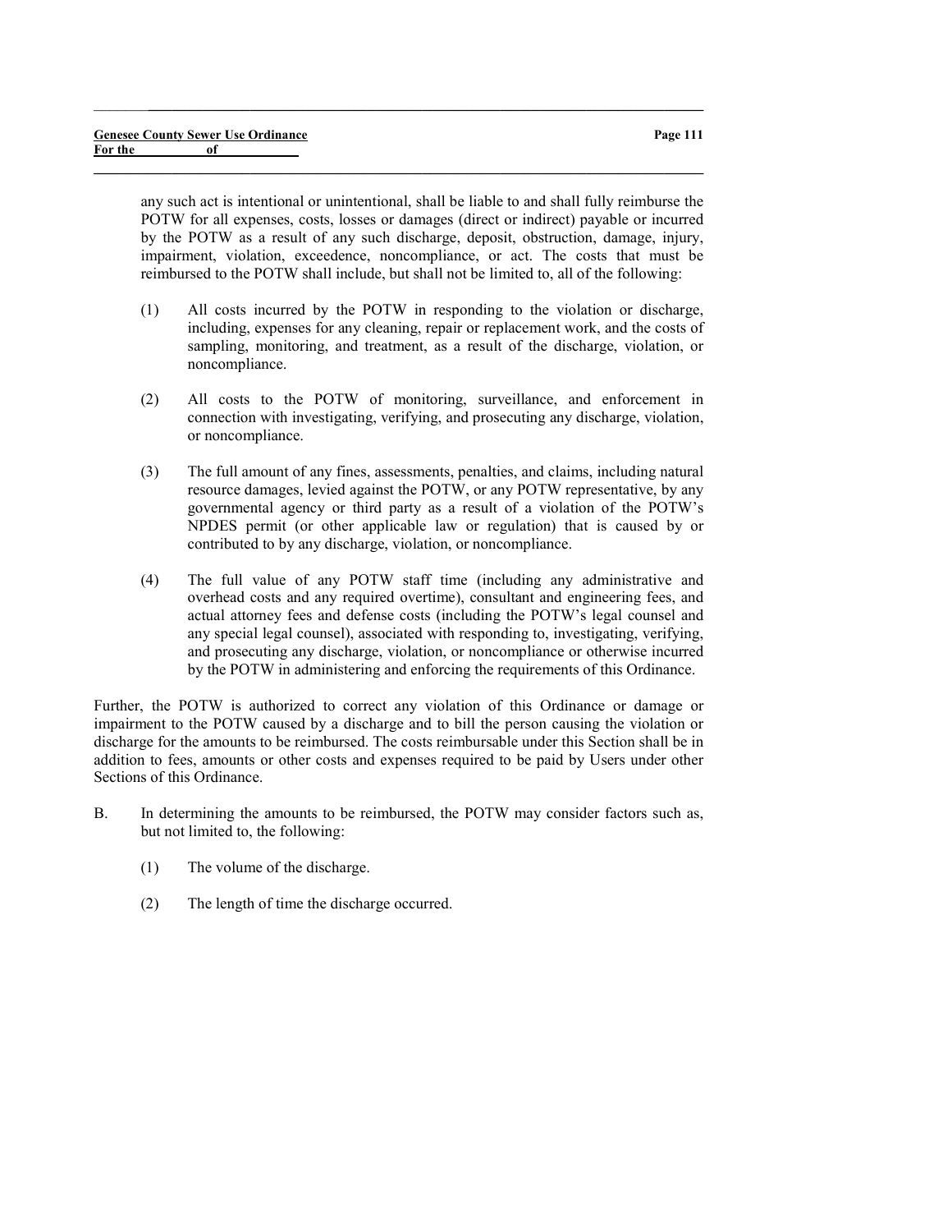any such act is intentional or unintentional, shall be liable to and shall fully reimburse the POTW for all expenses, costs, losses or damages (direct or indirect) payable or incurred by the POTW as a result of any such discharge, deposit, obstruction, damage, injury, impairment, violation, exceedence, noncompliance, or act. The costs that must be reimbursed to the POTW shall include, but shall not be limited to, all of the following:

 $\_$  ,  $\_$  ,  $\_$  ,  $\_$  ,  $\_$  ,  $\_$  ,  $\_$  ,  $\_$  ,  $\_$  ,  $\_$  ,  $\_$  ,  $\_$  ,  $\_$  ,  $\_$  ,  $\_$  ,  $\_$  ,  $\_$  ,  $\_$  ,  $\_$ 

 $\_$  , and the set of the set of the set of the set of the set of the set of the set of the set of the set of the set of the set of the set of the set of the set of the set of the set of the set of the set of the set of th

- (1) All costs incurred by the POTW in responding to the violation or discharge, including, expenses for any cleaning, repair or replacement work, and the costs of sampling, monitoring, and treatment, as a result of the discharge, violation, or noncompliance.
- (2) All costs to the POTW of monitoring, surveillance, and enforcement in connection with investigating, verifying, and prosecuting any discharge, violation, or noncompliance.
- (3) The full amount of any fines, assessments, penalties, and claims, including natural resource damages, levied against the POTW, or any POTW representative, by any governmental agency or third party as a result of a violation of the POTW's NPDES permit (or other applicable law or regulation) that is caused by or contributed to by any discharge, violation, or noncompliance.
- (4) The full value of any POTW staff time (including any administrative and overhead costs and any required overtime), consultant and engineering fees, and actual attorney fees and defense costs (including the POTW's legal counsel and any special legal counsel), associated with responding to, investigating, verifying, and prosecuting any discharge, violation, or noncompliance or otherwise incurred by the POTW in administering and enforcing the requirements of this Ordinance.

Further, the POTW is authorized to correct any violation of this Ordinance or damage or impairment to the POTW caused by a discharge and to bill the person causing the violation or discharge for the amounts to be reimbursed. The costs reimbursable under this Section shall be in addition to fees, amounts or other costs and expenses required to be paid by Users under other Sections of this Ordinance.

- B. In determining the amounts to be reimbursed, the POTW may consider factors such as, but not limited to, the following:
	- (1) The volume of the discharge.
	- (2) The length of time the discharge occurred.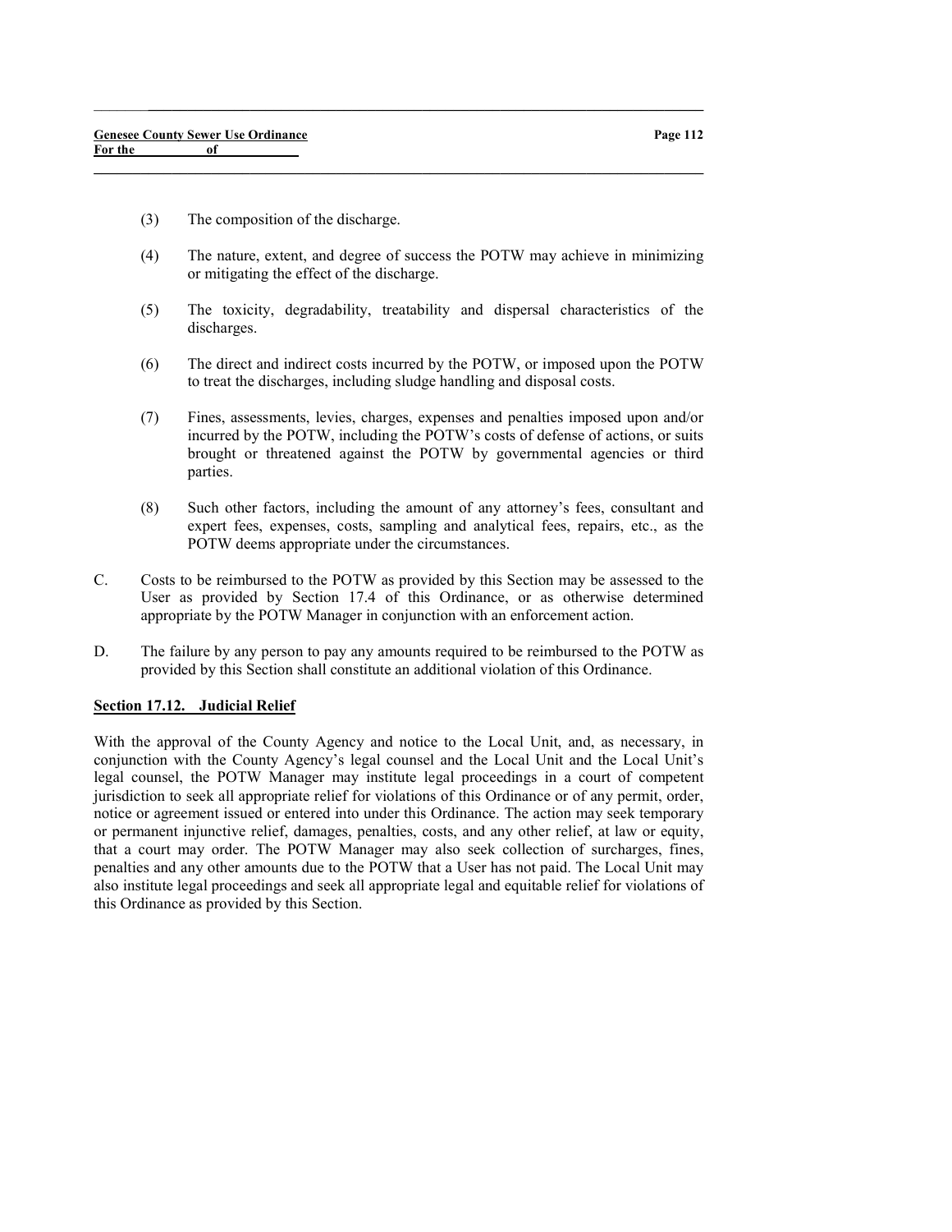- (3) The composition of the discharge.
- (4) The nature, extent, and degree of success the POTW may achieve in minimizing or mitigating the effect of the discharge.

 $\_$  ,  $\_$  ,  $\_$  ,  $\_$  ,  $\_$  ,  $\_$  ,  $\_$  ,  $\_$  ,  $\_$  ,  $\_$  ,  $\_$  ,  $\_$  ,  $\_$  ,  $\_$  ,  $\_$  ,  $\_$  ,  $\_$  ,  $\_$  ,  $\_$ 

 $\_$  , and the set of the set of the set of the set of the set of the set of the set of the set of the set of the set of the set of the set of the set of the set of the set of the set of the set of the set of the set of th

- (5) The toxicity, degradability, treatability and dispersal characteristics of the discharges.
- (6) The direct and indirect costs incurred by the POTW, or imposed upon the POTW to treat the discharges, including sludge handling and disposal costs.
- (7) Fines, assessments, levies, charges, expenses and penalties imposed upon and/or incurred by the POTW, including the POTW's costs of defense of actions, or suits brought or threatened against the POTW by governmental agencies or third parties.
- (8) Such other factors, including the amount of any attorney's fees, consultant and expert fees, expenses, costs, sampling and analytical fees, repairs, etc., as the POTW deems appropriate under the circumstances.
- C. Costs to be reimbursed to the POTW as provided by this Section may be assessed to the User as provided by Section 17.4 of this Ordinance, or as otherwise determined appropriate by the POTW Manager in conjunction with an enforcement action.
- D. The failure by any person to pay any amounts required to be reimbursed to the POTW as provided by this Section shall constitute an additional violation of this Ordinance.

## Section 17.12. Judicial Relief

With the approval of the County Agency and notice to the Local Unit, and, as necessary, in conjunction with the County Agency's legal counsel and the Local Unit and the Local Unit's legal counsel, the POTW Manager may institute legal proceedings in a court of competent jurisdiction to seek all appropriate relief for violations of this Ordinance or of any permit, order, notice or agreement issued or entered into under this Ordinance. The action may seek temporary or permanent injunctive relief, damages, penalties, costs, and any other relief, at law or equity, that a court may order. The POTW Manager may also seek collection of surcharges, fines, penalties and any other amounts due to the POTW that a User has not paid. The Local Unit may also institute legal proceedings and seek all appropriate legal and equitable relief for violations of this Ordinance as provided by this Section.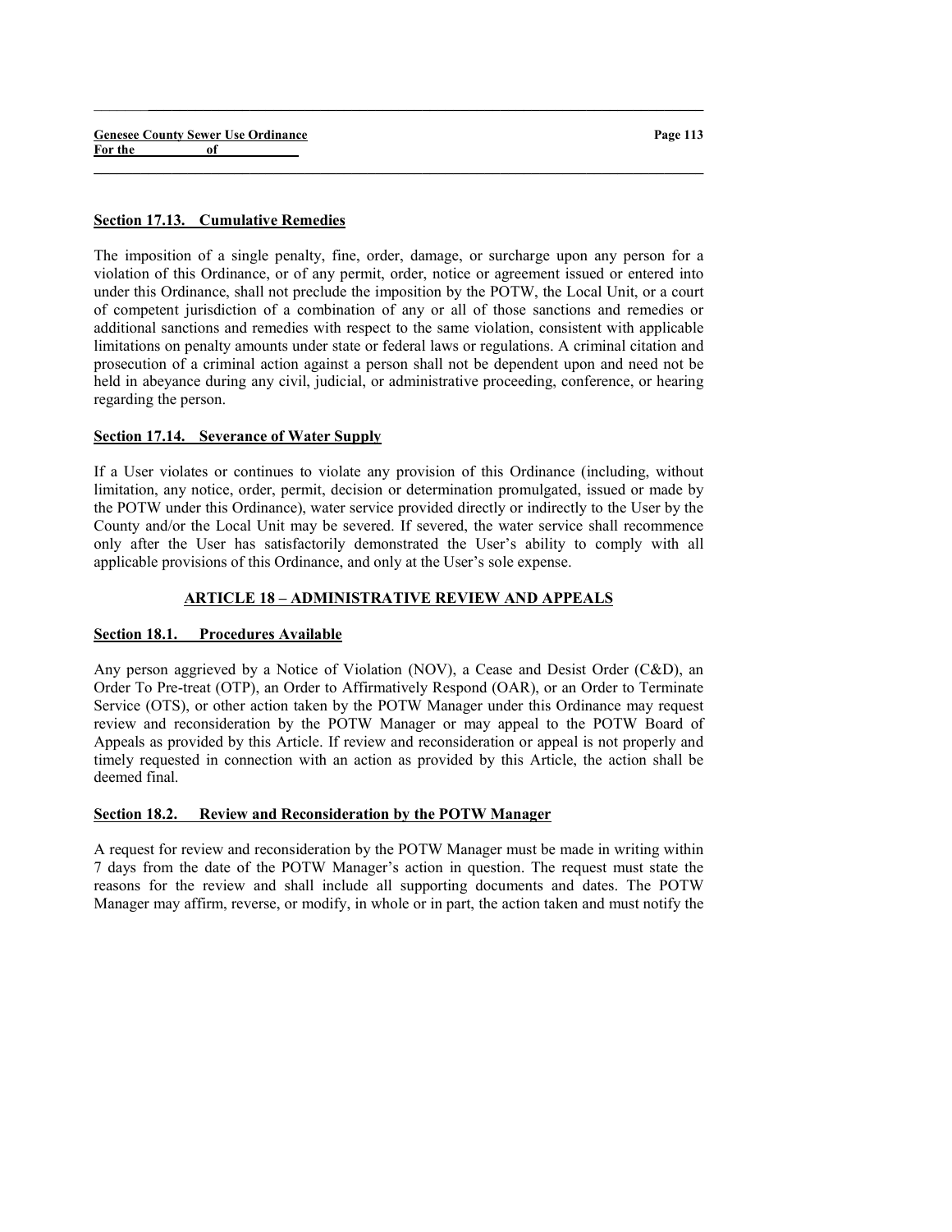|         |    | <b>Genesee County Sewer Use Ordinance</b> |
|---------|----|-------------------------------------------|
| For the | 0f |                                           |

### Section 17.13. Cumulative Remedies

The imposition of a single penalty, fine, order, damage, or surcharge upon any person for a violation of this Ordinance, or of any permit, order, notice or agreement issued or entered into under this Ordinance, shall not preclude the imposition by the POTW, the Local Unit, or a court of competent jurisdiction of a combination of any or all of those sanctions and remedies or additional sanctions and remedies with respect to the same violation, consistent with applicable limitations on penalty amounts under state or federal laws or regulations. A criminal citation and prosecution of a criminal action against a person shall not be dependent upon and need not be held in abeyance during any civil, judicial, or administrative proceeding, conference, or hearing regarding the person.

 $\_$  ,  $\_$  ,  $\_$  ,  $\_$  ,  $\_$  ,  $\_$  ,  $\_$  ,  $\_$  ,  $\_$  ,  $\_$  ,  $\_$  ,  $\_$  ,  $\_$  ,  $\_$  ,  $\_$  ,  $\_$  ,  $\_$  ,  $\_$  ,  $\_$ 

 $\_$  , and the set of the set of the set of the set of the set of the set of the set of the set of the set of the set of the set of the set of the set of the set of the set of the set of the set of the set of the set of th

## Section 17.14. Severance of Water Supply

If a User violates or continues to violate any provision of this Ordinance (including, without limitation, any notice, order, permit, decision or determination promulgated, issued or made by the POTW under this Ordinance), water service provided directly or indirectly to the User by the County and/or the Local Unit may be severed. If severed, the water service shall recommence only after the User has satisfactorily demonstrated the User's ability to comply with all applicable provisions of this Ordinance, and only at the User's sole expense.

## ARTICLE 18 – ADMINISTRATIVE REVIEW AND APPEALS

#### Section 18.1. Procedures Available

Any person aggrieved by a Notice of Violation (NOV), a Cease and Desist Order (C&D), an Order To Pre-treat (OTP), an Order to Affirmatively Respond (OAR), or an Order to Terminate Service (OTS), or other action taken by the POTW Manager under this Ordinance may request review and reconsideration by the POTW Manager or may appeal to the POTW Board of Appeals as provided by this Article. If review and reconsideration or appeal is not properly and timely requested in connection with an action as provided by this Article, the action shall be deemed final.

## Section 18.2. Review and Reconsideration by the POTW Manager

A request for review and reconsideration by the POTW Manager must be made in writing within 7 days from the date of the POTW Manager's action in question. The request must state the reasons for the review and shall include all supporting documents and dates. The POTW Manager may affirm, reverse, or modify, in whole or in part, the action taken and must notify the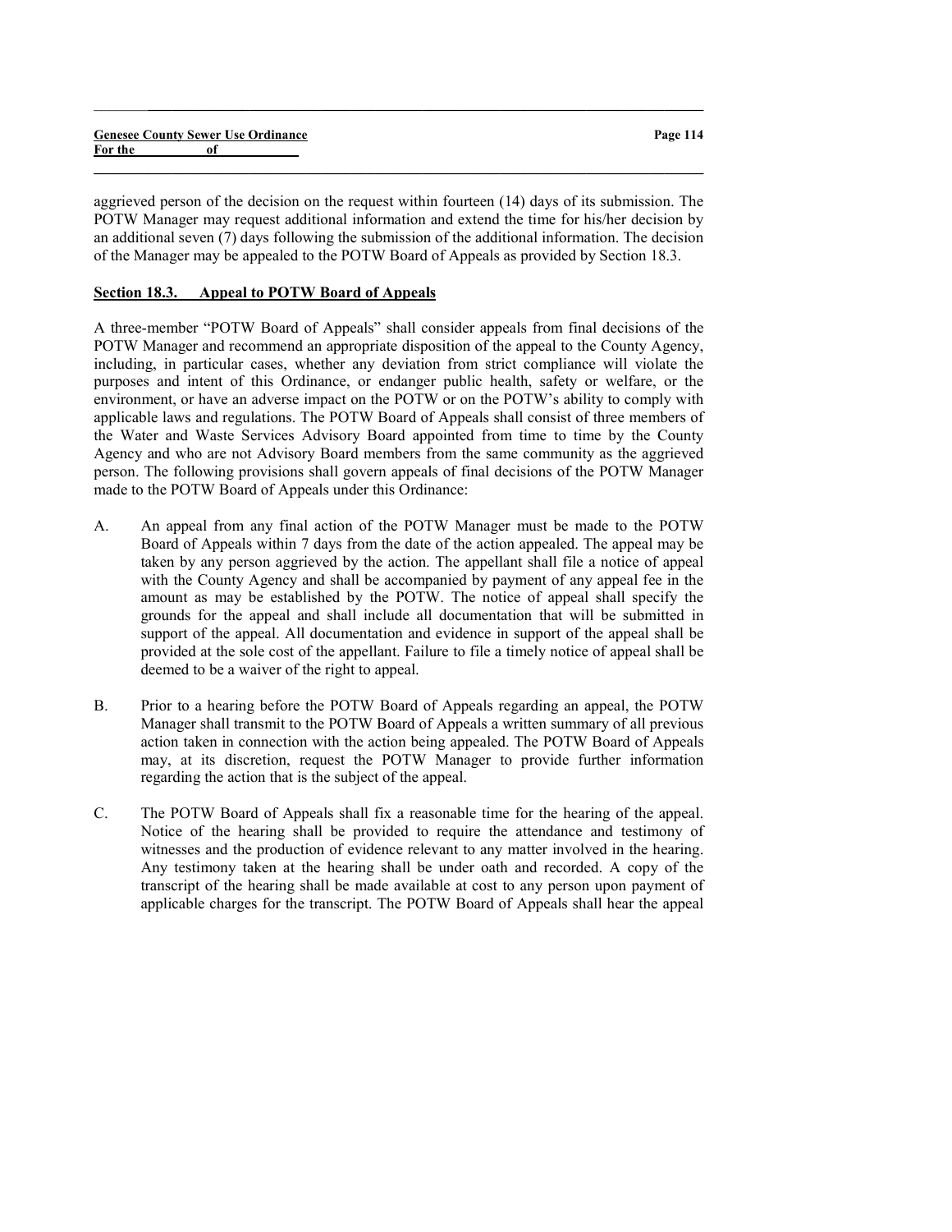|         | <b>Genesee County Sewer Use Ordinance</b> | Page 114 |
|---------|-------------------------------------------|----------|
| For the |                                           |          |
|         |                                           |          |

 $\_$  ,  $\_$  ,  $\_$  ,  $\_$  ,  $\_$  ,  $\_$  ,  $\_$  ,  $\_$  ,  $\_$  ,  $\_$  ,  $\_$  ,  $\_$  ,  $\_$  ,  $\_$  ,  $\_$  ,  $\_$  ,  $\_$  ,  $\_$  ,  $\_$ 

aggrieved person of the decision on the request within fourteen (14) days of its submission. The POTW Manager may request additional information and extend the time for his/her decision by an additional seven (7) days following the submission of the additional information. The decision of the Manager may be appealed to the POTW Board of Appeals as provided by Section 18.3.

## Section 18.3. Appeal to POTW Board of Appeals

A three-member "POTW Board of Appeals" shall consider appeals from final decisions of the POTW Manager and recommend an appropriate disposition of the appeal to the County Agency, including, in particular cases, whether any deviation from strict compliance will violate the purposes and intent of this Ordinance, or endanger public health, safety or welfare, or the environment, or have an adverse impact on the POTW or on the POTW's ability to comply with applicable laws and regulations. The POTW Board of Appeals shall consist of three members of the Water and Waste Services Advisory Board appointed from time to time by the County Agency and who are not Advisory Board members from the same community as the aggrieved person. The following provisions shall govern appeals of final decisions of the POTW Manager made to the POTW Board of Appeals under this Ordinance:

- A. An appeal from any final action of the POTW Manager must be made to the POTW Board of Appeals within 7 days from the date of the action appealed. The appeal may be taken by any person aggrieved by the action. The appellant shall file a notice of appeal with the County Agency and shall be accompanied by payment of any appeal fee in the amount as may be established by the POTW. The notice of appeal shall specify the grounds for the appeal and shall include all documentation that will be submitted in support of the appeal. All documentation and evidence in support of the appeal shall be provided at the sole cost of the appellant. Failure to file a timely notice of appeal shall be deemed to be a waiver of the right to appeal.
- B. Prior to a hearing before the POTW Board of Appeals regarding an appeal, the POTW Manager shall transmit to the POTW Board of Appeals a written summary of all previous action taken in connection with the action being appealed. The POTW Board of Appeals may, at its discretion, request the POTW Manager to provide further information regarding the action that is the subject of the appeal.
- C. The POTW Board of Appeals shall fix a reasonable time for the hearing of the appeal. Notice of the hearing shall be provided to require the attendance and testimony of witnesses and the production of evidence relevant to any matter involved in the hearing. Any testimony taken at the hearing shall be under oath and recorded. A copy of the transcript of the hearing shall be made available at cost to any person upon payment of applicable charges for the transcript. The POTW Board of Appeals shall hear the appeal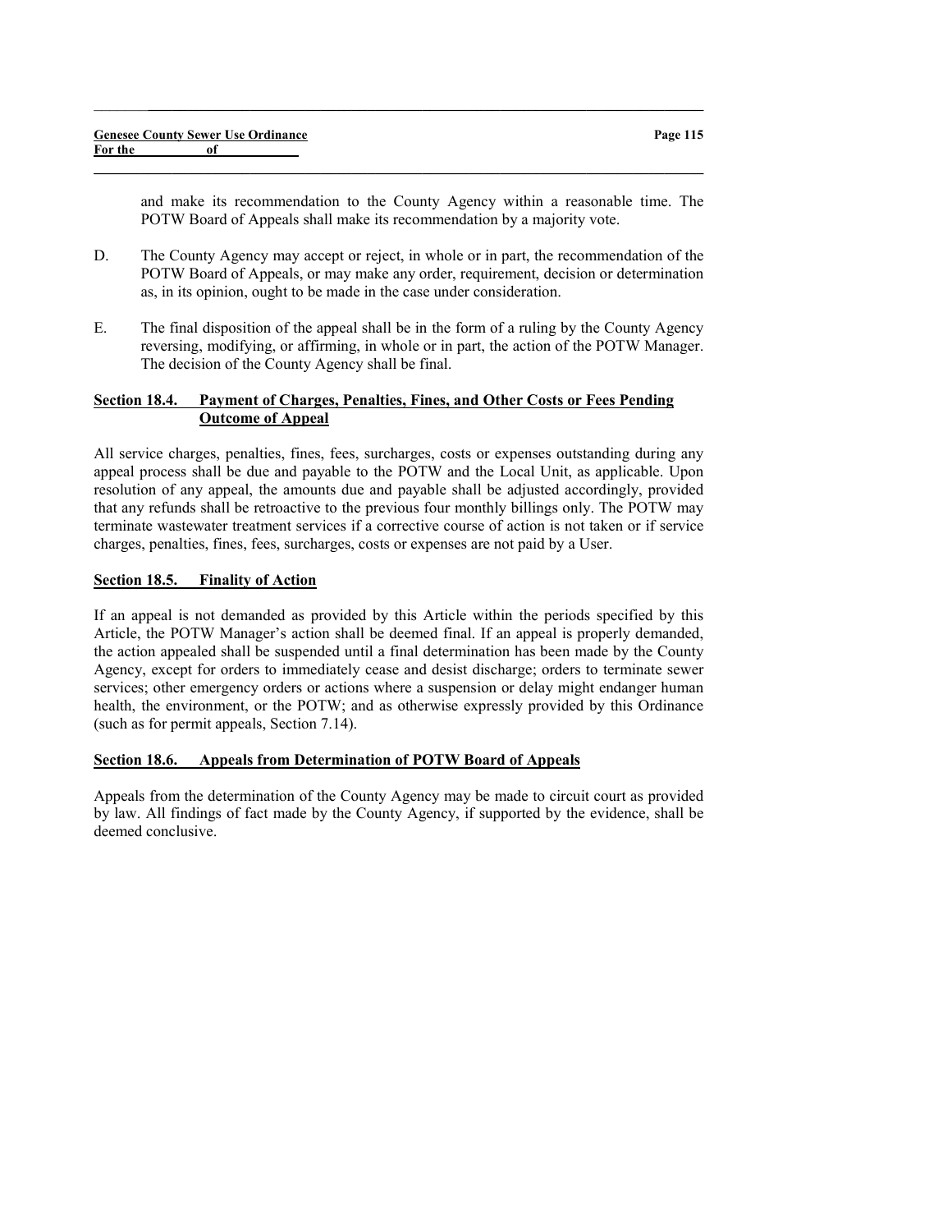and make its recommendation to the County Agency within a reasonable time. The POTW Board of Appeals shall make its recommendation by a majority vote.

D. The County Agency may accept or reject, in whole or in part, the recommendation of the POTW Board of Appeals, or may make any order, requirement, decision or determination as, in its opinion, ought to be made in the case under consideration.

 $\_$  , and the set of the set of the set of the set of the set of the set of the set of the set of the set of the set of the set of the set of the set of the set of the set of the set of the set of the set of the set of th

 $\_$  , and the set of the set of the set of the set of the set of the set of the set of the set of the set of the set of the set of the set of the set of the set of the set of the set of the set of the set of the set of th

E. The final disposition of the appeal shall be in the form of a ruling by the County Agency reversing, modifying, or affirming, in whole or in part, the action of the POTW Manager. The decision of the County Agency shall be final.

## Section 18.4. Payment of Charges, Penalties, Fines, and Other Costs or Fees Pending Outcome of Appeal

All service charges, penalties, fines, fees, surcharges, costs or expenses outstanding during any appeal process shall be due and payable to the POTW and the Local Unit, as applicable. Upon resolution of any appeal, the amounts due and payable shall be adjusted accordingly, provided that any refunds shall be retroactive to the previous four monthly billings only. The POTW may terminate wastewater treatment services if a corrective course of action is not taken or if service charges, penalties, fines, fees, surcharges, costs or expenses are not paid by a User.

## Section 18.5. Finality of Action

If an appeal is not demanded as provided by this Article within the periods specified by this Article, the POTW Manager's action shall be deemed final. If an appeal is properly demanded, the action appealed shall be suspended until a final determination has been made by the County Agency, except for orders to immediately cease and desist discharge; orders to terminate sewer services; other emergency orders or actions where a suspension or delay might endanger human health, the environment, or the POTW; and as otherwise expressly provided by this Ordinance (such as for permit appeals, Section 7.14).

## Section 18.6. Appeals from Determination of POTW Board of Appeals

Appeals from the determination of the County Agency may be made to circuit court as provided by law. All findings of fact made by the County Agency, if supported by the evidence, shall be deemed conclusive.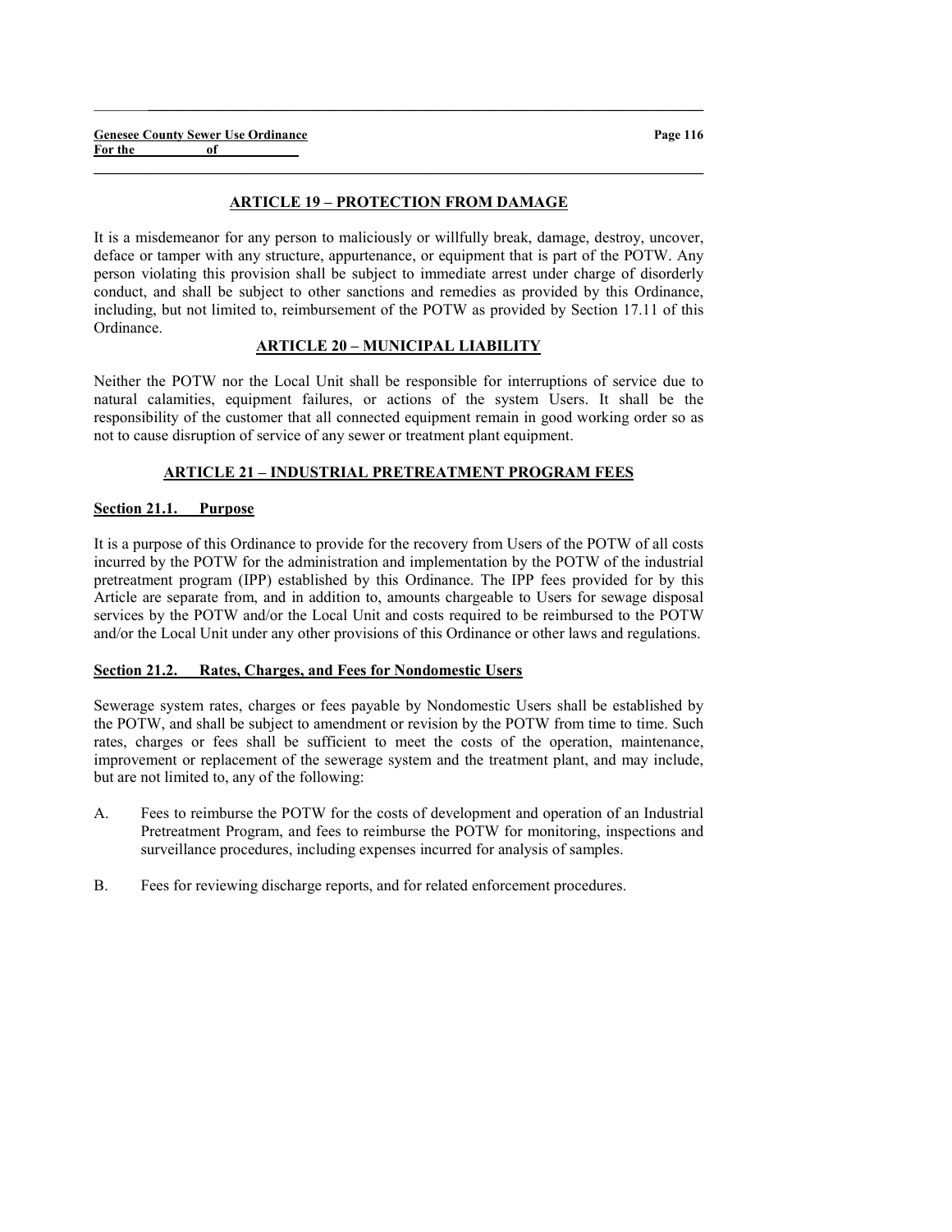### ARTICLE 19 – PROTECTION FROM DAMAGE

 $\_$  , and the set of the set of the set of the set of the set of the set of the set of the set of the set of the set of the set of the set of the set of the set of the set of the set of the set of the set of the set of th

 $\_$  , and the set of the set of the set of the set of the set of the set of the set of the set of the set of the set of the set of the set of the set of the set of the set of the set of the set of the set of the set of th

It is a misdemeanor for any person to maliciously or willfully break, damage, destroy, uncover, deface or tamper with any structure, appurtenance, or equipment that is part of the POTW. Any person violating this provision shall be subject to immediate arrest under charge of disorderly conduct, and shall be subject to other sanctions and remedies as provided by this Ordinance, including, but not limited to, reimbursement of the POTW as provided by Section 17.11 of this Ordinance.

## ARTICLE 20 – MUNICIPAL LIABILITY

Neither the POTW nor the Local Unit shall be responsible for interruptions of service due to natural calamities, equipment failures, or actions of the system Users. It shall be the responsibility of the customer that all connected equipment remain in good working order so as not to cause disruption of service of any sewer or treatment plant equipment.

## ARTICLE 21 – INDUSTRIAL PRETREATMENT PROGRAM FEES

#### Section 21.1. Purpose

It is a purpose of this Ordinance to provide for the recovery from Users of the POTW of all costs incurred by the POTW for the administration and implementation by the POTW of the industrial pretreatment program (IPP) established by this Ordinance. The IPP fees provided for by this Article are separate from, and in addition to, amounts chargeable to Users for sewage disposal services by the POTW and/or the Local Unit and costs required to be reimbursed to the POTW and/or the Local Unit under any other provisions of this Ordinance or other laws and regulations.

#### Section 21.2. Rates, Charges, and Fees for Nondomestic Users

Sewerage system rates, charges or fees payable by Nondomestic Users shall be established by the POTW, and shall be subject to amendment or revision by the POTW from time to time. Such rates, charges or fees shall be sufficient to meet the costs of the operation, maintenance, improvement or replacement of the sewerage system and the treatment plant, and may include, but are not limited to, any of the following:

- A. Fees to reimburse the POTW for the costs of development and operation of an Industrial Pretreatment Program, and fees to reimburse the POTW for monitoring, inspections and surveillance procedures, including expenses incurred for analysis of samples.
- B. Fees for reviewing discharge reports, and for related enforcement procedures.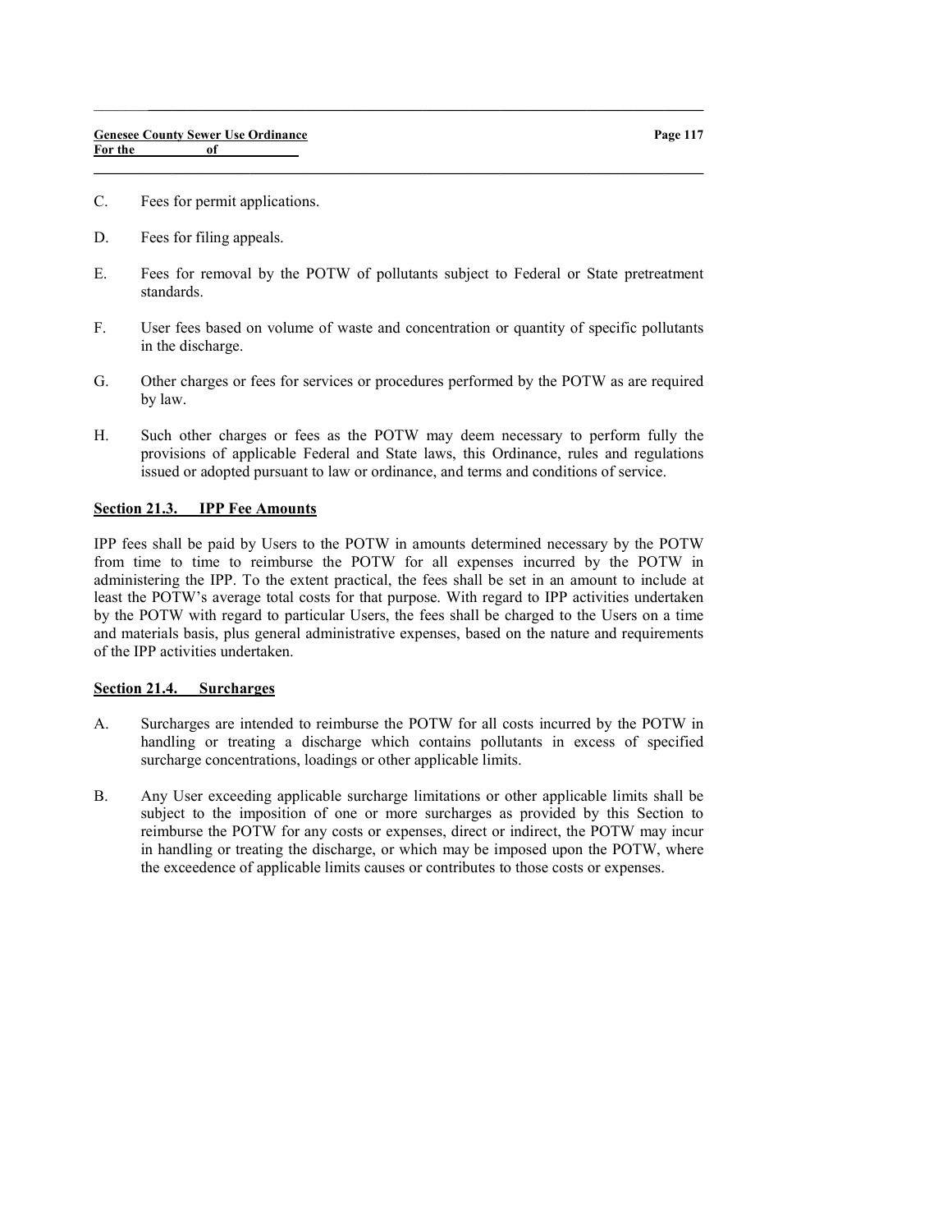- C. Fees for permit applications.
- D. Fees for filing appeals.
- E. Fees for removal by the POTW of pollutants subject to Federal or State pretreatment standards.

 $\_$  , and the set of the set of the set of the set of the set of the set of the set of the set of the set of the set of the set of the set of the set of the set of the set of the set of the set of the set of the set of th

 $\_$  , and the set of the set of the set of the set of the set of the set of the set of the set of the set of the set of the set of the set of the set of the set of the set of the set of the set of the set of the set of th

- F. User fees based on volume of waste and concentration or quantity of specific pollutants in the discharge.
- G. Other charges or fees for services or procedures performed by the POTW as are required by law.
- H. Such other charges or fees as the POTW may deem necessary to perform fully the provisions of applicable Federal and State laws, this Ordinance, rules and regulations issued or adopted pursuant to law or ordinance, and terms and conditions of service.

## Section 21.3. IPP Fee Amounts

IPP fees shall be paid by Users to the POTW in amounts determined necessary by the POTW from time to time to reimburse the POTW for all expenses incurred by the POTW in administering the IPP. To the extent practical, the fees shall be set in an amount to include at least the POTW's average total costs for that purpose. With regard to IPP activities undertaken by the POTW with regard to particular Users, the fees shall be charged to the Users on a time and materials basis, plus general administrative expenses, based on the nature and requirements of the IPP activities undertaken.

#### Section 21.4. Surcharges

- A. Surcharges are intended to reimburse the POTW for all costs incurred by the POTW in handling or treating a discharge which contains pollutants in excess of specified surcharge concentrations, loadings or other applicable limits.
- B. Any User exceeding applicable surcharge limitations or other applicable limits shall be subject to the imposition of one or more surcharges as provided by this Section to reimburse the POTW for any costs or expenses, direct or indirect, the POTW may incur in handling or treating the discharge, or which may be imposed upon the POTW, where the exceedence of applicable limits causes or contributes to those costs or expenses.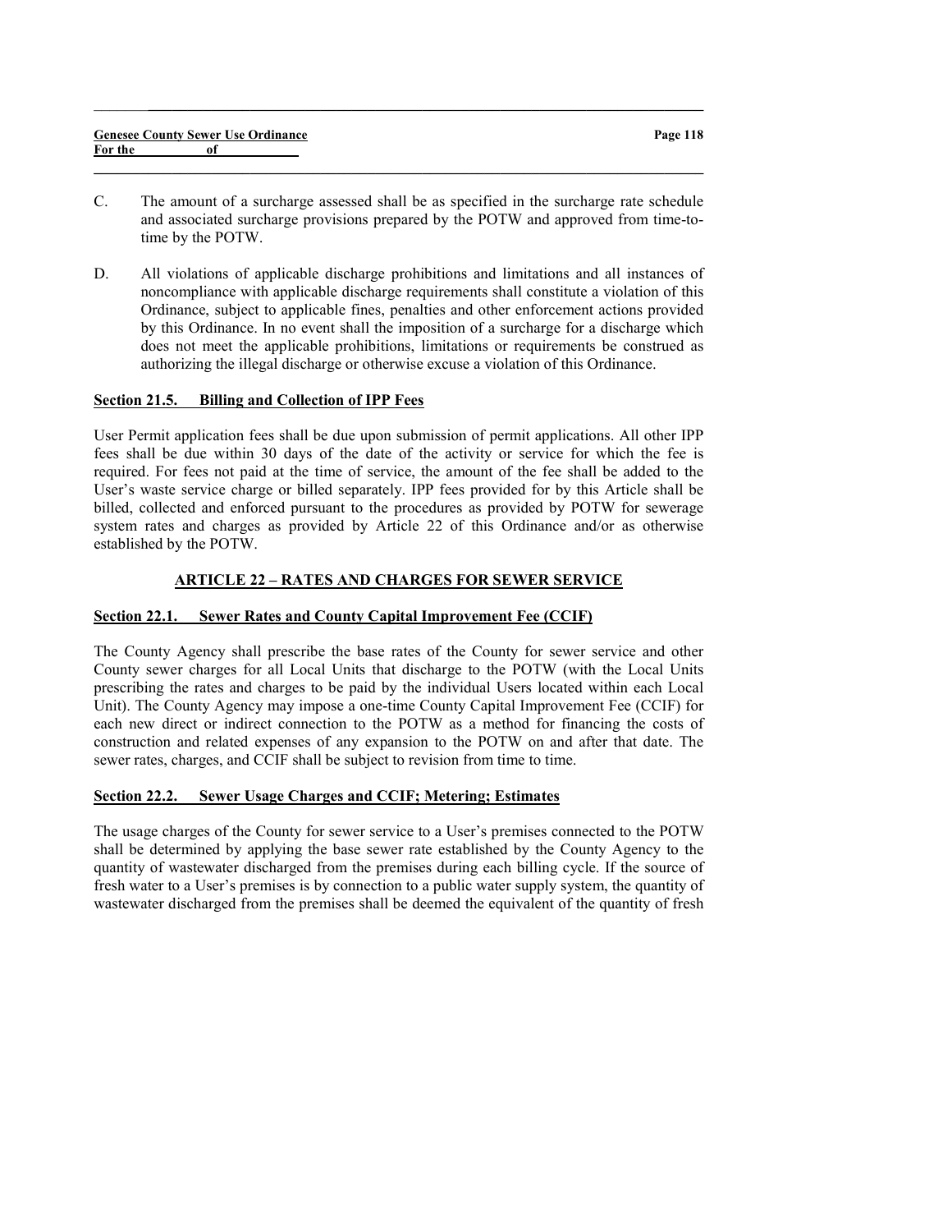| <b>Genesee County Sewer Use Ordinance</b> |    |  |
|-------------------------------------------|----|--|
| For the                                   | of |  |

C. The amount of a surcharge assessed shall be as specified in the surcharge rate schedule and associated surcharge provisions prepared by the POTW and approved from time-totime by the POTW.

 $\_$  , and the set of the set of the set of the set of the set of the set of the set of the set of the set of the set of the set of the set of the set of the set of the set of the set of the set of the set of the set of th

 $\_$  , and the set of the set of the set of the set of the set of the set of the set of the set of the set of the set of the set of the set of the set of the set of the set of the set of the set of the set of the set of th

D. All violations of applicable discharge prohibitions and limitations and all instances of noncompliance with applicable discharge requirements shall constitute a violation of this Ordinance, subject to applicable fines, penalties and other enforcement actions provided by this Ordinance. In no event shall the imposition of a surcharge for a discharge which does not meet the applicable prohibitions, limitations or requirements be construed as authorizing the illegal discharge or otherwise excuse a violation of this Ordinance.

## Section 21.5. Billing and Collection of IPP Fees

User Permit application fees shall be due upon submission of permit applications. All other IPP fees shall be due within 30 days of the date of the activity or service for which the fee is required. For fees not paid at the time of service, the amount of the fee shall be added to the User's waste service charge or billed separately. IPP fees provided for by this Article shall be billed, collected and enforced pursuant to the procedures as provided by POTW for sewerage system rates and charges as provided by Article 22 of this Ordinance and/or as otherwise established by the POTW.

## ARTICLE 22 – RATES AND CHARGES FOR SEWER SERVICE

## Section 22.1. Sewer Rates and County Capital Improvement Fee (CCIF)

The County Agency shall prescribe the base rates of the County for sewer service and other County sewer charges for all Local Units that discharge to the POTW (with the Local Units prescribing the rates and charges to be paid by the individual Users located within each Local Unit). The County Agency may impose a one-time County Capital Improvement Fee (CCIF) for each new direct or indirect connection to the POTW as a method for financing the costs of construction and related expenses of any expansion to the POTW on and after that date. The sewer rates, charges, and CCIF shall be subject to revision from time to time.

#### Section 22.2. Sewer Usage Charges and CCIF; Metering; Estimates

The usage charges of the County for sewer service to a User's premises connected to the POTW shall be determined by applying the base sewer rate established by the County Agency to the quantity of wastewater discharged from the premises during each billing cycle. If the source of fresh water to a User's premises is by connection to a public water supply system, the quantity of wastewater discharged from the premises shall be deemed the equivalent of the quantity of fresh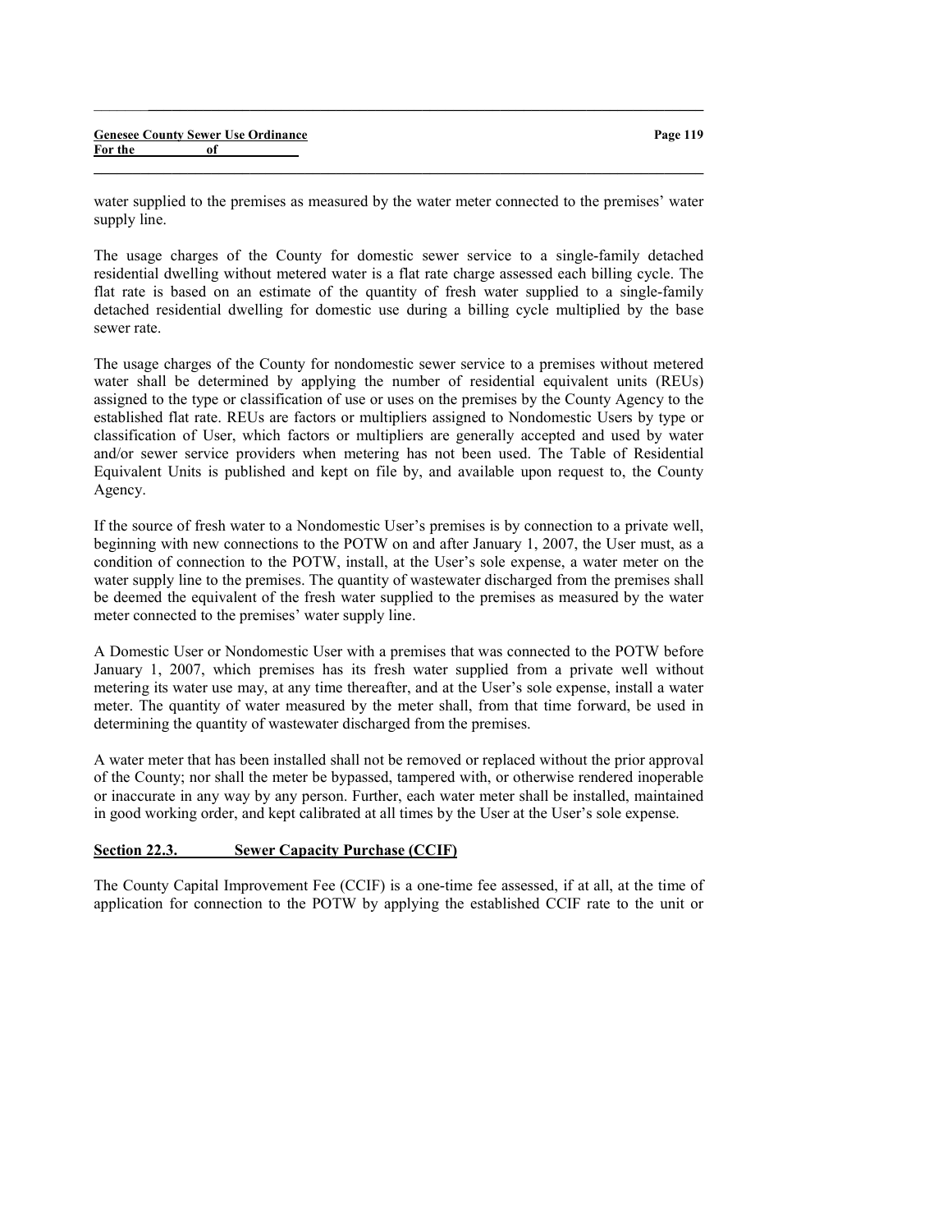|         |    | <b>Genesee County Sewer Use Ordinance</b> |
|---------|----|-------------------------------------------|
| For the | 0f |                                           |

water supplied to the premises as measured by the water meter connected to the premises' water supply line.

 $\_$  , and the set of the set of the set of the set of the set of the set of the set of the set of the set of the set of the set of the set of the set of the set of the set of the set of the set of the set of the set of th

 $\_$  , and the set of the set of the set of the set of the set of the set of the set of the set of the set of the set of the set of the set of the set of the set of the set of the set of the set of the set of the set of th

The usage charges of the County for domestic sewer service to a single-family detached residential dwelling without metered water is a flat rate charge assessed each billing cycle. The flat rate is based on an estimate of the quantity of fresh water supplied to a single-family detached residential dwelling for domestic use during a billing cycle multiplied by the base sewer rate.

The usage charges of the County for nondomestic sewer service to a premises without metered water shall be determined by applying the number of residential equivalent units (REUs) assigned to the type or classification of use or uses on the premises by the County Agency to the established flat rate. REUs are factors or multipliers assigned to Nondomestic Users by type or classification of User, which factors or multipliers are generally accepted and used by water and/or sewer service providers when metering has not been used. The Table of Residential Equivalent Units is published and kept on file by, and available upon request to, the County Agency.

If the source of fresh water to a Nondomestic User's premises is by connection to a private well, beginning with new connections to the POTW on and after January 1, 2007, the User must, as a condition of connection to the POTW, install, at the User's sole expense, a water meter on the water supply line to the premises. The quantity of wastewater discharged from the premises shall be deemed the equivalent of the fresh water supplied to the premises as measured by the water meter connected to the premises' water supply line.

A Domestic User or Nondomestic User with a premises that was connected to the POTW before January 1, 2007, which premises has its fresh water supplied from a private well without metering its water use may, at any time thereafter, and at the User's sole expense, install a water meter. The quantity of water measured by the meter shall, from that time forward, be used in determining the quantity of wastewater discharged from the premises.

A water meter that has been installed shall not be removed or replaced without the prior approval of the County; nor shall the meter be bypassed, tampered with, or otherwise rendered inoperable or inaccurate in any way by any person. Further, each water meter shall be installed, maintained in good working order, and kept calibrated at all times by the User at the User's sole expense.

#### Section 22.3. Sewer Capacity Purchase (CCIF)

The County Capital Improvement Fee (CCIF) is a one-time fee assessed, if at all, at the time of application for connection to the POTW by applying the established CCIF rate to the unit or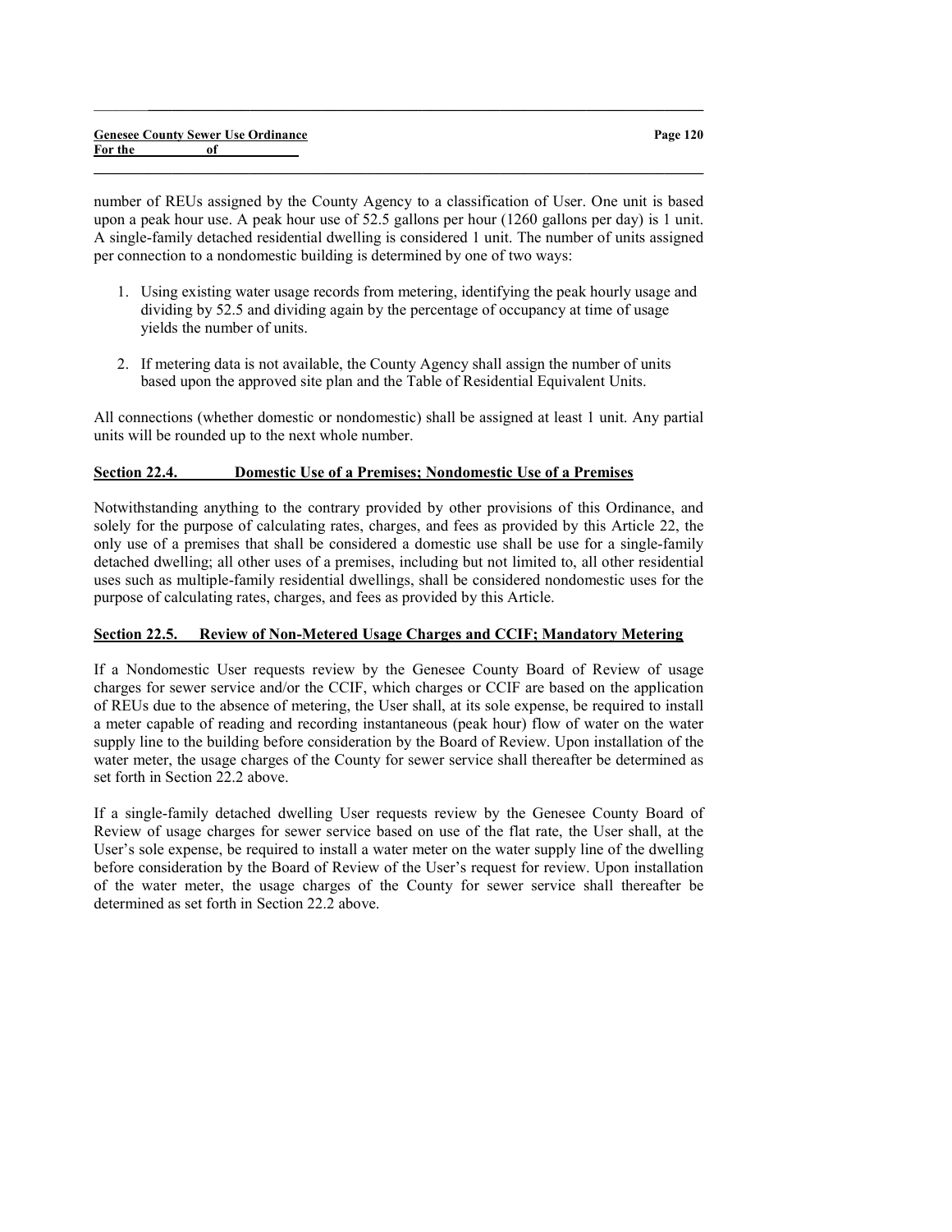number of REUs assigned by the County Agency to a classification of User. One unit is based upon a peak hour use. A peak hour use of 52.5 gallons per hour (1260 gallons per day) is 1 unit. A single-family detached residential dwelling is considered 1 unit. The number of units assigned per connection to a nondomestic building is determined by one of two ways:

 $\_$  , and the set of the set of the set of the set of the set of the set of the set of the set of the set of the set of the set of the set of the set of the set of the set of the set of the set of the set of the set of th

 $\_$  , and the set of the set of the set of the set of the set of the set of the set of the set of the set of the set of the set of the set of the set of the set of the set of the set of the set of the set of the set of th

- 1. Using existing water usage records from metering, identifying the peak hourly usage and dividing by 52.5 and dividing again by the percentage of occupancy at time of usage yields the number of units.
- 2. If metering data is not available, the County Agency shall assign the number of units based upon the approved site plan and the Table of Residential Equivalent Units.

All connections (whether domestic or nondomestic) shall be assigned at least 1 unit. Any partial units will be rounded up to the next whole number.

## Section 22.4. Domestic Use of a Premises; Nondomestic Use of a Premises

Notwithstanding anything to the contrary provided by other provisions of this Ordinance, and solely for the purpose of calculating rates, charges, and fees as provided by this Article 22, the only use of a premises that shall be considered a domestic use shall be use for a single-family detached dwelling; all other uses of a premises, including but not limited to, all other residential uses such as multiple-family residential dwellings, shall be considered nondomestic uses for the purpose of calculating rates, charges, and fees as provided by this Article.

## Section 22.5. Review of Non-Metered Usage Charges and CCIF; Mandatory Metering

If a Nondomestic User requests review by the Genesee County Board of Review of usage charges for sewer service and/or the CCIF, which charges or CCIF are based on the application of REUs due to the absence of metering, the User shall, at its sole expense, be required to install a meter capable of reading and recording instantaneous (peak hour) flow of water on the water supply line to the building before consideration by the Board of Review. Upon installation of the water meter, the usage charges of the County for sewer service shall thereafter be determined as set forth in Section 22.2 above.

If a single-family detached dwelling User requests review by the Genesee County Board of Review of usage charges for sewer service based on use of the flat rate, the User shall, at the User's sole expense, be required to install a water meter on the water supply line of the dwelling before consideration by the Board of Review of the User's request for review. Upon installation of the water meter, the usage charges of the County for sewer service shall thereafter be determined as set forth in Section 22.2 above.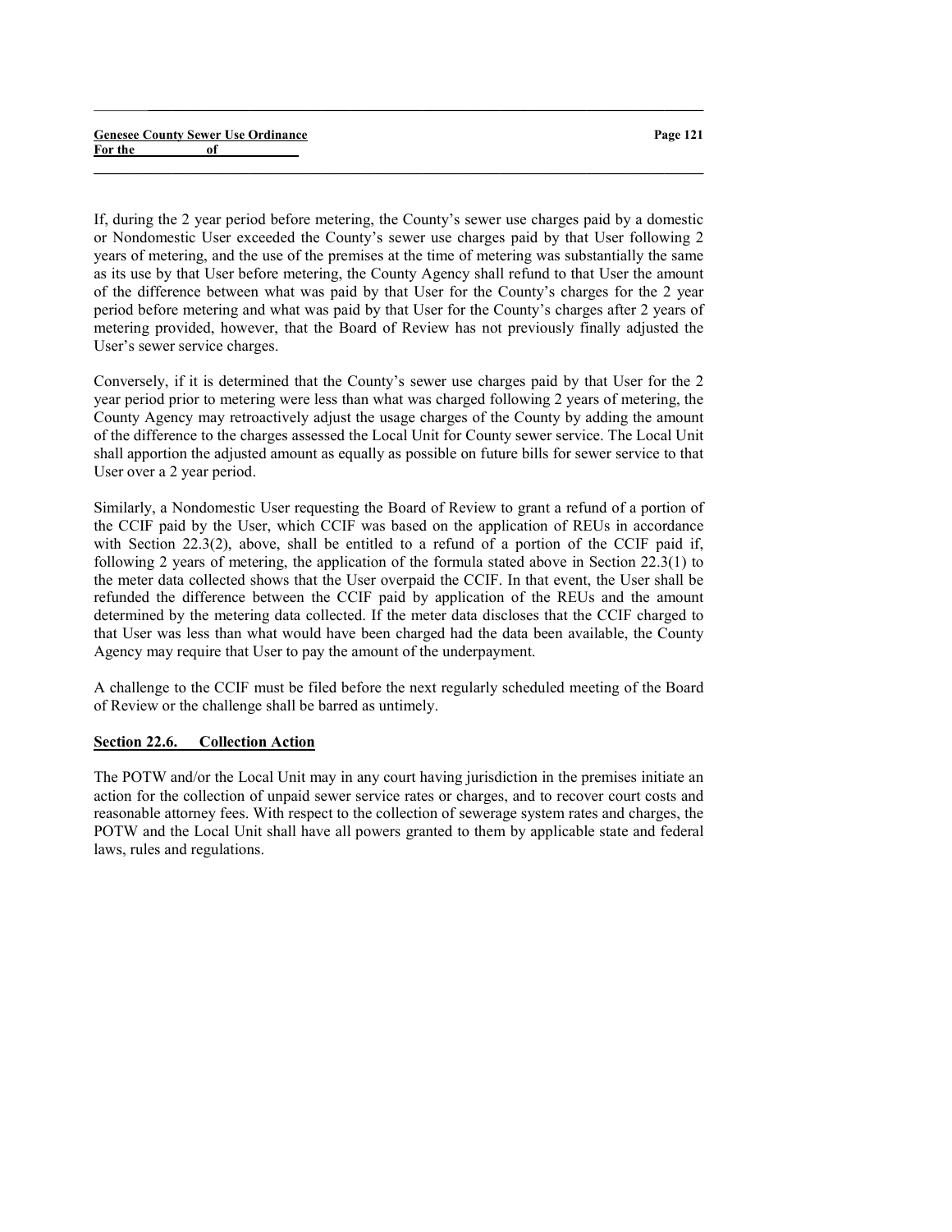If, during the 2 year period before metering, the County's sewer use charges paid by a domestic or Nondomestic User exceeded the County's sewer use charges paid by that User following 2 years of metering, and the use of the premises at the time of metering was substantially the same as its use by that User before metering, the County Agency shall refund to that User the amount of the difference between what was paid by that User for the County's charges for the 2 year period before metering and what was paid by that User for the County's charges after 2 years of metering provided, however, that the Board of Review has not previously finally adjusted the User's sewer service charges.

 $\_$  , and the set of the set of the set of the set of the set of the set of the set of the set of the set of the set of the set of the set of the set of the set of the set of the set of the set of the set of the set of th

 $\_$  , and the set of the set of the set of the set of the set of the set of the set of the set of the set of the set of the set of the set of the set of the set of the set of the set of the set of the set of the set of th

Conversely, if it is determined that the County's sewer use charges paid by that User for the 2 year period prior to metering were less than what was charged following 2 years of metering, the County Agency may retroactively adjust the usage charges of the County by adding the amount of the difference to the charges assessed the Local Unit for County sewer service. The Local Unit shall apportion the adjusted amount as equally as possible on future bills for sewer service to that User over a 2 year period.

Similarly, a Nondomestic User requesting the Board of Review to grant a refund of a portion of the CCIF paid by the User, which CCIF was based on the application of REUs in accordance with Section 22.3(2), above, shall be entitled to a refund of a portion of the CCIF paid if, following 2 years of metering, the application of the formula stated above in Section 22.3(1) to the meter data collected shows that the User overpaid the CCIF. In that event, the User shall be refunded the difference between the CCIF paid by application of the REUs and the amount determined by the metering data collected. If the meter data discloses that the CCIF charged to that User was less than what would have been charged had the data been available, the County Agency may require that User to pay the amount of the underpayment.

A challenge to the CCIF must be filed before the next regularly scheduled meeting of the Board of Review or the challenge shall be barred as untimely.

#### Section 22.6. Collection Action

The POTW and/or the Local Unit may in any court having jurisdiction in the premises initiate an action for the collection of unpaid sewer service rates or charges, and to recover court costs and reasonable attorney fees. With respect to the collection of sewerage system rates and charges, the POTW and the Local Unit shall have all powers granted to them by applicable state and federal laws, rules and regulations.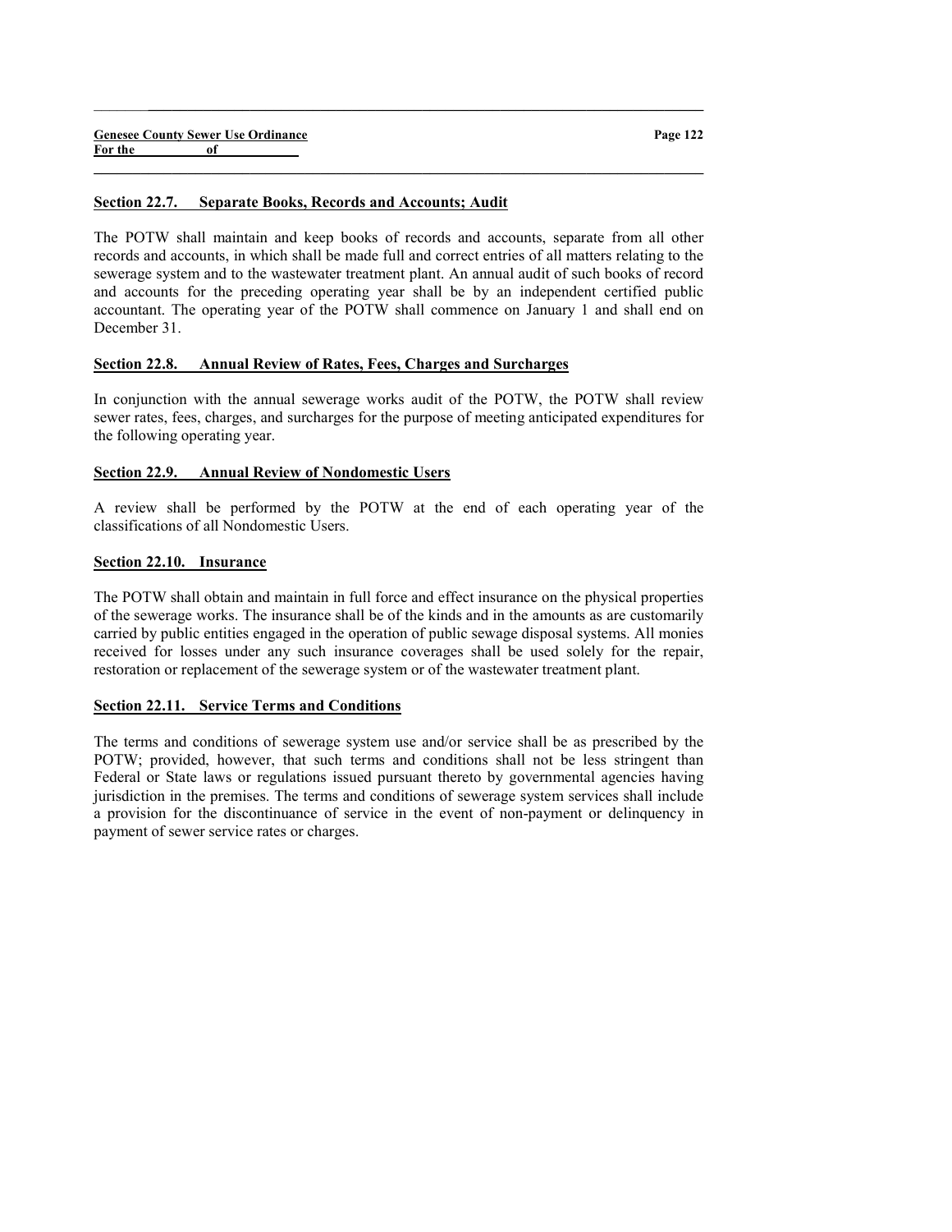#### Section 22.7. Separate Books, Records and Accounts; Audit

The POTW shall maintain and keep books of records and accounts, separate from all other records and accounts, in which shall be made full and correct entries of all matters relating to the sewerage system and to the wastewater treatment plant. An annual audit of such books of record and accounts for the preceding operating year shall be by an independent certified public accountant. The operating year of the POTW shall commence on January 1 and shall end on December 31.

 $\_$  , and the set of the set of the set of the set of the set of the set of the set of the set of the set of the set of the set of the set of the set of the set of the set of the set of the set of the set of the set of th

 $\_$  , and the set of the set of the set of the set of the set of the set of the set of the set of the set of the set of the set of the set of the set of the set of the set of the set of the set of the set of the set of th

## Section 22.8. Annual Review of Rates, Fees, Charges and Surcharges

In conjunction with the annual sewerage works audit of the POTW, the POTW shall review sewer rates, fees, charges, and surcharges for the purpose of meeting anticipated expenditures for the following operating year.

## Section 22.9. Annual Review of Nondomestic Users

A review shall be performed by the POTW at the end of each operating year of the classifications of all Nondomestic Users.

## Section 22.10. Insurance

The POTW shall obtain and maintain in full force and effect insurance on the physical properties of the sewerage works. The insurance shall be of the kinds and in the amounts as are customarily carried by public entities engaged in the operation of public sewage disposal systems. All monies received for losses under any such insurance coverages shall be used solely for the repair, restoration or replacement of the sewerage system or of the wastewater treatment plant.

## Section 22.11. Service Terms and Conditions

The terms and conditions of sewerage system use and/or service shall be as prescribed by the POTW; provided, however, that such terms and conditions shall not be less stringent than Federal or State laws or regulations issued pursuant thereto by governmental agencies having jurisdiction in the premises. The terms and conditions of sewerage system services shall include a provision for the discontinuance of service in the event of non-payment or delinquency in payment of sewer service rates or charges.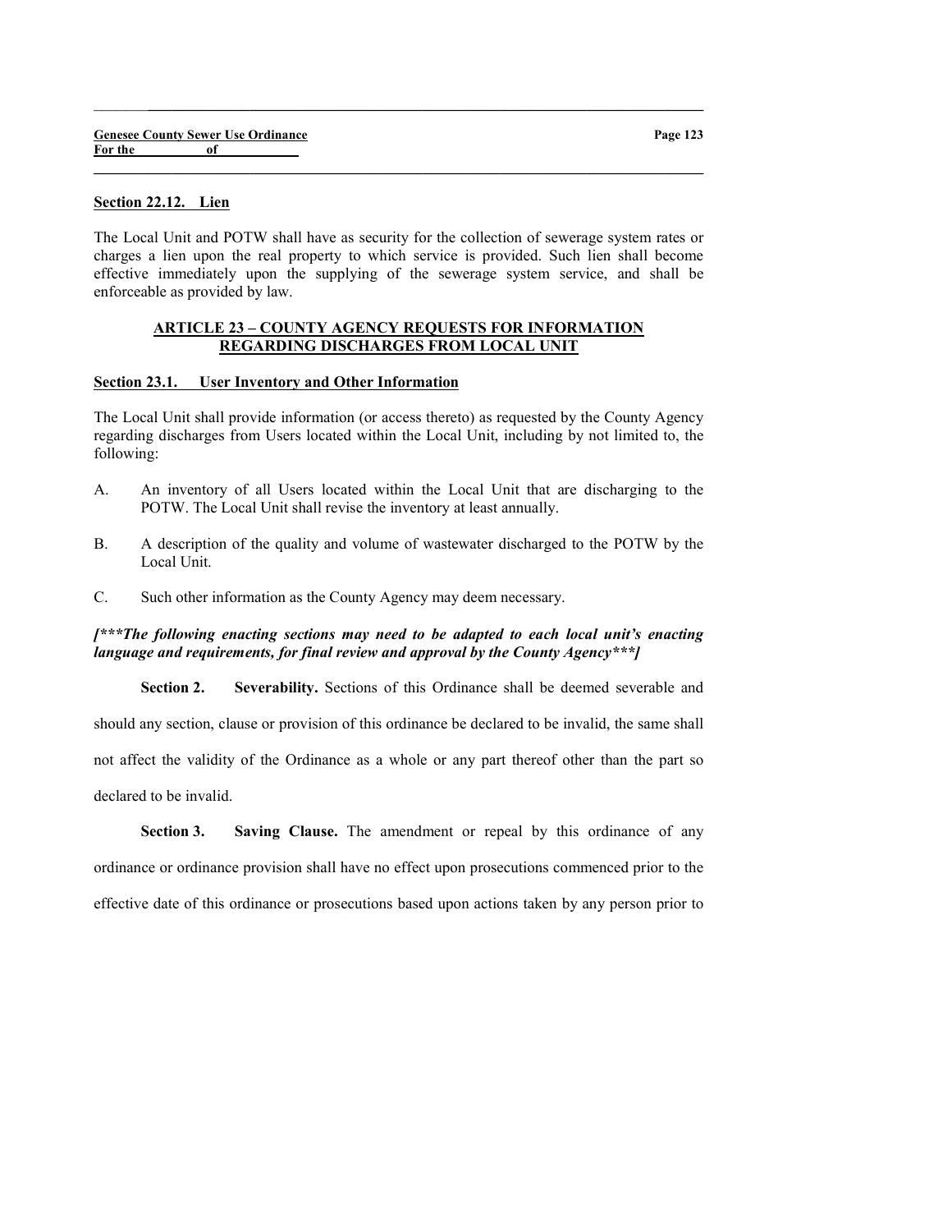|         | <b>Genesee County Sewer Use Ordinance</b> |  |  |
|---------|-------------------------------------------|--|--|
| For the | of                                        |  |  |

## Section 22.12. Lien

The Local Unit and POTW shall have as security for the collection of sewerage system rates or charges a lien upon the real property to which service is provided. Such lien shall become effective immediately upon the supplying of the sewerage system service, and shall be enforceable as provided by law.

 $\_$  , and the set of the set of the set of the set of the set of the set of the set of the set of the set of the set of the set of the set of the set of the set of the set of the set of the set of the set of the set of th

 $\_$  , and the set of the set of the set of the set of the set of the set of the set of the set of the set of the set of the set of the set of the set of the set of the set of the set of the set of the set of the set of th

#### ARTICLE 23 – COUNTY AGENCY REQUESTS FOR INFORMATION REGARDING DISCHARGES FROM LOCAL UNIT

#### Section 23.1. User Inventory and Other Information

The Local Unit shall provide information (or access thereto) as requested by the County Agency regarding discharges from Users located within the Local Unit, including by not limited to, the following:

- A. An inventory of all Users located within the Local Unit that are discharging to the POTW. The Local Unit shall revise the inventory at least annually.
- B. A description of the quality and volume of wastewater discharged to the POTW by the Local Unit.
- C. Such other information as the County Agency may deem necessary.

## [\*\*\*The following enacting sections may need to be adapted to each local unit's enacting language and requirements, for final review and approval by the County Agency \*\*\*  $\vert$

Section 2. Severability. Sections of this Ordinance shall be deemed severable and should any section, clause or provision of this ordinance be declared to be invalid, the same shall not affect the validity of the Ordinance as a whole or any part thereof other than the part so declared to be invalid.

Section 3. Saving Clause. The amendment or repeal by this ordinance of any ordinance or ordinance provision shall have no effect upon prosecutions commenced prior to the effective date of this ordinance or prosecutions based upon actions taken by any person prior to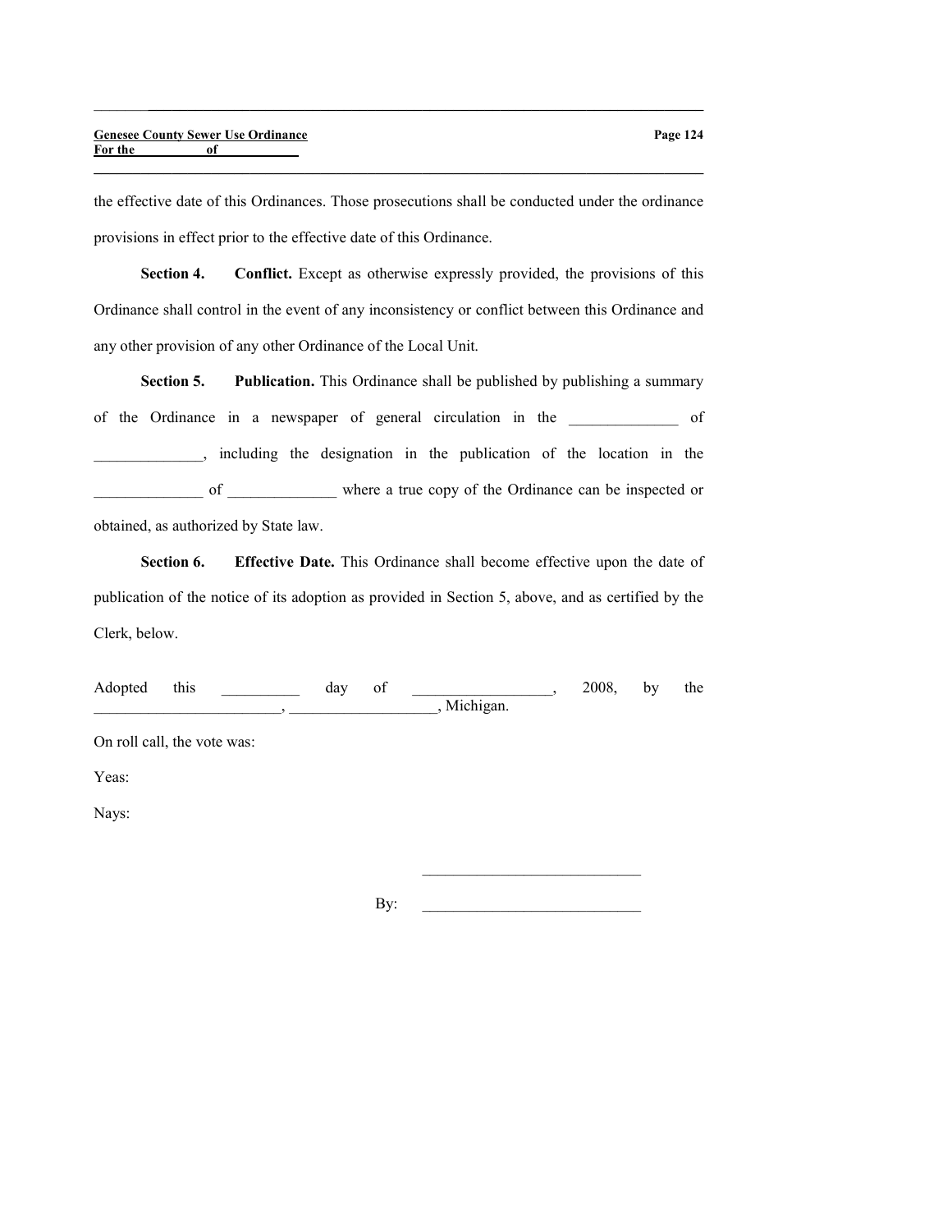the effective date of this Ordinances. Those prosecutions shall be conducted under the ordinance provisions in effect prior to the effective date of this Ordinance.

 $\_$  , and the set of the set of the set of the set of the set of the set of the set of the set of the set of the set of the set of the set of the set of the set of the set of the set of the set of the set of the set of th

 $\_$  , and the set of the set of the set of the set of the set of the set of the set of the set of the set of the set of the set of the set of the set of the set of the set of the set of the set of the set of the set of th

Section 4. Conflict. Except as otherwise expressly provided, the provisions of this Ordinance shall control in the event of any inconsistency or conflict between this Ordinance and any other provision of any other Ordinance of the Local Unit.

Section 5. Publication. This Ordinance shall be published by publishing a summary of the Ordinance in a newspaper of general circulation in the \_\_\_\_\_\_\_\_\_\_\_\_\_\_ of \_\_\_\_\_\_\_\_\_\_\_\_\_\_, including the designation in the publication of the location in the of where a true copy of the Ordinance can be inspected or obtained, as authorized by State law.

Section 6. Effective Date. This Ordinance shall become effective upon the date of publication of the notice of its adoption as provided in Section 5, above, and as certified by the

Clerk, below.

| this<br>Adopted             | day | of | , Michigan. | 2008, | by | the |
|-----------------------------|-----|----|-------------|-------|----|-----|
| On roll call, the vote was: |     |    |             |       |    |     |
| Yeas:                       |     |    |             |       |    |     |
| Nays:                       |     |    |             |       |    |     |
|                             |     |    |             |       |    |     |
|                             |     |    |             |       |    |     |

 $\mathbf{B}$ y: